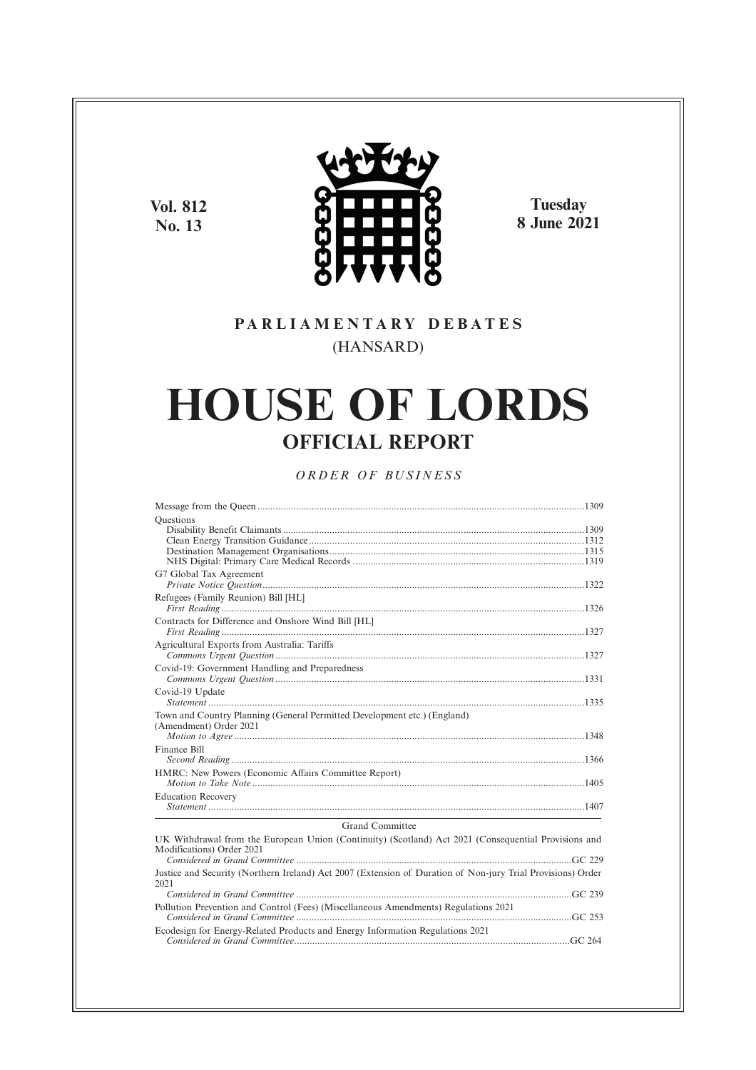**Vol. 812 No. 13**



**Tuesday 8 June 2021**

## **P A R L I A M E N T A R Y D E B A T E S** (HANSARD)

# **HOUSE OF LORDS OFFICIAL REPORT**

*O R D E R O F BU S I N E S S*

| Ouestions                                                                                                                         |
|-----------------------------------------------------------------------------------------------------------------------------------|
| G7 Global Tax Agreement                                                                                                           |
| Refugees (Family Reunion) Bill [HL]                                                                                               |
| Contracts for Difference and Onshore Wind Bill [HL]                                                                               |
| Agricultural Exports from Australia: Tariffs                                                                                      |
| Covid-19: Government Handling and Preparedness                                                                                    |
| Covid-19 Update                                                                                                                   |
| Town and Country Planning (General Permitted Development etc.) (England)<br>(Amendment) Order 2021                                |
| Finance Bill                                                                                                                      |
| HMRC: New Powers (Economic Affairs Committee Report)                                                                              |
| <b>Education Recovery</b><br>the control of the control of the control of the control of the control of the control of            |
| Grand Committee                                                                                                                   |
| UK Withdrawal from the European Union (Continuity) (Scotland) Act 2021 (Consequential Provisions and<br>Modifications) Order 2021 |
| Justice and Security (Northern Ireland) Act 2007 (Extension of Duration of Non-jury Trial Provisions) Order<br>2021               |
|                                                                                                                                   |
| Pollution Prevention and Control (Fees) (Miscellaneous Amendments) Regulations 2021                                               |
| Ecodesign for Energy-Related Products and Energy Information Regulations 2021                                                     |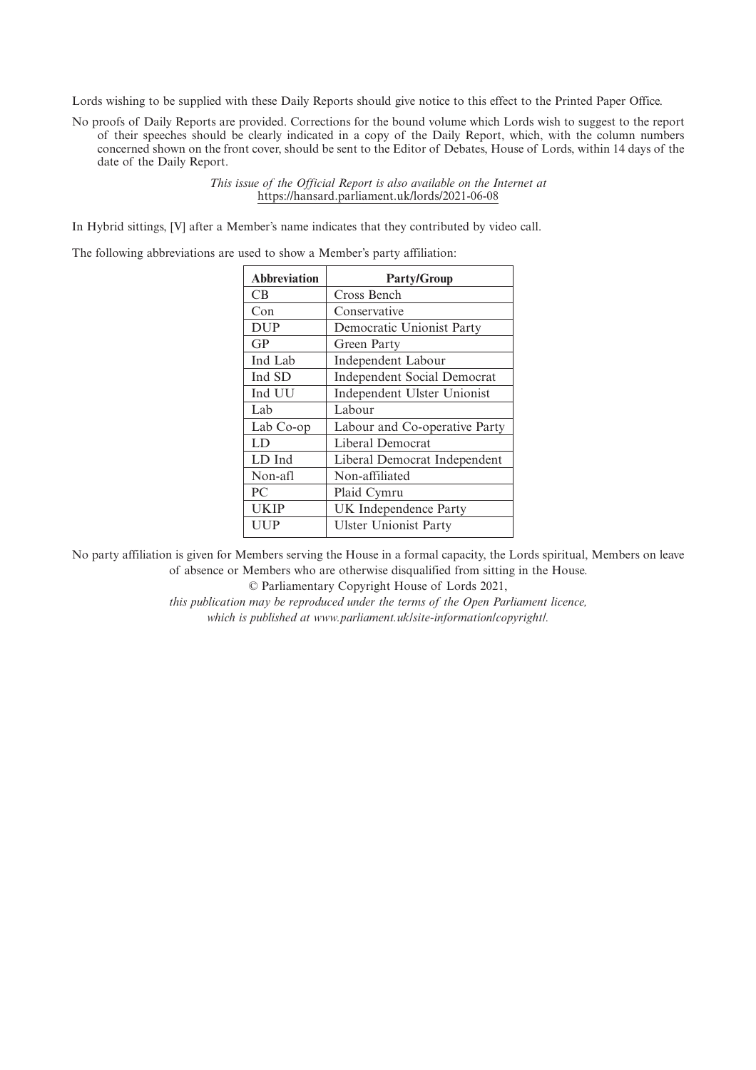Lords wishing to be supplied with these Daily Reports should give notice to this effect to the Printed Paper Office.

No proofs of Daily Reports are provided. Corrections for the bound volume which Lords wish to suggest to the report of their speeches should be clearly indicated in a copy of the Daily Report, which, with the column numbers concerned shown on the front cover, should be sent to the Editor of Debates, House of Lords, within 14 days of the date of the Daily Report.

> *This issue of the Official Report is also available on the Internet at* https://hansard.parliament.uk/lords/2021-06-08

In Hybrid sittings, [V] after a Member's name indicates that they contributed by video call.

The following abbreviations are used to show a Member's party affiliation:

| <b>Abbreviation</b> | <b>Party/Group</b>                 |
|---------------------|------------------------------------|
| CВ                  | Cross Bench                        |
| Con                 | Conservative                       |
| <b>DUP</b>          | Democratic Unionist Party          |
| GP                  | Green Party                        |
| Ind Lab             | Independent Labour                 |
| Ind SD              | <b>Independent Social Democrat</b> |
| Ind UU              | Independent Ulster Unionist        |
| Lab                 | Labour                             |
| Lab Co-op           | Labour and Co-operative Party      |
| LD                  | Liberal Democrat                   |
| LD Ind              | Liberal Democrat Independent       |
| Non-afl             | Non-affiliated                     |
| PC                  | Plaid Cymru                        |
| <b>UKIP</b>         | UK Independence Party              |
| UUP                 | <b>Ulster Unionist Party</b>       |

No party affiliation is given for Members serving the House in a formal capacity, the Lords spiritual, Members on leave of absence or Members who are otherwise disqualified from sitting in the House.

© Parliamentary Copyright House of Lords 2021,

*this publication may be reproduced under the terms of the Open Parliament licence, which is published at www.parliament.uk/site-information/copyright/.*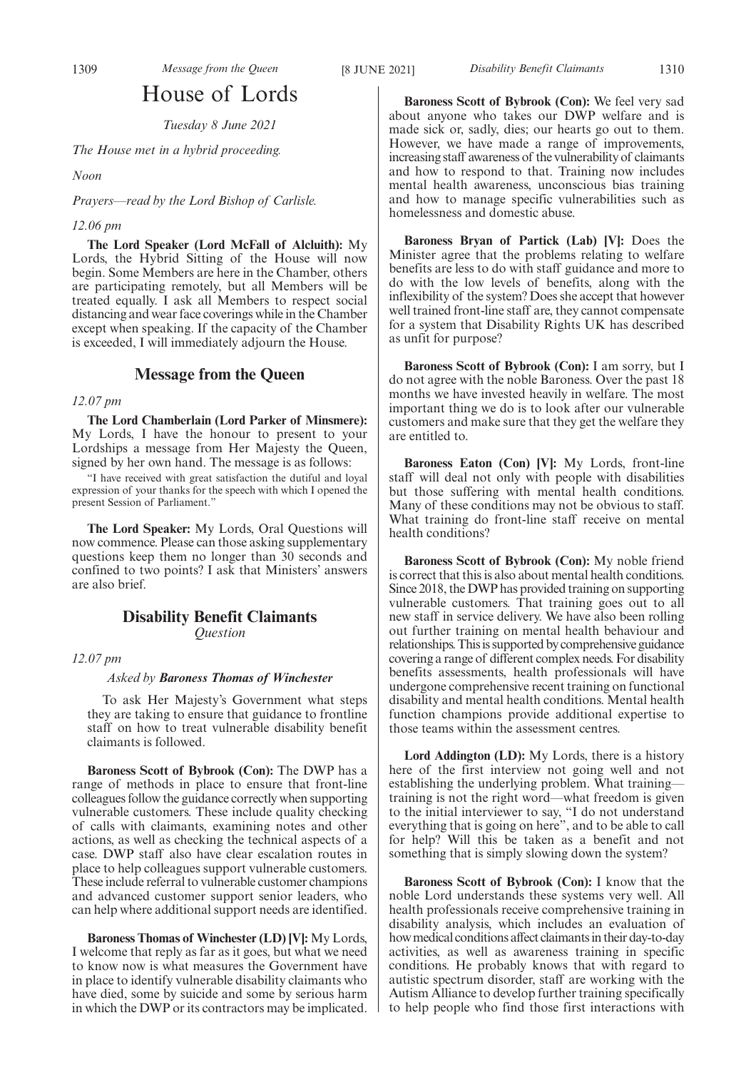### House of Lords

*Tuesday 8 June 2021*

*The House met in a hybrid proceeding.*

*Noon*

*Prayers—read by the Lord Bishop of Carlisle.*

### *12.06 pm*

**The Lord Speaker (Lord McFall of Alcluith):** My Lords, the Hybrid Sitting of the House will now begin. Some Members are here in the Chamber, others are participating remotely, but all Members will be treated equally. I ask all Members to respect social distancing and wear face coverings while in the Chamber except when speaking. If the capacity of the Chamber is exceeded, I will immediately adjourn the House.

### **Message from the Queen**

### *12.07 pm*

**The Lord Chamberlain (Lord Parker of Minsmere):** My Lords, I have the honour to present to your Lordships a message from Her Majesty the Queen, signed by her own hand. The message is as follows:

"I have received with great satisfaction the dutiful and loyal expression of your thanks for the speech with which I opened the present Session of Parliament."

**The Lord Speaker:** My Lords, Oral Questions will now commence. Please can those asking supplementary questions keep them no longer than 30 seconds and confined to two points? I ask that Ministers' answers are also brief.

### **Disability Benefit Claimants** *Question*

*12.07 pm*

### *Asked by Baroness Thomas of Winchester*

To ask Her Majesty's Government what steps they are taking to ensure that guidance to frontline staff on how to treat vulnerable disability benefit claimants is followed.

**Baroness Scott of Bybrook (Con):** The DWP has a range of methods in place to ensure that front-line colleagues follow the guidance correctly when supporting vulnerable customers. These include quality checking of calls with claimants, examining notes and other actions, as well as checking the technical aspects of a case. DWP staff also have clear escalation routes in place to help colleagues support vulnerable customers. These include referral to vulnerable customer champions and advanced customer support senior leaders, who can help where additional support needs are identified.

**Baroness Thomas of Winchester (LD) [V]:** My Lords, I welcome that reply as far as it goes, but what we need to know now is what measures the Government have in place to identify vulnerable disability claimants who have died, some by suicide and some by serious harm in which the DWP or its contractors may be implicated.

**Baroness Scott of Bybrook (Con):** We feel very sad about anyone who takes our DWP welfare and is made sick or, sadly, dies; our hearts go out to them. However, we have made a range of improvements, increasing staff awareness of the vulnerability of claimants and how to respond to that. Training now includes mental health awareness, unconscious bias training and how to manage specific vulnerabilities such as homelessness and domestic abuse.

**Baroness Bryan of Partick (Lab) [V]:** Does the Minister agree that the problems relating to welfare benefits are less to do with staff guidance and more to do with the low levels of benefits, along with the inflexibility of the system? Does she accept that however well trained front-line staff are, they cannot compensate for a system that Disability Rights UK has described as unfit for purpose?

**Baroness Scott of Bybrook (Con):** I am sorry, but I do not agree with the noble Baroness. Over the past 18 months we have invested heavily in welfare. The most important thing we do is to look after our vulnerable customers and make sure that they get the welfare they are entitled to.

**Baroness Eaton (Con) [V]:** My Lords, front-line staff will deal not only with people with disabilities but those suffering with mental health conditions. Many of these conditions may not be obvious to staff. What training do front-line staff receive on mental health conditions?

**Baroness Scott of Bybrook (Con):** My noble friend is correct that this is also about mental health conditions. Since 2018, the DWP has provided training on supporting vulnerable customers. That training goes out to all new staff in service delivery. We have also been rolling out further training on mental health behaviour and relationships. This is supported by comprehensive guidance covering a range of different complex needs. For disability benefits assessments, health professionals will have undergone comprehensive recent training on functional disability and mental health conditions. Mental health function champions provide additional expertise to those teams within the assessment centres.

**Lord Addington (LD):** My Lords, there is a history here of the first interview not going well and not establishing the underlying problem. What training training is not the right word—what freedom is given to the initial interviewer to say, "I do not understand everything that is going on here", and to be able to call for help? Will this be taken as a benefit and not something that is simply slowing down the system?

**Baroness Scott of Bybrook (Con):** I know that the noble Lord understands these systems very well. All health professionals receive comprehensive training in disability analysis, which includes an evaluation of how medical conditions affect claimants in their day-to-day activities, as well as awareness training in specific conditions. He probably knows that with regard to autistic spectrum disorder, staff are working with the Autism Alliance to develop further training specifically to help people who find those first interactions with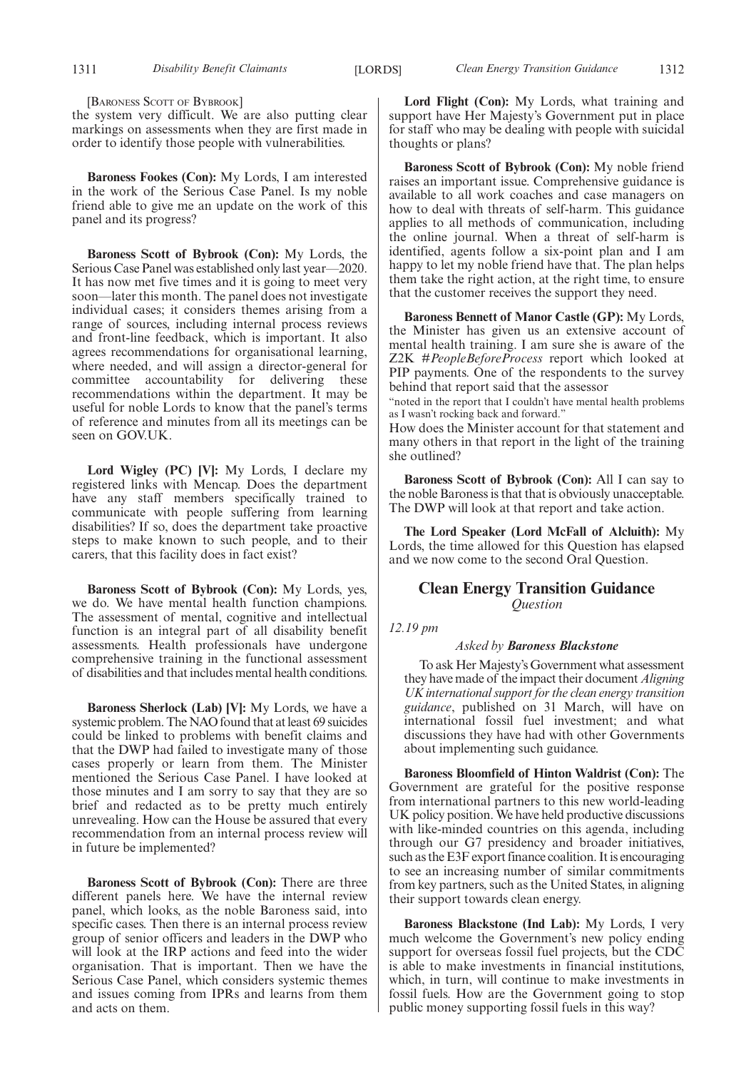[BARONESS SCOTT OF BYBROOK]

the system very difficult. We are also putting clear markings on assessments when they are first made in order to identify those people with vulnerabilities.

**Baroness Fookes (Con):** My Lords, I am interested in the work of the Serious Case Panel. Is my noble friend able to give me an update on the work of this panel and its progress?

**Baroness Scott of Bybrook (Con):** My Lords, the Serious Case Panel was established only last year—2020. It has now met five times and it is going to meet very soon—later this month. The panel does not investigate individual cases; it considers themes arising from a range of sources, including internal process reviews and front-line feedback, which is important. It also agrees recommendations for organisational learning, where needed, and will assign a director-general for committee accountability for delivering these recommendations within the department. It may be useful for noble Lords to know that the panel's terms of reference and minutes from all its meetings can be seen on GOV.UK.

**Lord Wigley (PC) [V]:** My Lords, I declare my registered links with Mencap. Does the department have any staff members specifically trained to communicate with people suffering from learning disabilities? If so, does the department take proactive steps to make known to such people, and to their carers, that this facility does in fact exist?

**Baroness Scott of Bybrook (Con):** My Lords, yes, we do. We have mental health function champions. The assessment of mental, cognitive and intellectual function is an integral part of all disability benefit assessments. Health professionals have undergone comprehensive training in the functional assessment of disabilities and that includes mental health conditions.

**Baroness Sherlock (Lab) [V]:** My Lords, we have a systemic problem. The NAO found that at least 69 suicides could be linked to problems with benefit claims and that the DWP had failed to investigate many of those cases properly or learn from them. The Minister mentioned the Serious Case Panel. I have looked at those minutes and I am sorry to say that they are so brief and redacted as to be pretty much entirely unrevealing. How can the House be assured that every recommendation from an internal process review will in future be implemented?

**Baroness Scott of Bybrook (Con):** There are three different panels here. We have the internal review panel, which looks, as the noble Baroness said, into specific cases. Then there is an internal process review group of senior officers and leaders in the DWP who will look at the IRP actions and feed into the wider organisation. That is important. Then we have the Serious Case Panel, which considers systemic themes and issues coming from IPRs and learns from them and acts on them.

**Lord Flight (Con):** My Lords, what training and support have Her Majesty's Government put in place for staff who may be dealing with people with suicidal thoughts or plans?

**Baroness Scott of Bybrook (Con):** My noble friend raises an important issue. Comprehensive guidance is available to all work coaches and case managers on how to deal with threats of self-harm. This guidance applies to all methods of communication, including the online journal. When a threat of self-harm is identified, agents follow a six-point plan and I am happy to let my noble friend have that. The plan helps them take the right action, at the right time, to ensure that the customer receives the support they need.

**Baroness Bennett of Manor Castle (GP):** My Lords, the Minister has given us an extensive account of mental health training. I am sure she is aware of the Z2K #*PeopleBeforeProcess* report which looked at PIP payments. One of the respondents to the survey behind that report said that the assessor

"noted in the report that I couldn't have mental health problems as I wasn't rocking back and forward."

How does the Minister account for that statement and many others in that report in the light of the training she outlined?

**Baroness Scott of Bybrook (Con):** All I can say to the noble Baroness is that that is obviously unacceptable. The DWP will look at that report and take action.

**The Lord Speaker (Lord McFall of Alcluith):** My Lords, the time allowed for this Question has elapsed and we now come to the second Oral Question.

### **Clean Energy Transition Guidance** *Question*

*12.19 pm*

### *Asked by Baroness Blackstone*

To ask Her Majesty's Government what assessment they have made of the impact their document *Aligning UK international support for the clean energy transition guidance*, published on 31 March, will have on international fossil fuel investment; and what discussions they have had with other Governments about implementing such guidance.

**Baroness Bloomfield of Hinton Waldrist (Con):** The Government are grateful for the positive response from international partners to this new world-leading UK policy position. We have held productive discussions with like-minded countries on this agenda, including through our G7 presidency and broader initiatives, such as the E3F export finance coalition. It is encouraging to see an increasing number of similar commitments from key partners, such as the United States, in aligning their support towards clean energy.

**Baroness Blackstone (Ind Lab):** My Lords, I very much welcome the Government's new policy ending support for overseas fossil fuel projects, but the CDC is able to make investments in financial institutions, which, in turn, will continue to make investments in fossil fuels. How are the Government going to stop public money supporting fossil fuels in this way?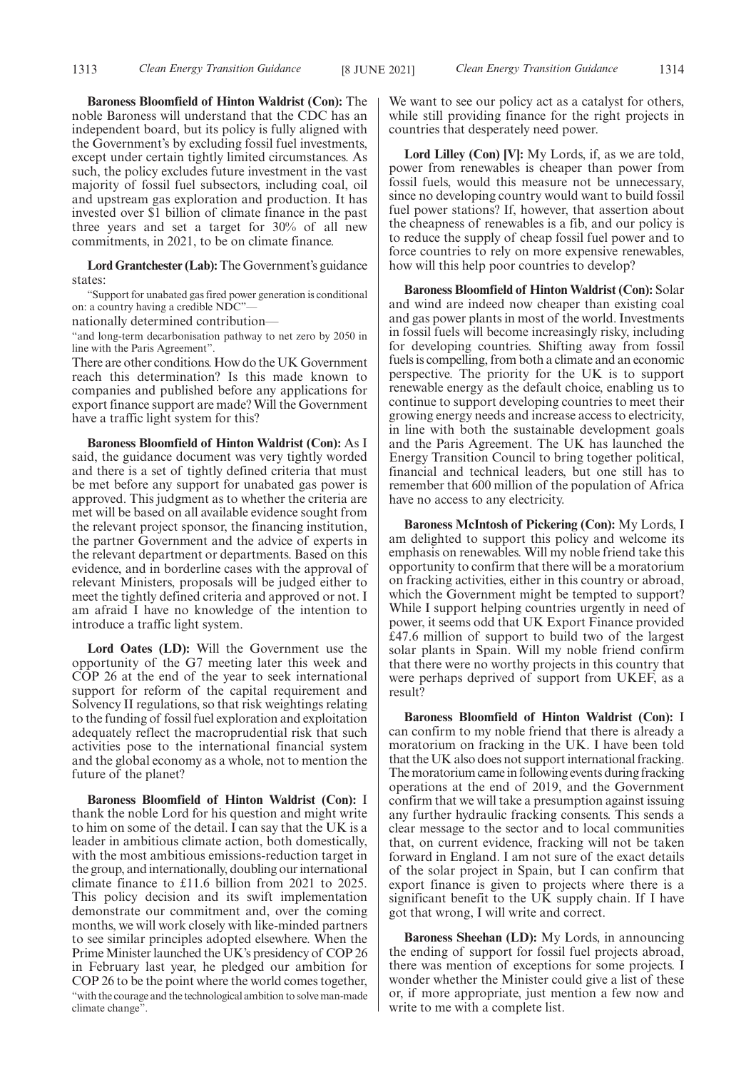**Baroness Bloomfield of Hinton Waldrist (Con):** The noble Baroness will understand that the CDC has an independent board, but its policy is fully aligned with the Government's by excluding fossil fuel investments, except under certain tightly limited circumstances. As such, the policy excludes future investment in the vast majority of fossil fuel subsectors, including coal, oil and upstream gas exploration and production. It has invested over \$1 billion of climate finance in the past three years and set a target for 30% of all new commitments, in 2021, to be on climate finance.

**Lord Grantchester (Lab):**The Government's guidance states:

"Support for unabated gas fired power generation is conditional on: a country having a credible NDC"—

nationally determined contribution—

"and long-term decarbonisation pathway to net zero by 2050 in line with the Paris Agreement".

There are other conditions. How do the UK Government reach this determination? Is this made known to companies and published before any applications for export finance support are made? Will the Government have a traffic light system for this?

**Baroness Bloomfield of Hinton Waldrist (Con):** As I said, the guidance document was very tightly worded and there is a set of tightly defined criteria that must be met before any support for unabated gas power is approved. This judgment as to whether the criteria are met will be based on all available evidence sought from the relevant project sponsor, the financing institution, the partner Government and the advice of experts in the relevant department or departments. Based on this evidence, and in borderline cases with the approval of relevant Ministers, proposals will be judged either to meet the tightly defined criteria and approved or not. I am afraid I have no knowledge of the intention to introduce a traffic light system.

**Lord Oates (LD):** Will the Government use the opportunity of the G7 meeting later this week and COP 26 at the end of the year to seek international support for reform of the capital requirement and Solvency II regulations, so that risk weightings relating to the funding of fossil fuel exploration and exploitation adequately reflect the macroprudential risk that such activities pose to the international financial system and the global economy as a whole, not to mention the future of the planet?

**Baroness Bloomfield of Hinton Waldrist (Con):** I thank the noble Lord for his question and might write to him on some of the detail. I can say that the UK is a leader in ambitious climate action, both domestically, with the most ambitious emissions-reduction target in the group, and internationally, doubling our international climate finance to £11.6 billion from 2021 to 2025. This policy decision and its swift implementation demonstrate our commitment and, over the coming months, we will work closely with like-minded partners to see similar principles adopted elsewhere. When the Prime Minister launched the UK's presidency of COP 26 in February last year, he pledged our ambition for COP 26 to be the point where the world comes together, "with the courage and the technological ambition to solve man-made climate change".

We want to see our policy act as a catalyst for others, while still providing finance for the right projects in countries that desperately need power.

**Lord Lilley (Con) [V]:** My Lords, if, as we are told, power from renewables is cheaper than power from fossil fuels, would this measure not be unnecessary, since no developing country would want to build fossil fuel power stations? If, however, that assertion about the cheapness of renewables is a fib, and our policy is to reduce the supply of cheap fossil fuel power and to force countries to rely on more expensive renewables, how will this help poor countries to develop?

**Baroness Bloomfield of Hinton Waldrist (Con):** Solar and wind are indeed now cheaper than existing coal and gas power plants in most of the world. Investments in fossil fuels will become increasingly risky, including for developing countries. Shifting away from fossil fuels is compelling, from both a climate and an economic perspective. The priority for the UK is to support renewable energy as the default choice, enabling us to continue to support developing countries to meet their growing energy needs and increase access to electricity, in line with both the sustainable development goals and the Paris Agreement. The UK has launched the Energy Transition Council to bring together political, financial and technical leaders, but one still has to remember that 600 million of the population of Africa have no access to any electricity.

**Baroness McIntosh of Pickering (Con):** My Lords, I am delighted to support this policy and welcome its emphasis on renewables. Will my noble friend take this opportunity to confirm that there will be a moratorium on fracking activities, either in this country or abroad, which the Government might be tempted to support? While I support helping countries urgently in need of power, it seems odd that UK Export Finance provided £47.6 million of support to build two of the largest solar plants in Spain. Will my noble friend confirm that there were no worthy projects in this country that were perhaps deprived of support from UKEF, as a result?

**Baroness Bloomfield of Hinton Waldrist (Con):** I can confirm to my noble friend that there is already a moratorium on fracking in the UK. I have been told that the UK also does not support international fracking. The moratorium came in following events during fracking operations at the end of 2019, and the Government confirm that we will take a presumption against issuing any further hydraulic fracking consents. This sends a clear message to the sector and to local communities that, on current evidence, fracking will not be taken forward in England. I am not sure of the exact details of the solar project in Spain, but I can confirm that export finance is given to projects where there is a significant benefit to the UK supply chain. If I have got that wrong, I will write and correct.

**Baroness Sheehan (LD):** My Lords, in announcing the ending of support for fossil fuel projects abroad, there was mention of exceptions for some projects. I wonder whether the Minister could give a list of these or, if more appropriate, just mention a few now and write to me with a complete list.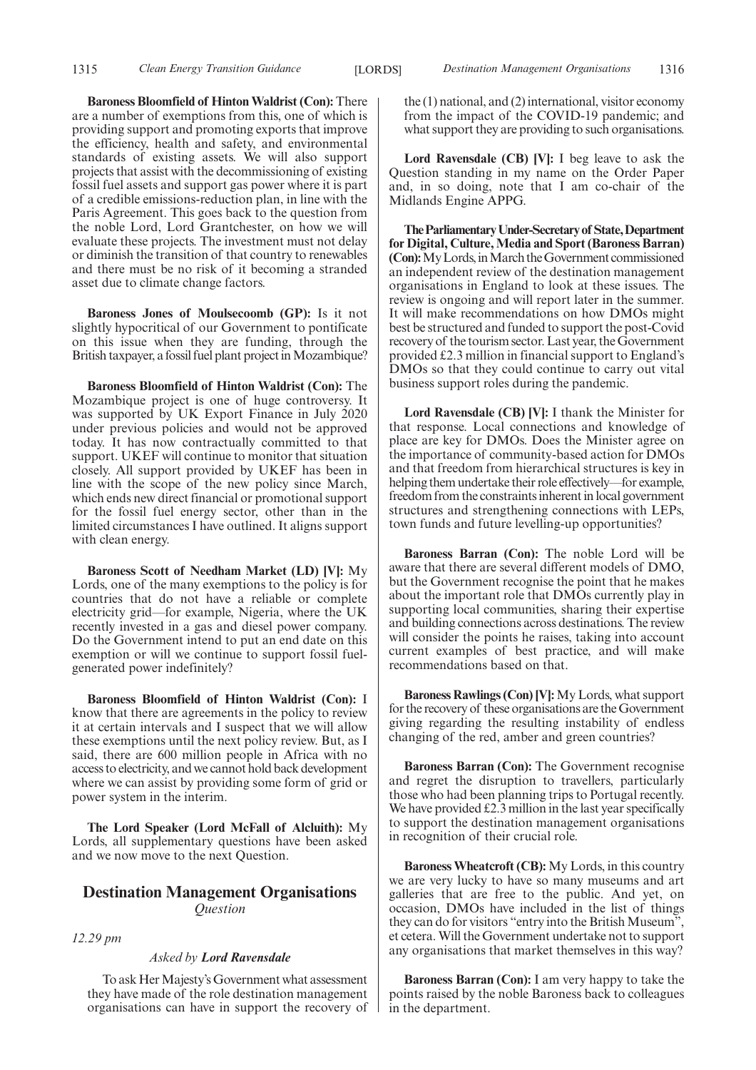**Baroness Bloomfield of Hinton Waldrist (Con):** There are a number of exemptions from this, one of which is providing support and promoting exports that improve the efficiency, health and safety, and environmental standards of existing assets. We will also support projects that assist with the decommissioning of existing fossil fuel assets and support gas power where it is part of a credible emissions-reduction plan, in line with the Paris Agreement. This goes back to the question from the noble Lord, Lord Grantchester, on how we will evaluate these projects. The investment must not delay or diminish the transition of that country to renewables and there must be no risk of it becoming a stranded asset due to climate change factors.

**Baroness Jones of Moulsecoomb (GP):** Is it not slightly hypocritical of our Government to pontificate on this issue when they are funding, through the British taxpayer, a fossil fuel plant project in Mozambique?

**Baroness Bloomfield of Hinton Waldrist (Con):** The Mozambique project is one of huge controversy. It was supported by UK Export Finance in July 2020 under previous policies and would not be approved today. It has now contractually committed to that support. UKEF will continue to monitor that situation closely. All support provided by UKEF has been in line with the scope of the new policy since March, which ends new direct financial or promotional support for the fossil fuel energy sector, other than in the limited circumstances I have outlined. It aligns support with clean energy.

**Baroness Scott of Needham Market (LD) [V]:** My Lords, one of the many exemptions to the policy is for countries that do not have a reliable or complete electricity grid—for example, Nigeria, where the UK recently invested in a gas and diesel power company. Do the Government intend to put an end date on this exemption or will we continue to support fossil fuelgenerated power indefinitely?

**Baroness Bloomfield of Hinton Waldrist (Con):** I know that there are agreements in the policy to review it at certain intervals and I suspect that we will allow these exemptions until the next policy review. But, as I said, there are 600 million people in Africa with no access to electricity, and we cannot hold back development where we can assist by providing some form of grid or power system in the interim.

**The Lord Speaker (Lord McFall of Alcluith):** My Lords, all supplementary questions have been asked and we now move to the next Question.

### **Destination Management Organisations** *Question*

*12.29 pm*

### *Asked by Lord Ravensdale*

To ask Her Majesty's Government what assessment they have made of the role destination management organisations can have in support the recovery of the (1) national, and (2) international, visitor economy from the impact of the COVID-19 pandemic; and what support they are providing to such organisations.

**Lord Ravensdale (CB) [V]:** I beg leave to ask the Question standing in my name on the Order Paper and, in so doing, note that I am co-chair of the Midlands Engine APPG.

**TheParliamentaryUnder-Secretaryof State,Department for Digital, Culture, Media and Sport (Baroness Barran) (Con):** My Lords, in March the Government commissioned an independent review of the destination management organisations in England to look at these issues. The review is ongoing and will report later in the summer. It will make recommendations on how DMOs might best be structured and funded to support the post-Covid recovery of the tourism sector. Last year, the Government provided £2.3 million in financial support to England's DMOs so that they could continue to carry out vital business support roles during the pandemic.

**Lord Ravensdale (CB) [V]:** I thank the Minister for that response. Local connections and knowledge of place are key for DMOs. Does the Minister agree on the importance of community-based action for DMOs and that freedom from hierarchical structures is key in helping them undertake their role effectively—for example, freedom from the constraints inherent in local government structures and strengthening connections with LEPs, town funds and future levelling-up opportunities?

**Baroness Barran (Con):** The noble Lord will be aware that there are several different models of DMO, but the Government recognise the point that he makes about the important role that DMOs currently play in supporting local communities, sharing their expertise and building connections across destinations. The review will consider the points he raises, taking into account current examples of best practice, and will make recommendations based on that.

**Baroness Rawlings (Con) [V]:**My Lords, what support for the recovery of these organisations are the Government giving regarding the resulting instability of endless changing of the red, amber and green countries?

**Baroness Barran (Con):** The Government recognise and regret the disruption to travellers, particularly those who had been planning trips to Portugal recently. We have provided £2.3 million in the last year specifically to support the destination management organisations in recognition of their crucial role.

**Baroness Wheatcroft (CB):** My Lords, in this country we are very lucky to have so many museums and art galleries that are free to the public. And yet, on occasion, DMOs have included in the list of things they can do for visitors "entry into the British Museum", et cetera. Will the Government undertake not to support any organisations that market themselves in this way?

**Baroness Barran (Con):** I am very happy to take the points raised by the noble Baroness back to colleagues in the department.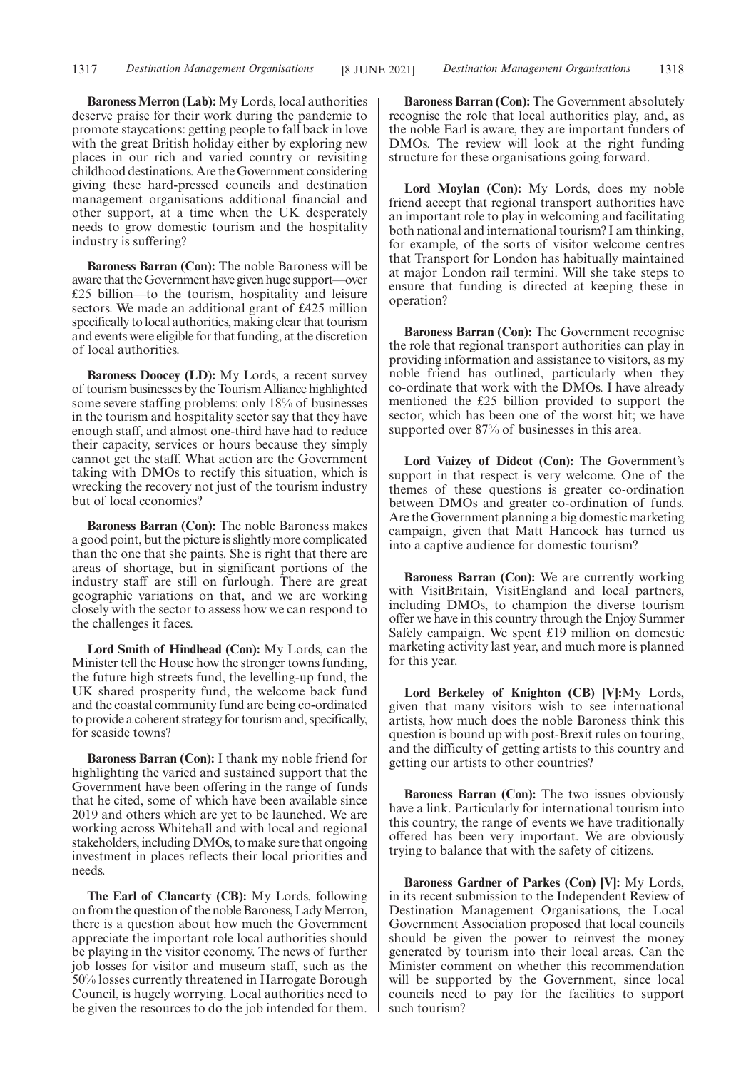**Baroness Merron (Lab):** My Lords, local authorities deserve praise for their work during the pandemic to promote staycations: getting people to fall back in love with the great British holiday either by exploring new places in our rich and varied country or revisiting childhood destinations. Are the Government considering giving these hard-pressed councils and destination management organisations additional financial and other support, at a time when the UK desperately needs to grow domestic tourism and the hospitality industry is suffering?

**Baroness Barran (Con):** The noble Baroness will be aware that the Government have given huge support—over £25 billion—to the tourism, hospitality and leisure sectors. We made an additional grant of £425 million specifically to local authorities, making clear that tourism and events were eligible for that funding, at the discretion of local authorities.

**Baroness Doocey (LD):** My Lords, a recent survey of tourism businesses by the Tourism Alliance highlighted some severe staffing problems: only 18% of businesses in the tourism and hospitality sector say that they have enough staff, and almost one-third have had to reduce their capacity, services or hours because they simply cannot get the staff. What action are the Government taking with DMOs to rectify this situation, which is wrecking the recovery not just of the tourism industry but of local economies?

**Baroness Barran (Con):** The noble Baroness makes a good point, but the picture is slightly more complicated than the one that she paints. She is right that there are areas of shortage, but in significant portions of the industry staff are still on furlough. There are great geographic variations on that, and we are working closely with the sector to assess how we can respond to the challenges it faces.

**Lord Smith of Hindhead (Con):** My Lords, can the Minister tell the House how the stronger towns funding, the future high streets fund, the levelling-up fund, the UK shared prosperity fund, the welcome back fund and the coastal community fund are being co-ordinated to provide a coherent strategy for tourism and, specifically, for seaside towns?

**Baroness Barran (Con):** I thank my noble friend for highlighting the varied and sustained support that the Government have been offering in the range of funds that he cited, some of which have been available since 2019 and others which are yet to be launched. We are working across Whitehall and with local and regional stakeholders, including DMOs, to make sure that ongoing investment in places reflects their local priorities and needs.

**The Earl of Clancarty (CB):** My Lords, following on from the question of the noble Baroness, Lady Merron, there is a question about how much the Government appreciate the important role local authorities should be playing in the visitor economy. The news of further job losses for visitor and museum staff, such as the 50% losses currently threatened in Harrogate Borough Council, is hugely worrying. Local authorities need to be given the resources to do the job intended for them.

**Baroness Barran (Con):** The Government absolutely recognise the role that local authorities play, and, as the noble Earl is aware, they are important funders of DMOs. The review will look at the right funding structure for these organisations going forward.

**Lord Moylan (Con):** My Lords, does my noble friend accept that regional transport authorities have an important role to play in welcoming and facilitating both national and international tourism? I am thinking, for example, of the sorts of visitor welcome centres that Transport for London has habitually maintained at major London rail termini. Will she take steps to ensure that funding is directed at keeping these in operation?

**Baroness Barran (Con):** The Government recognise the role that regional transport authorities can play in providing information and assistance to visitors, as my noble friend has outlined, particularly when they co-ordinate that work with the DMOs. I have already mentioned the £25 billion provided to support the sector, which has been one of the worst hit; we have supported over 87% of businesses in this area.

**Lord Vaizey of Didcot (Con):** The Government's support in that respect is very welcome. One of the themes of these questions is greater co-ordination between DMOs and greater co-ordination of funds. Are the Government planning a big domestic marketing campaign, given that Matt Hancock has turned us into a captive audience for domestic tourism?

**Baroness Barran (Con):** We are currently working with VisitBritain, VisitEngland and local partners, including DMOs, to champion the diverse tourism offer we have in this country through the Enjoy Summer Safely campaign. We spent £19 million on domestic marketing activity last year, and much more is planned for this year.

**Lord Berkeley of Knighton (CB) [V]:**My Lords, given that many visitors wish to see international artists, how much does the noble Baroness think this question is bound up with post-Brexit rules on touring, and the difficulty of getting artists to this country and getting our artists to other countries?

**Baroness Barran (Con):** The two issues obviously have a link. Particularly for international tourism into this country, the range of events we have traditionally offered has been very important. We are obviously trying to balance that with the safety of citizens.

**Baroness Gardner of Parkes (Con) [V]:** My Lords, in its recent submission to the Independent Review of Destination Management Organisations, the Local Government Association proposed that local councils should be given the power to reinvest the money generated by tourism into their local areas. Can the Minister comment on whether this recommendation will be supported by the Government, since local councils need to pay for the facilities to support such tourism?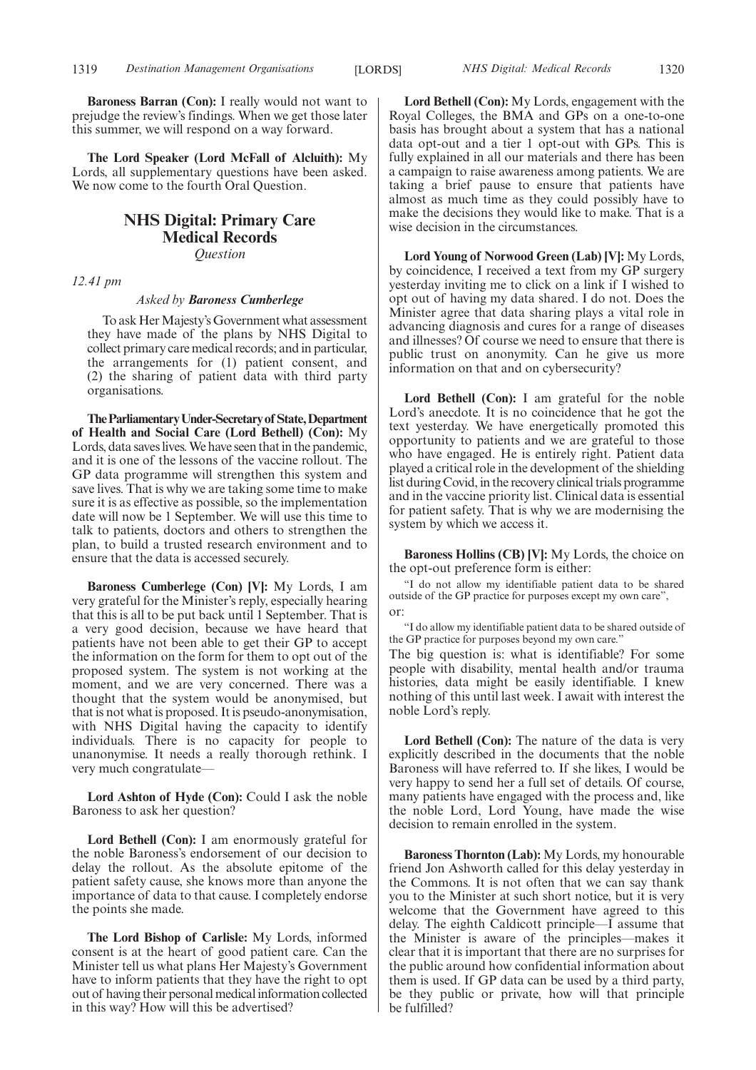**Baroness Barran (Con):** I really would not want to prejudge the review's findings. When we get those later this summer, we will respond on a way forward.

**The Lord Speaker (Lord McFall of Alcluith):** My Lords, all supplementary questions have been asked. We now come to the fourth Oral Question.

### **NHS Digital: Primary Care Medical Records** *Question*

*12.41 pm*

### *Asked by Baroness Cumberlege*

To ask Her Majesty's Government what assessment they have made of the plans by NHS Digital to collect primary care medical records; and in particular, the arrangements for (1) patient consent, and (2) the sharing of patient data with third party organisations.

**TheParliamentaryUnder-Secretaryof State,Department of Health and Social Care (Lord Bethell) (Con):** My Lords, data saves lives. We have seen that in the pandemic, and it is one of the lessons of the vaccine rollout. The GP data programme will strengthen this system and save lives. That is why we are taking some time to make sure it is as effective as possible, so the implementation date will now be 1 September. We will use this time to talk to patients, doctors and others to strengthen the plan, to build a trusted research environment and to ensure that the data is accessed securely.

**Baroness Cumberlege (Con) [V]:** My Lords, I am very grateful for the Minister's reply, especially hearing that this is all to be put back until 1 September. That is a very good decision, because we have heard that patients have not been able to get their GP to accept the information on the form for them to opt out of the proposed system. The system is not working at the moment, and we are very concerned. There was a thought that the system would be anonymised, but that is not what is proposed. It is pseudo-anonymisation, with NHS Digital having the capacity to identify individuals. There is no capacity for people to unanonymise. It needs a really thorough rethink. I very much congratulate—

**Lord Ashton of Hyde (Con):** Could I ask the noble Baroness to ask her question?

**Lord Bethell (Con):** I am enormously grateful for the noble Baroness's endorsement of our decision to delay the rollout. As the absolute epitome of the patient safety cause, she knows more than anyone the importance of data to that cause. I completely endorse the points she made.

**The Lord Bishop of Carlisle:** My Lords, informed consent is at the heart of good patient care. Can the Minister tell us what plans Her Majesty's Government have to inform patients that they have the right to opt out of having their personal medical information collected in this way? How will this be advertised?

**Lord Bethell (Con):** My Lords, engagement with the Royal Colleges, the BMA and GPs on a one-to-one basis has brought about a system that has a national data opt-out and a tier 1 opt-out with GPs. This is fully explained in all our materials and there has been a campaign to raise awareness among patients. We are taking a brief pause to ensure that patients have almost as much time as they could possibly have to make the decisions they would like to make. That is a wise decision in the circumstances.

**Lord Young of Norwood Green (Lab) [V]:** My Lords, by coincidence, I received a text from my GP surgery yesterday inviting me to click on a link if I wished to opt out of having my data shared. I do not. Does the Minister agree that data sharing plays a vital role in advancing diagnosis and cures for a range of diseases and illnesses? Of course we need to ensure that there is public trust on anonymity. Can he give us more information on that and on cybersecurity?

**Lord Bethell (Con):** I am grateful for the noble Lord's anecdote. It is no coincidence that he got the text yesterday. We have energetically promoted this opportunity to patients and we are grateful to those who have engaged. He is entirely right. Patient data played a critical role in the development of the shielding list during Covid, in the recovery clinical trials programme and in the vaccine priority list. Clinical data is essential for patient safety. That is why we are modernising the system by which we access it.

**Baroness Hollins (CB) [V]:** My Lords, the choice on the opt-out preference form is either:

"I do not allow my identifiable patient data to be shared outside of the GP practice for purposes except my own care", or:

"I do allow my identifiable patient data to be shared outside of the GP practice for purposes beyond my own care."

The big question is: what is identifiable? For some people with disability, mental health and/or trauma histories, data might be easily identifiable. I knew nothing of this until last week. I await with interest the noble Lord's reply.

**Lord Bethell (Con):** The nature of the data is very explicitly described in the documents that the noble Baroness will have referred to. If she likes, I would be very happy to send her a full set of details. Of course, many patients have engaged with the process and, like the noble Lord, Lord Young, have made the wise decision to remain enrolled in the system.

**Baroness Thornton (Lab):** My Lords, my honourable friend Jon Ashworth called for this delay yesterday in the Commons. It is not often that we can say thank you to the Minister at such short notice, but it is very welcome that the Government have agreed to this delay. The eighth Caldicott principle—I assume that the Minister is aware of the principles—makes it clear that it is important that there are no surprises for the public around how confidential information about them is used. If GP data can be used by a third party, be they public or private, how will that principle be fulfilled?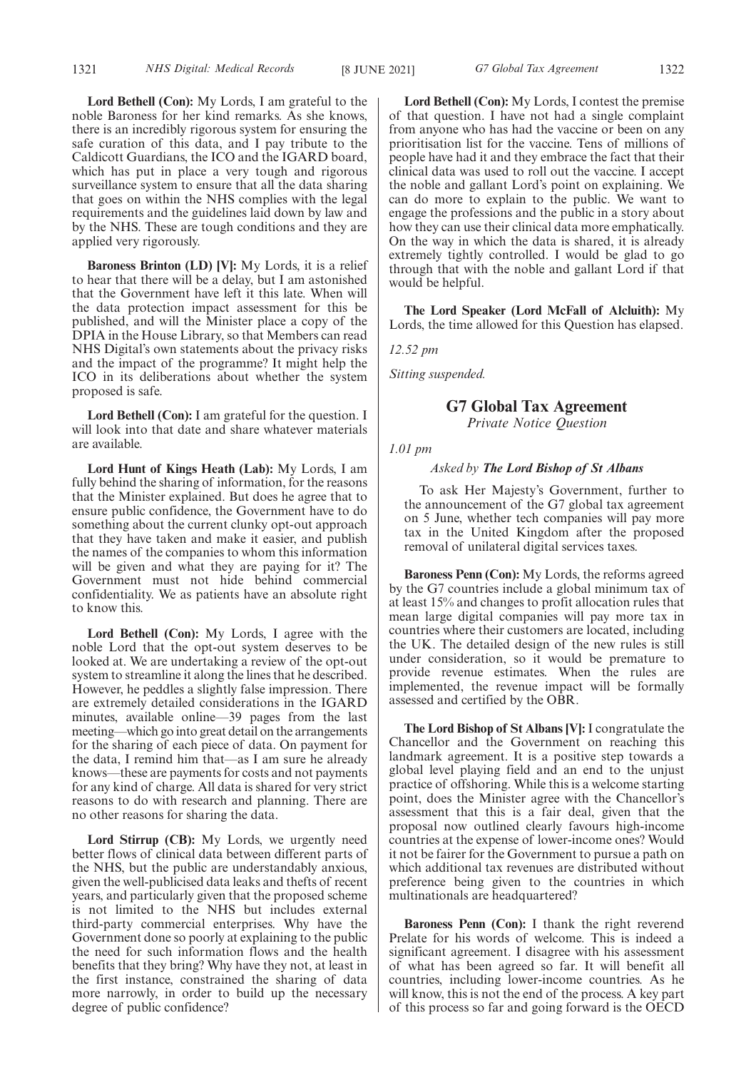**Lord Bethell (Con):** My Lords, I am grateful to the noble Baroness for her kind remarks. As she knows, there is an incredibly rigorous system for ensuring the safe curation of this data, and I pay tribute to the Caldicott Guardians, the ICO and the IGARD board, which has put in place a very tough and rigorous surveillance system to ensure that all the data sharing that goes on within the NHS complies with the legal requirements and the guidelines laid down by law and by the NHS. These are tough conditions and they are applied very rigorously.

**Baroness Brinton (LD) [V]:** My Lords, it is a relief to hear that there will be a delay, but I am astonished that the Government have left it this late. When will the data protection impact assessment for this be published, and will the Minister place a copy of the DPIA in the House Library, so that Members can read NHS Digital's own statements about the privacy risks and the impact of the programme? It might help the ICO in its deliberations about whether the system proposed is safe.

**Lord Bethell (Con):** I am grateful for the question. I will look into that date and share whatever materials are available.

**Lord Hunt of Kings Heath (Lab):** My Lords, I am fully behind the sharing of information, for the reasons that the Minister explained. But does he agree that to ensure public confidence, the Government have to do something about the current clunky opt-out approach that they have taken and make it easier, and publish the names of the companies to whom this information will be given and what they are paying for it? The Government must not hide behind commercial confidentiality. We as patients have an absolute right to know this.

**Lord Bethell (Con):** My Lords, I agree with the noble Lord that the opt-out system deserves to be looked at. We are undertaking a review of the opt-out system to streamline it along the lines that he described. However, he peddles a slightly false impression. There are extremely detailed considerations in the IGARD minutes, available online—39 pages from the last meeting—which go into great detail on the arrangements for the sharing of each piece of data. On payment for the data, I remind him that—as I am sure he already knows—these are payments for costs and not payments for any kind of charge. All data is shared for very strict reasons to do with research and planning. There are no other reasons for sharing the data.

**Lord Stirrup (CB):** My Lords, we urgently need better flows of clinical data between different parts of the NHS, but the public are understandably anxious, given the well-publicised data leaks and thefts of recent years, and particularly given that the proposed scheme is not limited to the NHS but includes external third-party commercial enterprises. Why have the Government done so poorly at explaining to the public the need for such information flows and the health benefits that they bring? Why have they not, at least in the first instance, constrained the sharing of data more narrowly, in order to build up the necessary degree of public confidence?

**Lord Bethell (Con):** My Lords, I contest the premise of that question. I have not had a single complaint from anyone who has had the vaccine or been on any prioritisation list for the vaccine. Tens of millions of people have had it and they embrace the fact that their clinical data was used to roll out the vaccine. I accept the noble and gallant Lord's point on explaining. We can do more to explain to the public. We want to engage the professions and the public in a story about how they can use their clinical data more emphatically. On the way in which the data is shared, it is already extremely tightly controlled. I would be glad to go through that with the noble and gallant Lord if that would be helpful.

**The Lord Speaker (Lord McFall of Alcluith):** My Lords, the time allowed for this Question has elapsed.

*12.52 pm*

*Sitting suspended.*

### **G7 Global Tax Agreement**

*Private Notice Question*

*1.01 pm*

### *Asked by The Lord Bishop of St Albans*

To ask Her Majesty's Government, further to the announcement of the G7 global tax agreement on 5 June, whether tech companies will pay more tax in the United Kingdom after the proposed removal of unilateral digital services taxes.

**Baroness Penn (Con):** My Lords, the reforms agreed by the G7 countries include a global minimum tax of at least 15% and changes to profit allocation rules that mean large digital companies will pay more tax in countries where their customers are located, including the UK. The detailed design of the new rules is still under consideration, so it would be premature to provide revenue estimates. When the rules are implemented, the revenue impact will be formally assessed and certified by the OBR.

**The Lord Bishop of St Albans [V]:** I congratulate the Chancellor and the Government on reaching this landmark agreement. It is a positive step towards a global level playing field and an end to the unjust practice of offshoring. While this is a welcome starting point, does the Minister agree with the Chancellor's assessment that this is a fair deal, given that the proposal now outlined clearly favours high-income countries at the expense of lower-income ones? Would it not be fairer for the Government to pursue a path on which additional tax revenues are distributed without preference being given to the countries in which multinationals are headquartered?

**Baroness Penn (Con):** I thank the right reverend Prelate for his words of welcome. This is indeed a significant agreement. I disagree with his assessment of what has been agreed so far. It will benefit all countries, including lower-income countries. As he will know, this is not the end of the process. A key part of this process so far and going forward is the OECD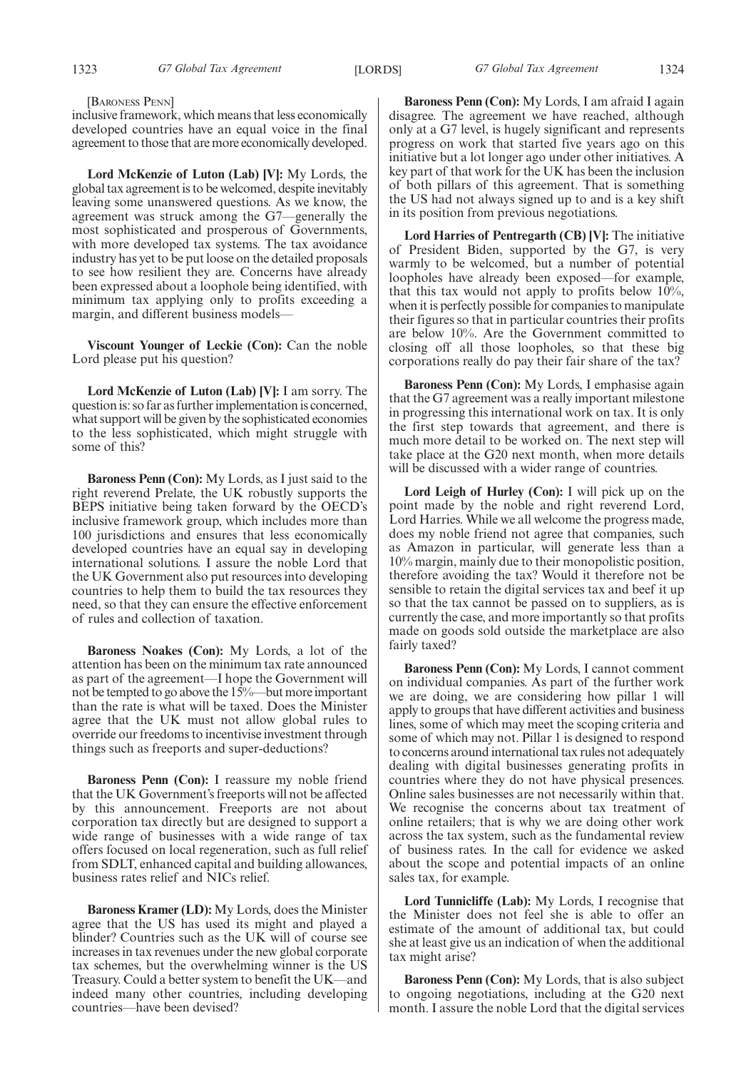[BARONESS PENN]

inclusive framework, which means that less economically developed countries have an equal voice in the final agreement to those that are more economically developed.

**Lord McKenzie of Luton (Lab) [V]:** My Lords, the global tax agreement is to be welcomed, despite inevitably leaving some unanswered questions. As we know, the agreement was struck among the G7—generally the most sophisticated and prosperous of Governments, with more developed tax systems. The tax avoidance industry has yet to be put loose on the detailed proposals to see how resilient they are. Concerns have already been expressed about a loophole being identified, with minimum tax applying only to profits exceeding a margin, and different business models—

**Viscount Younger of Leckie (Con):** Can the noble Lord please put his question?

**Lord McKenzie of Luton (Lab) [V]:** I am sorry. The question is: so far as further implementation is concerned, what support will be given by the sophisticated economies to the less sophisticated, which might struggle with some of this?

**Baroness Penn (Con):** My Lords, as I just said to the right reverend Prelate, the UK robustly supports the BEPS initiative being taken forward by the OECD's inclusive framework group, which includes more than 100 jurisdictions and ensures that less economically developed countries have an equal say in developing international solutions. I assure the noble Lord that the UK Government also put resources into developing countries to help them to build the tax resources they need, so that they can ensure the effective enforcement of rules and collection of taxation.

**Baroness Noakes (Con):** My Lords, a lot of the attention has been on the minimum tax rate announced as part of the agreement—I hope the Government will not be tempted to go above the 15%—but more important than the rate is what will be taxed. Does the Minister agree that the UK must not allow global rules to override our freedoms to incentivise investment through things such as freeports and super-deductions?

**Baroness Penn (Con):** I reassure my noble friend that the UK Government's freeports will not be affected by this announcement. Freeports are not about corporation tax directly but are designed to support a wide range of businesses with a wide range of tax offers focused on local regeneration, such as full relief from SDLT, enhanced capital and building allowances, business rates relief and NICs relief.

**Baroness Kramer (LD):** My Lords, does the Minister agree that the US has used its might and played a blinder? Countries such as the UK will of course see increases in tax revenues under the new global corporate tax schemes, but the overwhelming winner is the US Treasury. Could a better system to benefit the UK—and indeed many other countries, including developing countries—have been devised?

**Baroness Penn (Con):** My Lords, I am afraid I again disagree. The agreement we have reached, although only at a G7 level, is hugely significant and represents progress on work that started five years ago on this initiative but a lot longer ago under other initiatives. A key part of that work for the UK has been the inclusion of both pillars of this agreement. That is something the US had not always signed up to and is a key shift in its position from previous negotiations.

**Lord Harries of Pentregarth (CB) [V]:** The initiative of President Biden, supported by the G7, is very warmly to be welcomed, but a number of potential loopholes have already been exposed—for example, that this tax would not apply to profits below 10%, when it is perfectly possible for companies to manipulate their figures so that in particular countries their profits are below 10%. Are the Government committed to closing off all those loopholes, so that these big corporations really do pay their fair share of the tax?

**Baroness Penn (Con):** My Lords, I emphasise again that the G7 agreement was a really important milestone in progressing this international work on tax. It is only the first step towards that agreement, and there is much more detail to be worked on. The next step will take place at the G20 next month, when more details will be discussed with a wider range of countries.

**Lord Leigh of Hurley (Con):** I will pick up on the point made by the noble and right reverend Lord, Lord Harries. While we all welcome the progress made, does my noble friend not agree that companies, such as Amazon in particular, will generate less than a 10% margin, mainly due to their monopolistic position, therefore avoiding the tax? Would it therefore not be sensible to retain the digital services tax and beef it up so that the tax cannot be passed on to suppliers, as is currently the case, and more importantly so that profits made on goods sold outside the marketplace are also fairly taxed?

**Baroness Penn (Con):** My Lords, I cannot comment on individual companies. As part of the further work we are doing, we are considering how pillar 1 will apply to groups that have different activities and business lines, some of which may meet the scoping criteria and some of which may not. Pillar 1 is designed to respond to concerns around international tax rules not adequately dealing with digital businesses generating profits in countries where they do not have physical presences. Online sales businesses are not necessarily within that. We recognise the concerns about tax treatment of online retailers; that is why we are doing other work across the tax system, such as the fundamental review of business rates. In the call for evidence we asked about the scope and potential impacts of an online sales tax, for example.

**Lord Tunnicliffe (Lab):** My Lords, I recognise that the Minister does not feel she is able to offer an estimate of the amount of additional tax, but could she at least give us an indication of when the additional tax might arise?

**Baroness Penn (Con):** My Lords, that is also subject to ongoing negotiations, including at the G20 next month. I assure the noble Lord that the digital services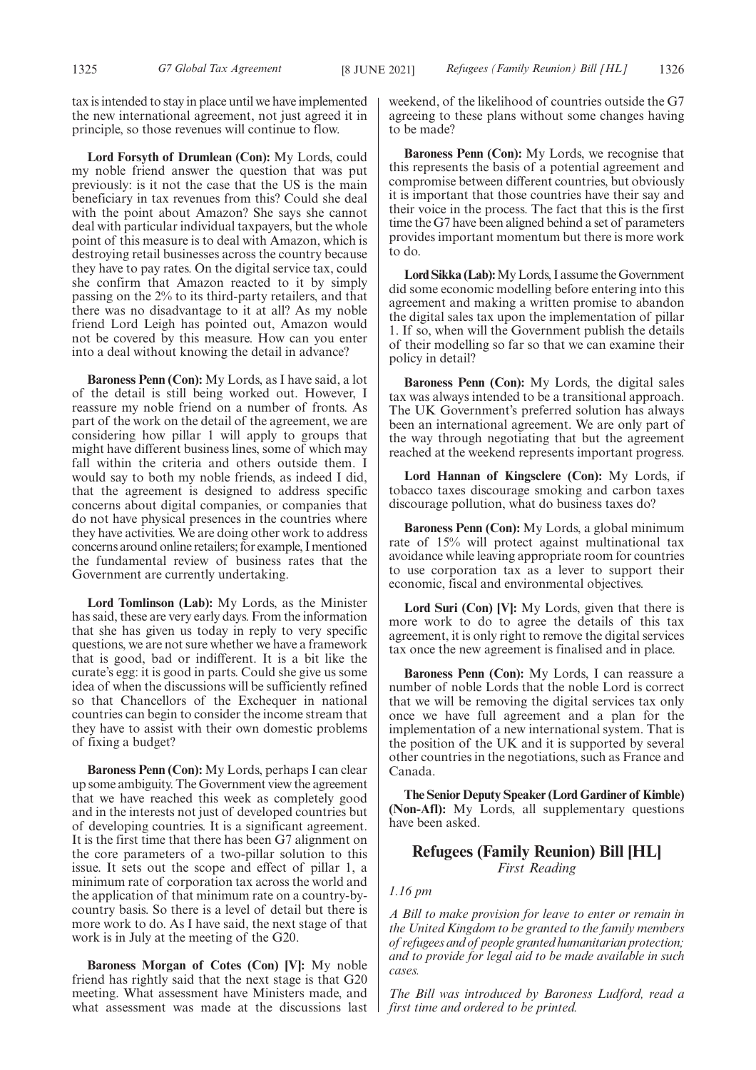tax is intended to stay in place until we have implemented the new international agreement, not just agreed it in principle, so those revenues will continue to flow.

**Lord Forsyth of Drumlean (Con):** My Lords, could my noble friend answer the question that was put previously: is it not the case that the US is the main beneficiary in tax revenues from this? Could she deal with the point about Amazon? She says she cannot deal with particular individual taxpayers, but the whole point of this measure is to deal with Amazon, which is destroying retail businesses across the country because they have to pay rates. On the digital service tax, could she confirm that Amazon reacted to it by simply passing on the 2% to its third-party retailers, and that there was no disadvantage to it at all? As my noble friend Lord Leigh has pointed out, Amazon would not be covered by this measure. How can you enter into a deal without knowing the detail in advance?

**Baroness Penn (Con):** My Lords, as I have said, a lot of the detail is still being worked out. However, I reassure my noble friend on a number of fronts. As part of the work on the detail of the agreement, we are considering how pillar 1 will apply to groups that might have different business lines, some of which may fall within the criteria and others outside them. I would say to both my noble friends, as indeed I did, that the agreement is designed to address specific concerns about digital companies, or companies that do not have physical presences in the countries where they have activities. We are doing other work to address concerns around online retailers; for example, I mentioned the fundamental review of business rates that the Government are currently undertaking.

**Lord Tomlinson (Lab):** My Lords, as the Minister has said, these are very early days. From the information that she has given us today in reply to very specific questions, we are not sure whether we have a framework that is good, bad or indifferent. It is a bit like the curate's egg: it is good in parts. Could she give us some idea of when the discussions will be sufficiently refined so that Chancellors of the Exchequer in national countries can begin to consider the income stream that they have to assist with their own domestic problems of fixing a budget?

**Baroness Penn (Con):** My Lords, perhaps I can clear up some ambiguity. The Government view the agreement that we have reached this week as completely good and in the interests not just of developed countries but of developing countries. It is a significant agreement. It is the first time that there has been G7 alignment on the core parameters of a two-pillar solution to this issue. It sets out the scope and effect of pillar 1, a minimum rate of corporation tax across the world and the application of that minimum rate on a country-bycountry basis. So there is a level of detail but there is more work to do. As I have said, the next stage of that work is in July at the meeting of the G20.

**Baroness Morgan of Cotes (Con) [V]:** My noble friend has rightly said that the next stage is that G20 meeting. What assessment have Ministers made, and what assessment was made at the discussions last weekend, of the likelihood of countries outside the G7 agreeing to these plans without some changes having to be made?

**Baroness Penn (Con):** My Lords, we recognise that this represents the basis of a potential agreement and compromise between different countries, but obviously it is important that those countries have their say and their voice in the process. The fact that this is the first time the G7 have been aligned behind a set of parameters provides important momentum but there is more work to do.

**Lord Sikka (Lab):**My Lords, I assume the Government did some economic modelling before entering into this agreement and making a written promise to abandon the digital sales tax upon the implementation of pillar 1. If so, when will the Government publish the details of their modelling so far so that we can examine their policy in detail?

**Baroness Penn (Con):** My Lords, the digital sales tax was always intended to be a transitional approach. The UK Government's preferred solution has always been an international agreement. We are only part of the way through negotiating that but the agreement reached at the weekend represents important progress.

**Lord Hannan of Kingsclere (Con):** My Lords, if tobacco taxes discourage smoking and carbon taxes discourage pollution, what do business taxes do?

**Baroness Penn (Con):** My Lords, a global minimum rate of 15% will protect against multinational tax avoidance while leaving appropriate room for countries to use corporation tax as a lever to support their economic, fiscal and environmental objectives.

**Lord Suri (Con) [V]:** My Lords, given that there is more work to do to agree the details of this tax agreement, it is only right to remove the digital services tax once the new agreement is finalised and in place.

**Baroness Penn (Con):** My Lords, I can reassure a number of noble Lords that the noble Lord is correct that we will be removing the digital services tax only once we have full agreement and a plan for the implementation of a new international system. That is the position of the UK and it is supported by several other countries in the negotiations, such as France and Canada.

**The Senior Deputy Speaker (Lord Gardiner of Kimble) (Non-Afl):** My Lords, all supplementary questions have been asked.

### **Refugees (Family Reunion) Bill [HL]**

*First Reading*

### *1.16 pm*

*A Bill to make provision for leave to enter or remain in the United Kingdom to be granted to the family members of refugees and of people granted humanitarian protection; and to provide for legal aid to be made available in such cases.*

*The Bill was introduced by Baroness Ludford, read a first time and ordered to be printed.*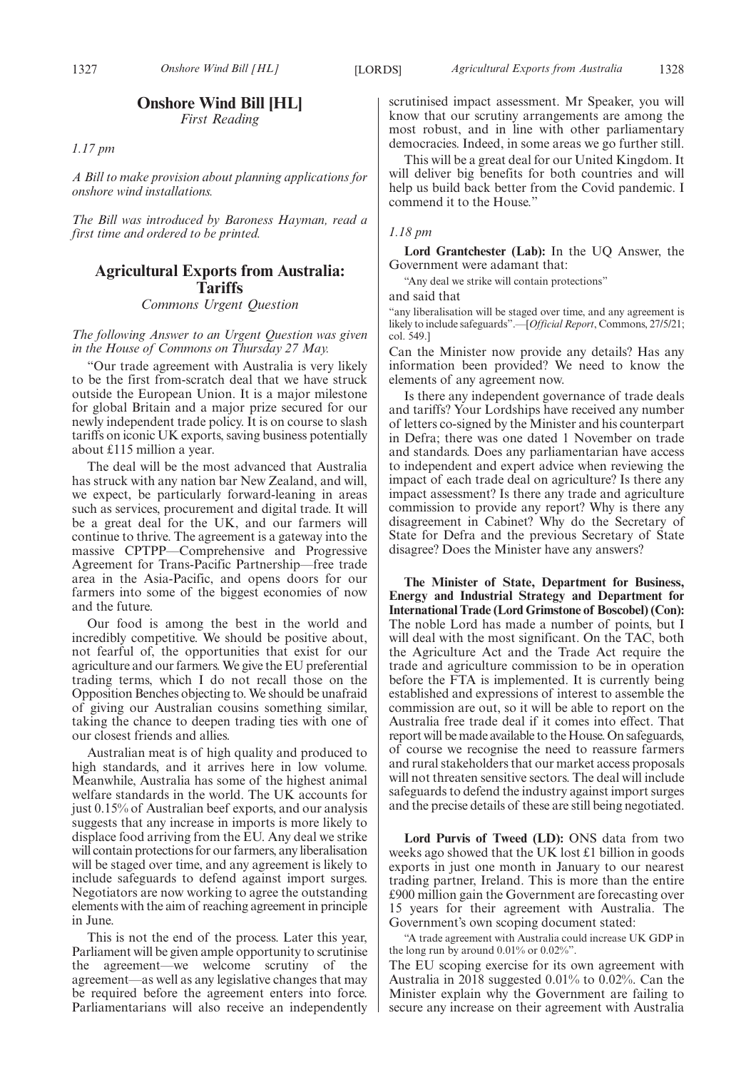### **Onshore Wind Bill [HL]**

*First Reading*

*1.17 pm*

*A Bill to make provision about planning applications for onshore wind installations.*

*The Bill was introduced by Baroness Hayman, read a first time and ordered to be printed.*

### **Agricultural Exports from Australia: Tariffs** *Commons Urgent Question*

*The following Answer to an Urgent Question was given in the House of Commons on Thursday 27 May.*

"Our trade agreement with Australia is very likely to be the first from-scratch deal that we have struck outside the European Union. It is a major milestone for global Britain and a major prize secured for our newly independent trade policy. It is on course to slash tariffs on iconic UK exports, saving business potentially about £115 million a year.

The deal will be the most advanced that Australia has struck with any nation bar New Zealand, and will, we expect, be particularly forward-leaning in areas such as services, procurement and digital trade. It will be a great deal for the UK, and our farmers will continue to thrive. The agreement is a gateway into the massive CPTPP—Comprehensive and Progressive Agreement for Trans-Pacific Partnership—free trade area in the Asia-Pacific, and opens doors for our farmers into some of the biggest economies of now and the future.

Our food is among the best in the world and incredibly competitive. We should be positive about, not fearful of, the opportunities that exist for our agriculture and our farmers. We give the EU preferential trading terms, which I do not recall those on the Opposition Benches objecting to. We should be unafraid of giving our Australian cousins something similar, taking the chance to deepen trading ties with one of our closest friends and allies.

Australian meat is of high quality and produced to high standards, and it arrives here in low volume. Meanwhile, Australia has some of the highest animal welfare standards in the world. The UK accounts for just 0.15% of Australian beef exports, and our analysis suggests that any increase in imports is more likely to displace food arriving from the EU. Any deal we strike will contain protections for our farmers, any liberalisation will be staged over time, and any agreement is likely to include safeguards to defend against import surges. Negotiators are now working to agree the outstanding elements with the aim of reaching agreement in principle in June.

This is not the end of the process. Later this year, Parliament will be given ample opportunity to scrutinise the agreement—we welcome scrutiny of the agreement—as well as any legislative changes that may be required before the agreement enters into force. Parliamentarians will also receive an independently scrutinised impact assessment. Mr Speaker, you will know that our scrutiny arrangements are among the most robust, and in line with other parliamentary democracies. Indeed, in some areas we go further still.

This will be a great deal for our United Kingdom. It will deliver big benefits for both countries and will help us build back better from the Covid pandemic. I commend it to the House."

### *1.18 pm*

**Lord Grantchester (Lab):** In the UQ Answer, the Government were adamant that:

"Any deal we strike will contain protections"

and said that

"any liberalisation will be staged over time, and any agreement is likely to include safeguards".—[*Official Report*, Commons, 27/5/21; col. 549.]

Can the Minister now provide any details? Has any information been provided? We need to know the elements of any agreement now.

Is there any independent governance of trade deals and tariffs? Your Lordships have received any number of letters co-signed by the Minister and his counterpart in Defra; there was one dated 1 November on trade and standards. Does any parliamentarian have access to independent and expert advice when reviewing the impact of each trade deal on agriculture? Is there any impact assessment? Is there any trade and agriculture commission to provide any report? Why is there any disagreement in Cabinet? Why do the Secretary of State for Defra and the previous Secretary of State disagree? Does the Minister have any answers?

**The Minister of State, Department for Business, Energy and Industrial Strategy and Department for International Trade (Lord Grimstone of Boscobel) (Con):** The noble Lord has made a number of points, but I will deal with the most significant. On the TAC, both the Agriculture Act and the Trade Act require the trade and agriculture commission to be in operation before the FTA is implemented. It is currently being established and expressions of interest to assemble the commission are out, so it will be able to report on the Australia free trade deal if it comes into effect. That report will be made available to the House. On safeguards, of course we recognise the need to reassure farmers and rural stakeholders that our market access proposals will not threaten sensitive sectors. The deal will include safeguards to defend the industry against import surges and the precise details of these are still being negotiated.

**Lord Purvis of Tweed (LD):** ONS data from two weeks ago showed that the UK lost £1 billion in goods exports in just one month in January to our nearest trading partner, Ireland. This is more than the entire £900 million gain the Government are forecasting over 15 years for their agreement with Australia. The Government's own scoping document stated:

"A trade agreement with Australia could increase UK GDP in the long run by around 0.01% or 0.02%".

The EU scoping exercise for its own agreement with Australia in 2018 suggested 0.01% to 0.02%. Can the Minister explain why the Government are failing to secure any increase on their agreement with Australia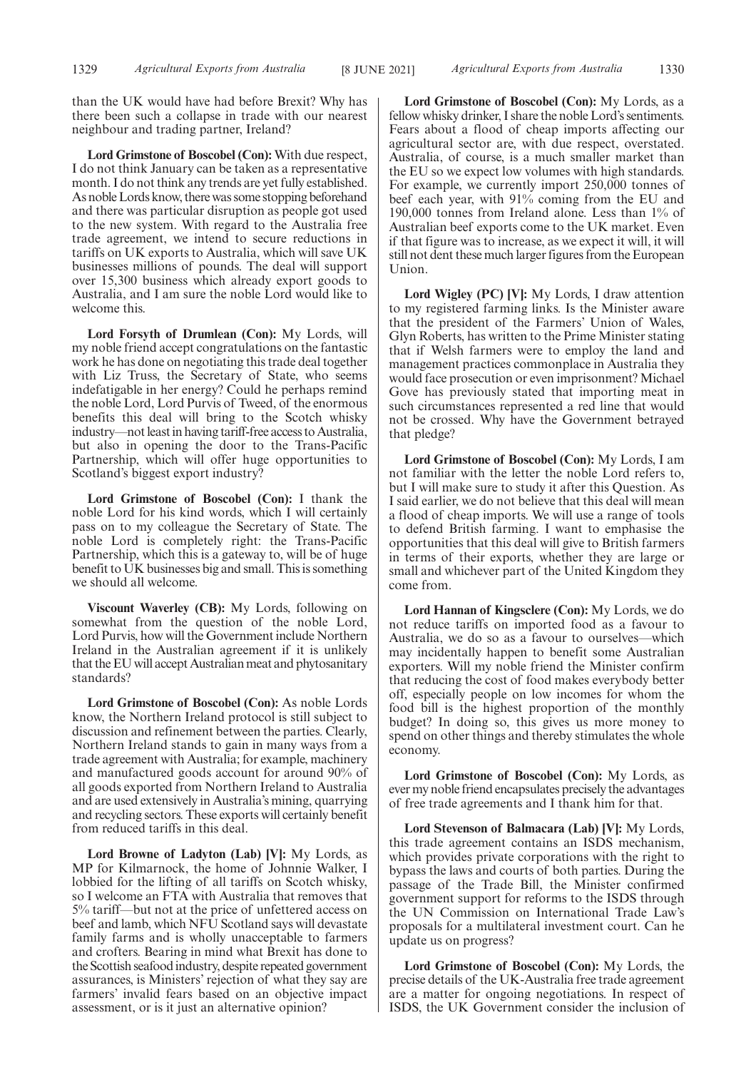than the UK would have had before Brexit? Why has there been such a collapse in trade with our nearest neighbour and trading partner, Ireland?

**Lord Grimstone of Boscobel (Con):** With due respect, I do not think January can be taken as a representative month. I do not think any trends are yet fully established. As noble Lords know, there was some stopping beforehand and there was particular disruption as people got used to the new system. With regard to the Australia free trade agreement, we intend to secure reductions in tariffs on UK exports to Australia, which will save UK businesses millions of pounds. The deal will support over 15,300 business which already export goods to Australia, and I am sure the noble Lord would like to welcome this.

**Lord Forsyth of Drumlean (Con):** My Lords, will my noble friend accept congratulations on the fantastic work he has done on negotiating this trade deal together with Liz Truss, the Secretary of State, who seems indefatigable in her energy? Could he perhaps remind the noble Lord, Lord Purvis of Tweed, of the enormous benefits this deal will bring to the Scotch whisky industry—not least in having tariff-free access to Australia, but also in opening the door to the Trans-Pacific Partnership, which will offer huge opportunities to Scotland's biggest export industry?

**Lord Grimstone of Boscobel (Con):** I thank the noble Lord for his kind words, which I will certainly pass on to my colleague the Secretary of State. The noble Lord is completely right: the Trans-Pacific Partnership, which this is a gateway to, will be of huge benefit to UK businesses big and small. This is something we should all welcome.

**Viscount Waverley (CB):** My Lords, following on somewhat from the question of the noble Lord, Lord Purvis, how will the Government include Northern Ireland in the Australian agreement if it is unlikely that the EU will accept Australian meat and phytosanitary standards?

**Lord Grimstone of Boscobel (Con):** As noble Lords know, the Northern Ireland protocol is still subject to discussion and refinement between the parties. Clearly, Northern Ireland stands to gain in many ways from a trade agreement with Australia; for example, machinery and manufactured goods account for around 90% of all goods exported from Northern Ireland to Australia and are used extensively in Australia's mining, quarrying and recycling sectors. These exports will certainly benefit from reduced tariffs in this deal.

**Lord Browne of Ladyton (Lab) [V]:** My Lords, as MP for Kilmarnock, the home of Johnnie Walker, I lobbied for the lifting of all tariffs on Scotch whisky, so I welcome an FTA with Australia that removes that 5% tariff—but not at the price of unfettered access on beef and lamb, which NFU Scotland says will devastate family farms and is wholly unacceptable to farmers and crofters. Bearing in mind what Brexit has done to the Scottish seafood industry, despite repeated government assurances, is Ministers' rejection of what they say are farmers' invalid fears based on an objective impact assessment, or is it just an alternative opinion?

**Lord Grimstone of Boscobel (Con):** My Lords, as a fellow whisky drinker, I share the noble Lord's sentiments. Fears about a flood of cheap imports affecting our agricultural sector are, with due respect, overstated. Australia, of course, is a much smaller market than the EU so we expect low volumes with high standards. For example, we currently import 250,000 tonnes of beef each year, with 91% coming from the EU and 190,000 tonnes from Ireland alone. Less than 1% of Australian beef exports come to the UK market. Even if that figure was to increase, as we expect it will, it will still not dent these much larger figures from the European Union.

**Lord Wigley (PC) [V]:** My Lords, I draw attention to my registered farming links. Is the Minister aware that the president of the Farmers' Union of Wales, Glyn Roberts, has written to the Prime Minister stating that if Welsh farmers were to employ the land and management practices commonplace in Australia they would face prosecution or even imprisonment? Michael Gove has previously stated that importing meat in such circumstances represented a red line that would not be crossed. Why have the Government betrayed that pledge?

**Lord Grimstone of Boscobel (Con):** My Lords, I am not familiar with the letter the noble Lord refers to, but I will make sure to study it after this Question. As I said earlier, we do not believe that this deal will mean a flood of cheap imports. We will use a range of tools to defend British farming. I want to emphasise the opportunities that this deal will give to British farmers in terms of their exports, whether they are large or small and whichever part of the United Kingdom they come from.

**Lord Hannan of Kingsclere (Con):** My Lords, we do not reduce tariffs on imported food as a favour to Australia, we do so as a favour to ourselves—which may incidentally happen to benefit some Australian exporters. Will my noble friend the Minister confirm that reducing the cost of food makes everybody better off, especially people on low incomes for whom the food bill is the highest proportion of the monthly budget? In doing so, this gives us more money to spend on other things and thereby stimulates the whole economy.

**Lord Grimstone of Boscobel (Con):** My Lords, as ever my noble friend encapsulates precisely the advantages of free trade agreements and I thank him for that.

**Lord Stevenson of Balmacara (Lab) [V]:** My Lords, this trade agreement contains an ISDS mechanism, which provides private corporations with the right to bypass the laws and courts of both parties. During the passage of the Trade Bill, the Minister confirmed government support for reforms to the ISDS through the UN Commission on International Trade Law's proposals for a multilateral investment court. Can he update us on progress?

**Lord Grimstone of Boscobel (Con):** My Lords, the precise details of the UK-Australia free trade agreement are a matter for ongoing negotiations. In respect of ISDS, the UK Government consider the inclusion of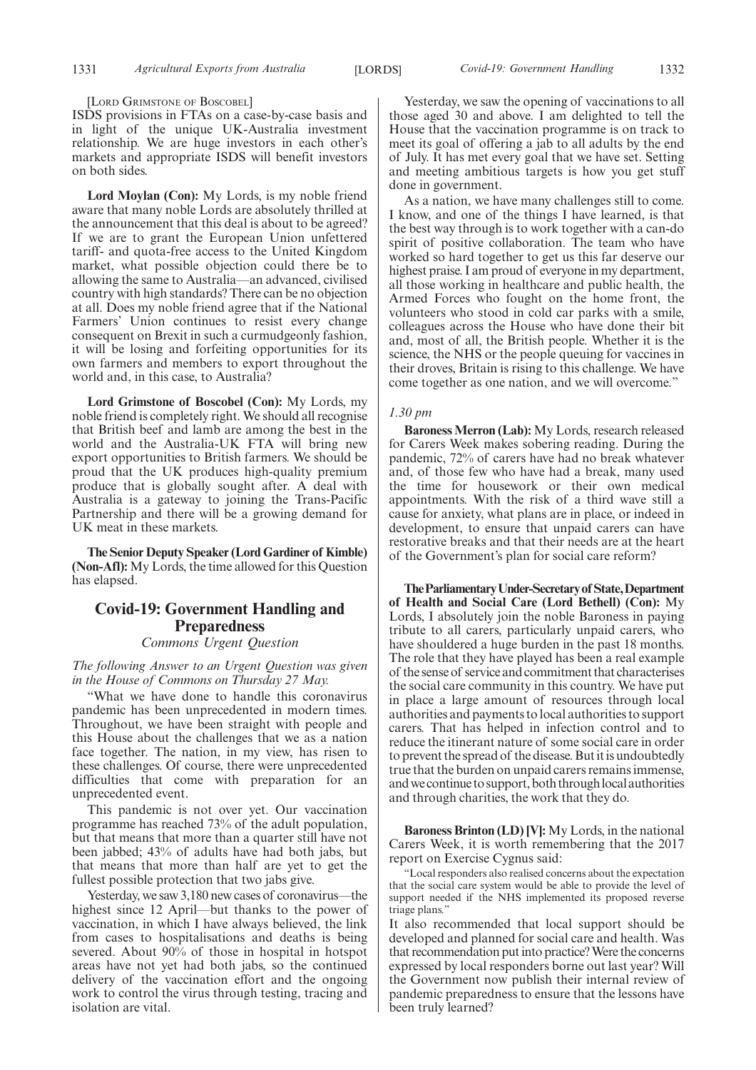[LORD GRIMSTONE OF BOSCOBEL]

ISDS provisions in FTAs on a case-by-case basis and in light of the unique UK-Australia investment relationship. We are huge investors in each other's markets and appropriate ISDS will benefit investors on both sides.

**Lord Moylan (Con):** My Lords, is my noble friend aware that many noble Lords are absolutely thrilled at the announcement that this deal is about to be agreed? If we are to grant the European Union unfettered tariff- and quota-free access to the United Kingdom market, what possible objection could there be to allowing the same to Australia—an advanced, civilised country with high standards? There can be no objection at all. Does my noble friend agree that if the National Farmers' Union continues to resist every change consequent on Brexit in such a curmudgeonly fashion, it will be losing and forfeiting opportunities for its own farmers and members to export throughout the world and, in this case, to Australia?

**Lord Grimstone of Boscobel (Con):** My Lords, my noble friend is completely right. We should all recognise that British beef and lamb are among the best in the world and the Australia-UK FTA will bring new export opportunities to British farmers. We should be proud that the UK produces high-quality premium produce that is globally sought after. A deal with Australia is a gateway to joining the Trans-Pacific Partnership and there will be a growing demand for UK meat in these markets.

**The Senior Deputy Speaker (Lord Gardiner of Kimble) (Non-Afl):** My Lords, the time allowed for this Question has elapsed.

### **Covid-19: Government Handling and Preparedness**

*Commons Urgent Question*

*The following Answer to an Urgent Question was given in the House of Commons on Thursday 27 May.*

"What we have done to handle this coronavirus pandemic has been unprecedented in modern times. Throughout, we have been straight with people and this House about the challenges that we as a nation face together. The nation, in my view, has risen to these challenges. Of course, there were unprecedented difficulties that come with preparation for an unprecedented event.

This pandemic is not over yet. Our vaccination programme has reached 73% of the adult population, but that means that more than a quarter still have not been jabbed; 43% of adults have had both jabs, but that means that more than half are yet to get the fullest possible protection that two jabs give.

Yesterday, we saw 3,180 new cases of coronavirus—the highest since 12 April—but thanks to the power of vaccination, in which I have always believed, the link from cases to hospitalisations and deaths is being severed. About 90% of those in hospital in hotspot areas have not yet had both jabs, so the continued delivery of the vaccination effort and the ongoing work to control the virus through testing, tracing and isolation are vital.

Yesterday, we saw the opening of vaccinations to all those aged 30 and above. I am delighted to tell the House that the vaccination programme is on track to meet its goal of offering a jab to all adults by the end of July. It has met every goal that we have set. Setting and meeting ambitious targets is how you get stuff done in government.

As a nation, we have many challenges still to come. I know, and one of the things I have learned, is that the best way through is to work together with a can-do spirit of positive collaboration. The team who have worked so hard together to get us this far deserve our highest praise. I am proud of everyone in my department, all those working in healthcare and public health, the Armed Forces who fought on the home front, the volunteers who stood in cold car parks with a smile, colleagues across the House who have done their bit and, most of all, the British people. Whether it is the science, the NHS or the people queuing for vaccines in their droves, Britain is rising to this challenge. We have come together as one nation, and we will overcome."

### *1.30 pm*

**Baroness Merron (Lab):** My Lords, research released for Carers Week makes sobering reading. During the pandemic, 72% of carers have had no break whatever and, of those few who have had a break, many used the time for housework or their own medical appointments. With the risk of a third wave still a cause for anxiety, what plans are in place, or indeed in development, to ensure that unpaid carers can have restorative breaks and that their needs are at the heart of the Government's plan for social care reform?

**TheParliamentaryUnder-Secretaryof State,Department of Health and Social Care (Lord Bethell) (Con):** My Lords, I absolutely join the noble Baroness in paying tribute to all carers, particularly unpaid carers, who have shouldered a huge burden in the past 18 months. The role that they have played has been a real example of the sense of service and commitment that characterises the social care community in this country. We have put in place a large amount of resources through local authorities and payments to local authorities to support carers. That has helped in infection control and to reduce the itinerant nature of some social care in order to prevent the spread of the disease. But it is undoubtedly true that the burden on unpaid carers remains immense, and we continue to support, both through local authorities and through charities, the work that they do.

**Baroness Brinton (LD) [V]:** My Lords, in the national Carers Week, it is worth remembering that the 2017 report on Exercise Cygnus said:

"Local responders also realised concerns about the expectation that the social care system would be able to provide the level of support needed if the NHS implemented its proposed reverse triage plans."

It also recommended that local support should be developed and planned for social care and health. Was that recommendation put into practice? Were the concerns expressed by local responders borne out last year? Will the Government now publish their internal review of pandemic preparedness to ensure that the lessons have been truly learned?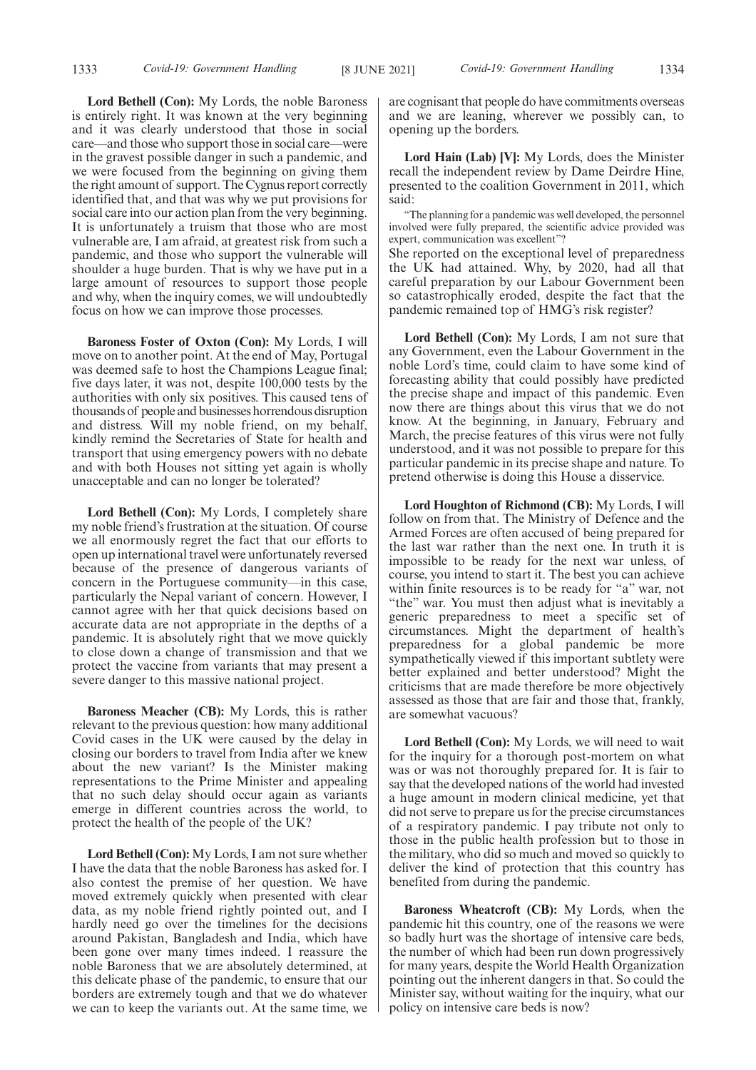**Lord Bethell (Con):** My Lords, the noble Baroness is entirely right. It was known at the very beginning and it was clearly understood that those in social care—and those who support those in social care—were in the gravest possible danger in such a pandemic, and we were focused from the beginning on giving them the right amount of support. The Cygnus report correctly identified that, and that was why we put provisions for social care into our action plan from the very beginning. It is unfortunately a truism that those who are most vulnerable are, I am afraid, at greatest risk from such a pandemic, and those who support the vulnerable will shoulder a huge burden. That is why we have put in a large amount of resources to support those people and why, when the inquiry comes, we will undoubtedly focus on how we can improve those processes.

**Baroness Foster of Oxton (Con):** My Lords, I will move on to another point. At the end of May, Portugal was deemed safe to host the Champions League final; five days later, it was not, despite 100,000 tests by the authorities with only six positives. This caused tens of thousands of people and businesses horrendous disruption and distress. Will my noble friend, on my behalf, kindly remind the Secretaries of State for health and transport that using emergency powers with no debate and with both Houses not sitting yet again is wholly unacceptable and can no longer be tolerated?

**Lord Bethell (Con):** My Lords, I completely share my noble friend's frustration at the situation. Of course we all enormously regret the fact that our efforts to open up international travel were unfortunately reversed because of the presence of dangerous variants of concern in the Portuguese community—in this case, particularly the Nepal variant of concern. However, I cannot agree with her that quick decisions based on accurate data are not appropriate in the depths of a pandemic. It is absolutely right that we move quickly to close down a change of transmission and that we protect the vaccine from variants that may present a severe danger to this massive national project.

**Baroness Meacher (CB):** My Lords, this is rather relevant to the previous question: how many additional Covid cases in the UK were caused by the delay in closing our borders to travel from India after we knew about the new variant? Is the Minister making representations to the Prime Minister and appealing that no such delay should occur again as variants emerge in different countries across the world, to protect the health of the people of the UK?

**Lord Bethell (Con):** My Lords, I am not sure whether I have the data that the noble Baroness has asked for. I also contest the premise of her question. We have moved extremely quickly when presented with clear data, as my noble friend rightly pointed out, and I hardly need go over the timelines for the decisions around Pakistan, Bangladesh and India, which have been gone over many times indeed. I reassure the noble Baroness that we are absolutely determined, at this delicate phase of the pandemic, to ensure that our borders are extremely tough and that we do whatever we can to keep the variants out. At the same time, we are cognisant that people do have commitments overseas and we are leaning, wherever we possibly can, to opening up the borders.

**Lord Hain (Lab) [V]:** My Lords, does the Minister recall the independent review by Dame Deirdre Hine, presented to the coalition Government in 2011, which said:

"The planning for a pandemic was well developed, the personnel involved were fully prepared, the scientific advice provided was expert, communication was excellent"?

She reported on the exceptional level of preparedness the UK had attained. Why, by 2020, had all that careful preparation by our Labour Government been so catastrophically eroded, despite the fact that the pandemic remained top of HMG's risk register?

**Lord Bethell (Con):** My Lords, I am not sure that any Government, even the Labour Government in the noble Lord's time, could claim to have some kind of forecasting ability that could possibly have predicted the precise shape and impact of this pandemic. Even now there are things about this virus that we do not know. At the beginning, in January, February and March, the precise features of this virus were not fully understood, and it was not possible to prepare for this particular pandemic in its precise shape and nature. To pretend otherwise is doing this House a disservice.

**Lord Houghton of Richmond (CB):** My Lords, I will follow on from that. The Ministry of Defence and the Armed Forces are often accused of being prepared for the last war rather than the next one. In truth it is impossible to be ready for the next war unless, of course, you intend to start it. The best you can achieve within finite resources is to be ready for "a" war, not "the" war. You must then adjust what is inevitably a generic preparedness to meet a specific set of circumstances. Might the department of health's preparedness for a global pandemic be more sympathetically viewed if this important subtlety were better explained and better understood? Might the criticisms that are made therefore be more objectively assessed as those that are fair and those that, frankly, are somewhat vacuous?

**Lord Bethell (Con):** My Lords, we will need to wait for the inquiry for a thorough post-mortem on what was or was not thoroughly prepared for. It is fair to say that the developed nations of the world had invested a huge amount in modern clinical medicine, yet that did not serve to prepare us for the precise circumstances of a respiratory pandemic. I pay tribute not only to those in the public health profession but to those in the military, who did so much and moved so quickly to deliver the kind of protection that this country has benefited from during the pandemic.

**Baroness Wheatcroft (CB):** My Lords, when the pandemic hit this country, one of the reasons we were so badly hurt was the shortage of intensive care beds, the number of which had been run down progressively for many years, despite the World Health Organization pointing out the inherent dangers in that. So could the Minister say, without waiting for the inquiry, what our policy on intensive care beds is now?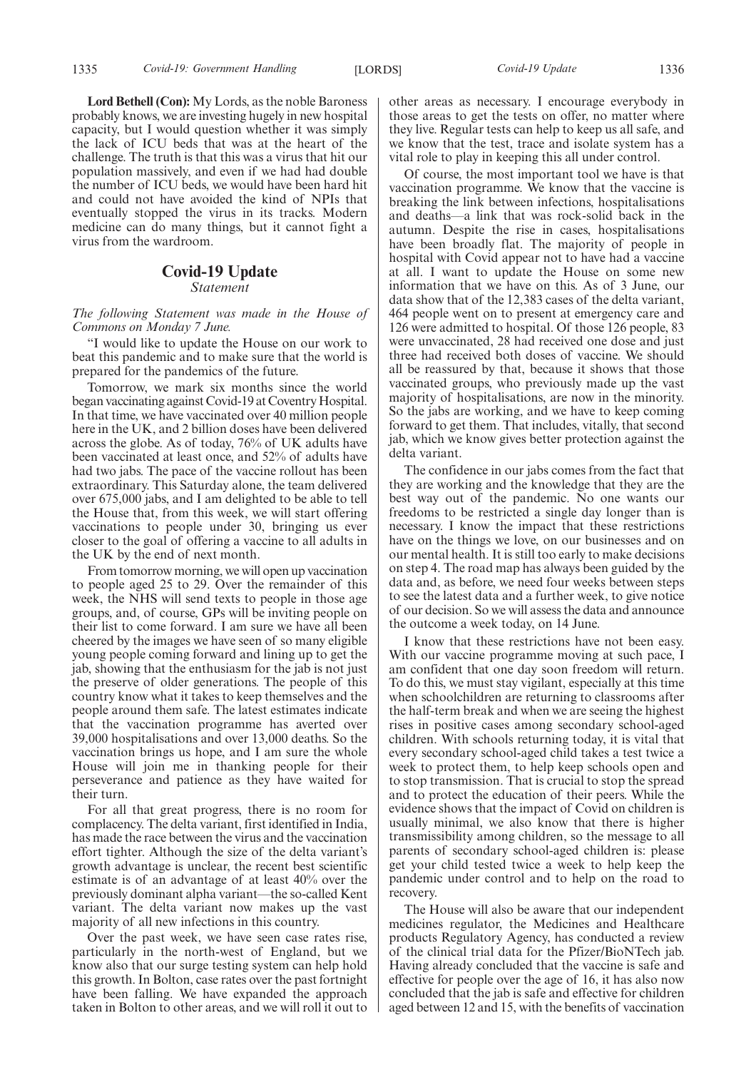**Lord Bethell (Con):** My Lords, as the noble Baroness probably knows, we are investing hugely in new hospital capacity, but I would question whether it was simply the lack of ICU beds that was at the heart of the challenge. The truth is that this was a virus that hit our population massively, and even if we had had double the number of ICU beds, we would have been hard hit and could not have avoided the kind of NPIs that eventually stopped the virus in its tracks. Modern medicine can do many things, but it cannot fight a virus from the wardroom.

### **Covid-19 Update**

*Statement*

*The following Statement was made in the House of Commons on Monday 7 June.*

"I would like to update the House on our work to beat this pandemic and to make sure that the world is prepared for the pandemics of the future.

Tomorrow, we mark six months since the world began vaccinating against Covid-19 at Coventry Hospital. In that time, we have vaccinated over 40 million people here in the UK, and 2 billion doses have been delivered across the globe. As of today, 76% of UK adults have been vaccinated at least once, and 52% of adults have had two jabs. The pace of the vaccine rollout has been extraordinary. This Saturday alone, the team delivered over 675,000 jabs, and I am delighted to be able to tell the House that, from this week, we will start offering vaccinations to people under 30, bringing us ever closer to the goal of offering a vaccine to all adults in the UK by the end of next month.

From tomorrow morning, we will open up vaccination to people aged 25 to 29. Over the remainder of this week, the NHS will send texts to people in those age groups, and, of course, GPs will be inviting people on their list to come forward. I am sure we have all been cheered by the images we have seen of so many eligible young people coming forward and lining up to get the jab, showing that the enthusiasm for the jab is not just the preserve of older generations. The people of this country know what it takes to keep themselves and the people around them safe. The latest estimates indicate that the vaccination programme has averted over 39,000 hospitalisations and over 13,000 deaths. So the vaccination brings us hope, and I am sure the whole House will join me in thanking people for their perseverance and patience as they have waited for their turn.

For all that great progress, there is no room for complacency. The delta variant, first identified in India, has made the race between the virus and the vaccination effort tighter. Although the size of the delta variant's growth advantage is unclear, the recent best scientific estimate is of an advantage of at least 40% over the previously dominant alpha variant—the so-called Kent variant. The delta variant now makes up the vast majority of all new infections in this country.

Over the past week, we have seen case rates rise, particularly in the north-west of England, but we know also that our surge testing system can help hold this growth. In Bolton, case rates over the past fortnight have been falling. We have expanded the approach taken in Bolton to other areas, and we will roll it out to other areas as necessary. I encourage everybody in those areas to get the tests on offer, no matter where they live. Regular tests can help to keep us all safe, and we know that the test, trace and isolate system has a vital role to play in keeping this all under control.

Of course, the most important tool we have is that vaccination programme. We know that the vaccine is breaking the link between infections, hospitalisations and deaths—a link that was rock-solid back in the autumn. Despite the rise in cases, hospitalisations have been broadly flat. The majority of people in hospital with Covid appear not to have had a vaccine at all. I want to update the House on some new information that we have on this. As of 3 June, our data show that of the 12,383 cases of the delta variant, 464 people went on to present at emergency care and 126 were admitted to hospital. Of those 126 people, 83 were unvaccinated, 28 had received one dose and just three had received both doses of vaccine. We should all be reassured by that, because it shows that those vaccinated groups, who previously made up the vast majority of hospitalisations, are now in the minority. So the jabs are working, and we have to keep coming forward to get them. That includes, vitally, that second jab, which we know gives better protection against the delta variant.

The confidence in our jabs comes from the fact that they are working and the knowledge that they are the best way out of the pandemic. No one wants our freedoms to be restricted a single day longer than is necessary. I know the impact that these restrictions have on the things we love, on our businesses and on our mental health. It is still too early to make decisions on step 4. The road map has always been guided by the data and, as before, we need four weeks between steps to see the latest data and a further week, to give notice of our decision. So we will assess the data and announce the outcome a week today, on 14 June.

I know that these restrictions have not been easy. With our vaccine programme moving at such pace, I am confident that one day soon freedom will return. To do this, we must stay vigilant, especially at this time when schoolchildren are returning to classrooms after the half-term break and when we are seeing the highest rises in positive cases among secondary school-aged children. With schools returning today, it is vital that every secondary school-aged child takes a test twice a week to protect them, to help keep schools open and to stop transmission. That is crucial to stop the spread and to protect the education of their peers. While the evidence shows that the impact of Covid on children is usually minimal, we also know that there is higher transmissibility among children, so the message to all parents of secondary school-aged children is: please get your child tested twice a week to help keep the pandemic under control and to help on the road to recovery.

The House will also be aware that our independent medicines regulator, the Medicines and Healthcare products Regulatory Agency, has conducted a review of the clinical trial data for the Pfizer/BioNTech jab. Having already concluded that the vaccine is safe and effective for people over the age of 16, it has also now concluded that the jab is safe and effective for children aged between 12 and 15, with the benefits of vaccination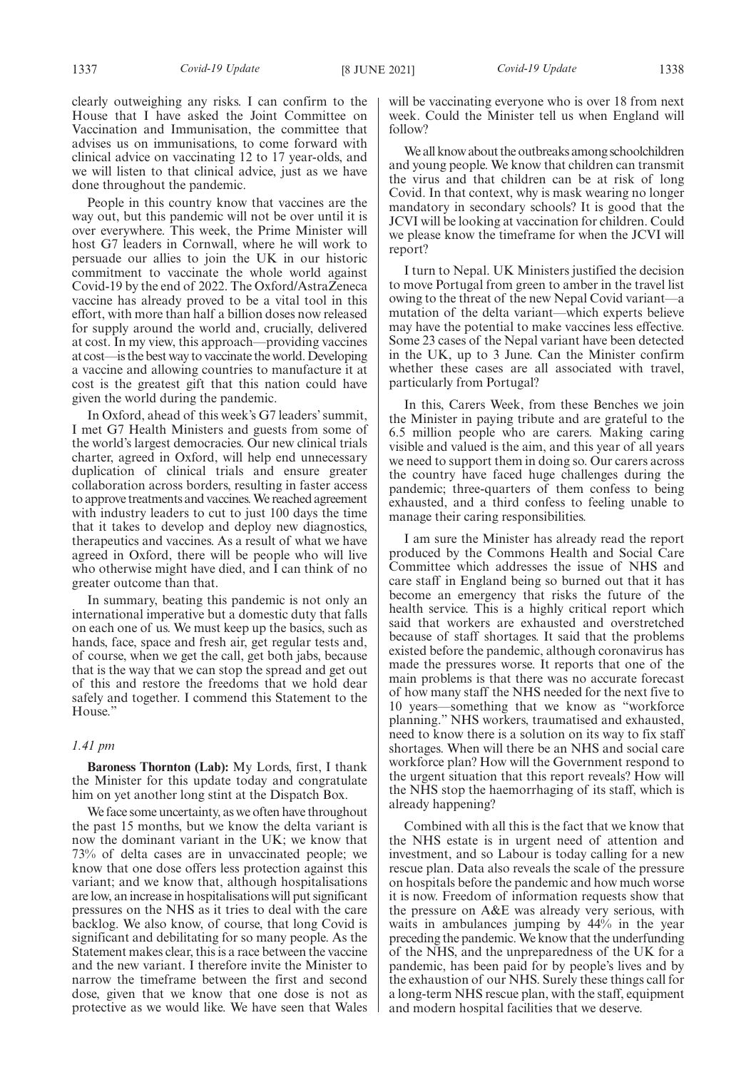clearly outweighing any risks. I can confirm to the House that I have asked the Joint Committee on Vaccination and Immunisation, the committee that advises us on immunisations, to come forward with clinical advice on vaccinating 12 to 17 year-olds, and we will listen to that clinical advice, just as we have done throughout the pandemic.

People in this country know that vaccines are the way out, but this pandemic will not be over until it is over everywhere. This week, the Prime Minister will host G7 leaders in Cornwall, where he will work to persuade our allies to join the UK in our historic commitment to vaccinate the whole world against Covid-19 by the end of 2022. The Oxford/AstraZeneca vaccine has already proved to be a vital tool in this effort, with more than half a billion doses now released for supply around the world and, crucially, delivered at cost. In my view, this approach—providing vaccines at cost—is the best way to vaccinate the world. Developing a vaccine and allowing countries to manufacture it at cost is the greatest gift that this nation could have given the world during the pandemic.

In Oxford, ahead of this week's G7 leaders' summit, I met G7 Health Ministers and guests from some of the world's largest democracies. Our new clinical trials charter, agreed in Oxford, will help end unnecessary duplication of clinical trials and ensure greater collaboration across borders, resulting in faster access to approve treatments and vaccines. We reached agreement with industry leaders to cut to just 100 days the time that it takes to develop and deploy new diagnostics, therapeutics and vaccines. As a result of what we have agreed in Oxford, there will be people who will live who otherwise might have died, and I can think of no greater outcome than that.

In summary, beating this pandemic is not only an international imperative but a domestic duty that falls on each one of us. We must keep up the basics, such as hands, face, space and fresh air, get regular tests and, of course, when we get the call, get both jabs, because that is the way that we can stop the spread and get out of this and restore the freedoms that we hold dear safely and together. I commend this Statement to the House."

### *1.41 pm*

**Baroness Thornton (Lab):** My Lords, first, I thank the Minister for this update today and congratulate him on yet another long stint at the Dispatch Box.

We face some uncertainty, as we often have throughout the past 15 months, but we know the delta variant is now the dominant variant in the UK; we know that 73% of delta cases are in unvaccinated people; we know that one dose offers less protection against this variant; and we know that, although hospitalisations are low, an increase in hospitalisations will put significant pressures on the NHS as it tries to deal with the care backlog. We also know, of course, that long Covid is significant and debilitating for so many people. As the Statement makes clear, this is a race between the vaccine and the new variant. I therefore invite the Minister to narrow the timeframe between the first and second dose, given that we know that one dose is not as protective as we would like. We have seen that Wales

will be vaccinating everyone who is over 18 from next week. Could the Minister tell us when England will follow?

We all know about the outbreaks among schoolchildren and young people. We know that children can transmit the virus and that children can be at risk of long Covid. In that context, why is mask wearing no longer mandatory in secondary schools? It is good that the JCVI will be looking at vaccination for children. Could we please know the timeframe for when the JCVI will report?

I turn to Nepal. UK Ministers justified the decision to move Portugal from green to amber in the travel list owing to the threat of the new Nepal Covid variant—a mutation of the delta variant—which experts believe may have the potential to make vaccines less effective. Some 23 cases of the Nepal variant have been detected in the UK, up to 3 June. Can the Minister confirm whether these cases are all associated with travel, particularly from Portugal?

In this, Carers Week, from these Benches we join the Minister in paying tribute and are grateful to the 6.5 million people who are carers. Making caring visible and valued is the aim, and this year of all years we need to support them in doing so. Our carers across the country have faced huge challenges during the pandemic; three-quarters of them confess to being exhausted, and a third confess to feeling unable to manage their caring responsibilities.

I am sure the Minister has already read the report produced by the Commons Health and Social Care Committee which addresses the issue of NHS and care staff in England being so burned out that it has become an emergency that risks the future of the health service. This is a highly critical report which said that workers are exhausted and overstretched because of staff shortages. It said that the problems existed before the pandemic, although coronavirus has made the pressures worse. It reports that one of the main problems is that there was no accurate forecast of how many staff the NHS needed for the next five to 10 years—something that we know as "workforce planning." NHS workers, traumatised and exhausted, need to know there is a solution on its way to fix staff shortages. When will there be an NHS and social care workforce plan? How will the Government respond to the urgent situation that this report reveals? How will the NHS stop the haemorrhaging of its staff, which is already happening?

Combined with all this is the fact that we know that the NHS estate is in urgent need of attention and investment, and so Labour is today calling for a new rescue plan. Data also reveals the scale of the pressure on hospitals before the pandemic and how much worse it is now. Freedom of information requests show that the pressure on A&E was already very serious, with waits in ambulances jumping by 44% in the year preceding the pandemic. We know that the underfunding of the NHS, and the unpreparedness of the UK for a pandemic, has been paid for by people's lives and by the exhaustion of our NHS. Surely these things call for a long-term NHS rescue plan, with the staff, equipment and modern hospital facilities that we deserve.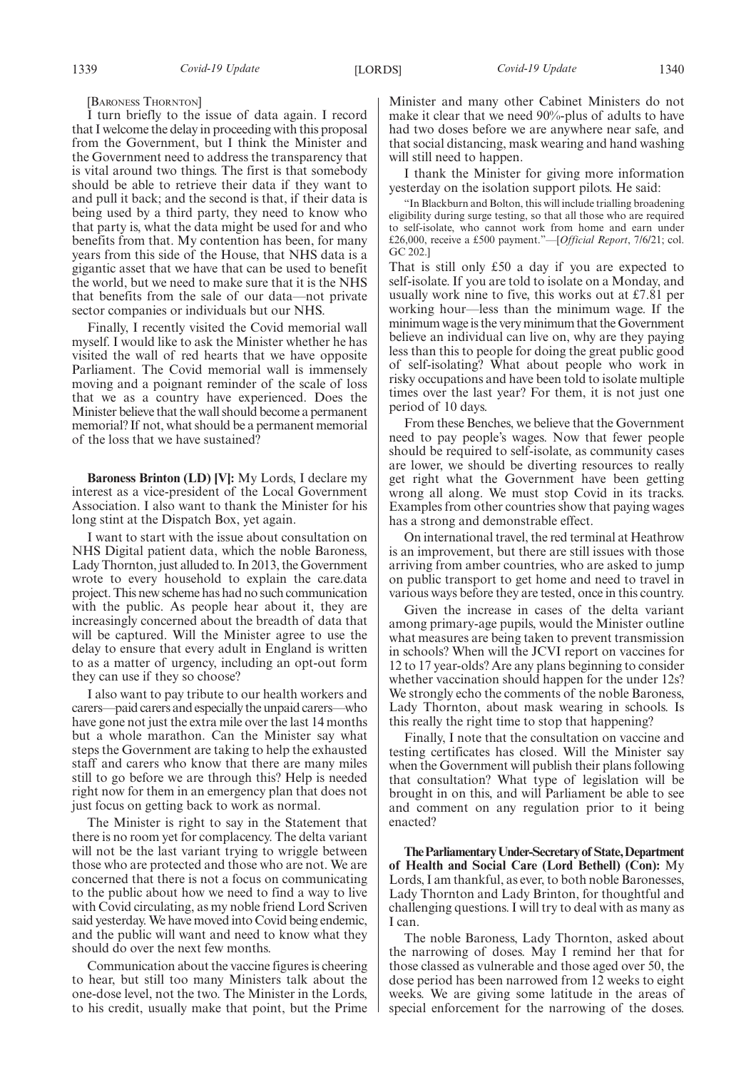[BARONESS THORNTON]

I turn briefly to the issue of data again. I record that I welcome the delay in proceeding with this proposal from the Government, but I think the Minister and the Government need to address the transparency that is vital around two things. The first is that somebody should be able to retrieve their data if they want to and pull it back; and the second is that, if their data is being used by a third party, they need to know who that party is, what the data might be used for and who benefits from that. My contention has been, for many years from this side of the House, that NHS data is a gigantic asset that we have that can be used to benefit the world, but we need to make sure that it is the NHS that benefits from the sale of our data—not private sector companies or individuals but our NHS.

Finally, I recently visited the Covid memorial wall myself. I would like to ask the Minister whether he has visited the wall of red hearts that we have opposite Parliament. The Covid memorial wall is immensely moving and a poignant reminder of the scale of loss that we as a country have experienced. Does the Minister believe that the wall should become a permanent memorial? If not, what should be a permanent memorial of the loss that we have sustained?

**Baroness Brinton (LD) [V]:** My Lords, I declare my interest as a vice-president of the Local Government Association. I also want to thank the Minister for his long stint at the Dispatch Box, yet again.

I want to start with the issue about consultation on NHS Digital patient data, which the noble Baroness, Lady Thornton, just alluded to. In 2013, the Government wrote to every household to explain the care.data project. This new scheme has had no such communication with the public. As people hear about it, they are increasingly concerned about the breadth of data that will be captured. Will the Minister agree to use the delay to ensure that every adult in England is written to as a matter of urgency, including an opt-out form they can use if they so choose?

I also want to pay tribute to our health workers and carers—paid carers and especially the unpaid carers—who have gone not just the extra mile over the last 14 months but a whole marathon. Can the Minister say what steps the Government are taking to help the exhausted staff and carers who know that there are many miles still to go before we are through this? Help is needed right now for them in an emergency plan that does not just focus on getting back to work as normal.

The Minister is right to say in the Statement that there is no room yet for complacency. The delta variant will not be the last variant trying to wriggle between those who are protected and those who are not. We are concerned that there is not a focus on communicating to the public about how we need to find a way to live with Covid circulating, as my noble friend Lord Scriven said yesterday. We have moved into Covid being endemic, and the public will want and need to know what they should do over the next few months.

Communication about the vaccine figures is cheering to hear, but still too many Ministers talk about the one-dose level, not the two. The Minister in the Lords, to his credit, usually make that point, but the Prime Minister and many other Cabinet Ministers do not make it clear that we need 90%-plus of adults to have had two doses before we are anywhere near safe, and that social distancing, mask wearing and hand washing will still need to happen.

I thank the Minister for giving more information yesterday on the isolation support pilots. He said:

"In Blackburn and Bolton, this will include trialling broadening eligibility during surge testing, so that all those who are required to self-isolate, who cannot work from home and earn under £26,000, receive a £500 payment."—[*Official Report*, 7/6/21; col. GC 202.]

That is still only £50 a day if you are expected to self-isolate. If you are told to isolate on a Monday, and usually work nine to five, this works out at £7.81 per working hour—less than the minimum wage. If the minimum wage is the very minimum that the Government believe an individual can live on, why are they paying less than this to people for doing the great public good of self-isolating? What about people who work in risky occupations and have been told to isolate multiple times over the last year? For them, it is not just one period of 10 days.

From these Benches, we believe that the Government need to pay people's wages. Now that fewer people should be required to self-isolate, as community cases are lower, we should be diverting resources to really get right what the Government have been getting wrong all along. We must stop Covid in its tracks. Examples from other countries show that paying wages has a strong and demonstrable effect.

On international travel, the red terminal at Heathrow is an improvement, but there are still issues with those arriving from amber countries, who are asked to jump on public transport to get home and need to travel in various ways before they are tested, once in this country.

Given the increase in cases of the delta variant among primary-age pupils, would the Minister outline what measures are being taken to prevent transmission in schools? When will the JCVI report on vaccines for 12 to 17 year-olds? Are any plans beginning to consider whether vaccination should happen for the under 12s? We strongly echo the comments of the noble Baroness, Lady Thornton, about mask wearing in schools. Is this really the right time to stop that happening?

Finally, I note that the consultation on vaccine and testing certificates has closed. Will the Minister say when the Government will publish their plans following that consultation? What type of legislation will be brought in on this, and will Parliament be able to see and comment on any regulation prior to it being enacted?

**TheParliamentaryUnder-Secretaryof State,Department of Health and Social Care (Lord Bethell) (Con):** My Lords, I am thankful, as ever, to both noble Baronesses, Lady Thornton and Lady Brinton, for thoughtful and challenging questions. I will try to deal with as many as I can.

The noble Baroness, Lady Thornton, asked about the narrowing of doses. May I remind her that for those classed as vulnerable and those aged over 50, the dose period has been narrowed from 12 weeks to eight weeks. We are giving some latitude in the areas of special enforcement for the narrowing of the doses.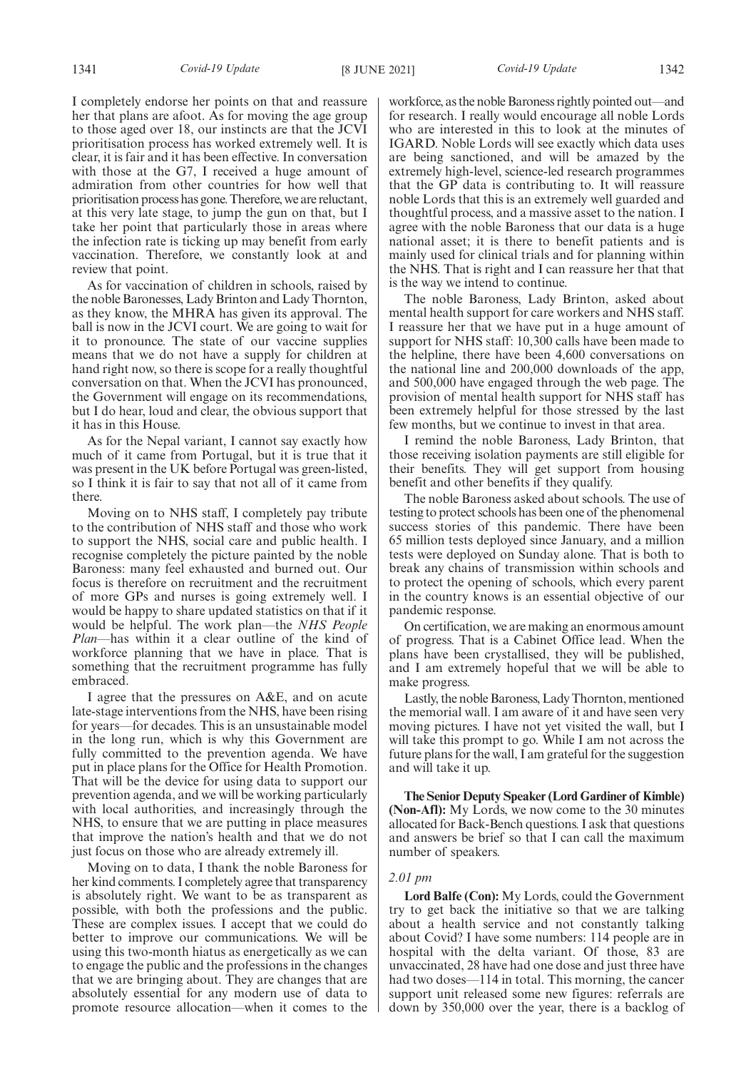I completely endorse her points on that and reassure her that plans are afoot. As for moving the age group to those aged over 18, our instincts are that the JCVI prioritisation process has worked extremely well. It is clear, it is fair and it has been effective. In conversation with those at the G7, I received a huge amount of admiration from other countries for how well that prioritisation process has gone. Therefore, we are reluctant, at this very late stage, to jump the gun on that, but I take her point that particularly those in areas where the infection rate is ticking up may benefit from early vaccination. Therefore, we constantly look at and review that point.

As for vaccination of children in schools, raised by the noble Baronesses, Lady Brinton and Lady Thornton, as they know, the MHRA has given its approval. The ball is now in the JCVI court. We are going to wait for it to pronounce. The state of our vaccine supplies means that we do not have a supply for children at hand right now, so there is scope for a really thoughtful conversation on that. When the JCVI has pronounced, the Government will engage on its recommendations, but I do hear, loud and clear, the obvious support that it has in this House.

As for the Nepal variant, I cannot say exactly how much of it came from Portugal, but it is true that it was present in the UK before Portugal was green-listed, so I think it is fair to say that not all of it came from there.

Moving on to NHS staff, I completely pay tribute to the contribution of NHS staff and those who work to support the NHS, social care and public health. I recognise completely the picture painted by the noble Baroness: many feel exhausted and burned out. Our focus is therefore on recruitment and the recruitment of more GPs and nurses is going extremely well. I would be happy to share updated statistics on that if it would be helpful. The work plan—the *NHS People Plan*—has within it a clear outline of the kind of workforce planning that we have in place. That is something that the recruitment programme has fully embraced.

I agree that the pressures on A&E, and on acute late-stage interventions from the NHS, have been rising for years—for decades. This is an unsustainable model in the long run, which is why this Government are fully committed to the prevention agenda. We have put in place plans for the Office for Health Promotion. That will be the device for using data to support our prevention agenda, and we will be working particularly with local authorities, and increasingly through the NHS, to ensure that we are putting in place measures that improve the nation's health and that we do not just focus on those who are already extremely ill.

Moving on to data, I thank the noble Baroness for her kind comments. I completely agree that transparency is absolutely right. We want to be as transparent as possible, with both the professions and the public. These are complex issues. I accept that we could do better to improve our communications. We will be using this two-month hiatus as energetically as we can to engage the public and the professions in the changes that we are bringing about. They are changes that are absolutely essential for any modern use of data to promote resource allocation—when it comes to the workforce, as the noble Baroness rightly pointed out—and for research. I really would encourage all noble Lords who are interested in this to look at the minutes of IGARD. Noble Lords will see exactly which data uses are being sanctioned, and will be amazed by the extremely high-level, science-led research programmes that the GP data is contributing to. It will reassure noble Lords that this is an extremely well guarded and thoughtful process, and a massive asset to the nation. I agree with the noble Baroness that our data is a huge national asset; it is there to benefit patients and is mainly used for clinical trials and for planning within the NHS. That is right and I can reassure her that that is the way we intend to continue.

The noble Baroness, Lady Brinton, asked about mental health support for care workers and NHS staff. I reassure her that we have put in a huge amount of support for NHS staff: 10,300 calls have been made to the helpline, there have been 4,600 conversations on the national line and 200,000 downloads of the app, and 500,000 have engaged through the web page. The provision of mental health support for NHS staff has been extremely helpful for those stressed by the last few months, but we continue to invest in that area.

I remind the noble Baroness, Lady Brinton, that those receiving isolation payments are still eligible for their benefits. They will get support from housing benefit and other benefits if they qualify.

The noble Baroness asked about schools. The use of testing to protect schools has been one of the phenomenal success stories of this pandemic. There have been 65 million tests deployed since January, and a million tests were deployed on Sunday alone. That is both to break any chains of transmission within schools and to protect the opening of schools, which every parent in the country knows is an essential objective of our pandemic response.

On certification, we are making an enormous amount of progress. That is a Cabinet Office lead. When the plans have been crystallised, they will be published, and I am extremely hopeful that we will be able to make progress.

Lastly, the noble Baroness, Lady Thornton, mentioned the memorial wall. I am aware of it and have seen very moving pictures. I have not yet visited the wall, but I will take this prompt to go. While I am not across the future plans for the wall, I am grateful for the suggestion and will take it up.

**The Senior Deputy Speaker (Lord Gardiner of Kimble) (Non-Afl):** My Lords, we now come to the 30 minutes allocated for Back-Bench questions. I ask that questions and answers be brief so that I can call the maximum number of speakers.

### *2.01 pm*

**Lord Balfe (Con):** My Lords, could the Government try to get back the initiative so that we are talking about a health service and not constantly talking about Covid? I have some numbers: 114 people are in hospital with the delta variant. Of those, 83 are unvaccinated, 28 have had one dose and just three have had two doses—114 in total. This morning, the cancer support unit released some new figures: referrals are down by 350,000 over the year, there is a backlog of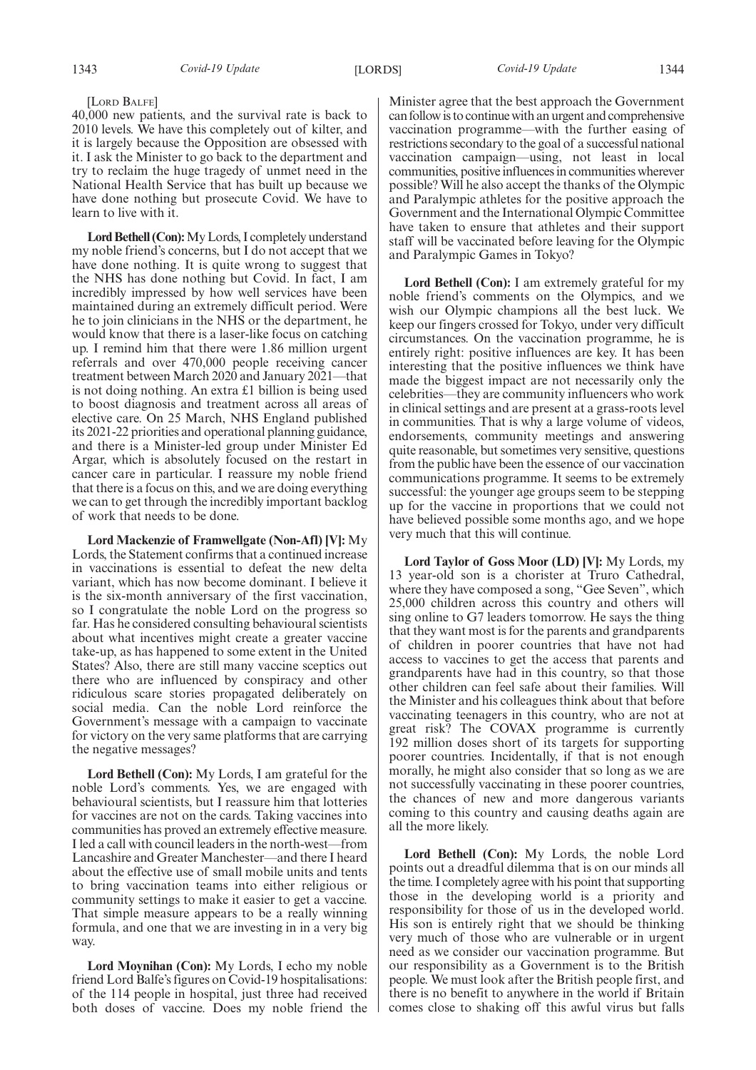40,000 new patients, and the survival rate is back to 2010 levels. We have this completely out of kilter, and it is largely because the Opposition are obsessed with it. I ask the Minister to go back to the department and try to reclaim the huge tragedy of unmet need in the National Health Service that has built up because we have done nothing but prosecute Covid. We have to learn to live with it.

**Lord Bethell (Con):**My Lords, I completely understand my noble friend's concerns, but I do not accept that we have done nothing. It is quite wrong to suggest that the NHS has done nothing but Covid. In fact, I am incredibly impressed by how well services have been maintained during an extremely difficult period. Were he to join clinicians in the NHS or the department, he would know that there is a laser-like focus on catching up. I remind him that there were 1.86 million urgent referrals and over 470,000 people receiving cancer treatment between March 2020 and January 2021—that is not doing nothing. An extra £1 billion is being used to boost diagnosis and treatment across all areas of elective care. On 25 March, NHS England published its 2021-22 priorities and operational planning guidance, and there is a Minister-led group under Minister Ed Argar, which is absolutely focused on the restart in cancer care in particular. I reassure my noble friend that there is a focus on this, and we are doing everything we can to get through the incredibly important backlog of work that needs to be done.

**Lord Mackenzie of Framwellgate (Non-Afl) [V]:** My Lords, the Statement confirms that a continued increase in vaccinations is essential to defeat the new delta variant, which has now become dominant. I believe it is the six-month anniversary of the first vaccination, so I congratulate the noble Lord on the progress so far. Has he considered consulting behavioural scientists about what incentives might create a greater vaccine take-up, as has happened to some extent in the United States? Also, there are still many vaccine sceptics out there who are influenced by conspiracy and other ridiculous scare stories propagated deliberately on social media. Can the noble Lord reinforce the Government's message with a campaign to vaccinate for victory on the very same platforms that are carrying the negative messages?

**Lord Bethell (Con):** My Lords, I am grateful for the noble Lord's comments. Yes, we are engaged with behavioural scientists, but I reassure him that lotteries for vaccines are not on the cards. Taking vaccines into communities has proved an extremely effective measure. I led a call with council leaders in the north-west—from Lancashire and Greater Manchester—and there I heard about the effective use of small mobile units and tents to bring vaccination teams into either religious or community settings to make it easier to get a vaccine. That simple measure appears to be a really winning formula, and one that we are investing in in a very big way.

**Lord Moynihan (Con):** My Lords, I echo my noble friend Lord Balfe's figures on Covid-19 hospitalisations: of the 114 people in hospital, just three had received both doses of vaccine. Does my noble friend the Minister agree that the best approach the Government can follow is to continue with an urgent and comprehensive vaccination programme—with the further easing of restrictions secondary to the goal of a successful national vaccination campaign—using, not least in local communities, positive influences in communities wherever possible? Will he also accept the thanks of the Olympic and Paralympic athletes for the positive approach the Government and the International Olympic Committee have taken to ensure that athletes and their support staff will be vaccinated before leaving for the Olympic and Paralympic Games in Tokyo?

**Lord Bethell (Con):** I am extremely grateful for my noble friend's comments on the Olympics, and we wish our Olympic champions all the best luck. We keep our fingers crossed for Tokyo, under very difficult circumstances. On the vaccination programme, he is entirely right: positive influences are key. It has been interesting that the positive influences we think have made the biggest impact are not necessarily only the celebrities—they are community influencers who work in clinical settings and are present at a grass-roots level in communities. That is why a large volume of videos, endorsements, community meetings and answering quite reasonable, but sometimes very sensitive, questions from the public have been the essence of our vaccination communications programme. It seems to be extremely successful: the younger age groups seem to be stepping up for the vaccine in proportions that we could not have believed possible some months ago, and we hope very much that this will continue.

**Lord Taylor of Goss Moor (LD) [V]:** My Lords, my 13 year-old son is a chorister at Truro Cathedral, where they have composed a song, "Gee Seven", which 25,000 children across this country and others will sing online to G7 leaders tomorrow. He says the thing that they want most is for the parents and grandparents of children in poorer countries that have not had access to vaccines to get the access that parents and grandparents have had in this country, so that those other children can feel safe about their families. Will the Minister and his colleagues think about that before vaccinating teenagers in this country, who are not at great risk? The COVAX programme is currently 192 million doses short of its targets for supporting poorer countries. Incidentally, if that is not enough morally, he might also consider that so long as we are not successfully vaccinating in these poorer countries, the chances of new and more dangerous variants coming to this country and causing deaths again are all the more likely.

**Lord Bethell (Con):** My Lords, the noble Lord points out a dreadful dilemma that is on our minds all the time. I completely agree with his point that supporting those in the developing world is a priority and responsibility for those of us in the developed world. His son is entirely right that we should be thinking very much of those who are vulnerable or in urgent need as we consider our vaccination programme. But our responsibility as a Government is to the British people. We must look after the British people first, and there is no benefit to anywhere in the world if Britain comes close to shaking off this awful virus but falls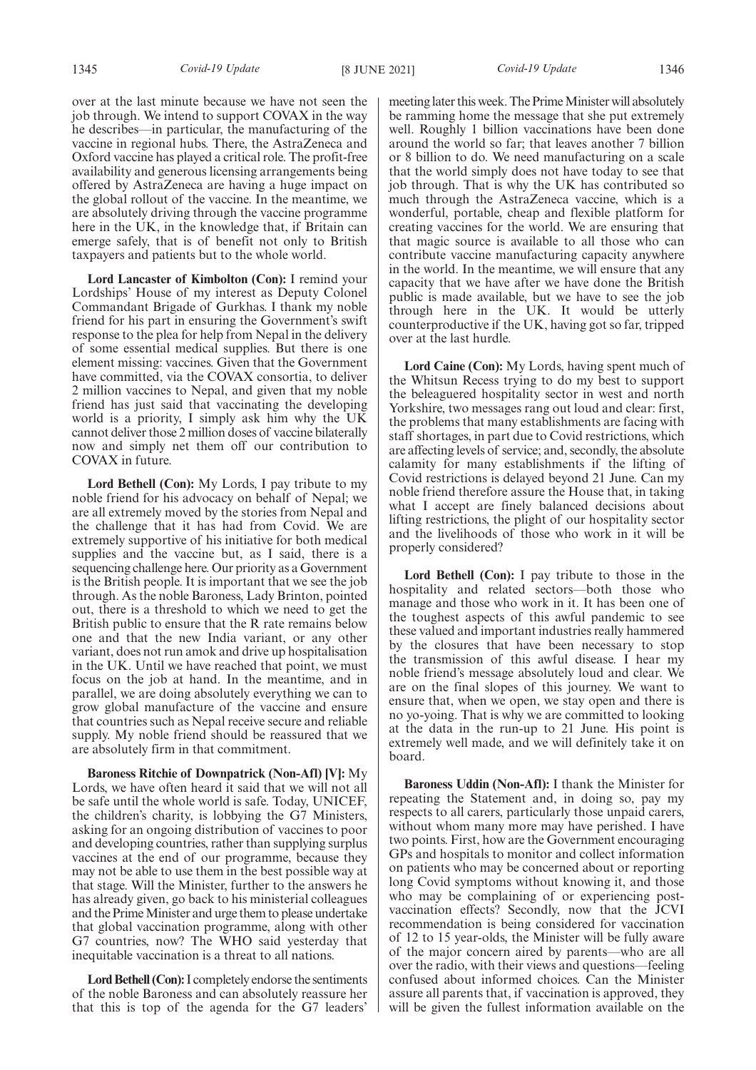over at the last minute because we have not seen the job through. We intend to support COVAX in the way he describes—in particular, the manufacturing of the vaccine in regional hubs. There, the AstraZeneca and Oxford vaccine has played a critical role. The profit-free availability and generous licensing arrangements being offered by AstraZeneca are having a huge impact on the global rollout of the vaccine. In the meantime, we are absolutely driving through the vaccine programme here in the UK, in the knowledge that, if Britain can emerge safely, that is of benefit not only to British taxpayers and patients but to the whole world.

**Lord Lancaster of Kimbolton (Con):** I remind your Lordships' House of my interest as Deputy Colonel Commandant Brigade of Gurkhas. I thank my noble friend for his part in ensuring the Government's swift response to the plea for help from Nepal in the delivery of some essential medical supplies. But there is one element missing: vaccines. Given that the Government have committed, via the COVAX consortia, to deliver 2 million vaccines to Nepal, and given that my noble friend has just said that vaccinating the developing world is a priority, I simply ask him why the UK cannot deliver those 2 million doses of vaccine bilaterally now and simply net them off our contribution to COVAX in future.

**Lord Bethell (Con):** My Lords, I pay tribute to my noble friend for his advocacy on behalf of Nepal; we are all extremely moved by the stories from Nepal and the challenge that it has had from Covid. We are extremely supportive of his initiative for both medical supplies and the vaccine but, as I said, there is a sequencing challenge here. Our priority as a Government is the British people. It is important that we see the job through. As the noble Baroness, Lady Brinton, pointed out, there is a threshold to which we need to get the British public to ensure that the R rate remains below one and that the new India variant, or any other variant, does not run amok and drive up hospitalisation in the UK. Until we have reached that point, we must focus on the job at hand. In the meantime, and in parallel, we are doing absolutely everything we can to grow global manufacture of the vaccine and ensure that countries such as Nepal receive secure and reliable supply. My noble friend should be reassured that we are absolutely firm in that commitment.

**Baroness Ritchie of Downpatrick (Non-Afl) [V]:** My Lords, we have often heard it said that we will not all be safe until the whole world is safe. Today, UNICEF, the children's charity, is lobbying the G7 Ministers, asking for an ongoing distribution of vaccines to poor and developing countries, rather than supplying surplus vaccines at the end of our programme, because they may not be able to use them in the best possible way at that stage. Will the Minister, further to the answers he has already given, go back to his ministerial colleagues and the Prime Minister and urge them to please undertake that global vaccination programme, along with other G7 countries, now? The WHO said yesterday that inequitable vaccination is a threat to all nations.

**Lord Bethell (Con):**I completely endorse the sentiments of the noble Baroness and can absolutely reassure her that this is top of the agenda for the G7 leaders' meeting later this week. The Prime Minister will absolutely be ramming home the message that she put extremely well. Roughly 1 billion vaccinations have been done around the world so far; that leaves another 7 billion or 8 billion to do. We need manufacturing on a scale that the world simply does not have today to see that job through. That is why the UK has contributed so much through the AstraZeneca vaccine, which is a wonderful, portable, cheap and flexible platform for creating vaccines for the world. We are ensuring that that magic source is available to all those who can contribute vaccine manufacturing capacity anywhere in the world. In the meantime, we will ensure that any capacity that we have after we have done the British public is made available, but we have to see the job through here in the UK. It would be utterly counterproductive if the UK, having got so far, tripped over at the last hurdle.

**Lord Caine (Con):** My Lords, having spent much of the Whitsun Recess trying to do my best to support the beleaguered hospitality sector in west and north Yorkshire, two messages rang out loud and clear: first, the problems that many establishments are facing with staff shortages, in part due to Covid restrictions, which are affecting levels of service; and, secondly, the absolute calamity for many establishments if the lifting of Covid restrictions is delayed beyond 21 June. Can my noble friend therefore assure the House that, in taking what I accept are finely balanced decisions about lifting restrictions, the plight of our hospitality sector and the livelihoods of those who work in it will be properly considered?

**Lord Bethell (Con):** I pay tribute to those in the hospitality and related sectors—both those who manage and those who work in it. It has been one of the toughest aspects of this awful pandemic to see these valued and important industries really hammered by the closures that have been necessary to stop the transmission of this awful disease. I hear my noble friend's message absolutely loud and clear. We are on the final slopes of this journey. We want to ensure that, when we open, we stay open and there is no yo-yoing. That is why we are committed to looking at the data in the run-up to 21 June. His point is extremely well made, and we will definitely take it on board.

**Baroness Uddin (Non-Afl):** I thank the Minister for repeating the Statement and, in doing so, pay my respects to all carers, particularly those unpaid carers, without whom many more may have perished. I have two points. First, how are the Government encouraging GPs and hospitals to monitor and collect information on patients who may be concerned about or reporting long Covid symptoms without knowing it, and those who may be complaining of or experiencing postvaccination effects? Secondly, now that the JCVI recommendation is being considered for vaccination of 12 to 15 year-olds, the Minister will be fully aware of the major concern aired by parents—who are all over the radio, with their views and questions—feeling confused about informed choices. Can the Minister assure all parents that, if vaccination is approved, they will be given the fullest information available on the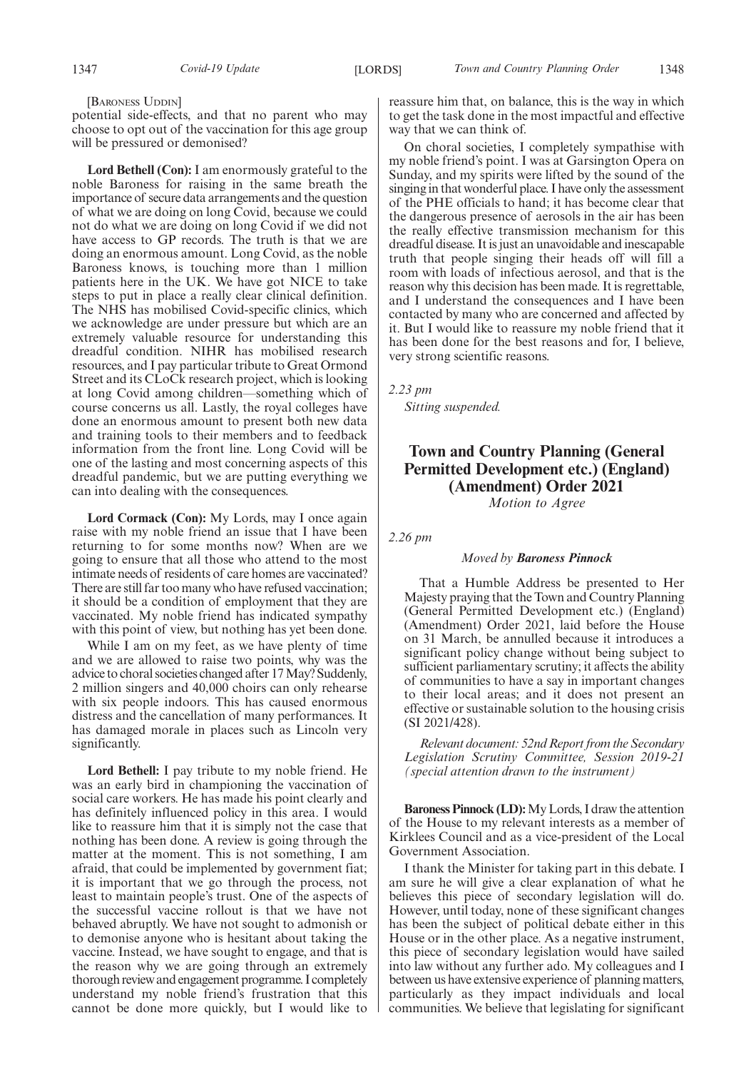### [BARONESS UDDIN]

potential side-effects, and that no parent who may choose to opt out of the vaccination for this age group will be pressured or demonised?

**Lord Bethell (Con):** I am enormously grateful to the noble Baroness for raising in the same breath the importance of secure data arrangements and the question of what we are doing on long Covid, because we could not do what we are doing on long Covid if we did not have access to GP records. The truth is that we are doing an enormous amount. Long Covid, as the noble Baroness knows, is touching more than 1 million patients here in the UK. We have got NICE to take steps to put in place a really clear clinical definition. The NHS has mobilised Covid-specific clinics, which we acknowledge are under pressure but which are an extremely valuable resource for understanding this dreadful condition. NIHR has mobilised research resources, and I pay particular tribute to Great Ormond Street and its CLoCk research project, which is looking at long Covid among children—something which of course concerns us all. Lastly, the royal colleges have done an enormous amount to present both new data and training tools to their members and to feedback information from the front line. Long Covid will be one of the lasting and most concerning aspects of this dreadful pandemic, but we are putting everything we can into dealing with the consequences.

**Lord Cormack (Con):** My Lords, may I once again raise with my noble friend an issue that I have been returning to for some months now? When are we going to ensure that all those who attend to the most intimate needs of residents of care homes are vaccinated? There are still far too many who have refused vaccination; it should be a condition of employment that they are vaccinated. My noble friend has indicated sympathy with this point of view, but nothing has yet been done.

While I am on my feet, as we have plenty of time and we are allowed to raise two points, why was the advice to choral societies changed after 17 May? Suddenly, 2 million singers and 40,000 choirs can only rehearse with six people indoors. This has caused enormous distress and the cancellation of many performances. It has damaged morale in places such as Lincoln very significantly.

**Lord Bethell:** I pay tribute to my noble friend. He was an early bird in championing the vaccination of social care workers. He has made his point clearly and has definitely influenced policy in this area. I would like to reassure him that it is simply not the case that nothing has been done. A review is going through the matter at the moment. This is not something, I am afraid, that could be implemented by government fiat; it is important that we go through the process, not least to maintain people's trust. One of the aspects of the successful vaccine rollout is that we have not behaved abruptly. We have not sought to admonish or to demonise anyone who is hesitant about taking the vaccine. Instead, we have sought to engage, and that is the reason why we are going through an extremely thorough review and engagement programme. I completely understand my noble friend's frustration that this cannot be done more quickly, but I would like to

reassure him that, on balance, this is the way in which to get the task done in the most impactful and effective way that we can think of.

On choral societies, I completely sympathise with my noble friend's point. I was at Garsington Opera on Sunday, and my spirits were lifted by the sound of the singing in that wonderful place. I have only the assessment of the PHE officials to hand; it has become clear that the dangerous presence of aerosols in the air has been the really effective transmission mechanism for this dreadful disease. It is just an unavoidable and inescapable truth that people singing their heads off will fill a room with loads of infectious aerosol, and that is the reason why this decision has been made. It is regrettable, and I understand the consequences and I have been contacted by many who are concerned and affected by it. But I would like to reassure my noble friend that it has been done for the best reasons and for, I believe, very strong scientific reasons.

*2.23 pm*

*Sitting suspended.*

### **Town and Country Planning (General Permitted Development etc.) (England) (Amendment) Order 2021**

*Motion to Agree*

*2.26 pm*

#### *Moved by Baroness Pinnock*

That a Humble Address be presented to Her Majesty praying that the Town and Country Planning (General Permitted Development etc.) (England) (Amendment) Order 2021, laid before the House on 31 March, be annulled because it introduces a significant policy change without being subject to sufficient parliamentary scrutiny; it affects the ability of communities to have a say in important changes to their local areas; and it does not present an effective or sustainable solution to the housing crisis (SI 2021/428).

*Relevant document: 52nd Report from the Secondary Legislation Scrutiny Committee, Session 2019-21 (special attention drawn to the instrument)*

**Baroness Pinnock (LD):**My Lords, I draw the attention of the House to my relevant interests as a member of Kirklees Council and as a vice-president of the Local Government Association.

I thank the Minister for taking part in this debate. I am sure he will give a clear explanation of what he believes this piece of secondary legislation will do. However, until today, none of these significant changes has been the subject of political debate either in this House or in the other place. As a negative instrument, this piece of secondary legislation would have sailed into law without any further ado. My colleagues and I between us have extensive experience of planning matters, particularly as they impact individuals and local communities. We believe that legislating for significant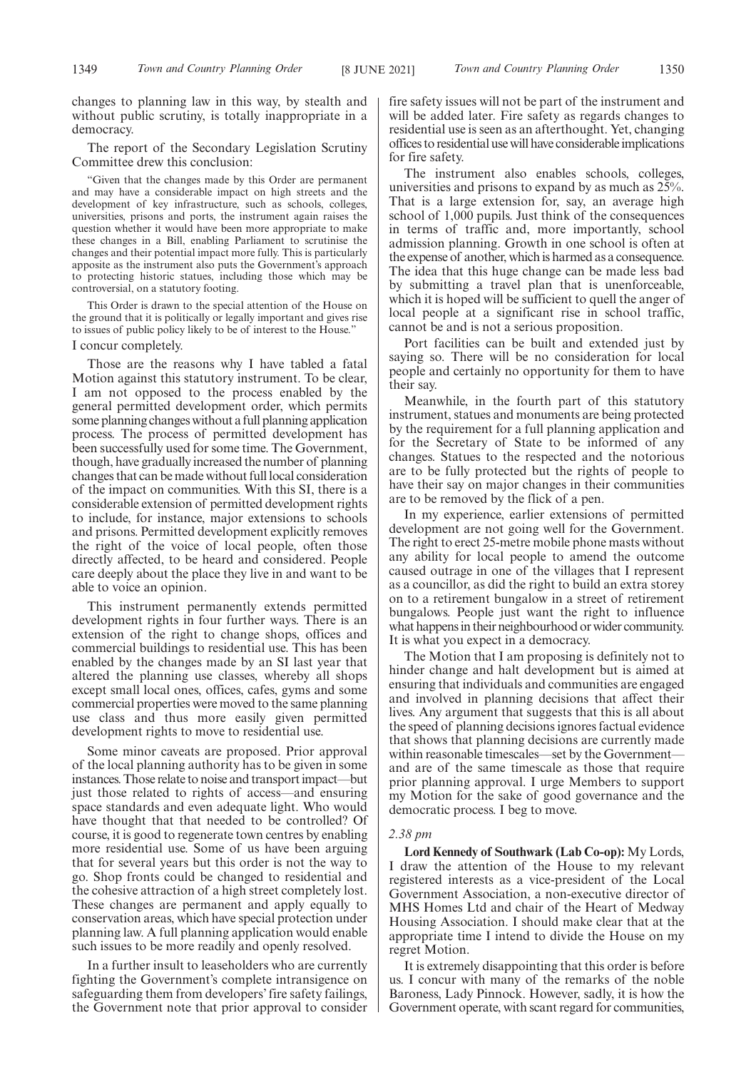changes to planning law in this way, by stealth and without public scrutiny, is totally inappropriate in a democracy.

The report of the Secondary Legislation Scrutiny Committee drew this conclusion:

"Given that the changes made by this Order are permanent and may have a considerable impact on high streets and the development of key infrastructure, such as schools, colleges, universities, prisons and ports, the instrument again raises the question whether it would have been more appropriate to make these changes in a Bill, enabling Parliament to scrutinise the changes and their potential impact more fully. This is particularly apposite as the instrument also puts the Government's approach to protecting historic statues, including those which may be controversial, on a statutory footing.

This Order is drawn to the special attention of the House on the ground that it is politically or legally important and gives rise to issues of public policy likely to be of interest to the House." I concur completely.

Those are the reasons why I have tabled a fatal Motion against this statutory instrument. To be clear, I am not opposed to the process enabled by the general permitted development order, which permits some planning changes without a full planning application process. The process of permitted development has been successfully used for some time. The Government, though, have gradually increased the number of planning changes that can be made without full local consideration of the impact on communities. With this SI, there is a considerable extension of permitted development rights to include, for instance, major extensions to schools and prisons. Permitted development explicitly removes the right of the voice of local people, often those directly affected, to be heard and considered. People care deeply about the place they live in and want to be able to voice an opinion.

This instrument permanently extends permitted development rights in four further ways. There is an extension of the right to change shops, offices and commercial buildings to residential use. This has been enabled by the changes made by an SI last year that altered the planning use classes, whereby all shops except small local ones, offices, cafes, gyms and some commercial properties were moved to the same planning use class and thus more easily given permitted development rights to move to residential use.

Some minor caveats are proposed. Prior approval of the local planning authority has to be given in some instances. Those relate to noise and transport impact—but just those related to rights of access—and ensuring space standards and even adequate light. Who would have thought that that needed to be controlled? Of course, it is good to regenerate town centres by enabling more residential use. Some of us have been arguing that for several years but this order is not the way to go. Shop fronts could be changed to residential and the cohesive attraction of a high street completely lost. These changes are permanent and apply equally to conservation areas, which have special protection under planning law. A full planning application would enable such issues to be more readily and openly resolved.

In a further insult to leaseholders who are currently fighting the Government's complete intransigence on safeguarding them from developers' fire safety failings, the Government note that prior approval to consider fire safety issues will not be part of the instrument and will be added later. Fire safety as regards changes to residential use is seen as an afterthought. Yet, changing offices to residential use will have considerable implications for fire safety.

The instrument also enables schools, colleges, universities and prisons to expand by as much as 25%. That is a large extension for, say, an average high school of 1,000 pupils. Just think of the consequences in terms of traffic and, more importantly, school admission planning. Growth in one school is often at the expense of another, which is harmed as a consequence. The idea that this huge change can be made less bad by submitting a travel plan that is unenforceable, which it is hoped will be sufficient to quell the anger of local people at a significant rise in school traffic, cannot be and is not a serious proposition.

Port facilities can be built and extended just by saying so. There will be no consideration for local people and certainly no opportunity for them to have their say.

Meanwhile, in the fourth part of this statutory instrument, statues and monuments are being protected by the requirement for a full planning application and for the Secretary of State to be informed of any changes. Statues to the respected and the notorious are to be fully protected but the rights of people to have their say on major changes in their communities are to be removed by the flick of a pen.

In my experience, earlier extensions of permitted development are not going well for the Government. The right to erect 25-metre mobile phone masts without any ability for local people to amend the outcome caused outrage in one of the villages that I represent as a councillor, as did the right to build an extra storey on to a retirement bungalow in a street of retirement bungalows. People just want the right to influence what happens in their neighbourhood or wider community. It is what you expect in a democracy.

The Motion that I am proposing is definitely not to hinder change and halt development but is aimed at ensuring that individuals and communities are engaged and involved in planning decisions that affect their lives. Any argument that suggests that this is all about the speed of planning decisions ignores factual evidence that shows that planning decisions are currently made within reasonable timescales—set by the Governmentand are of the same timescale as those that require prior planning approval. I urge Members to support my Motion for the sake of good governance and the democratic process. I beg to move.

### *2.38 pm*

**Lord Kennedy of Southwark (Lab Co-op):** My Lords, I draw the attention of the House to my relevant registered interests as a vice-president of the Local Government Association, a non-executive director of MHS Homes Ltd and chair of the Heart of Medway Housing Association. I should make clear that at the appropriate time I intend to divide the House on my regret Motion.

It is extremely disappointing that this order is before us. I concur with many of the remarks of the noble Baroness, Lady Pinnock. However, sadly, it is how the Government operate, with scant regard for communities,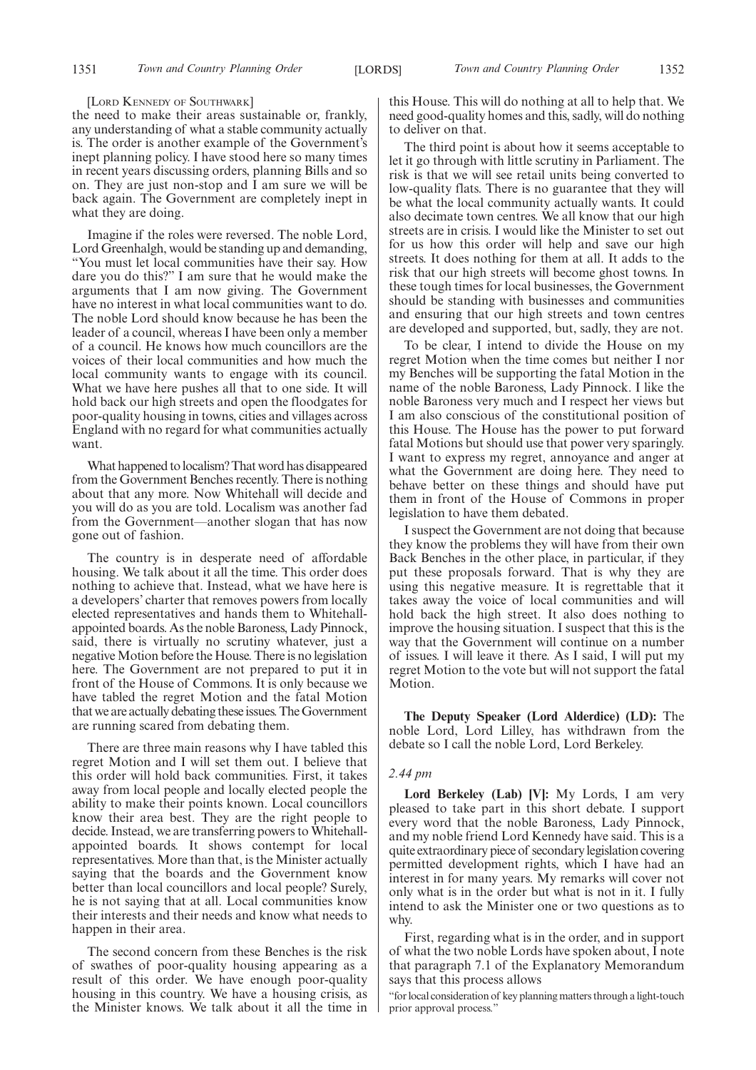#### [LORD KENNEDY OF SOUTHWARK]

the need to make their areas sustainable or, frankly, any understanding of what a stable community actually is. The order is another example of the Government's inept planning policy. I have stood here so many times in recent years discussing orders, planning Bills and so on. They are just non-stop and I am sure we will be back again. The Government are completely inept in what they are doing.

Imagine if the roles were reversed. The noble Lord, Lord Greenhalgh, would be standing up and demanding, "You must let local communities have their say. How dare you do this?" I am sure that he would make the arguments that I am now giving. The Government have no interest in what local communities want to do. The noble Lord should know because he has been the leader of a council, whereas I have been only a member of a council. He knows how much councillors are the voices of their local communities and how much the local community wants to engage with its council. What we have here pushes all that to one side. It will hold back our high streets and open the floodgates for poor-quality housing in towns, cities and villages across England with no regard for what communities actually want.

What happened to localism? That word has disappeared from the Government Benches recently. There is nothing about that any more. Now Whitehall will decide and you will do as you are told. Localism was another fad from the Government—another slogan that has now gone out of fashion.

The country is in desperate need of affordable housing. We talk about it all the time. This order does nothing to achieve that. Instead, what we have here is a developers' charter that removes powers from locally elected representatives and hands them to Whitehallappointed boards. As the noble Baroness, Lady Pinnock, said, there is virtually no scrutiny whatever, just a negative Motion before the House. There is no legislation here. The Government are not prepared to put it in front of the House of Commons. It is only because we have tabled the regret Motion and the fatal Motion that we are actually debating these issues. The Government are running scared from debating them.

There are three main reasons why I have tabled this regret Motion and I will set them out. I believe that this order will hold back communities. First, it takes away from local people and locally elected people the ability to make their points known. Local councillors know their area best. They are the right people to decide. Instead, we are transferring powers to Whitehallappointed boards. It shows contempt for local representatives. More than that, is the Minister actually saying that the boards and the Government know better than local councillors and local people? Surely, he is not saying that at all. Local communities know their interests and their needs and know what needs to happen in their area.

The second concern from these Benches is the risk of swathes of poor-quality housing appearing as a result of this order. We have enough poor-quality housing in this country. We have a housing crisis, as the Minister knows. We talk about it all the time in this House. This will do nothing at all to help that. We need good-quality homes and this, sadly, will do nothing to deliver on that.

The third point is about how it seems acceptable to let it go through with little scrutiny in Parliament. The risk is that we will see retail units being converted to low-quality flats. There is no guarantee that they will be what the local community actually wants. It could also decimate town centres. We all know that our high streets are in crisis. I would like the Minister to set out for us how this order will help and save our high streets. It does nothing for them at all. It adds to the risk that our high streets will become ghost towns. In these tough times for local businesses, the Government should be standing with businesses and communities and ensuring that our high streets and town centres are developed and supported, but, sadly, they are not.

To be clear, I intend to divide the House on my regret Motion when the time comes but neither I nor my Benches will be supporting the fatal Motion in the name of the noble Baroness, Lady Pinnock. I like the noble Baroness very much and I respect her views but I am also conscious of the constitutional position of this House. The House has the power to put forward fatal Motions but should use that power very sparingly. I want to express my regret, annoyance and anger at what the Government are doing here. They need to behave better on these things and should have put them in front of the House of Commons in proper legislation to have them debated.

I suspect the Government are not doing that because they know the problems they will have from their own Back Benches in the other place, in particular, if they put these proposals forward. That is why they are using this negative measure. It is regrettable that it takes away the voice of local communities and will hold back the high street. It also does nothing to improve the housing situation. I suspect that this is the way that the Government will continue on a number of issues. I will leave it there. As I said, I will put my regret Motion to the vote but will not support the fatal Motion.

**The Deputy Speaker (Lord Alderdice) (LD):** The noble Lord, Lord Lilley, has withdrawn from the debate so I call the noble Lord, Lord Berkeley.

### *2.44 pm*

**Lord Berkeley (Lab) [V]:** My Lords, I am very pleased to take part in this short debate. I support every word that the noble Baroness, Lady Pinnock, and my noble friend Lord Kennedy have said. This is a quite extraordinary piece of secondary legislation covering permitted development rights, which I have had an interest in for many years. My remarks will cover not only what is in the order but what is not in it. I fully intend to ask the Minister one or two questions as to why.

First, regarding what is in the order, and in support of what the two noble Lords have spoken about, I note that paragraph 7.1 of the Explanatory Memorandum says that this process allows

"for local consideration of key planning matters through a light-touch prior approval process."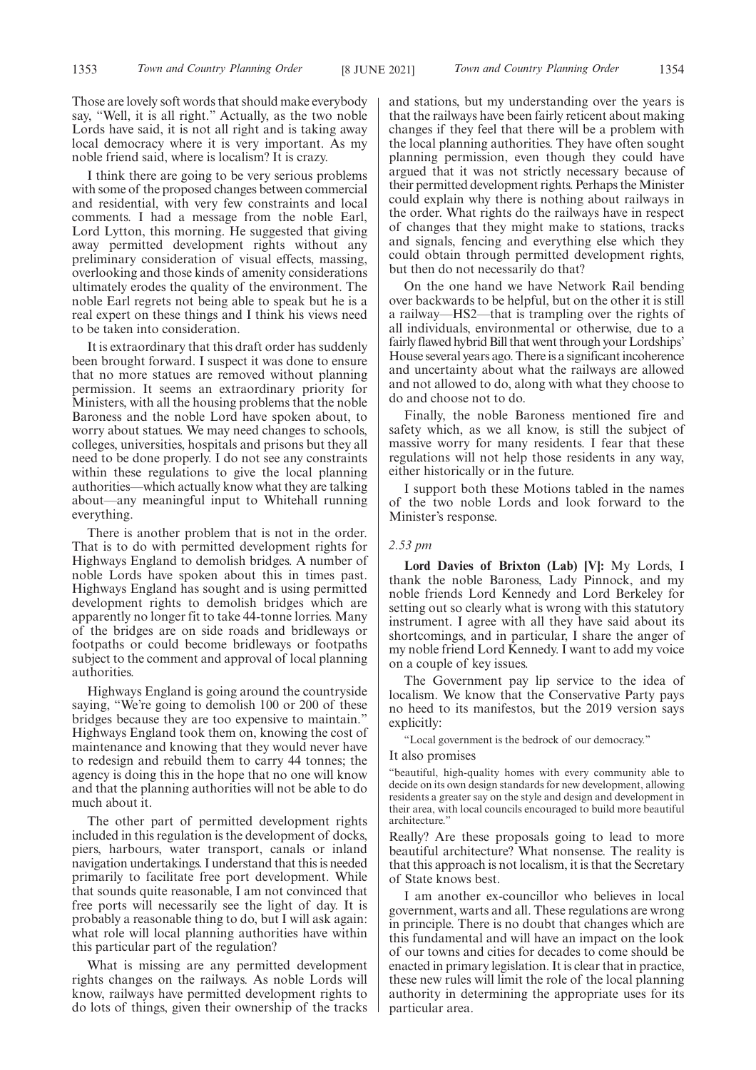Those are lovely soft words that should make everybody say, "Well, it is all right." Actually, as the two noble Lords have said, it is not all right and is taking away local democracy where it is very important. As my noble friend said, where is localism? It is crazy.

I think there are going to be very serious problems with some of the proposed changes between commercial and residential, with very few constraints and local comments. I had a message from the noble Earl, Lord Lytton, this morning. He suggested that giving away permitted development rights without any preliminary consideration of visual effects, massing, overlooking and those kinds of amenity considerations ultimately erodes the quality of the environment. The noble Earl regrets not being able to speak but he is a real expert on these things and I think his views need to be taken into consideration.

It is extraordinary that this draft order has suddenly been brought forward. I suspect it was done to ensure that no more statues are removed without planning permission. It seems an extraordinary priority for Ministers, with all the housing problems that the noble Baroness and the noble Lord have spoken about, to worry about statues. We may need changes to schools, colleges, universities, hospitals and prisons but they all need to be done properly. I do not see any constraints within these regulations to give the local planning authorities—which actually know what they are talking about—any meaningful input to Whitehall running everything.

There is another problem that is not in the order. That is to do with permitted development rights for Highways England to demolish bridges. A number of noble Lords have spoken about this in times past. Highways England has sought and is using permitted development rights to demolish bridges which are apparently no longer fit to take 44-tonne lorries. Many of the bridges are on side roads and bridleways or footpaths or could become bridleways or footpaths subject to the comment and approval of local planning authorities.

Highways England is going around the countryside saying, "We're going to demolish 100 or 200 of these bridges because they are too expensive to maintain." Highways England took them on, knowing the cost of maintenance and knowing that they would never have to redesign and rebuild them to carry 44 tonnes; the agency is doing this in the hope that no one will know and that the planning authorities will not be able to do much about it.

The other part of permitted development rights included in this regulation is the development of docks, piers, harbours, water transport, canals or inland navigation undertakings. I understand that this is needed primarily to facilitate free port development. While that sounds quite reasonable, I am not convinced that free ports will necessarily see the light of day. It is probably a reasonable thing to do, but I will ask again: what role will local planning authorities have within this particular part of the regulation?

What is missing are any permitted development rights changes on the railways. As noble Lords will know, railways have permitted development rights to do lots of things, given their ownership of the tracks and stations, but my understanding over the years is that the railways have been fairly reticent about making changes if they feel that there will be a problem with the local planning authorities. They have often sought planning permission, even though they could have argued that it was not strictly necessary because of their permitted development rights. Perhaps the Minister could explain why there is nothing about railways in the order. What rights do the railways have in respect of changes that they might make to stations, tracks and signals, fencing and everything else which they could obtain through permitted development rights, but then do not necessarily do that?

On the one hand we have Network Rail bending over backwards to be helpful, but on the other it is still a railway—HS2—that is trampling over the rights of all individuals, environmental or otherwise, due to a fairly flawed hybrid Bill that went through your Lordships' House several years ago. There is a significant incoherence and uncertainty about what the railways are allowed and not allowed to do, along with what they choose to do and choose not to do.

Finally, the noble Baroness mentioned fire and safety which, as we all know, is still the subject of massive worry for many residents. I fear that these regulations will not help those residents in any way, either historically or in the future.

I support both these Motions tabled in the names of the two noble Lords and look forward to the Minister's response.

### *2.53 pm*

**Lord Davies of Brixton (Lab) [V]:** My Lords, I thank the noble Baroness, Lady Pinnock, and my noble friends Lord Kennedy and Lord Berkeley for setting out so clearly what is wrong with this statutory instrument. I agree with all they have said about its shortcomings, and in particular, I share the anger of my noble friend Lord Kennedy. I want to add my voice on a couple of key issues.

The Government pay lip service to the idea of localism. We know that the Conservative Party pays no heed to its manifestos, but the 2019 version says explicitly:

"Local government is the bedrock of our democracy."

### It also promises

"beautiful, high-quality homes with every community able to decide on its own design standards for new development, allowing residents a greater say on the style and design and development in their area, with local councils encouraged to build more beautiful architecture."

Really? Are these proposals going to lead to more beautiful architecture? What nonsense. The reality is that this approach is not localism, it is that the Secretary of State knows best.

I am another ex-councillor who believes in local government, warts and all. These regulations are wrong in principle. There is no doubt that changes which are this fundamental and will have an impact on the look of our towns and cities for decades to come should be enacted in primary legislation. It is clear that in practice, these new rules will limit the role of the local planning authority in determining the appropriate uses for its particular area.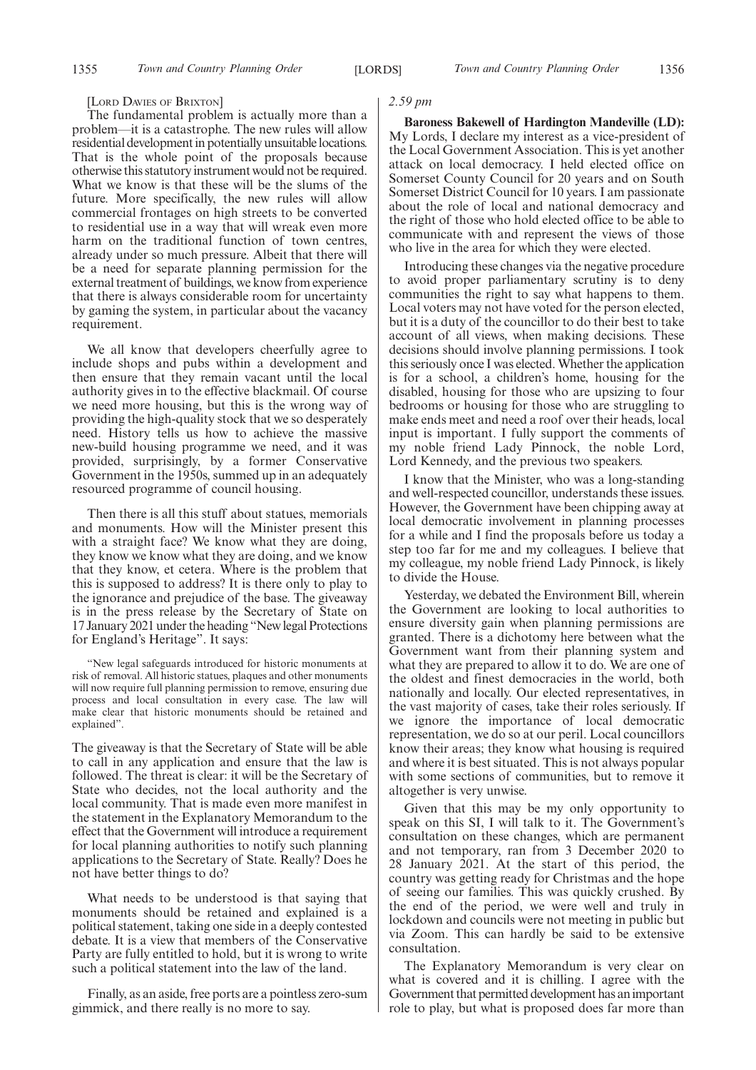#### [LORD DAVIES OF BRIXTON]

The fundamental problem is actually more than a problem—it is a catastrophe. The new rules will allow residential development in potentially unsuitable locations. That is the whole point of the proposals because otherwise this statutory instrument would not be required. What we know is that these will be the slums of the future. More specifically, the new rules will allow commercial frontages on high streets to be converted to residential use in a way that will wreak even more harm on the traditional function of town centres, already under so much pressure. Albeit that there will be a need for separate planning permission for the external treatment of buildings, we know from experience that there is always considerable room for uncertainty by gaming the system, in particular about the vacancy requirement.

We all know that developers cheerfully agree to include shops and pubs within a development and then ensure that they remain vacant until the local authority gives in to the effective blackmail. Of course we need more housing, but this is the wrong way of providing the high-quality stock that we so desperately need. History tells us how to achieve the massive new-build housing programme we need, and it was provided, surprisingly, by a former Conservative Government in the 1950s, summed up in an adequately resourced programme of council housing.

Then there is all this stuff about statues, memorials and monuments. How will the Minister present this with a straight face? We know what they are doing, they know we know what they are doing, and we know that they know, et cetera. Where is the problem that this is supposed to address? It is there only to play to the ignorance and prejudice of the base. The giveaway is in the press release by the Secretary of State on 17 January 2021 under the heading "New legal Protections for England's Heritage". It says:

"New legal safeguards introduced for historic monuments at risk of removal. All historic statues, plaques and other monuments will now require full planning permission to remove, ensuring due process and local consultation in every case. The law will make clear that historic monuments should be retained and explained".

The giveaway is that the Secretary of State will be able to call in any application and ensure that the law is followed. The threat is clear: it will be the Secretary of State who decides, not the local authority and the local community. That is made even more manifest in the statement in the Explanatory Memorandum to the effect that the Government will introduce a requirement for local planning authorities to notify such planning applications to the Secretary of State. Really? Does he not have better things to do?

What needs to be understood is that saying that monuments should be retained and explained is a political statement, taking one side in a deeply contested debate. It is a view that members of the Conservative Party are fully entitled to hold, but it is wrong to write such a political statement into the law of the land.

Finally, as an aside, free ports are a pointless zero-sum gimmick, and there really is no more to say.

### *2.59 pm*

**Baroness Bakewell of Hardington Mandeville (LD):** My Lords, I declare my interest as a vice-president of the Local Government Association. This is yet another attack on local democracy. I held elected office on Somerset County Council for 20 years and on South Somerset District Council for 10 years. I am passionate about the role of local and national democracy and the right of those who hold elected office to be able to communicate with and represent the views of those who live in the area for which they were elected.

Introducing these changes via the negative procedure to avoid proper parliamentary scrutiny is to deny communities the right to say what happens to them. Local voters may not have voted for the person elected, but it is a duty of the councillor to do their best to take account of all views, when making decisions. These decisions should involve planning permissions. I took this seriously once I was elected. Whether the application is for a school, a children's home, housing for the disabled, housing for those who are upsizing to four bedrooms or housing for those who are struggling to make ends meet and need a roof over their heads, local input is important. I fully support the comments of my noble friend Lady Pinnock, the noble Lord, Lord Kennedy, and the previous two speakers.

I know that the Minister, who was a long-standing and well-respected councillor, understands these issues. However, the Government have been chipping away at local democratic involvement in planning processes for a while and I find the proposals before us today a step too far for me and my colleagues. I believe that my colleague, my noble friend Lady Pinnock, is likely to divide the House.

Yesterday, we debated the Environment Bill, wherein the Government are looking to local authorities to ensure diversity gain when planning permissions are granted. There is a dichotomy here between what the Government want from their planning system and what they are prepared to allow it to do. We are one of the oldest and finest democracies in the world, both nationally and locally. Our elected representatives, in the vast majority of cases, take their roles seriously. If we ignore the importance of local democratic representation, we do so at our peril. Local councillors know their areas; they know what housing is required and where it is best situated. This is not always popular with some sections of communities, but to remove it altogether is very unwise.

Given that this may be my only opportunity to speak on this SI, I will talk to it. The Government's consultation on these changes, which are permanent and not temporary, ran from 3 December 2020 to 28 January 2021. At the start of this period, the country was getting ready for Christmas and the hope of seeing our families. This was quickly crushed. By the end of the period, we were well and truly in lockdown and councils were not meeting in public but via Zoom. This can hardly be said to be extensive consultation.

The Explanatory Memorandum is very clear on what is covered and it is chilling. I agree with the Government that permitted development has an important role to play, but what is proposed does far more than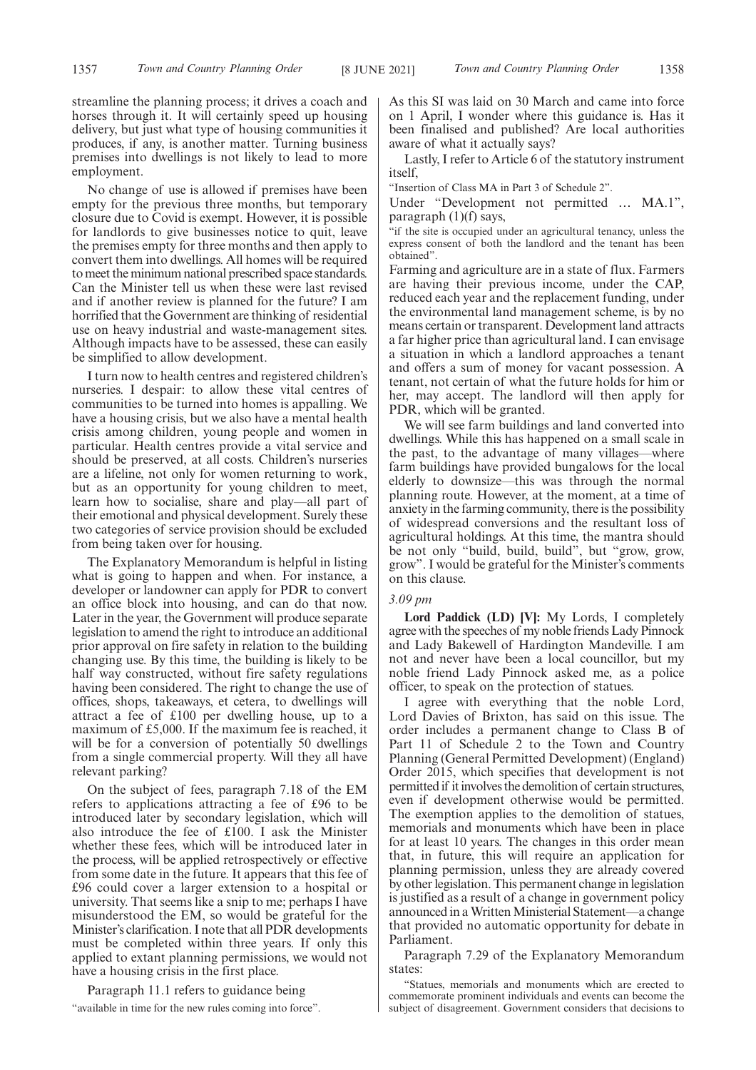streamline the planning process; it drives a coach and horses through it. It will certainly speed up housing delivery, but just what type of housing communities it produces, if any, is another matter. Turning business premises into dwellings is not likely to lead to more employment.

No change of use is allowed if premises have been empty for the previous three months, but temporary closure due to Covid is exempt. However, it is possible for landlords to give businesses notice to quit, leave the premises empty for three months and then apply to convert them into dwellings. All homes will be required to meet the minimum national prescribed space standards. Can the Minister tell us when these were last revised and if another review is planned for the future? I am horrified that the Government are thinking of residential use on heavy industrial and waste-management sites. Although impacts have to be assessed, these can easily be simplified to allow development.

I turn now to health centres and registered children's nurseries. I despair: to allow these vital centres of communities to be turned into homes is appalling. We have a housing crisis, but we also have a mental health crisis among children, young people and women in particular. Health centres provide a vital service and should be preserved, at all costs. Children's nurseries are a lifeline, not only for women returning to work, but as an opportunity for young children to meet, learn how to socialise, share and play—all part of their emotional and physical development. Surely these two categories of service provision should be excluded from being taken over for housing.

The Explanatory Memorandum is helpful in listing what is going to happen and when. For instance, a developer or landowner can apply for PDR to convert an office block into housing, and can do that now. Later in the year, the Government will produce separate legislation to amend the right to introduce an additional prior approval on fire safety in relation to the building changing use. By this time, the building is likely to be half way constructed, without fire safety regulations having been considered. The right to change the use of offices, shops, takeaways, et cetera, to dwellings will attract a fee of £100 per dwelling house, up to a maximum of £5,000. If the maximum fee is reached, it will be for a conversion of potentially 50 dwellings from a single commercial property. Will they all have relevant parking?

On the subject of fees, paragraph 7.18 of the EM refers to applications attracting a fee of £96 to be introduced later by secondary legislation, which will also introduce the fee of £100. I ask the Minister whether these fees, which will be introduced later in the process, will be applied retrospectively or effective from some date in the future. It appears that this fee of £96 could cover a larger extension to a hospital or university. That seems like a snip to me; perhaps I have misunderstood the EM, so would be grateful for the Minister's clarification. I note that all PDR developments must be completed within three years. If only this applied to extant planning permissions, we would not have a housing crisis in the first place.

Paragraph 11.1 refers to guidance being

"available in time for the new rules coming into force".

As this SI was laid on 30 March and came into force on 1 April, I wonder where this guidance is. Has it been finalised and published? Are local authorities aware of what it actually says?

Lastly, I refer to Article 6 of the statutory instrument itself,

"Insertion of Class MA in Part 3 of Schedule 2".

Under "Development not permitted … MA.1", paragraph  $(1)(f)$  says,

"if the site is occupied under an agricultural tenancy, unless the express consent of both the landlord and the tenant has been obtained".

Farming and agriculture are in a state of flux. Farmers are having their previous income, under the CAP, reduced each year and the replacement funding, under the environmental land management scheme, is by no means certain or transparent. Development land attracts a far higher price than agricultural land. I can envisage a situation in which a landlord approaches a tenant and offers a sum of money for vacant possession. A tenant, not certain of what the future holds for him or her, may accept. The landlord will then apply for PDR, which will be granted.

We will see farm buildings and land converted into dwellings. While this has happened on a small scale in the past, to the advantage of many villages—where farm buildings have provided bungalows for the local elderly to downsize—this was through the normal planning route. However, at the moment, at a time of anxiety in the farming community, there is the possibility of widespread conversions and the resultant loss of agricultural holdings. At this time, the mantra should be not only "build, build, build", but "grow, grow, grow". I would be grateful for the Minister's comments on this clause.

### *3.09 pm*

**Lord Paddick (LD) [V]:** My Lords, I completely agree with the speeches of my noble friends Lady Pinnock and Lady Bakewell of Hardington Mandeville. I am not and never have been a local councillor, but my noble friend Lady Pinnock asked me, as a police officer, to speak on the protection of statues.

I agree with everything that the noble Lord, Lord Davies of Brixton, has said on this issue. The order includes a permanent change to Class B of Part 11 of Schedule 2 to the Town and Country Planning (General Permitted Development) (England) Order 2015, which specifies that development is not permitted if it involves the demolition of certain structures, even if development otherwise would be permitted. The exemption applies to the demolition of statues, memorials and monuments which have been in place for at least 10 years. The changes in this order mean that, in future, this will require an application for planning permission, unless they are already covered by other legislation. This permanent change in legislation is justified as a result of a change in government policy announced in a Written Ministerial Statement—a change that provided no automatic opportunity for debate in Parliament.

Paragraph 7.29 of the Explanatory Memorandum states:

"Statues, memorials and monuments which are erected to commemorate prominent individuals and events can become the subject of disagreement. Government considers that decisions to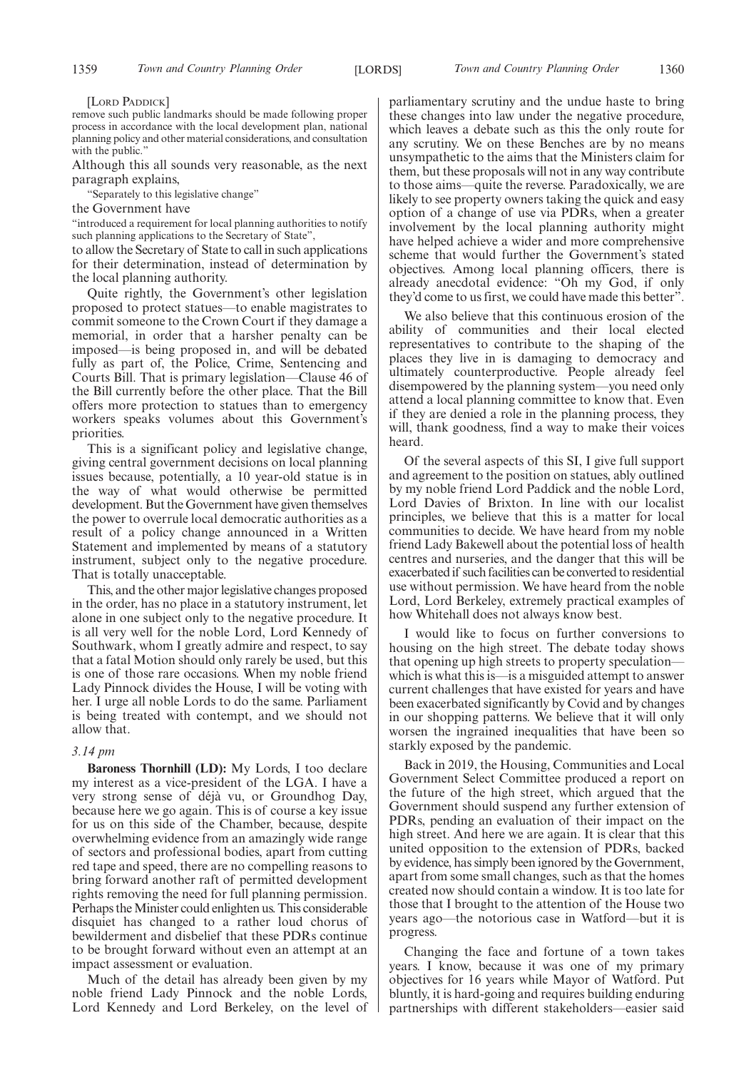[LORD PADDICK]

remove such public landmarks should be made following proper process in accordance with the local development plan, national planning policy and other material considerations, and consultation with the public.'

Although this all sounds very reasonable, as the next paragraph explains,

"Separately to this legislative change"

the Government have

"introduced a requirement for local planning authorities to notify such planning applications to the Secretary of State",

to allow the Secretary of State to call in such applications for their determination, instead of determination by the local planning authority.

Quite rightly, the Government's other legislation proposed to protect statues—to enable magistrates to commit someone to the Crown Court if they damage a memorial, in order that a harsher penalty can be imposed—is being proposed in, and will be debated fully as part of, the Police, Crime, Sentencing and Courts Bill. That is primary legislation—Clause 46 of the Bill currently before the other place. That the Bill offers more protection to statues than to emergency workers speaks volumes about this Government's priorities.

This is a significant policy and legislative change, giving central government decisions on local planning issues because, potentially, a 10 year-old statue is in the way of what would otherwise be permitted development. But the Government have given themselves the power to overrule local democratic authorities as a result of a policy change announced in a Written Statement and implemented by means of a statutory instrument, subject only to the negative procedure. That is totally unacceptable.

This, and the other major legislative changes proposed in the order, has no place in a statutory instrument, let alone in one subject only to the negative procedure. It is all very well for the noble Lord, Lord Kennedy of Southwark, whom I greatly admire and respect, to say that a fatal Motion should only rarely be used, but this is one of those rare occasions. When my noble friend Lady Pinnock divides the House, I will be voting with her. I urge all noble Lords to do the same. Parliament is being treated with contempt, and we should not allow that.

### *3.14 pm*

**Baroness Thornhill (LD):** My Lords, I too declare my interest as a vice-president of the LGA. I have a very strong sense of déjà vu, or Groundhog Day, because here we go again. This is of course a key issue for us on this side of the Chamber, because, despite overwhelming evidence from an amazingly wide range of sectors and professional bodies, apart from cutting red tape and speed, there are no compelling reasons to bring forward another raft of permitted development rights removing the need for full planning permission. Perhaps the Minister could enlighten us. This considerable disquiet has changed to a rather loud chorus of bewilderment and disbelief that these PDRs continue to be brought forward without even an attempt at an impact assessment or evaluation.

Much of the detail has already been given by my noble friend Lady Pinnock and the noble Lords, Lord Kennedy and Lord Berkeley, on the level of parliamentary scrutiny and the undue haste to bring these changes into law under the negative procedure, which leaves a debate such as this the only route for any scrutiny. We on these Benches are by no means unsympathetic to the aims that the Ministers claim for them, but these proposals will not in any way contribute to those aims—quite the reverse. Paradoxically, we are likely to see property owners taking the quick and easy option of a change of use via PDRs, when a greater involvement by the local planning authority might have helped achieve a wider and more comprehensive scheme that would further the Government's stated objectives. Among local planning officers, there is already anecdotal evidence: "Oh my God, if only they'd come to us first, we could have made this better".

We also believe that this continuous erosion of the ability of communities and their local elected representatives to contribute to the shaping of the places they live in is damaging to democracy and ultimately counterproductive. People already feel disempowered by the planning system—you need only attend a local planning committee to know that. Even if they are denied a role in the planning process, they will, thank goodness, find a way to make their voices heard.

Of the several aspects of this SI, I give full support and agreement to the position on statues, ably outlined by my noble friend Lord Paddick and the noble Lord, Lord Davies of Brixton. In line with our localist principles, we believe that this is a matter for local communities to decide. We have heard from my noble friend Lady Bakewell about the potential loss of health centres and nurseries, and the danger that this will be exacerbated if such facilities can be converted to residential use without permission. We have heard from the noble Lord, Lord Berkeley, extremely practical examples of how Whitehall does not always know best.

I would like to focus on further conversions to housing on the high street. The debate today shows that opening up high streets to property speculation which is what this is—is a misguided attempt to answer current challenges that have existed for years and have been exacerbated significantly by Covid and by changes in our shopping patterns. We believe that it will only worsen the ingrained inequalities that have been so starkly exposed by the pandemic.

Back in 2019, the Housing, Communities and Local Government Select Committee produced a report on the future of the high street, which argued that the Government should suspend any further extension of PDRs, pending an evaluation of their impact on the high street. And here we are again. It is clear that this united opposition to the extension of PDRs, backed by evidence, has simply been ignored by the Government, apart from some small changes, such as that the homes created now should contain a window. It is too late for those that I brought to the attention of the House two years ago—the notorious case in Watford—but it is progress.

Changing the face and fortune of a town takes years. I know, because it was one of my primary objectives for 16 years while Mayor of Watford. Put bluntly, it is hard-going and requires building enduring partnerships with different stakeholders—easier said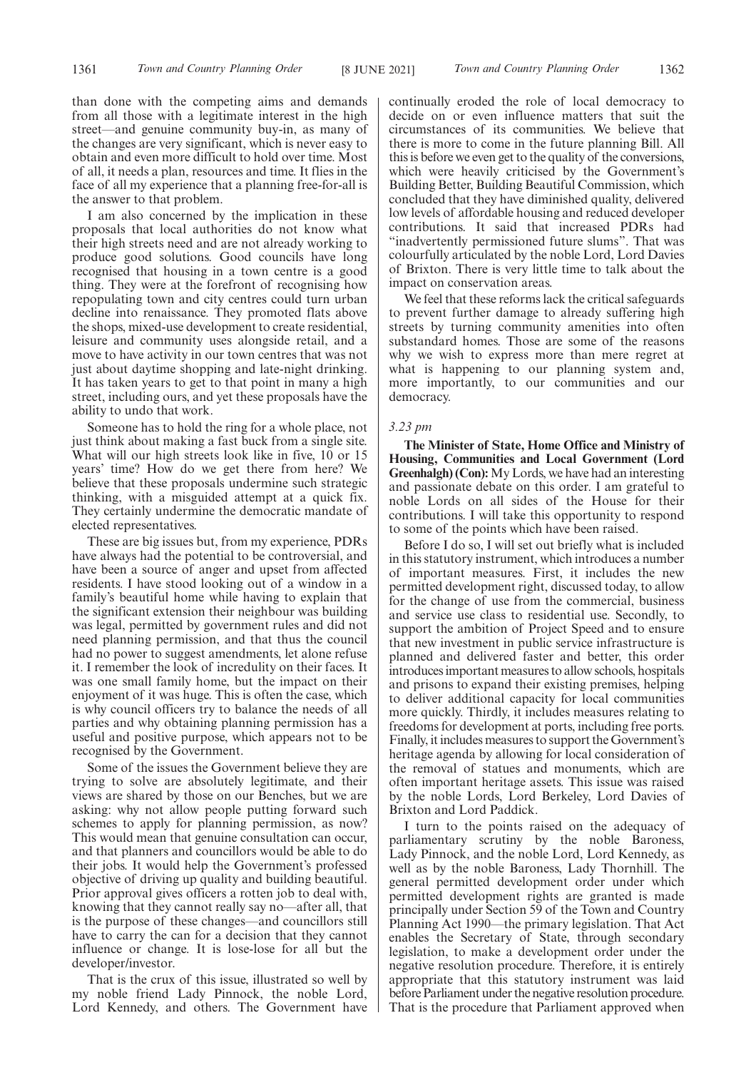than done with the competing aims and demands from all those with a legitimate interest in the high street—and genuine community buy-in, as many of the changes are very significant, which is never easy to obtain and even more difficult to hold over time. Most of all, it needs a plan, resources and time. It flies in the face of all my experience that a planning free-for-all is the answer to that problem.

I am also concerned by the implication in these proposals that local authorities do not know what their high streets need and are not already working to produce good solutions. Good councils have long recognised that housing in a town centre is a good thing. They were at the forefront of recognising how repopulating town and city centres could turn urban decline into renaissance. They promoted flats above the shops, mixed-use development to create residential, leisure and community uses alongside retail, and a move to have activity in our town centres that was not just about daytime shopping and late-night drinking. It has taken years to get to that point in many a high street, including ours, and yet these proposals have the ability to undo that work.

Someone has to hold the ring for a whole place, not just think about making a fast buck from a single site. What will our high streets look like in five, 10 or 15 years' time? How do we get there from here? We believe that these proposals undermine such strategic thinking, with a misguided attempt at a quick fix. They certainly undermine the democratic mandate of elected representatives.

These are big issues but, from my experience, PDRs have always had the potential to be controversial, and have been a source of anger and upset from affected residents. I have stood looking out of a window in a family's beautiful home while having to explain that the significant extension their neighbour was building was legal, permitted by government rules and did not need planning permission, and that thus the council had no power to suggest amendments, let alone refuse it. I remember the look of incredulity on their faces. It was one small family home, but the impact on their enjoyment of it was huge. This is often the case, which is why council officers try to balance the needs of all parties and why obtaining planning permission has a useful and positive purpose, which appears not to be recognised by the Government.

Some of the issues the Government believe they are trying to solve are absolutely legitimate, and their views are shared by those on our Benches, but we are asking: why not allow people putting forward such schemes to apply for planning permission, as now? This would mean that genuine consultation can occur, and that planners and councillors would be able to do their jobs. It would help the Government's professed objective of driving up quality and building beautiful. Prior approval gives officers a rotten job to deal with, knowing that they cannot really say no—after all, that is the purpose of these changes—and councillors still have to carry the can for a decision that they cannot influence or change. It is lose-lose for all but the developer/investor.

That is the crux of this issue, illustrated so well by my noble friend Lady Pinnock, the noble Lord, Lord Kennedy, and others. The Government have continually eroded the role of local democracy to decide on or even influence matters that suit the circumstances of its communities. We believe that there is more to come in the future planning Bill. All this is before we even get to the quality of the conversions, which were heavily criticised by the Government's Building Better, Building Beautiful Commission, which concluded that they have diminished quality, delivered low levels of affordable housing and reduced developer contributions. It said that increased PDRs had "inadvertently permissioned future slums". That was colourfully articulated by the noble Lord, Lord Davies of Brixton. There is very little time to talk about the impact on conservation areas.

We feel that these reforms lack the critical safeguards to prevent further damage to already suffering high streets by turning community amenities into often substandard homes. Those are some of the reasons why we wish to express more than mere regret at what is happening to our planning system and, more importantly, to our communities and our democracy.

### *3.23 pm*

**The Minister of State, Home Office and Ministry of Housing, Communities and Local Government (Lord Greenhalgh) (Con):**My Lords, we have had an interesting and passionate debate on this order. I am grateful to noble Lords on all sides of the House for their contributions. I will take this opportunity to respond to some of the points which have been raised.

Before I do so, I will set out briefly what is included in this statutory instrument, which introduces a number of important measures. First, it includes the new permitted development right, discussed today, to allow for the change of use from the commercial, business and service use class to residential use. Secondly, to support the ambition of Project Speed and to ensure that new investment in public service infrastructure is planned and delivered faster and better, this order introduces important measures to allow schools, hospitals and prisons to expand their existing premises, helping to deliver additional capacity for local communities more quickly. Thirdly, it includes measures relating to freedoms for development at ports, including free ports. Finally, it includes measures to support the Government's heritage agenda by allowing for local consideration of the removal of statues and monuments, which are often important heritage assets. This issue was raised by the noble Lords, Lord Berkeley, Lord Davies of Brixton and Lord Paddick.

I turn to the points raised on the adequacy of parliamentary scrutiny by the noble Baroness, Lady Pinnock, and the noble Lord, Lord Kennedy, as well as by the noble Baroness, Lady Thornhill. The general permitted development order under which permitted development rights are granted is made principally under Section 59 of the Town and Country Planning Act 1990—the primary legislation. That Act enables the Secretary of State, through secondary legislation, to make a development order under the negative resolution procedure. Therefore, it is entirely appropriate that this statutory instrument was laid before Parliament under the negative resolution procedure. That is the procedure that Parliament approved when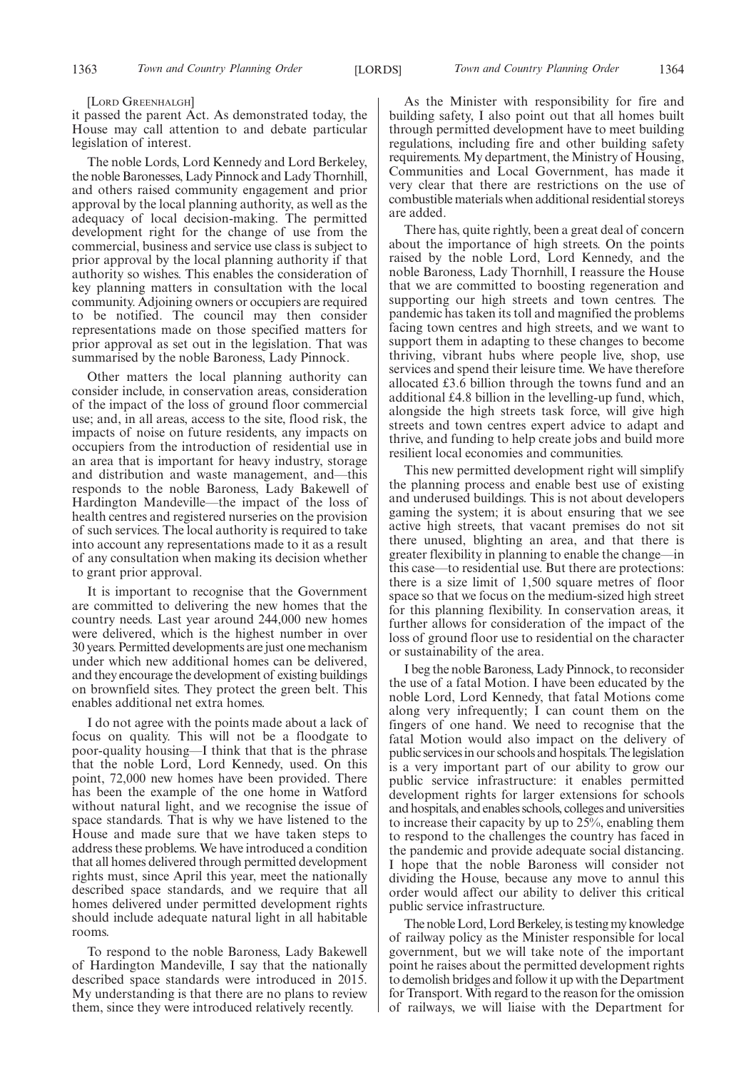### [LORD GREENHALGH]

it passed the parent Act. As demonstrated today, the House may call attention to and debate particular legislation of interest.

The noble Lords, Lord Kennedy and Lord Berkeley, the noble Baronesses, Lady Pinnock and Lady Thornhill, and others raised community engagement and prior approval by the local planning authority, as well as the adequacy of local decision-making. The permitted development right for the change of use from the commercial, business and service use class is subject to prior approval by the local planning authority if that authority so wishes. This enables the consideration of key planning matters in consultation with the local community. Adjoining owners or occupiers are required to be notified. The council may then consider representations made on those specified matters for prior approval as set out in the legislation. That was summarised by the noble Baroness, Lady Pinnock.

Other matters the local planning authority can consider include, in conservation areas, consideration of the impact of the loss of ground floor commercial use; and, in all areas, access to the site, flood risk, the impacts of noise on future residents, any impacts on occupiers from the introduction of residential use in an area that is important for heavy industry, storage and distribution and waste management, and—this responds to the noble Baroness, Lady Bakewell of Hardington Mandeville—the impact of the loss of health centres and registered nurseries on the provision of such services. The local authority is required to take into account any representations made to it as a result of any consultation when making its decision whether to grant prior approval.

It is important to recognise that the Government are committed to delivering the new homes that the country needs. Last year around 244,000 new homes were delivered, which is the highest number in over 30 years. Permitted developments are just one mechanism under which new additional homes can be delivered, and they encourage the development of existing buildings on brownfield sites. They protect the green belt. This enables additional net extra homes.

I do not agree with the points made about a lack of focus on quality. This will not be a floodgate to poor-quality housing—I think that that is the phrase that the noble Lord, Lord Kennedy, used. On this point, 72,000 new homes have been provided. There has been the example of the one home in Watford without natural light, and we recognise the issue of space standards. That is why we have listened to the House and made sure that we have taken steps to address these problems. We have introduced a condition that all homes delivered through permitted development rights must, since April this year, meet the nationally described space standards, and we require that all homes delivered under permitted development rights should include adequate natural light in all habitable rooms.

To respond to the noble Baroness, Lady Bakewell of Hardington Mandeville, I say that the nationally described space standards were introduced in 2015. My understanding is that there are no plans to review them, since they were introduced relatively recently.

As the Minister with responsibility for fire and building safety, I also point out that all homes built through permitted development have to meet building regulations, including fire and other building safety requirements. My department, the Ministry of Housing, Communities and Local Government, has made it very clear that there are restrictions on the use of combustible materials when additional residential storeys are added.

There has, quite rightly, been a great deal of concern about the importance of high streets. On the points raised by the noble Lord, Lord Kennedy, and the noble Baroness, Lady Thornhill, I reassure the House that we are committed to boosting regeneration and supporting our high streets and town centres. The pandemic has taken its toll and magnified the problems facing town centres and high streets, and we want to support them in adapting to these changes to become thriving, vibrant hubs where people live, shop, use services and spend their leisure time. We have therefore allocated £3.6 billion through the towns fund and an additional £4.8 billion in the levelling-up fund, which, alongside the high streets task force, will give high streets and town centres expert advice to adapt and thrive, and funding to help create jobs and build more resilient local economies and communities.

This new permitted development right will simplify the planning process and enable best use of existing and underused buildings. This is not about developers gaming the system; it is about ensuring that we see active high streets, that vacant premises do not sit there unused, blighting an area, and that there is greater flexibility in planning to enable the change—in this case—to residential use. But there are protections: there is a size limit of 1,500 square metres of floor space so that we focus on the medium-sized high street for this planning flexibility. In conservation areas, it further allows for consideration of the impact of the loss of ground floor use to residential on the character or sustainability of the area.

I beg the noble Baroness, Lady Pinnock, to reconsider the use of a fatal Motion. I have been educated by the noble Lord, Lord Kennedy, that fatal Motions come along very infrequently; I can count them on the fingers of one hand. We need to recognise that the fatal Motion would also impact on the delivery of public services in our schools and hospitals. The legislation is a very important part of our ability to grow our public service infrastructure: it enables permitted development rights for larger extensions for schools and hospitals, and enables schools, colleges and universities to increase their capacity by up to 25%, enabling them to respond to the challenges the country has faced in the pandemic and provide adequate social distancing. I hope that the noble Baroness will consider not dividing the House, because any move to annul this order would affect our ability to deliver this critical public service infrastructure.

The noble Lord, Lord Berkeley, is testing my knowledge of railway policy as the Minister responsible for local government, but we will take note of the important point he raises about the permitted development rights to demolish bridges and follow it up with the Department for Transport. With regard to the reason for the omission of railways, we will liaise with the Department for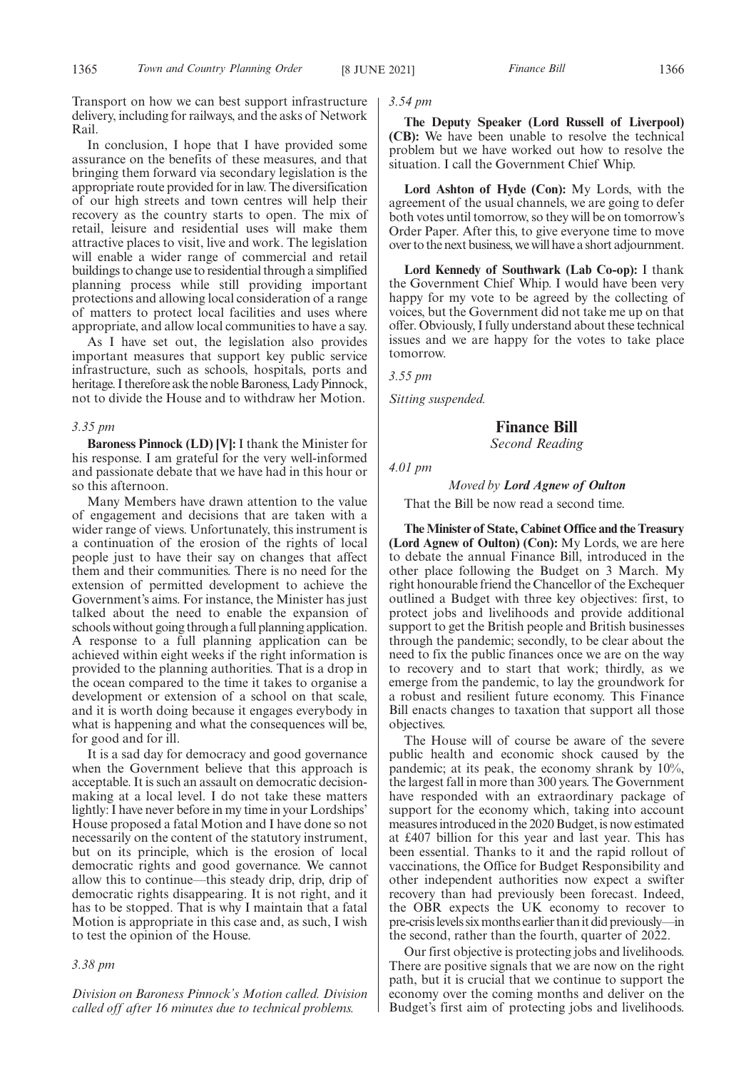Transport on how we can best support infrastructure delivery, including for railways, and the asks of Network Rail.

In conclusion, I hope that I have provided some assurance on the benefits of these measures, and that bringing them forward via secondary legislation is the appropriate route provided for in law. The diversification of our high streets and town centres will help their recovery as the country starts to open. The mix of retail, leisure and residential uses will make them attractive places to visit, live and work. The legislation will enable a wider range of commercial and retail buildings to change use to residential through a simplified planning process while still providing important protections and allowing local consideration of a range of matters to protect local facilities and uses where appropriate, and allow local communities to have a say.

As I have set out, the legislation also provides important measures that support key public service infrastructure, such as schools, hospitals, ports and heritage. I therefore ask the noble Baroness, Lady Pinnock, not to divide the House and to withdraw her Motion.

### *3.35 pm*

**Baroness Pinnock (LD) [V]:** I thank the Minister for his response. I am grateful for the very well-informed and passionate debate that we have had in this hour or so this afternoon.

Many Members have drawn attention to the value of engagement and decisions that are taken with a wider range of views. Unfortunately, this instrument is a continuation of the erosion of the rights of local people just to have their say on changes that affect them and their communities. There is no need for the extension of permitted development to achieve the Government's aims. For instance, the Minister has just talked about the need to enable the expansion of schools without going through a full planning application. A response to a full planning application can be achieved within eight weeks if the right information is provided to the planning authorities. That is a drop in the ocean compared to the time it takes to organise a development or extension of a school on that scale, and it is worth doing because it engages everybody in what is happening and what the consequences will be, for good and for ill.

It is a sad day for democracy and good governance when the Government believe that this approach is acceptable. It is such an assault on democratic decisionmaking at a local level. I do not take these matters lightly: I have never before in my time in your Lordships' House proposed a fatal Motion and I have done so not necessarily on the content of the statutory instrument, but on its principle, which is the erosion of local democratic rights and good governance. We cannot allow this to continue—this steady drip, drip, drip of democratic rights disappearing. It is not right, and it has to be stopped. That is why I maintain that a fatal Motion is appropriate in this case and, as such, I wish to test the opinion of the House.

### *3.38 pm*

*Division on Baroness Pinnock's Motion called. Division called off after 16 minutes due to technical problems.*

### *3.54 pm*

**The Deputy Speaker (Lord Russell of Liverpool) (CB):** We have been unable to resolve the technical problem but we have worked out how to resolve the situation. I call the Government Chief Whip.

**Lord Ashton of Hyde (Con):** My Lords, with the agreement of the usual channels, we are going to defer both votes until tomorrow, so they will be on tomorrow's Order Paper. After this, to give everyone time to move over to the next business, we will have a short adjournment.

**Lord Kennedy of Southwark (Lab Co-op):** I thank the Government Chief Whip. I would have been very happy for my vote to be agreed by the collecting of voices, but the Government did not take me up on that offer. Obviously, I fully understand about these technical issues and we are happy for the votes to take place tomorrow.

*3.55 pm*

*Sitting suspended.*

**Finance Bill** *Second Reading*

*4.01 pm*

### *Moved by Lord Agnew of Oulton*

That the Bill be now read a second time.

**The Minister of State, Cabinet Office and the Treasury (Lord Agnew of Oulton) (Con):** My Lords, we are here to debate the annual Finance Bill, introduced in the other place following the Budget on 3 March. My right honourable friend the Chancellor of the Exchequer outlined a Budget with three key objectives: first, to protect jobs and livelihoods and provide additional support to get the British people and British businesses through the pandemic; secondly, to be clear about the need to fix the public finances once we are on the way to recovery and to start that work; thirdly, as we emerge from the pandemic, to lay the groundwork for a robust and resilient future economy. This Finance Bill enacts changes to taxation that support all those objectives.

The House will of course be aware of the severe public health and economic shock caused by the pandemic; at its peak, the economy shrank by 10%, the largest fall in more than 300 years. The Government have responded with an extraordinary package of support for the economy which, taking into account measures introduced in the 2020 Budget, is now estimated at £407 billion for this year and last year. This has been essential. Thanks to it and the rapid rollout of vaccinations, the Office for Budget Responsibility and other independent authorities now expect a swifter recovery than had previously been forecast. Indeed, the OBR expects the UK economy to recover to pre-crisis levels six months earlier than it did previously—in the second, rather than the fourth, quarter of 2022.

Our first objective is protecting jobs and livelihoods. There are positive signals that we are now on the right path, but it is crucial that we continue to support the economy over the coming months and deliver on the Budget's first aim of protecting jobs and livelihoods.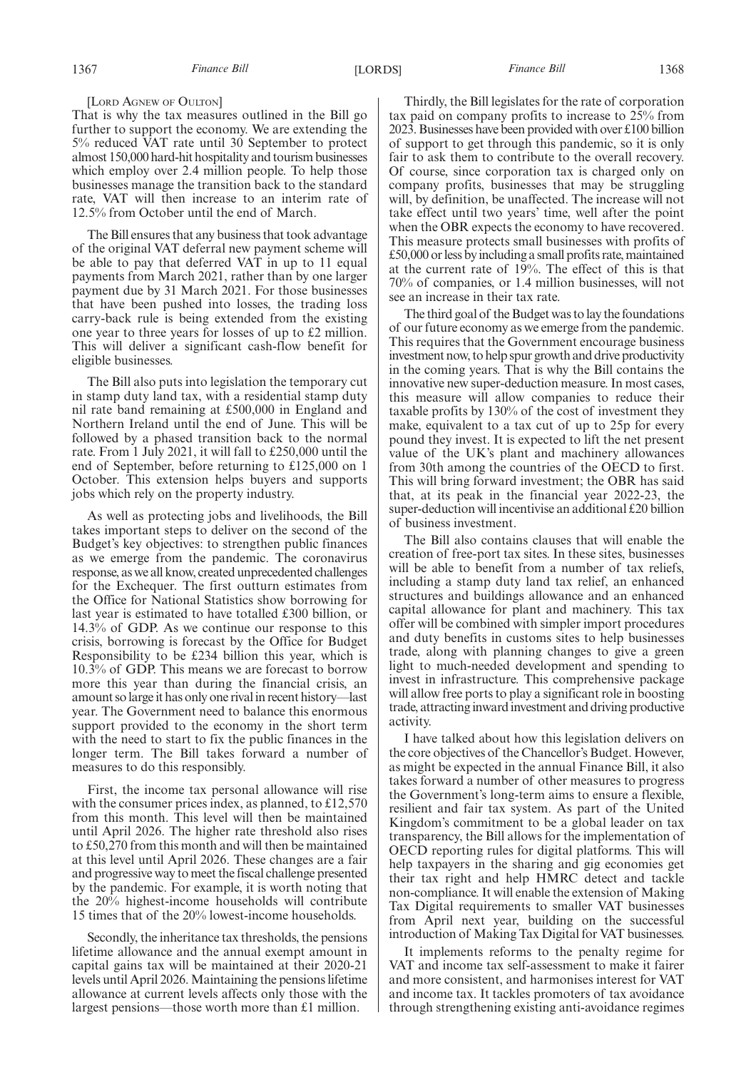### 1367 *Finance Bill* [LORDS] *Finance Bill* 1368

### [LORD AGNEW OF OULTON]

That is why the tax measures outlined in the Bill go further to support the economy. We are extending the 5% reduced VAT rate until 30 September to protect almost 150,000 hard-hit hospitality and tourism businesses which employ over 2.4 million people. To help those businesses manage the transition back to the standard rate, VAT will then increase to an interim rate of 12.5% from October until the end of March.

The Bill ensures that any business that took advantage of the original VAT deferral new payment scheme will be able to pay that deferred VAT in up to 11 equal payments from March 2021, rather than by one larger payment due by 31 March 2021. For those businesses that have been pushed into losses, the trading loss carry-back rule is being extended from the existing one year to three years for losses of up to £2 million. This will deliver a significant cash-flow benefit for eligible businesses.

The Bill also puts into legislation the temporary cut in stamp duty land tax, with a residential stamp duty nil rate band remaining at £500,000 in England and Northern Ireland until the end of June. This will be followed by a phased transition back to the normal rate. From 1 July 2021, it will fall to £250,000 until the end of September, before returning to £125,000 on 1 October. This extension helps buyers and supports jobs which rely on the property industry.

As well as protecting jobs and livelihoods, the Bill takes important steps to deliver on the second of the Budget's key objectives: to strengthen public finances as we emerge from the pandemic. The coronavirus response, as we all know, created unprecedented challenges for the Exchequer. The first outturn estimates from the Office for National Statistics show borrowing for last year is estimated to have totalled £300 billion, or 14.3% of GDP. As we continue our response to this crisis, borrowing is forecast by the Office for Budget Responsibility to be £234 billion this year, which is 10.3% of GDP. This means we are forecast to borrow more this year than during the financial crisis, an amount so large it has only one rival in recent history—last year. The Government need to balance this enormous support provided to the economy in the short term with the need to start to fix the public finances in the longer term. The Bill takes forward a number of measures to do this responsibly.

First, the income tax personal allowance will rise with the consumer prices index, as planned, to £12,570 from this month. This level will then be maintained until April 2026. The higher rate threshold also rises to £50,270 from this month and will then be maintained at this level until April 2026. These changes are a fair and progressive way to meet the fiscal challenge presented by the pandemic. For example, it is worth noting that the 20% highest-income households will contribute 15 times that of the 20% lowest-income households.

Secondly, the inheritance tax thresholds, the pensions lifetime allowance and the annual exempt amount in capital gains tax will be maintained at their 2020-21 levels until April 2026. Maintaining the pensions lifetime allowance at current levels affects only those with the largest pensions—those worth more than £1 million.

Thirdly, the Bill legislates for the rate of corporation tax paid on company profits to increase to 25% from 2023. Businesses have been provided with over £100 billion of support to get through this pandemic, so it is only fair to ask them to contribute to the overall recovery. Of course, since corporation tax is charged only on company profits, businesses that may be struggling will, by definition, be unaffected. The increase will not take effect until two years' time, well after the point when the OBR expects the economy to have recovered. This measure protects small businesses with profits of £50,000 or less by including a small profits rate, maintained at the current rate of 19%. The effect of this is that 70% of companies, or 1.4 million businesses, will not see an increase in their tax rate.

The third goal of the Budget was to lay the foundations of our future economy as we emerge from the pandemic. This requires that the Government encourage business investment now, to help spur growth and drive productivity in the coming years. That is why the Bill contains the innovative new super-deduction measure. In most cases, this measure will allow companies to reduce their taxable profits by 130% of the cost of investment they make, equivalent to a tax cut of up to 25p for every pound they invest. It is expected to lift the net present value of the UK's plant and machinery allowances from 30th among the countries of the OECD to first. This will bring forward investment; the OBR has said that, at its peak in the financial year 2022-23, the super-deduction will incentivise an additional £20 billion of business investment.

The Bill also contains clauses that will enable the creation of free-port tax sites. In these sites, businesses will be able to benefit from a number of tax reliefs, including a stamp duty land tax relief, an enhanced structures and buildings allowance and an enhanced capital allowance for plant and machinery. This tax offer will be combined with simpler import procedures and duty benefits in customs sites to help businesses trade, along with planning changes to give a green light to much-needed development and spending to invest in infrastructure. This comprehensive package will allow free ports to play a significant role in boosting trade, attracting inward investment and driving productive activity.

I have talked about how this legislation delivers on the core objectives of the Chancellor's Budget. However, as might be expected in the annual Finance Bill, it also takes forward a number of other measures to progress the Government's long-term aims to ensure a flexible, resilient and fair tax system. As part of the United Kingdom's commitment to be a global leader on tax transparency, the Bill allows for the implementation of OECD reporting rules for digital platforms. This will help taxpayers in the sharing and gig economies get their tax right and help HMRC detect and tackle non-compliance. It will enable the extension of Making Tax Digital requirements to smaller VAT businesses from April next year, building on the successful introduction of Making Tax Digital for VAT businesses.

It implements reforms to the penalty regime for VAT and income tax self-assessment to make it fairer and more consistent, and harmonises interest for VAT and income tax. It tackles promoters of tax avoidance through strengthening existing anti-avoidance regimes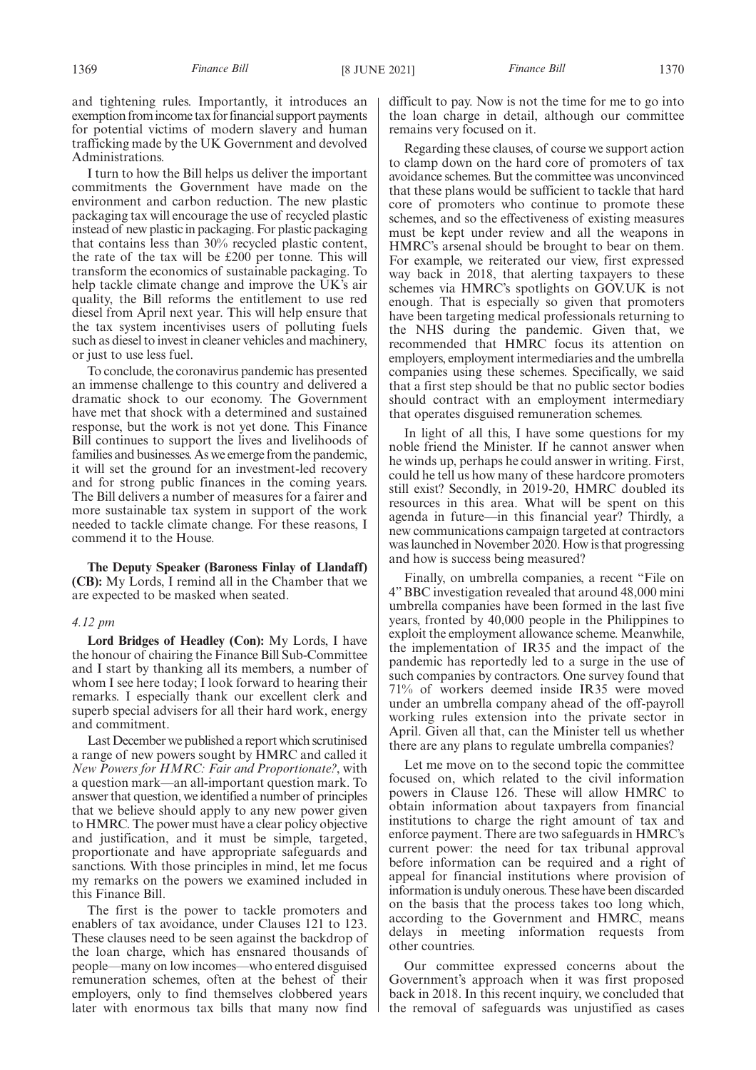and tightening rules. Importantly, it introduces an exemption from income tax for financial support payments for potential victims of modern slavery and human trafficking made by the UK Government and devolved Administrations.

I turn to how the Bill helps us deliver the important commitments the Government have made on the environment and carbon reduction. The new plastic packaging tax will encourage the use of recycled plastic instead of new plastic in packaging. For plastic packaging that contains less than 30% recycled plastic content, the rate of the tax will be £200 per tonne. This will transform the economics of sustainable packaging. To help tackle climate change and improve the UK's air quality, the Bill reforms the entitlement to use red diesel from April next year. This will help ensure that the tax system incentivises users of polluting fuels such as diesel to invest in cleaner vehicles and machinery, or just to use less fuel.

To conclude, the coronavirus pandemic has presented an immense challenge to this country and delivered a dramatic shock to our economy. The Government have met that shock with a determined and sustained response, but the work is not yet done. This Finance Bill continues to support the lives and livelihoods of families and businesses. As we emerge from the pandemic, it will set the ground for an investment-led recovery and for strong public finances in the coming years. The Bill delivers a number of measures for a fairer and more sustainable tax system in support of the work needed to tackle climate change. For these reasons, I commend it to the House.

**The Deputy Speaker (Baroness Finlay of Llandaff) (CB):** My Lords, I remind all in the Chamber that we are expected to be masked when seated.

### *4.12 pm*

**Lord Bridges of Headley (Con):** My Lords, I have the honour of chairing the Finance Bill Sub-Committee and I start by thanking all its members, a number of whom I see here today; I look forward to hearing their remarks. I especially thank our excellent clerk and superb special advisers for all their hard work, energy and commitment.

Last December we published a report which scrutinised a range of new powers sought by HMRC and called it *New Powers for HMRC: Fair and Proportionate?*, with a question mark—an all-important question mark. To answer that question, we identified a number of principles that we believe should apply to any new power given to HMRC. The power must have a clear policy objective and justification, and it must be simple, targeted, proportionate and have appropriate safeguards and sanctions. With those principles in mind, let me focus my remarks on the powers we examined included in this Finance Bill.

The first is the power to tackle promoters and enablers of tax avoidance, under Clauses 121 to 123. These clauses need to be seen against the backdrop of the loan charge, which has ensnared thousands of people—many on low incomes—who entered disguised remuneration schemes, often at the behest of their employers, only to find themselves clobbered years later with enormous tax bills that many now find difficult to pay. Now is not the time for me to go into the loan charge in detail, although our committee remains very focused on it.

Regarding these clauses, of course we support action to clamp down on the hard core of promoters of tax avoidance schemes. But the committee was unconvinced that these plans would be sufficient to tackle that hard core of promoters who continue to promote these schemes, and so the effectiveness of existing measures must be kept under review and all the weapons in HMRC's arsenal should be brought to bear on them. For example, we reiterated our view, first expressed way back in 2018, that alerting taxpayers to these schemes via HMRC's spotlights on GOV.UK is not enough. That is especially so given that promoters have been targeting medical professionals returning to the NHS during the pandemic. Given that, we recommended that HMRC focus its attention on employers, employment intermediaries and the umbrella companies using these schemes. Specifically, we said that a first step should be that no public sector bodies should contract with an employment intermediary that operates disguised remuneration schemes.

In light of all this, I have some questions for my noble friend the Minister. If he cannot answer when he winds up, perhaps he could answer in writing. First, could he tell us how many of these hardcore promoters still exist? Secondly, in 2019-20, HMRC doubled its resources in this area. What will be spent on this agenda in future—in this financial year? Thirdly, a new communications campaign targeted at contractors was launched in November 2020. How is that progressing and how is success being measured?

Finally, on umbrella companies, a recent "File on 4" BBC investigation revealed that around 48,000 mini umbrella companies have been formed in the last five years, fronted by 40,000 people in the Philippines to exploit the employment allowance scheme. Meanwhile, the implementation of IR35 and the impact of the pandemic has reportedly led to a surge in the use of such companies by contractors. One survey found that 71% of workers deemed inside IR35 were moved under an umbrella company ahead of the off-payroll working rules extension into the private sector in April. Given all that, can the Minister tell us whether there are any plans to regulate umbrella companies?

Let me move on to the second topic the committee focused on, which related to the civil information powers in Clause 126. These will allow HMRC to obtain information about taxpayers from financial institutions to charge the right amount of tax and enforce payment. There are two safeguards in HMRC's current power: the need for tax tribunal approval before information can be required and a right of appeal for financial institutions where provision of information is unduly onerous. These have been discarded on the basis that the process takes too long which, according to the Government and HMRC, means delays in meeting information requests from other countries.

Our committee expressed concerns about the Government's approach when it was first proposed back in 2018. In this recent inquiry, we concluded that the removal of safeguards was unjustified as cases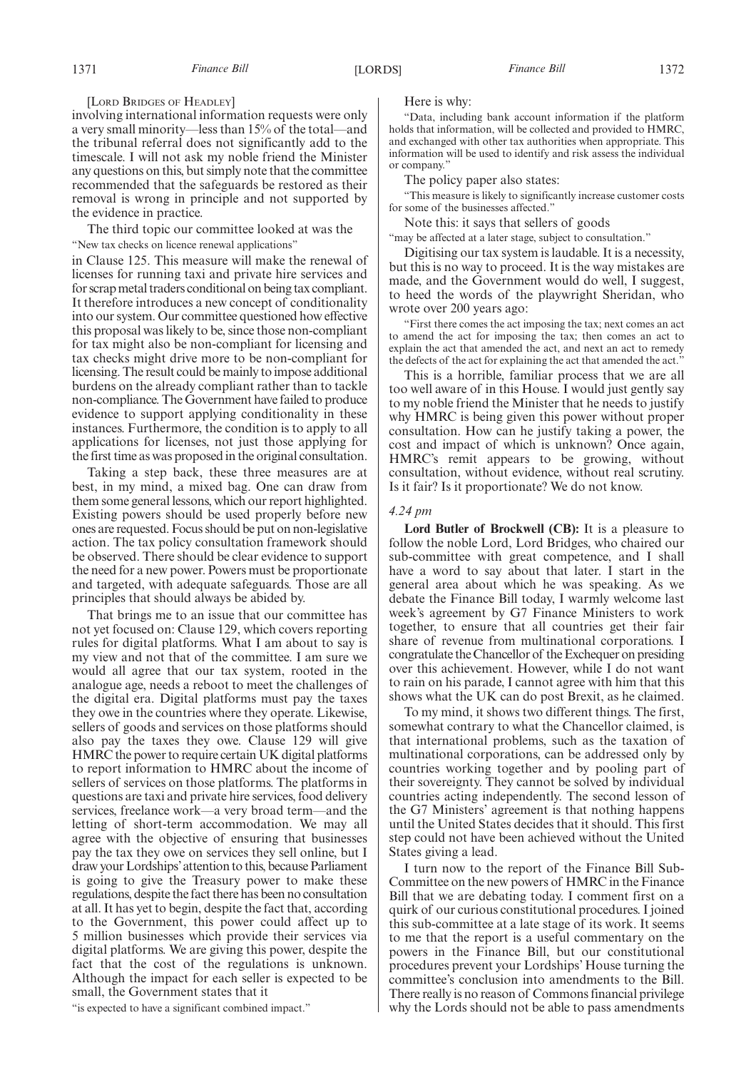[LORD BRIDGES OF HEADLEY]

involving international information requests were only a very small minority—less than 15% of the total—and the tribunal referral does not significantly add to the timescale. I will not ask my noble friend the Minister any questions on this, but simply note that the committee recommended that the safeguards be restored as their removal is wrong in principle and not supported by the evidence in practice.

The third topic our committee looked at was the "New tax checks on licence renewal applications"

in Clause 125. This measure will make the renewal of licenses for running taxi and private hire services and for scrap metal traders conditional on being tax compliant. It therefore introduces a new concept of conditionality into our system. Our committee questioned how effective this proposal was likely to be, since those non-compliant for tax might also be non-compliant for licensing and tax checks might drive more to be non-compliant for licensing. The result could be mainly to impose additional burdens on the already compliant rather than to tackle non-compliance. The Government have failed to produce evidence to support applying conditionality in these instances. Furthermore, the condition is to apply to all applications for licenses, not just those applying for the first time as was proposed in the original consultation.

Taking a step back, these three measures are at best, in my mind, a mixed bag. One can draw from them some general lessons, which our report highlighted. Existing powers should be used properly before new ones are requested. Focus should be put on non-legislative action. The tax policy consultation framework should be observed. There should be clear evidence to support the need for a new power. Powers must be proportionate and targeted, with adequate safeguards. Those are all principles that should always be abided by.

That brings me to an issue that our committee has not yet focused on: Clause 129, which covers reporting rules for digital platforms. What I am about to say is my view and not that of the committee. I am sure we would all agree that our tax system, rooted in the analogue age, needs a reboot to meet the challenges of the digital era. Digital platforms must pay the taxes they owe in the countries where they operate. Likewise, sellers of goods and services on those platforms should also pay the taxes they owe. Clause 129 will give HMRC the power to require certain UK digital platforms to report information to HMRC about the income of sellers of services on those platforms. The platforms in questions are taxi and private hire services, food delivery services, freelance work—a very broad term—and the letting of short-term accommodation. We may all agree with the objective of ensuring that businesses pay the tax they owe on services they sell online, but I draw your Lordships'attention to this, because Parliament is going to give the Treasury power to make these regulations, despite the fact there has been no consultation at all. It has yet to begin, despite the fact that, according to the Government, this power could affect up to 5 million businesses which provide their services via digital platforms. We are giving this power, despite the fact that the cost of the regulations is unknown. Although the impact for each seller is expected to be small, the Government states that it

"is expected to have a significant combined impact."

Here is why:

"Data, including bank account information if the platform holds that information, will be collected and provided to HMRC, and exchanged with other tax authorities when appropriate. This information will be used to identify and risk assess the individual or company."

The policy paper also states:

"This measure is likely to significantly increase customer costs for some of the businesses affected."

Note this: it says that sellers of goods

"may be affected at a later stage, subject to consultation."

Digitising our tax system is laudable. It is a necessity, but this is no way to proceed. It is the way mistakes are made, and the Government would do well, I suggest, to heed the words of the playwright Sheridan, who wrote over 200 years ago:

"First there comes the act imposing the tax; next comes an act to amend the act for imposing the tax; then comes an act to explain the act that amended the act, and next an act to remedy the defects of the act for explaining the act that amended the act."

This is a horrible, familiar process that we are all too well aware of in this House. I would just gently say to my noble friend the Minister that he needs to justify why HMRC is being given this power without proper consultation. How can he justify taking a power, the cost and impact of which is unknown? Once again, HMRC's remit appears to be growing, without consultation, without evidence, without real scrutiny. Is it fair? Is it proportionate? We do not know.

#### *4.24 pm*

**Lord Butler of Brockwell (CB):** It is a pleasure to follow the noble Lord, Lord Bridges, who chaired our sub-committee with great competence, and I shall have a word to say about that later. I start in the general area about which he was speaking. As we debate the Finance Bill today, I warmly welcome last week's agreement by G7 Finance Ministers to work together, to ensure that all countries get their fair share of revenue from multinational corporations. I congratulate the Chancellor of the Exchequer on presiding over this achievement. However, while I do not want to rain on his parade, I cannot agree with him that this shows what the UK can do post Brexit, as he claimed.

To my mind, it shows two different things. The first, somewhat contrary to what the Chancellor claimed, is that international problems, such as the taxation of multinational corporations, can be addressed only by countries working together and by pooling part of their sovereignty. They cannot be solved by individual countries acting independently. The second lesson of the G7 Ministers' agreement is that nothing happens until the United States decides that it should. This first step could not have been achieved without the United States giving a lead.

I turn now to the report of the Finance Bill Sub-Committee on the new powers of HMRC in the Finance Bill that we are debating today. I comment first on a quirk of our curious constitutional procedures. I joined this sub-committee at a late stage of its work. It seems to me that the report is a useful commentary on the powers in the Finance Bill, but our constitutional procedures prevent your Lordships' House turning the committee's conclusion into amendments to the Bill. There really is no reason of Commons financial privilege why the Lords should not be able to pass amendments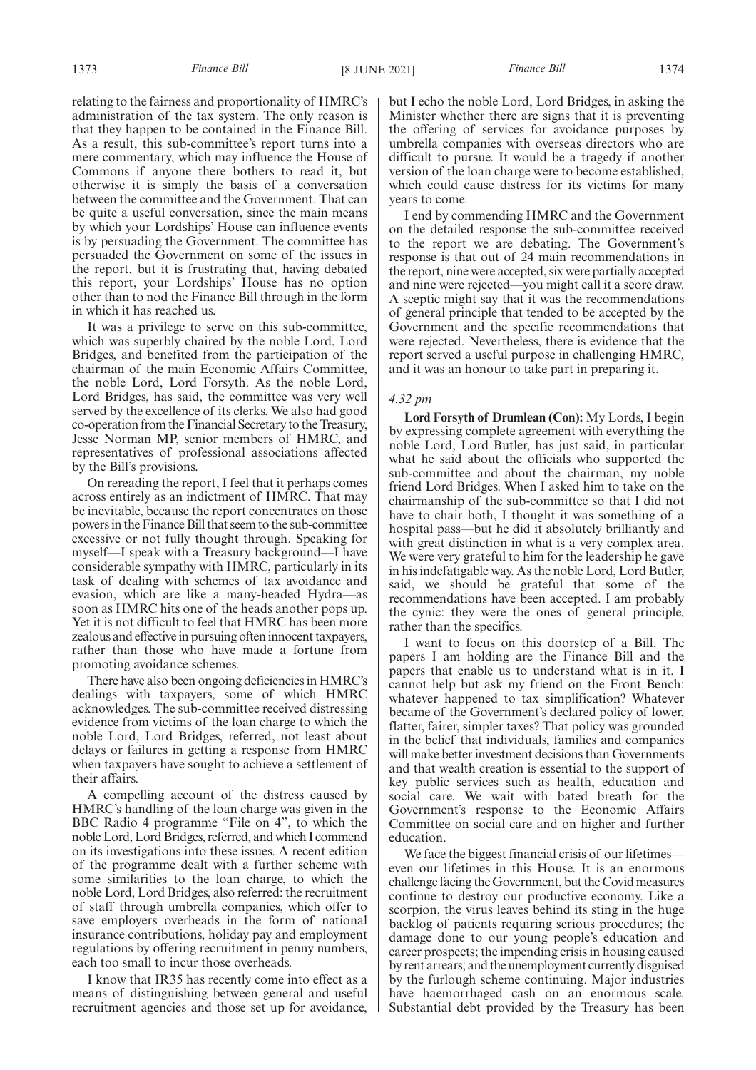relating to the fairness and proportionality of HMRC's administration of the tax system. The only reason is that they happen to be contained in the Finance Bill. As a result, this sub-committee's report turns into a mere commentary, which may influence the House of Commons if anyone there bothers to read it, but otherwise it is simply the basis of a conversation between the committee and the Government. That can be quite a useful conversation, since the main means by which your Lordships' House can influence events is by persuading the Government. The committee has persuaded the Government on some of the issues in the report, but it is frustrating that, having debated this report, your Lordships' House has no option other than to nod the Finance Bill through in the form in which it has reached us.

It was a privilege to serve on this sub-committee, which was superbly chaired by the noble Lord, Lord Bridges, and benefited from the participation of the chairman of the main Economic Affairs Committee, the noble Lord, Lord Forsyth. As the noble Lord, Lord Bridges, has said, the committee was very well served by the excellence of its clerks. We also had good co-operation from the Financial Secretary to the Treasury, Jesse Norman MP, senior members of HMRC, and representatives of professional associations affected by the Bill's provisions.

On rereading the report, I feel that it perhaps comes across entirely as an indictment of HMRC. That may be inevitable, because the report concentrates on those powers in the Finance Bill that seem to the sub-committee excessive or not fully thought through. Speaking for myself—I speak with a Treasury background—I have considerable sympathy with HMRC, particularly in its task of dealing with schemes of tax avoidance and evasion, which are like a many-headed Hydra—as soon as HMRC hits one of the heads another pops up. Yet it is not difficult to feel that HMRC has been more zealous and effective in pursuing often innocent taxpayers, rather than those who have made a fortune from promoting avoidance schemes.

There have also been ongoing deficiencies in HMRC's dealings with taxpayers, some of which HMRC acknowledges. The sub-committee received distressing evidence from victims of the loan charge to which the noble Lord, Lord Bridges, referred, not least about delays or failures in getting a response from HMRC when taxpayers have sought to achieve a settlement of their affairs.

A compelling account of the distress caused by HMRC's handling of the loan charge was given in the BBC Radio 4 programme "File on 4", to which the noble Lord, Lord Bridges, referred, and which I commend on its investigations into these issues. A recent edition of the programme dealt with a further scheme with some similarities to the loan charge, to which the noble Lord, Lord Bridges, also referred: the recruitment of staff through umbrella companies, which offer to save employers overheads in the form of national insurance contributions, holiday pay and employment regulations by offering recruitment in penny numbers, each too small to incur those overheads.

I know that IR35 has recently come into effect as a means of distinguishing between general and useful recruitment agencies and those set up for avoidance, but I echo the noble Lord, Lord Bridges, in asking the Minister whether there are signs that it is preventing the offering of services for avoidance purposes by umbrella companies with overseas directors who are difficult to pursue. It would be a tragedy if another version of the loan charge were to become established, which could cause distress for its victims for many years to come.

I end by commending HMRC and the Government on the detailed response the sub-committee received to the report we are debating. The Government's response is that out of 24 main recommendations in the report, nine were accepted, six were partially accepted and nine were rejected—you might call it a score draw. A sceptic might say that it was the recommendations of general principle that tended to be accepted by the Government and the specific recommendations that were rejected. Nevertheless, there is evidence that the report served a useful purpose in challenging HMRC, and it was an honour to take part in preparing it.

### *4.32 pm*

**Lord Forsyth of Drumlean (Con):** My Lords, I begin by expressing complete agreement with everything the noble Lord, Lord Butler, has just said, in particular what he said about the officials who supported the sub-committee and about the chairman, my noble friend Lord Bridges. When I asked him to take on the chairmanship of the sub-committee so that I did not have to chair both, I thought it was something of a hospital pass—but he did it absolutely brilliantly and with great distinction in what is a very complex area. We were very grateful to him for the leadership he gave in his indefatigable way. As the noble Lord, Lord Butler, said, we should be grateful that some of the recommendations have been accepted. I am probably the cynic: they were the ones of general principle, rather than the specifics.

I want to focus on this doorstep of a Bill. The papers I am holding are the Finance Bill and the papers that enable us to understand what is in it. I cannot help but ask my friend on the Front Bench: whatever happened to tax simplification? Whatever became of the Government's declared policy of lower, flatter, fairer, simpler taxes? That policy was grounded in the belief that individuals, families and companies will make better investment decisions than Governments and that wealth creation is essential to the support of key public services such as health, education and social care. We wait with bated breath for the Government's response to the Economic Affairs Committee on social care and on higher and further education.

We face the biggest financial crisis of our lifetimes even our lifetimes in this House. It is an enormous challenge facing the Government, but the Covid measures continue to destroy our productive economy. Like a scorpion, the virus leaves behind its sting in the huge backlog of patients requiring serious procedures; the damage done to our young people's education and career prospects; the impending crisis in housing caused by rent arrears; and the unemployment currently disguised by the furlough scheme continuing. Major industries have haemorrhaged cash on an enormous scale. Substantial debt provided by the Treasury has been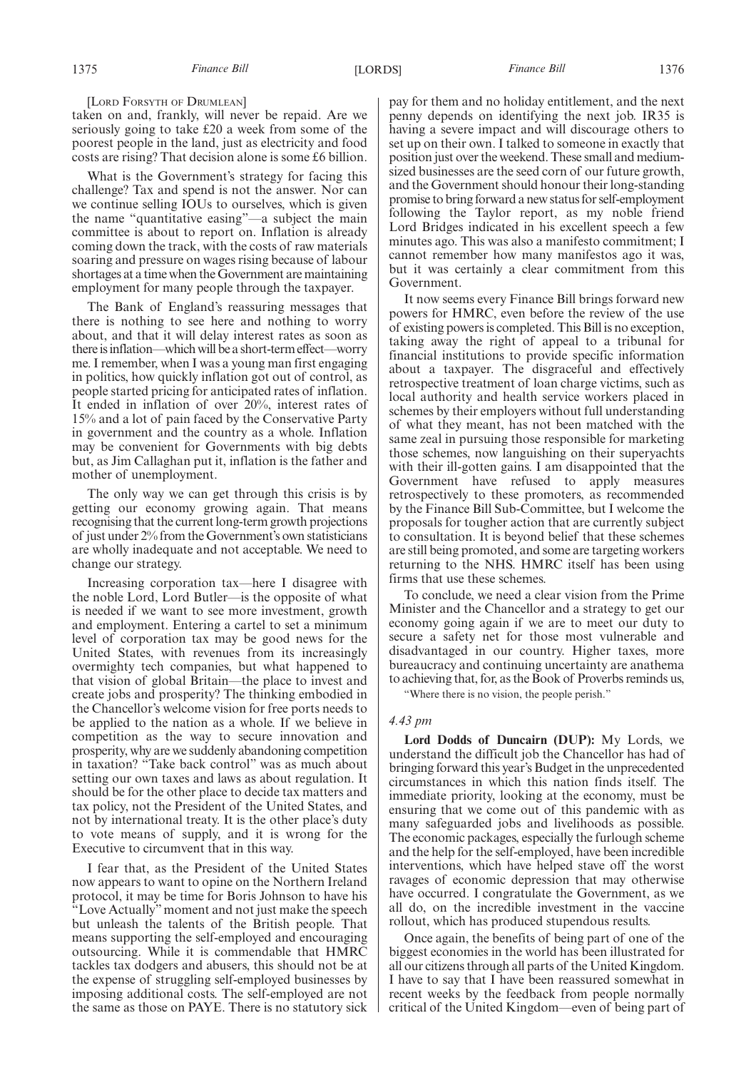[LORD FORSYTH OF DRUMLEAN]

taken on and, frankly, will never be repaid. Are we seriously going to take £20 a week from some of the poorest people in the land, just as electricity and food costs are rising? That decision alone is some £6 billion.

What is the Government's strategy for facing this challenge? Tax and spend is not the answer. Nor can we continue selling IOUs to ourselves, which is given the name "quantitative easing"—a subject the main committee is about to report on. Inflation is already coming down the track, with the costs of raw materials soaring and pressure on wages rising because of labour shortages at a time when the Government are maintaining employment for many people through the taxpayer.

The Bank of England's reassuring messages that there is nothing to see here and nothing to worry about, and that it will delay interest rates as soon as there is inflation—which will be a short-term effect—worry me. I remember, when I was a young man first engaging in politics, how quickly inflation got out of control, as people started pricing for anticipated rates of inflation. It ended in inflation of over 20%, interest rates of 15% and a lot of pain faced by the Conservative Party in government and the country as a whole. Inflation may be convenient for Governments with big debts but, as Jim Callaghan put it, inflation is the father and mother of unemployment.

The only way we can get through this crisis is by getting our economy growing again. That means recognising that the current long-term growth projections of just under 2% from the Government's own statisticians are wholly inadequate and not acceptable. We need to change our strategy.

Increasing corporation tax—here I disagree with the noble Lord, Lord Butler—is the opposite of what is needed if we want to see more investment, growth and employment. Entering a cartel to set a minimum level of corporation tax may be good news for the United States, with revenues from its increasingly overmighty tech companies, but what happened to that vision of global Britain—the place to invest and create jobs and prosperity? The thinking embodied in the Chancellor's welcome vision for free ports needs to be applied to the nation as a whole. If we believe in competition as the way to secure innovation and prosperity, why are we suddenly abandoning competition in taxation? "Take back control" was as much about setting our own taxes and laws as about regulation. It should be for the other place to decide tax matters and tax policy, not the President of the United States, and not by international treaty. It is the other place's duty to vote means of supply, and it is wrong for the Executive to circumvent that in this way.

I fear that, as the President of the United States now appears to want to opine on the Northern Ireland protocol, it may be time for Boris Johnson to have his "Love Actually" moment and not just make the speech but unleash the talents of the British people. That means supporting the self-employed and encouraging outsourcing. While it is commendable that HMRC tackles tax dodgers and abusers, this should not be at the expense of struggling self-employed businesses by imposing additional costs. The self-employed are not the same as those on PAYE. There is no statutory sick pay for them and no holiday entitlement, and the next penny depends on identifying the next job. IR35 is having a severe impact and will discourage others to set up on their own. I talked to someone in exactly that position just over the weekend. These small and mediumsized businesses are the seed corn of our future growth, and the Government should honour their long-standing promise to bring forward a new status for self-employment following the Taylor report, as my noble friend Lord Bridges indicated in his excellent speech a few minutes ago. This was also a manifesto commitment; I cannot remember how many manifestos ago it was, but it was certainly a clear commitment from this Government.

It now seems every Finance Bill brings forward new powers for HMRC, even before the review of the use of existing powers is completed. This Bill is no exception, taking away the right of appeal to a tribunal for financial institutions to provide specific information about a taxpayer. The disgraceful and effectively retrospective treatment of loan charge victims, such as local authority and health service workers placed in schemes by their employers without full understanding of what they meant, has not been matched with the same zeal in pursuing those responsible for marketing those schemes, now languishing on their superyachts with their ill-gotten gains. I am disappointed that the Government have refused to apply measures retrospectively to these promoters, as recommended by the Finance Bill Sub-Committee, but I welcome the proposals for tougher action that are currently subject to consultation. It is beyond belief that these schemes are still being promoted, and some are targeting workers returning to the NHS. HMRC itself has been using firms that use these schemes.

To conclude, we need a clear vision from the Prime Minister and the Chancellor and a strategy to get our economy going again if we are to meet our duty to secure a safety net for those most vulnerable and disadvantaged in our country. Higher taxes, more bureaucracy and continuing uncertainty are anathema to achieving that, for, as the Book of Proverbs reminds us,

"Where there is no vision, the people perish."

### *4.43 pm*

**Lord Dodds of Duncairn (DUP):** My Lords, we understand the difficult job the Chancellor has had of bringing forward this year's Budget in the unprecedented circumstances in which this nation finds itself. The immediate priority, looking at the economy, must be ensuring that we come out of this pandemic with as many safeguarded jobs and livelihoods as possible. The economic packages, especially the furlough scheme and the help for the self-employed, have been incredible interventions, which have helped stave off the worst ravages of economic depression that may otherwise have occurred. I congratulate the Government, as we all do, on the incredible investment in the vaccine rollout, which has produced stupendous results.

Once again, the benefits of being part of one of the biggest economies in the world has been illustrated for all our citizens through all parts of the United Kingdom. I have to say that I have been reassured somewhat in recent weeks by the feedback from people normally critical of the United Kingdom—even of being part of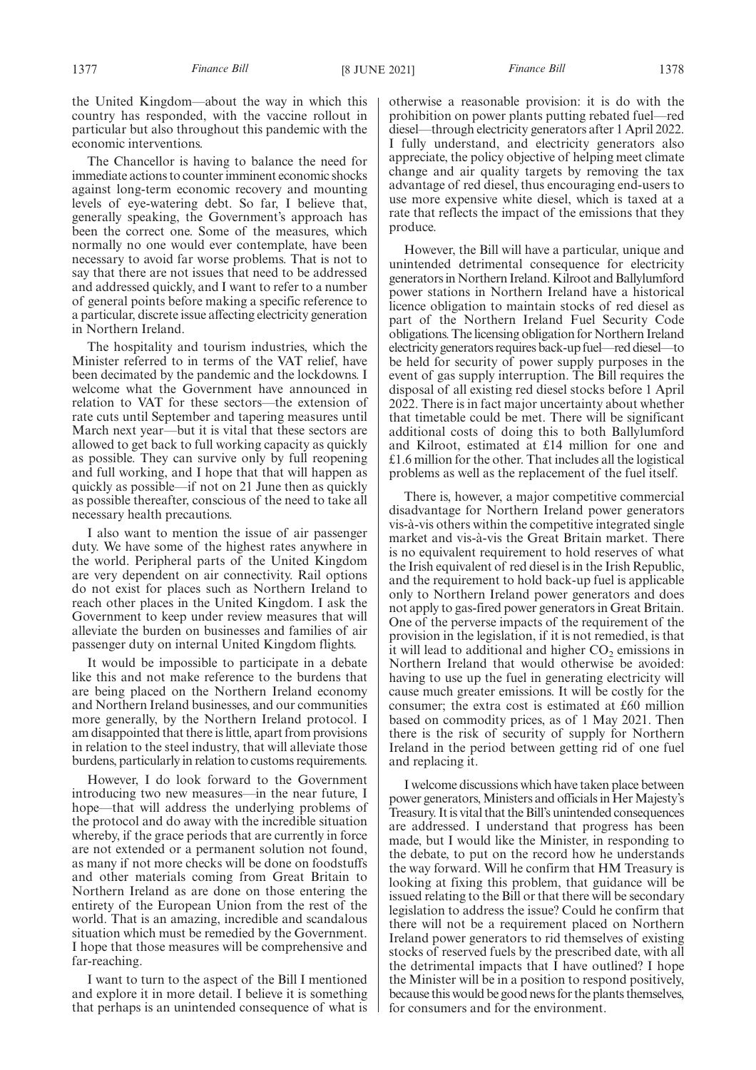the United Kingdom—about the way in which this country has responded, with the vaccine rollout in particular but also throughout this pandemic with the economic interventions.

The Chancellor is having to balance the need for immediate actions to counter imminent economic shocks against long-term economic recovery and mounting levels of eye-watering debt. So far, I believe that, generally speaking, the Government's approach has been the correct one. Some of the measures, which normally no one would ever contemplate, have been necessary to avoid far worse problems. That is not to say that there are not issues that need to be addressed and addressed quickly, and I want to refer to a number of general points before making a specific reference to a particular, discrete issue affecting electricity generation in Northern Ireland.

The hospitality and tourism industries, which the Minister referred to in terms of the VAT relief, have been decimated by the pandemic and the lockdowns. I welcome what the Government have announced in relation to VAT for these sectors—the extension of rate cuts until September and tapering measures until March next year—but it is vital that these sectors are allowed to get back to full working capacity as quickly as possible. They can survive only by full reopening and full working, and I hope that that will happen as quickly as possible—if not on 21 June then as quickly as possible thereafter, conscious of the need to take all necessary health precautions.

I also want to mention the issue of air passenger duty. We have some of the highest rates anywhere in the world. Peripheral parts of the United Kingdom are very dependent on air connectivity. Rail options do not exist for places such as Northern Ireland to reach other places in the United Kingdom. I ask the Government to keep under review measures that will alleviate the burden on businesses and families of air passenger duty on internal United Kingdom flights.

It would be impossible to participate in a debate like this and not make reference to the burdens that are being placed on the Northern Ireland economy and Northern Ireland businesses, and our communities more generally, by the Northern Ireland protocol. I am disappointed that there is little, apart from provisions in relation to the steel industry, that will alleviate those burdens, particularly in relation to customs requirements.

However, I do look forward to the Government introducing two new measures—in the near future, I hope—that will address the underlying problems of the protocol and do away with the incredible situation whereby, if the grace periods that are currently in force are not extended or a permanent solution not found, as many if not more checks will be done on foodstuffs and other materials coming from Great Britain to Northern Ireland as are done on those entering the entirety of the European Union from the rest of the world. That is an amazing, incredible and scandalous situation which must be remedied by the Government. I hope that those measures will be comprehensive and far-reaching.

I want to turn to the aspect of the Bill I mentioned and explore it in more detail. I believe it is something that perhaps is an unintended consequence of what is otherwise a reasonable provision: it is do with the prohibition on power plants putting rebated fuel—red diesel—through electricity generators after 1 April 2022. I fully understand, and electricity generators also appreciate, the policy objective of helping meet climate change and air quality targets by removing the tax advantage of red diesel, thus encouraging end-users to use more expensive white diesel, which is taxed at a rate that reflects the impact of the emissions that they produce.

However, the Bill will have a particular, unique and unintended detrimental consequence for electricity generators in Northern Ireland. Kilroot and Ballylumford power stations in Northern Ireland have a historical licence obligation to maintain stocks of red diesel as part of the Northern Ireland Fuel Security Code obligations. The licensing obligation for Northern Ireland electricity generators requires back-up fuel—red diesel—to be held for security of power supply purposes in the event of gas supply interruption. The Bill requires the disposal of all existing red diesel stocks before 1 April 2022. There is in fact major uncertainty about whether that timetable could be met. There will be significant additional costs of doing this to both Ballylumford and Kilroot, estimated at £14 million for one and £1.6 million for the other. That includes all the logistical problems as well as the replacement of the fuel itself.

There is, however, a major competitive commercial disadvantage for Northern Ireland power generators vis-à-vis others within the competitive integrated single market and vis-à-vis the Great Britain market. There is no equivalent requirement to hold reserves of what the Irish equivalent of red diesel is in the Irish Republic, and the requirement to hold back-up fuel is applicable only to Northern Ireland power generators and does not apply to gas-fired power generators in Great Britain. One of the perverse impacts of the requirement of the provision in the legislation, if it is not remedied, is that it will lead to additional and higher  $CO<sub>2</sub>$  emissions in Northern Ireland that would otherwise be avoided: having to use up the fuel in generating electricity will cause much greater emissions. It will be costly for the consumer; the extra cost is estimated at £60 million based on commodity prices, as of 1 May 2021. Then there is the risk of security of supply for Northern Ireland in the period between getting rid of one fuel and replacing it.

I welcome discussions which have taken place between power generators, Ministers and officials in Her Majesty's Treasury. It is vital that the Bill's unintended consequences are addressed. I understand that progress has been made, but I would like the Minister, in responding to the debate, to put on the record how he understands the way forward. Will he confirm that HM Treasury is looking at fixing this problem, that guidance will be issued relating to the Bill or that there will be secondary legislation to address the issue? Could he confirm that there will not be a requirement placed on Northern Ireland power generators to rid themselves of existing stocks of reserved fuels by the prescribed date, with all the detrimental impacts that  $\overline{I}$  have outlined? I hope the Minister will be in a position to respond positively, because this would be good news for the plants themselves, for consumers and for the environment.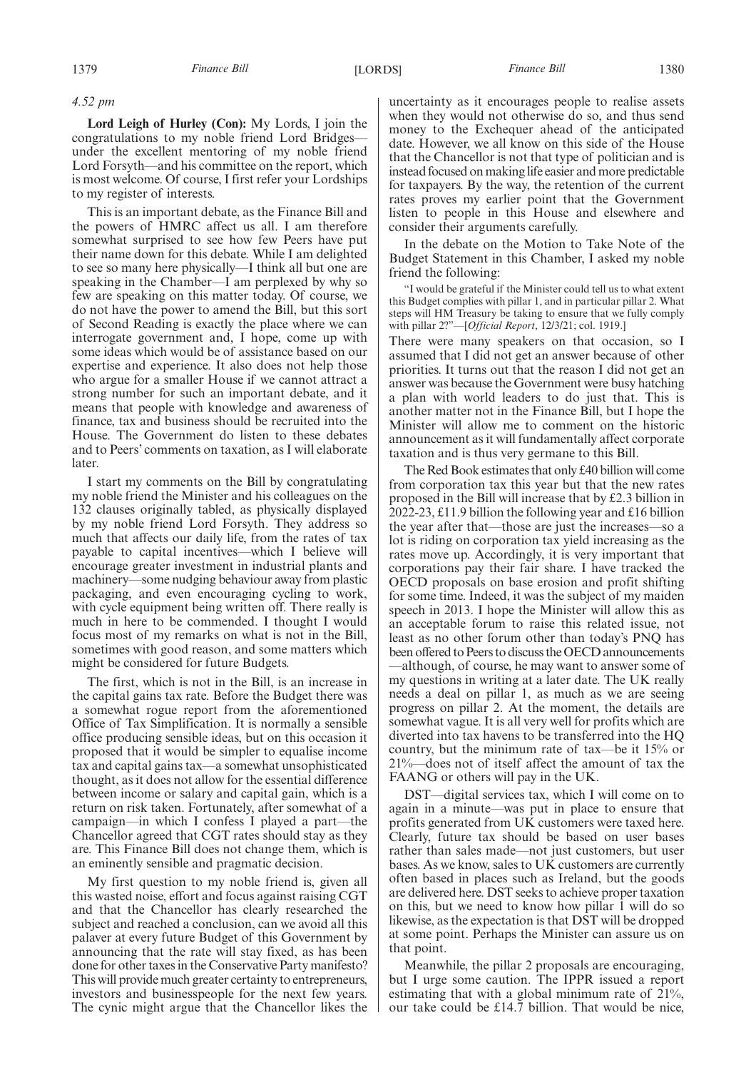## *4.52 pm*

**Lord Leigh of Hurley (Con):** My Lords, I join the congratulations to my noble friend Lord Bridges under the excellent mentoring of my noble friend Lord Forsyth—and his committee on the report, which is most welcome. Of course, I first refer your Lordships to my register of interests.

This is an important debate, as the Finance Bill and the powers of HMRC affect us all. I am therefore somewhat surprised to see how few Peers have put their name down for this debate. While I am delighted to see so many here physically—I think all but one are speaking in the Chamber—I am perplexed by why so few are speaking on this matter today. Of course, we do not have the power to amend the Bill, but this sort of Second Reading is exactly the place where we can interrogate government and, I hope, come up with some ideas which would be of assistance based on our expertise and experience. It also does not help those who argue for a smaller House if we cannot attract a strong number for such an important debate, and it means that people with knowledge and awareness of finance, tax and business should be recruited into the House. The Government do listen to these debates and to Peers' comments on taxation, as I will elaborate later.

I start my comments on the Bill by congratulating my noble friend the Minister and his colleagues on the 132 clauses originally tabled, as physically displayed by my noble friend Lord Forsyth. They address so much that affects our daily life, from the rates of tax payable to capital incentives—which I believe will encourage greater investment in industrial plants and machinery—some nudging behaviour away from plastic packaging, and even encouraging cycling to work, with cycle equipment being written off. There really is much in here to be commended. I thought I would focus most of my remarks on what is not in the Bill, sometimes with good reason, and some matters which might be considered for future Budgets.

The first, which is not in the Bill, is an increase in the capital gains tax rate. Before the Budget there was a somewhat rogue report from the aforementioned Office of Tax Simplification. It is normally a sensible office producing sensible ideas, but on this occasion it proposed that it would be simpler to equalise income tax and capital gains tax—a somewhat unsophisticated thought, as it does not allow for the essential difference between income or salary and capital gain, which is a return on risk taken. Fortunately, after somewhat of a campaign—in which I confess I played a part—the Chancellor agreed that CGT rates should stay as they are. This Finance Bill does not change them, which is an eminently sensible and pragmatic decision.

My first question to my noble friend is, given all this wasted noise, effort and focus against raising CGT and that the Chancellor has clearly researched the subject and reached a conclusion, can we avoid all this palaver at every future Budget of this Government by announcing that the rate will stay fixed, as has been done for other taxes in the Conservative Party manifesto? This will provide much greater certainty to entrepreneurs, investors and businesspeople for the next few years. The cynic might argue that the Chancellor likes the uncertainty as it encourages people to realise assets when they would not otherwise do so, and thus send money to the Exchequer ahead of the anticipated date. However, we all know on this side of the House that the Chancellor is not that type of politician and is instead focused on making life easier and more predictable for taxpayers. By the way, the retention of the current rates proves my earlier point that the Government listen to people in this House and elsewhere and consider their arguments carefully.

In the debate on the Motion to Take Note of the Budget Statement in this Chamber, I asked my noble friend the following:

"I would be grateful if the Minister could tell us to what extent this Budget complies with pillar 1, and in particular pillar 2. What steps will HM Treasury be taking to ensure that we fully comply with pillar 2?"—[*Official Report*, 12/3/21; col. 1919.]

There were many speakers on that occasion, so I assumed that I did not get an answer because of other priorities. It turns out that the reason I did not get an answer was because the Government were busy hatching a plan with world leaders to do just that. This is another matter not in the Finance Bill, but I hope the Minister will allow me to comment on the historic announcement as it will fundamentally affect corporate taxation and is thus very germane to this Bill.

The Red Book estimates that only £40 billion will come from corporation tax this year but that the new rates proposed in the Bill will increase that by £2.3 billion in 2022-23, £11.9 billion the following year and £16 billion the year after that—those are just the increases—so a lot is riding on corporation tax yield increasing as the rates move up. Accordingly, it is very important that corporations pay their fair share. I have tracked the OECD proposals on base erosion and profit shifting for some time. Indeed, it was the subject of my maiden speech in 2013. I hope the Minister will allow this as an acceptable forum to raise this related issue, not least as no other forum other than today's PNQ has been offered to Peers to discuss the OECD announcements —although, of course, he may want to answer some of my questions in writing at a later date. The UK really needs a deal on pillar 1, as much as we are seeing progress on pillar 2. At the moment, the details are somewhat vague. It is all very well for profits which are diverted into tax havens to be transferred into the HQ country, but the minimum rate of tax—be it 15% or 21%—does not of itself affect the amount of tax the FAANG or others will pay in the UK.

DST—digital services tax, which I will come on to again in a minute—was put in place to ensure that profits generated from UK customers were taxed here. Clearly, future tax should be based on user bases rather than sales made—not just customers, but user bases. As we know, sales to UK customers are currently often based in places such as Ireland, but the goods are delivered here. DST seeks to achieve proper taxation on this, but we need to know how pillar 1 will do so likewise, as the expectation is that DST will be dropped at some point. Perhaps the Minister can assure us on that point.

Meanwhile, the pillar 2 proposals are encouraging, but I urge some caution. The IPPR issued a report estimating that with a global minimum rate of 21%, our take could be £14.7 billion. That would be nice,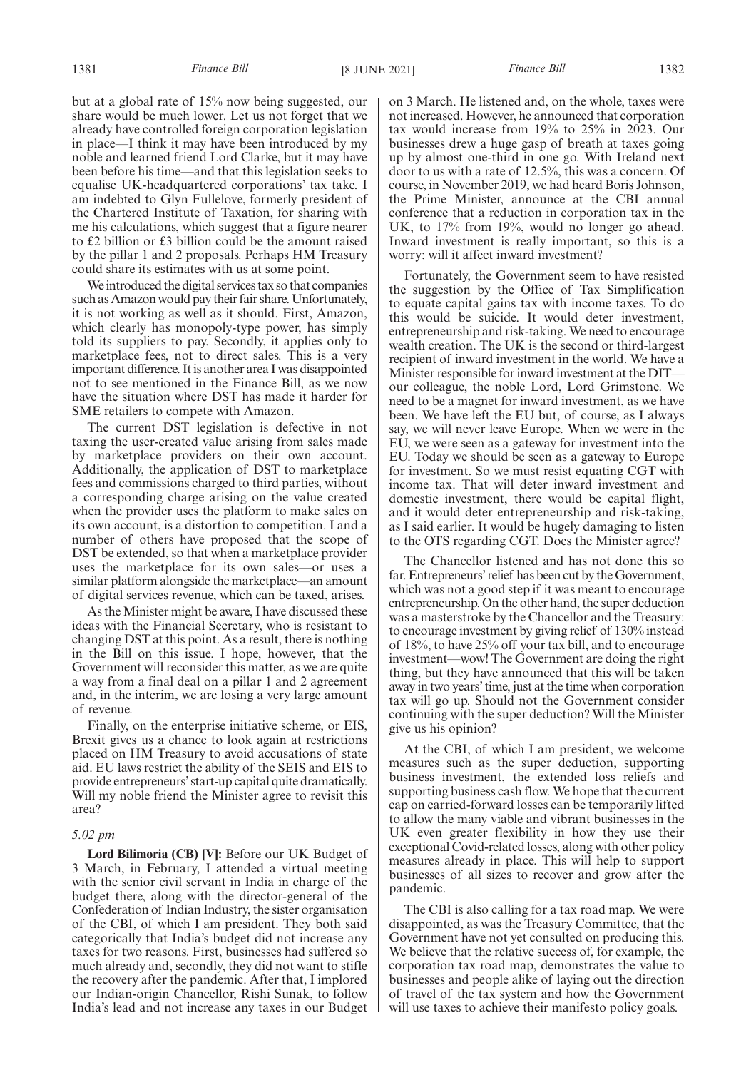but at a global rate of 15% now being suggested, our share would be much lower. Let us not forget that we already have controlled foreign corporation legislation in place—I think it may have been introduced by my noble and learned friend Lord Clarke, but it may have been before his time—and that this legislation seeks to equalise UK-headquartered corporations' tax take. I am indebted to Glyn Fullelove, formerly president of the Chartered Institute of Taxation, for sharing with me his calculations, which suggest that a figure nearer to £2 billion or £3 billion could be the amount raised by the pillar 1 and 2 proposals. Perhaps HM Treasury could share its estimates with us at some point.

We introduced the digital services tax so that companies such as Amazon would pay their fair share. Unfortunately, it is not working as well as it should. First, Amazon, which clearly has monopoly-type power, has simply told its suppliers to pay. Secondly, it applies only to marketplace fees, not to direct sales. This is a very important difference. It is another area I was disappointed not to see mentioned in the Finance Bill, as we now have the situation where DST has made it harder for SME retailers to compete with Amazon.

The current DST legislation is defective in not taxing the user-created value arising from sales made by marketplace providers on their own account. Additionally, the application of DST to marketplace fees and commissions charged to third parties, without a corresponding charge arising on the value created when the provider uses the platform to make sales on its own account, is a distortion to competition. I and a number of others have proposed that the scope of DST be extended, so that when a marketplace provider uses the marketplace for its own sales—or uses a similar platform alongside the marketplace—an amount of digital services revenue, which can be taxed, arises.

As the Minister might be aware, I have discussed these ideas with the Financial Secretary, who is resistant to changing DST at this point. As a result, there is nothing in the Bill on this issue. I hope, however, that the Government will reconsider this matter, as we are quite a way from a final deal on a pillar 1 and 2 agreement and, in the interim, we are losing a very large amount of revenue.

Finally, on the enterprise initiative scheme, or EIS, Brexit gives us a chance to look again at restrictions placed on HM Treasury to avoid accusations of state aid. EU laws restrict the ability of the SEIS and EIS to provide entrepreneurs'start-up capital quite dramatically. Will my noble friend the Minister agree to revisit this area?

# *5.02 pm*

**Lord Bilimoria (CB) [V]:** Before our UK Budget of 3 March, in February, I attended a virtual meeting with the senior civil servant in India in charge of the budget there, along with the director-general of the Confederation of Indian Industry, the sister organisation of the CBI, of which I am president. They both said categorically that India's budget did not increase any taxes for two reasons. First, businesses had suffered so much already and, secondly, they did not want to stifle the recovery after the pandemic. After that, I implored our Indian-origin Chancellor, Rishi Sunak, to follow India's lead and not increase any taxes in our Budget

on 3 March. He listened and, on the whole, taxes were not increased. However, he announced that corporation tax would increase from 19% to 25% in 2023. Our businesses drew a huge gasp of breath at taxes going up by almost one-third in one go. With Ireland next door to us with a rate of 12.5%, this was a concern. Of course, in November 2019, we had heard Boris Johnson, the Prime Minister, announce at the CBI annual conference that a reduction in corporation tax in the UK, to 17% from 19%, would no longer go ahead. Inward investment is really important, so this is a worry: will it affect inward investment?

Fortunately, the Government seem to have resisted the suggestion by the Office of Tax Simplification to equate capital gains tax with income taxes. To do this would be suicide. It would deter investment, entrepreneurship and risk-taking. We need to encourage wealth creation. The UK is the second or third-largest recipient of inward investment in the world. We have a Minister responsible for inward investment at the DIT our colleague, the noble Lord, Lord Grimstone. We need to be a magnet for inward investment, as we have been. We have left the EU but, of course, as I always say, we will never leave Europe. When we were in the EU, we were seen as a gateway for investment into the EU. Today we should be seen as a gateway to Europe for investment. So we must resist equating CGT with income tax. That will deter inward investment and domestic investment, there would be capital flight, and it would deter entrepreneurship and risk-taking, as I said earlier. It would be hugely damaging to listen to the OTS regarding CGT. Does the Minister agree?

The Chancellor listened and has not done this so far. Entrepreneurs'relief has been cut by the Government, which was not a good step if it was meant to encourage entrepreneurship. On the other hand, the super deduction was a masterstroke by the Chancellor and the Treasury: to encourage investment by giving relief of 130% instead of 18%, to have 25% off your tax bill, and to encourage investment—wow! The Government are doing the right thing, but they have announced that this will be taken away in two years'time, just at the time when corporation tax will go up. Should not the Government consider continuing with the super deduction? Will the Minister give us his opinion?

At the CBI, of which I am president, we welcome measures such as the super deduction, supporting business investment, the extended loss reliefs and supporting business cash flow. We hope that the current cap on carried-forward losses can be temporarily lifted to allow the many viable and vibrant businesses in the UK even greater flexibility in how they use their exceptional Covid-related losses, along with other policy measures already in place. This will help to support businesses of all sizes to recover and grow after the pandemic.

The CBI is also calling for a tax road map. We were disappointed, as was the Treasury Committee, that the Government have not yet consulted on producing this. We believe that the relative success of, for example, the corporation tax road map, demonstrates the value to businesses and people alike of laying out the direction of travel of the tax system and how the Government will use taxes to achieve their manifesto policy goals.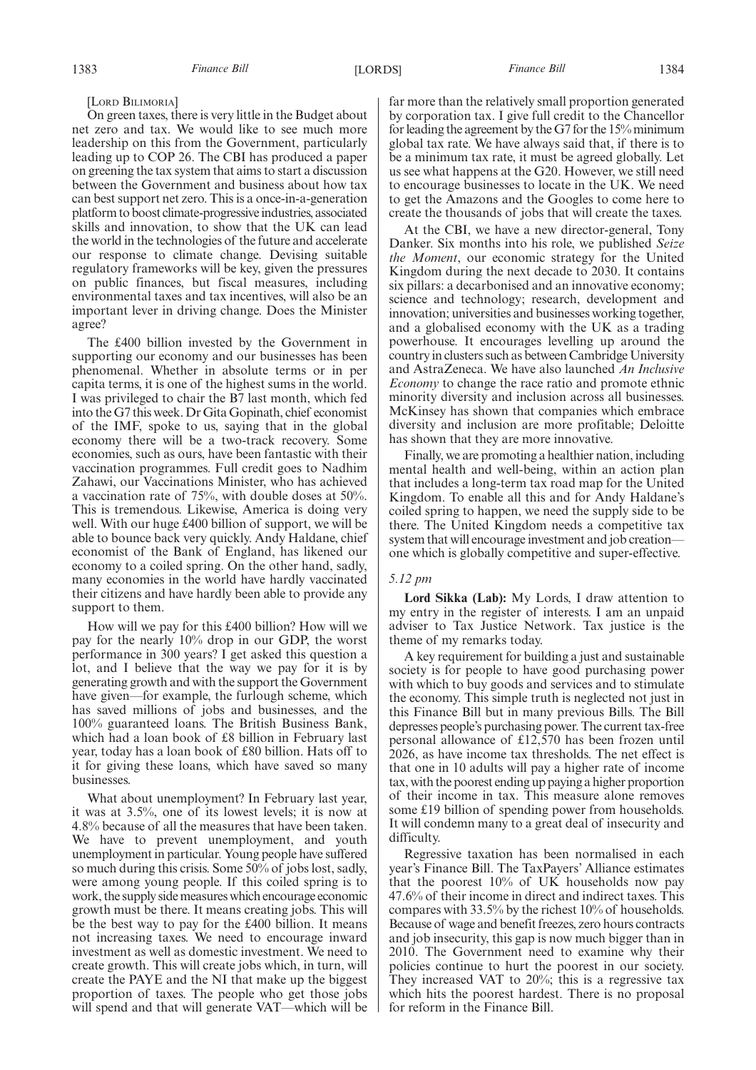# [LORD BILIMORIA]

On green taxes, there is very little in the Budget about net zero and tax. We would like to see much more leadership on this from the Government, particularly leading up to COP 26. The CBI has produced a paper on greening the tax system that aims to start a discussion between the Government and business about how tax can best support net zero. This is a once-in-a-generation platform to boost climate-progressive industries, associated skills and innovation, to show that the UK can lead the world in the technologies of the future and accelerate our response to climate change. Devising suitable regulatory frameworks will be key, given the pressures on public finances, but fiscal measures, including environmental taxes and tax incentives, will also be an important lever in driving change. Does the Minister agree?

The £400 billion invested by the Government in supporting our economy and our businesses has been phenomenal. Whether in absolute terms or in per capita terms, it is one of the highest sums in the world. I was privileged to chair the B7 last month, which fed into the G7 this week. Dr Gita Gopinath, chief economist of the IMF, spoke to us, saying that in the global economy there will be a two-track recovery. Some economies, such as ours, have been fantastic with their vaccination programmes. Full credit goes to Nadhim Zahawi, our Vaccinations Minister, who has achieved a vaccination rate of 75%, with double doses at 50%. This is tremendous. Likewise, America is doing very well. With our huge £400 billion of support, we will be able to bounce back very quickly. Andy Haldane, chief economist of the Bank of England, has likened our economy to a coiled spring. On the other hand, sadly, many economies in the world have hardly vaccinated their citizens and have hardly been able to provide any support to them.

How will we pay for this £400 billion? How will we pay for the nearly 10% drop in our GDP, the worst performance in 300 years? I get asked this question a lot, and I believe that the way we pay for it is by generating growth and with the support the Government have given—for example, the furlough scheme, which has saved millions of jobs and businesses, and the 100% guaranteed loans. The British Business Bank, which had a loan book of £8 billion in February last year, today has a loan book of £80 billion. Hats off to it for giving these loans, which have saved so many businesses.

What about unemployment? In February last year, it was at 3.5%, one of its lowest levels; it is now at 4.8% because of all the measures that have been taken. We have to prevent unemployment, and youth unemployment in particular. Young people have suffered so much during this crisis. Some 50% of jobs lost, sadly, were among young people. If this coiled spring is to work, the supply side measures which encourage economic growth must be there. It means creating jobs. This will be the best way to pay for the £400 billion. It means not increasing taxes. We need to encourage inward investment as well as domestic investment. We need to create growth. This will create jobs which, in turn, will create the PAYE and the NI that make up the biggest proportion of taxes. The people who get those jobs will spend and that will generate VAT—which will be far more than the relatively small proportion generated by corporation tax. I give full credit to the Chancellor for leading the agreement by the G7 for the 15% minimum global tax rate. We have always said that, if there is to be a minimum tax rate, it must be agreed globally. Let us see what happens at the G20. However, we still need to encourage businesses to locate in the UK. We need to get the Amazons and the Googles to come here to create the thousands of jobs that will create the taxes.

At the CBI, we have a new director-general, Tony Danker. Six months into his role, we published *Seize the Moment*, our economic strategy for the United Kingdom during the next decade to 2030. It contains six pillars: a decarbonised and an innovative economy; science and technology; research, development and innovation; universities and businesses working together, and a globalised economy with the UK as a trading powerhouse. It encourages levelling up around the country in clusters such as between Cambridge University and AstraZeneca. We have also launched *An Inclusive Economy* to change the race ratio and promote ethnic minority diversity and inclusion across all businesses. McKinsey has shown that companies which embrace diversity and inclusion are more profitable; Deloitte has shown that they are more innovative.

Finally, we are promoting a healthier nation, including mental health and well-being, within an action plan that includes a long-term tax road map for the United Kingdom. To enable all this and for Andy Haldane's coiled spring to happen, we need the supply side to be there. The United Kingdom needs a competitive tax system that will encourage investment and job creation one which is globally competitive and super-effective.

# *5.12 pm*

**Lord Sikka (Lab):** My Lords, I draw attention to my entry in the register of interests. I am an unpaid adviser to Tax Justice Network. Tax justice is the theme of my remarks today.

A key requirement for building a just and sustainable society is for people to have good purchasing power with which to buy goods and services and to stimulate the economy. This simple truth is neglected not just in this Finance Bill but in many previous Bills. The Bill depresses people's purchasing power. The current tax-free personal allowance of £12,570 has been frozen until 2026, as have income tax thresholds. The net effect is that one in 10 adults will pay a higher rate of income tax, with the poorest ending up paying a higher proportion of their income in tax. This measure alone removes some £19 billion of spending power from households. It will condemn many to a great deal of insecurity and difficulty.

Regressive taxation has been normalised in each year's Finance Bill. The TaxPayers' Alliance estimates that the poorest 10% of UK households now pay 47.6% of their income in direct and indirect taxes. This compares with 33.5% by the richest 10% of households. Because of wage and benefit freezes, zero hours contracts and job insecurity, this gap is now much bigger than in 2010. The Government need to examine why their policies continue to hurt the poorest in our society. They increased VAT to 20%; this is a regressive tax which hits the poorest hardest. There is no proposal for reform in the Finance Bill.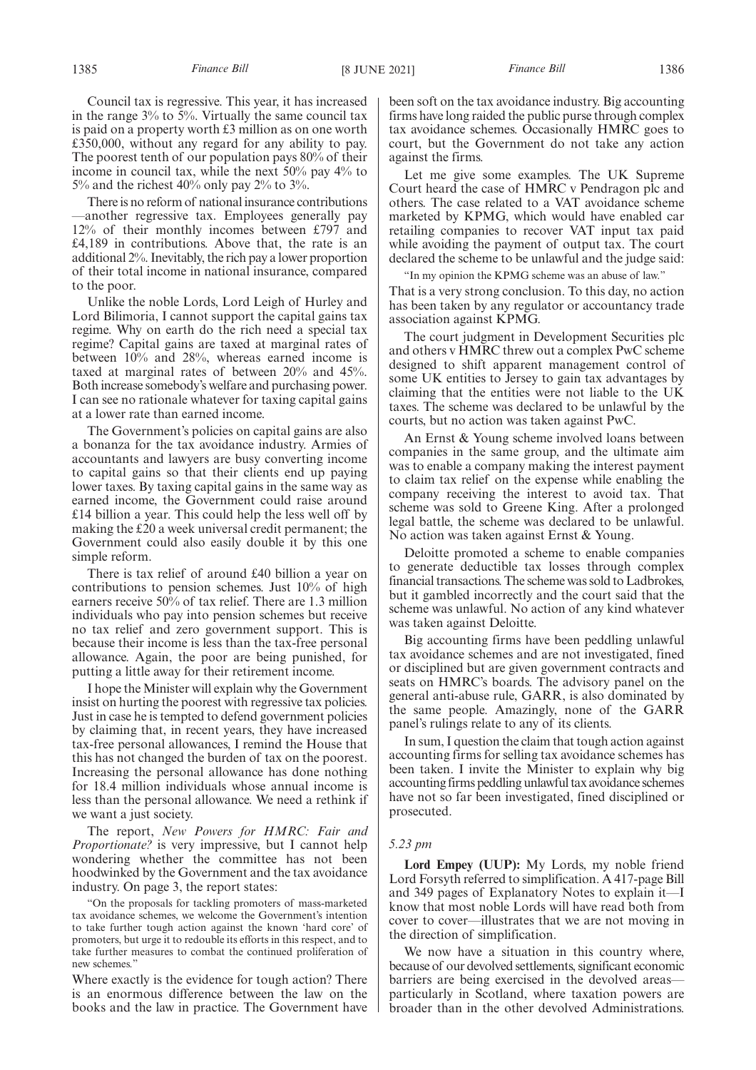Council tax is regressive. This year, it has increased in the range 3% to 5%. Virtually the same council tax is paid on a property worth £3 million as on one worth £350,000, without any regard for any ability to pay. The poorest tenth of our population pays 80% of their income in council tax, while the next 50% pay 4% to 5% and the richest 40% only pay 2% to 3%.

There is no reform of national insurance contributions —another regressive tax. Employees generally pay 12% of their monthly incomes between £797 and £4,189 in contributions. Above that, the rate is an additional 2%. Inevitably, the rich pay a lower proportion of their total income in national insurance, compared to the poor.

Unlike the noble Lords, Lord Leigh of Hurley and Lord Bilimoria, I cannot support the capital gains tax regime. Why on earth do the rich need a special tax regime? Capital gains are taxed at marginal rates of between 10% and 28%, whereas earned income is taxed at marginal rates of between 20% and 45%. Both increase somebody's welfare and purchasing power. I can see no rationale whatever for taxing capital gains at a lower rate than earned income.

The Government's policies on capital gains are also a bonanza for the tax avoidance industry. Armies of accountants and lawyers are busy converting income to capital gains so that their clients end up paying lower taxes. By taxing capital gains in the same way as earned income, the Government could raise around £14 billion a year. This could help the less well off by making the £20 a week universal credit permanent; the Government could also easily double it by this one simple reform.

There is tax relief of around £40 billion a year on contributions to pension schemes. Just 10% of high earners receive 50% of tax relief. There are 1.3 million individuals who pay into pension schemes but receive no tax relief and zero government support. This is because their income is less than the tax-free personal allowance. Again, the poor are being punished, for putting a little away for their retirement income.

I hope the Minister will explain why the Government insist on hurting the poorest with regressive tax policies. Just in case he is tempted to defend government policies by claiming that, in recent years, they have increased tax-free personal allowances, I remind the House that this has not changed the burden of tax on the poorest. Increasing the personal allowance has done nothing for 18.4 million individuals whose annual income is less than the personal allowance. We need a rethink if we want a just society.

The report, *New Powers for HMRC: Fair and Proportionate?* is very impressive, but I cannot help wondering whether the committee has not been hoodwinked by the Government and the tax avoidance industry. On page 3, the report states:

"On the proposals for tackling promoters of mass-marketed tax avoidance schemes, we welcome the Government's intention to take further tough action against the known 'hard core' of promoters, but urge it to redouble its efforts in this respect, and to take further measures to combat the continued proliferation of new schemes."

Where exactly is the evidence for tough action? There is an enormous difference between the law on the books and the law in practice. The Government have been soft on the tax avoidance industry. Big accounting firms have long raided the public purse through complex tax avoidance schemes. Occasionally HMRC goes to court, but the Government do not take any action against the firms.

Let me give some examples. The UK Supreme Court heard the case of HMRC v Pendragon plc and others. The case related to a VAT avoidance scheme marketed by KPMG, which would have enabled car retailing companies to recover VAT input tax paid while avoiding the payment of output tax. The court declared the scheme to be unlawful and the judge said:

"In my opinion the KPMG scheme was an abuse of law." That is a very strong conclusion. To this day, no action has been taken by any regulator or accountancy trade association against KPMG.

The court judgment in Development Securities plc and others v HMRC threw out a complex PwC scheme designed to shift apparent management control of some UK entities to Jersey to gain tax advantages by claiming that the entities were not liable to the UK taxes. The scheme was declared to be unlawful by the courts, but no action was taken against PwC.

An Ernst & Young scheme involved loans between companies in the same group, and the ultimate aim was to enable a company making the interest payment to claim tax relief on the expense while enabling the company receiving the interest to avoid tax. That scheme was sold to Greene King. After a prolonged legal battle, the scheme was declared to be unlawful. No action was taken against Ernst & Young.

Deloitte promoted a scheme to enable companies to generate deductible tax losses through complex financial transactions. The scheme was sold to Ladbrokes, but it gambled incorrectly and the court said that the scheme was unlawful. No action of any kind whatever was taken against Deloitte.

Big accounting firms have been peddling unlawful tax avoidance schemes and are not investigated, fined or disciplined but are given government contracts and seats on HMRC's boards. The advisory panel on the general anti-abuse rule, GARR, is also dominated by the same people. Amazingly, none of the GARR panel's rulings relate to any of its clients.

In sum, I question the claim that tough action against accounting firms for selling tax avoidance schemes has been taken. I invite the Minister to explain why big accounting firms peddling unlawful tax avoidance schemes have not so far been investigated, fined disciplined or prosecuted.

# *5.23 pm*

**Lord Empey (UUP):** My Lords, my noble friend Lord Forsyth referred to simplification. A 417-page Bill and 349 pages of Explanatory Notes to explain it—I know that most noble Lords will have read both from cover to cover—illustrates that we are not moving in the direction of simplification.

We now have a situation in this country where, because of our devolved settlements, significant economic barriers are being exercised in the devolved areas particularly in Scotland, where taxation powers are broader than in the other devolved Administrations.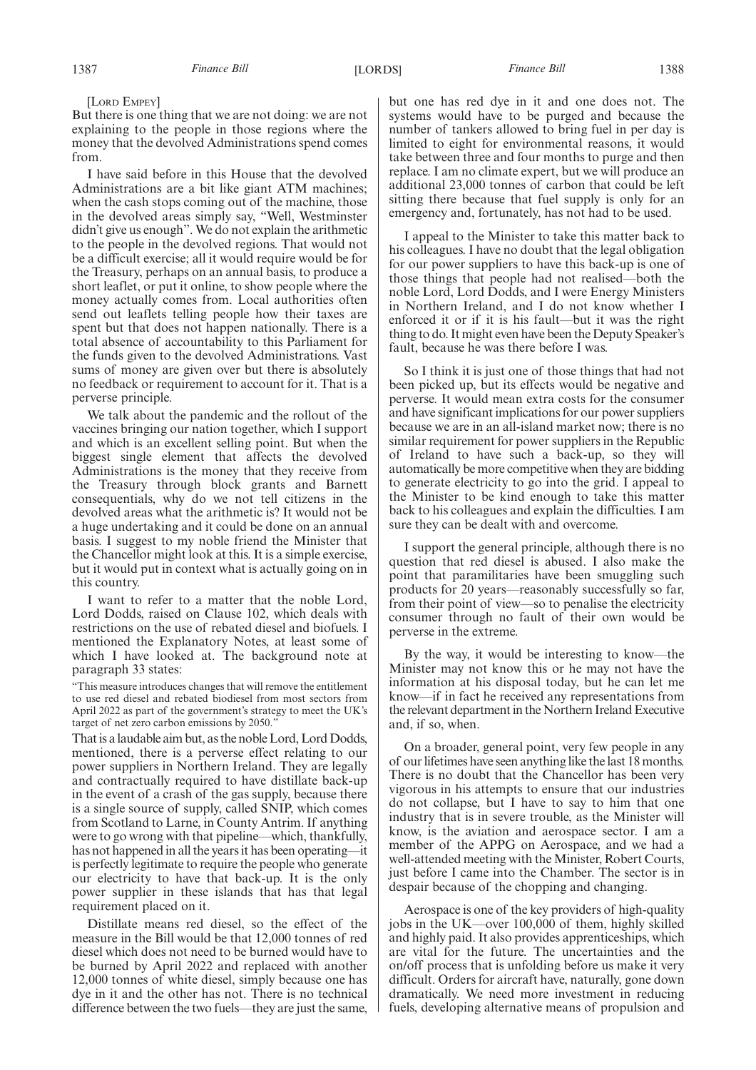[LORD EMPEY]

But there is one thing that we are not doing: we are not explaining to the people in those regions where the money that the devolved Administrations spend comes from.

I have said before in this House that the devolved Administrations are a bit like giant ATM machines; when the cash stops coming out of the machine, those in the devolved areas simply say, "Well, Westminster didn't give us enough". We do not explain the arithmetic to the people in the devolved regions. That would not be a difficult exercise; all it would require would be for the Treasury, perhaps on an annual basis, to produce a short leaflet, or put it online, to show people where the money actually comes from. Local authorities often send out leaflets telling people how their taxes are spent but that does not happen nationally. There is a total absence of accountability to this Parliament for the funds given to the devolved Administrations. Vast sums of money are given over but there is absolutely no feedback or requirement to account for it. That is a perverse principle.

We talk about the pandemic and the rollout of the vaccines bringing our nation together, which I support and which is an excellent selling point. But when the biggest single element that affects the devolved Administrations is the money that they receive from the Treasury through block grants and Barnett consequentials, why do we not tell citizens in the devolved areas what the arithmetic is? It would not be a huge undertaking and it could be done on an annual basis. I suggest to my noble friend the Minister that the Chancellor might look at this. It is a simple exercise, but it would put in context what is actually going on in this country.

I want to refer to a matter that the noble Lord, Lord Dodds, raised on Clause 102, which deals with restrictions on the use of rebated diesel and biofuels. I mentioned the Explanatory Notes, at least some of which I have looked at. The background note at paragraph 33 states:

"This measure introduces changes that will remove the entitlement to use red diesel and rebated biodiesel from most sectors from April 2022 as part of the government's strategy to meet the UK's target of net zero carbon emissions by 2050.

That is a laudable aim but, as the noble Lord, Lord Dodds, mentioned, there is a perverse effect relating to our power suppliers in Northern Ireland. They are legally and contractually required to have distillate back-up in the event of a crash of the gas supply, because there is a single source of supply, called SNIP, which comes from Scotland to Larne, in County Antrim. If anything were to go wrong with that pipeline—which, thankfully, has not happened in all the years it has been operating—it is perfectly legitimate to require the people who generate our electricity to have that back-up. It is the only power supplier in these islands that has that legal requirement placed on it.

Distillate means red diesel, so the effect of the measure in the Bill would be that 12,000 tonnes of red diesel which does not need to be burned would have to be burned by April 2022 and replaced with another 12,000 tonnes of white diesel, simply because one has dye in it and the other has not. There is no technical difference between the two fuels—they are just the same, but one has red dye in it and one does not. The systems would have to be purged and because the number of tankers allowed to bring fuel in per day is limited to eight for environmental reasons, it would take between three and four months to purge and then replace. I am no climate expert, but we will produce an additional 23,000 tonnes of carbon that could be left sitting there because that fuel supply is only for an emergency and, fortunately, has not had to be used.

I appeal to the Minister to take this matter back to his colleagues. I have no doubt that the legal obligation for our power suppliers to have this back-up is one of those things that people had not realised—both the noble Lord, Lord Dodds, and I were Energy Ministers in Northern Ireland, and I do not know whether I enforced it or if it is his fault—but it was the right thing to do. It might even have been the Deputy Speaker's fault, because he was there before I was.

So I think it is just one of those things that had not been picked up, but its effects would be negative and perverse. It would mean extra costs for the consumer and have significant implications for our power suppliers because we are in an all-island market now; there is no similar requirement for power suppliers in the Republic of Ireland to have such a back-up, so they will automatically be more competitive when they are bidding to generate electricity to go into the grid. I appeal to the Minister to be kind enough to take this matter back to his colleagues and explain the difficulties. I am sure they can be dealt with and overcome.

I support the general principle, although there is no question that red diesel is abused. I also make the point that paramilitaries have been smuggling such products for 20 years—reasonably successfully so far, from their point of view—so to penalise the electricity consumer through no fault of their own would be perverse in the extreme.

By the way, it would be interesting to know—the Minister may not know this or he may not have the information at his disposal today, but he can let me know—if in fact he received any representations from the relevant department in the Northern Ireland Executive and, if so, when.

On a broader, general point, very few people in any of our lifetimes have seen anything like the last 18 months. There is no doubt that the Chancellor has been very vigorous in his attempts to ensure that our industries do not collapse, but I have to say to him that one industry that is in severe trouble, as the Minister will know, is the aviation and aerospace sector. I am a member of the APPG on Aerospace, and we had a well-attended meeting with the Minister, Robert Courts, just before I came into the Chamber. The sector is in despair because of the chopping and changing.

Aerospace is one of the key providers of high-quality jobs in the UK—over 100,000 of them, highly skilled and highly paid. It also provides apprenticeships, which are vital for the future. The uncertainties and the on/off process that is unfolding before us make it very difficult. Orders for aircraft have, naturally, gone down dramatically. We need more investment in reducing fuels, developing alternative means of propulsion and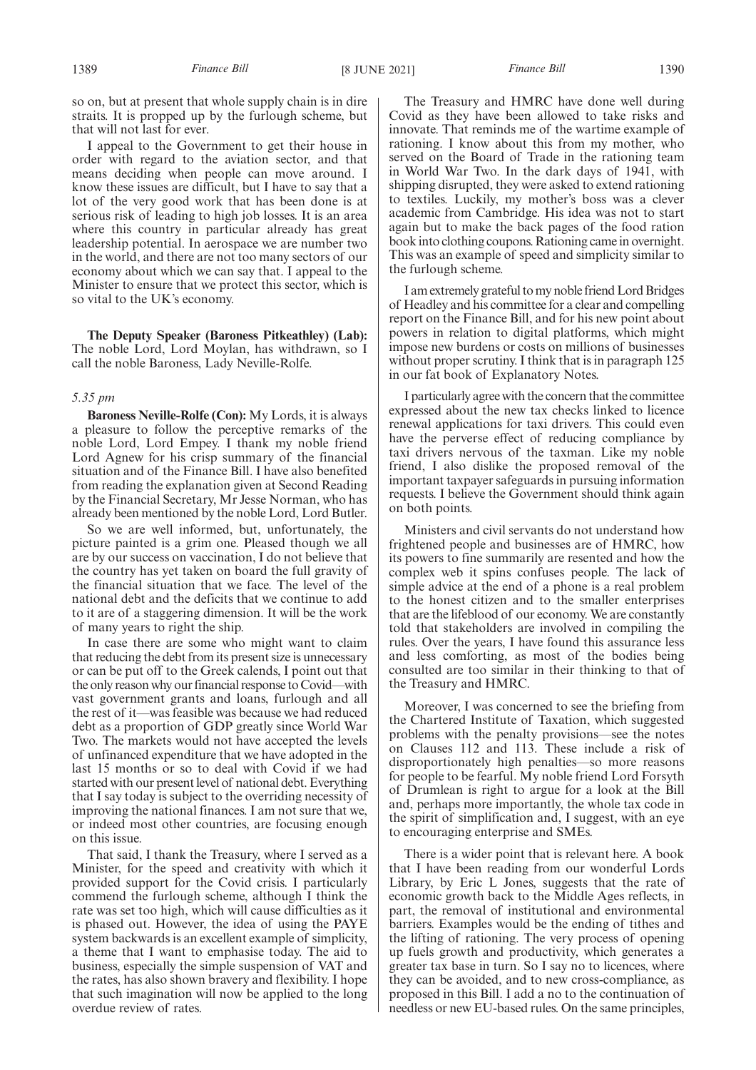so on, but at present that whole supply chain is in dire straits. It is propped up by the furlough scheme, but that will not last for ever.

I appeal to the Government to get their house in order with regard to the aviation sector, and that means deciding when people can move around. I know these issues are difficult, but I have to say that a lot of the very good work that has been done is at serious risk of leading to high job losses. It is an area where this country in particular already has great leadership potential. In aerospace we are number two in the world, and there are not too many sectors of our economy about which we can say that. I appeal to the Minister to ensure that we protect this sector, which is so vital to the UK's economy.

**The Deputy Speaker (Baroness Pitkeathley) (Lab):** The noble Lord, Lord Moylan, has withdrawn, so I call the noble Baroness, Lady Neville-Rolfe.

#### *5.35 pm*

**Baroness Neville-Rolfe (Con):** My Lords, it is always a pleasure to follow the perceptive remarks of the noble Lord, Lord Empey. I thank my noble friend Lord Agnew for his crisp summary of the financial situation and of the Finance Bill. I have also benefited from reading the explanation given at Second Reading by the Financial Secretary, Mr Jesse Norman, who has already been mentioned by the noble Lord, Lord Butler.

So we are well informed, but, unfortunately, the picture painted is a grim one. Pleased though we all are by our success on vaccination, I do not believe that the country has yet taken on board the full gravity of the financial situation that we face. The level of the national debt and the deficits that we continue to add to it are of a staggering dimension. It will be the work of many years to right the ship.

In case there are some who might want to claim that reducing the debt from its present size is unnecessary or can be put off to the Greek calends, I point out that the only reason why our financial response to Covid—with vast government grants and loans, furlough and all the rest of it—was feasible was because we had reduced debt as a proportion of GDP greatly since World War Two. The markets would not have accepted the levels of unfinanced expenditure that we have adopted in the last 15 months or so to deal with Covid if we had started with our present level of national debt. Everything that I say today is subject to the overriding necessity of improving the national finances. I am not sure that we, or indeed most other countries, are focusing enough on this issue.

That said, I thank the Treasury, where I served as a Minister, for the speed and creativity with which it provided support for the Covid crisis. I particularly commend the furlough scheme, although I think the rate was set too high, which will cause difficulties as it is phased out. However, the idea of using the PAYE system backwards is an excellent example of simplicity, a theme that I want to emphasise today. The aid to business, especially the simple suspension of VAT and the rates, has also shown bravery and flexibility. I hope that such imagination will now be applied to the long overdue review of rates.

The Treasury and HMRC have done well during Covid as they have been allowed to take risks and innovate. That reminds me of the wartime example of rationing. I know about this from my mother, who served on the Board of Trade in the rationing team in World War Two. In the dark days of 1941, with shipping disrupted, they were asked to extend rationing to textiles. Luckily, my mother's boss was a clever academic from Cambridge. His idea was not to start again but to make the back pages of the food ration book into clothing coupons. Rationing came in overnight. This was an example of speed and simplicity similar to the furlough scheme.

I am extremely grateful to my noble friend Lord Bridges of Headley and his committee for a clear and compelling report on the Finance Bill, and for his new point about powers in relation to digital platforms, which might impose new burdens or costs on millions of businesses without proper scrutiny. I think that is in paragraph 125 in our fat book of Explanatory Notes.

I particularly agree with the concern that the committee expressed about the new tax checks linked to licence renewal applications for taxi drivers. This could even have the perverse effect of reducing compliance by taxi drivers nervous of the taxman. Like my noble friend, I also dislike the proposed removal of the important taxpayer safeguards in pursuing information requests. I believe the Government should think again on both points.

Ministers and civil servants do not understand how frightened people and businesses are of HMRC, how its powers to fine summarily are resented and how the complex web it spins confuses people. The lack of simple advice at the end of a phone is a real problem to the honest citizen and to the smaller enterprises that are the lifeblood of our economy. We are constantly told that stakeholders are involved in compiling the rules. Over the years, I have found this assurance less and less comforting, as most of the bodies being consulted are too similar in their thinking to that of the Treasury and HMRC.

Moreover, I was concerned to see the briefing from the Chartered Institute of Taxation, which suggested problems with the penalty provisions—see the notes on Clauses 112 and 113. These include a risk of disproportionately high penalties—so more reasons for people to be fearful. My noble friend Lord Forsyth of Drumlean is right to argue for a look at the Bill and, perhaps more importantly, the whole tax code in the spirit of simplification and, I suggest, with an eye to encouraging enterprise and SMEs.

There is a wider point that is relevant here. A book that I have been reading from our wonderful Lords Library, by Eric L Jones, suggests that the rate of economic growth back to the Middle Ages reflects, in part, the removal of institutional and environmental barriers. Examples would be the ending of tithes and the lifting of rationing. The very process of opening up fuels growth and productivity, which generates a greater tax base in turn. So I say no to licences, where they can be avoided, and to new cross-compliance, as proposed in this Bill. I add a no to the continuation of needless or new EU-based rules. On the same principles,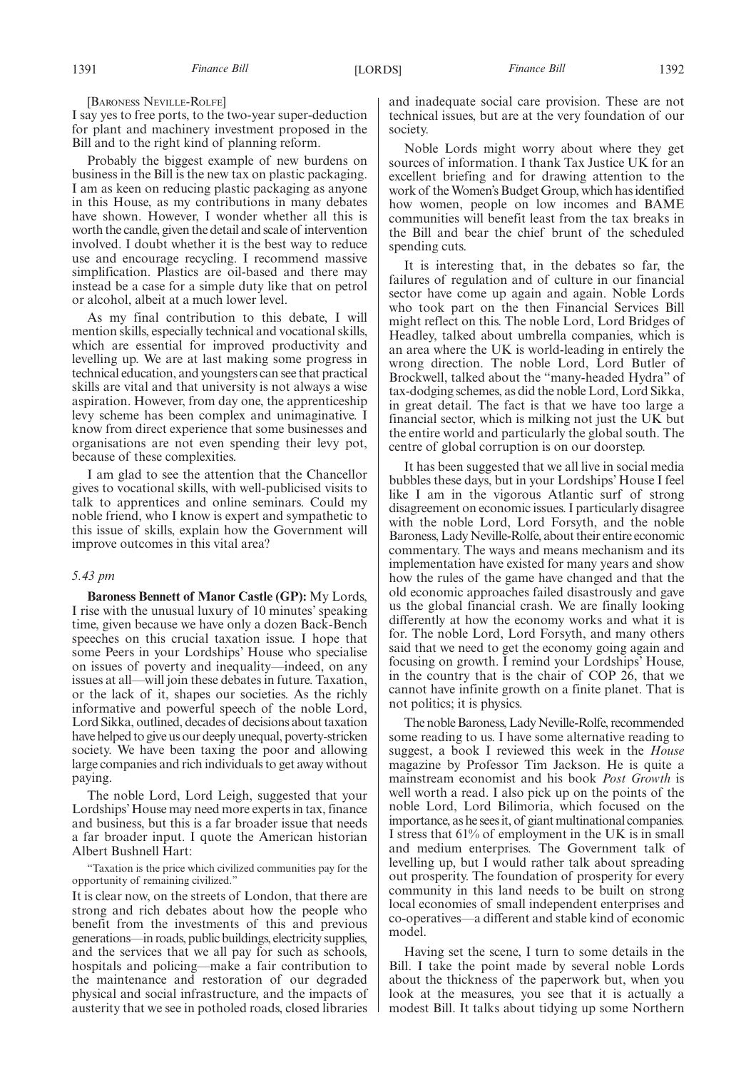I say yes to free ports, to the two-year super-deduction for plant and machinery investment proposed in the Bill and to the right kind of planning reform.

Probably the biggest example of new burdens on business in the Bill is the new tax on plastic packaging. I am as keen on reducing plastic packaging as anyone in this House, as my contributions in many debates have shown. However, I wonder whether all this is worth the candle, given the detail and scale of intervention involved. I doubt whether it is the best way to reduce use and encourage recycling. I recommend massive simplification. Plastics are oil-based and there may instead be a case for a simple duty like that on petrol or alcohol, albeit at a much lower level.

As my final contribution to this debate, I will mention skills, especially technical and vocational skills, which are essential for improved productivity and levelling up. We are at last making some progress in technical education, and youngsters can see that practical skills are vital and that university is not always a wise aspiration. However, from day one, the apprenticeship levy scheme has been complex and unimaginative. I know from direct experience that some businesses and organisations are not even spending their levy pot, because of these complexities.

I am glad to see the attention that the Chancellor gives to vocational skills, with well-publicised visits to talk to apprentices and online seminars. Could my noble friend, who I know is expert and sympathetic to this issue of skills, explain how the Government will improve outcomes in this vital area?

# *5.43 pm*

**Baroness Bennett of Manor Castle (GP):** My Lords, I rise with the unusual luxury of 10 minutes' speaking time, given because we have only a dozen Back-Bench speeches on this crucial taxation issue. I hope that some Peers in your Lordships' House who specialise on issues of poverty and inequality—indeed, on any issues at all—will join these debates in future. Taxation, or the lack of it, shapes our societies. As the richly informative and powerful speech of the noble Lord, Lord Sikka, outlined, decades of decisions about taxation have helped to give us our deeply unequal, poverty-stricken society. We have been taxing the poor and allowing large companies and rich individuals to get away without paying.

The noble Lord, Lord Leigh, suggested that your Lordships' House may need more experts in tax, finance and business, but this is a far broader issue that needs a far broader input. I quote the American historian Albert Bushnell Hart:

"Taxation is the price which civilized communities pay for the opportunity of remaining civilized."

It is clear now, on the streets of London, that there are strong and rich debates about how the people who benefit from the investments of this and previous generations—in roads, public buildings, electricity supplies, and the services that we all pay for such as schools, hospitals and policing—make a fair contribution to the maintenance and restoration of our degraded physical and social infrastructure, and the impacts of austerity that we see in potholed roads, closed libraries and inadequate social care provision. These are not technical issues, but are at the very foundation of our society.

Noble Lords might worry about where they get sources of information. I thank Tax Justice UK for an excellent briefing and for drawing attention to the work of the Women's Budget Group, which has identified how women, people on low incomes and BAME communities will benefit least from the tax breaks in the Bill and bear the chief brunt of the scheduled spending cuts.

It is interesting that, in the debates so far, the failures of regulation and of culture in our financial sector have come up again and again. Noble Lords who took part on the then Financial Services Bill might reflect on this. The noble Lord, Lord Bridges of Headley, talked about umbrella companies, which is an area where the UK is world-leading in entirely the wrong direction. The noble Lord, Lord Butler of Brockwell, talked about the "many-headed Hydra" of tax-dodging schemes, as did the noble Lord, Lord Sikka, in great detail. The fact is that we have too large a financial sector, which is milking not just the UK but the entire world and particularly the global south. The centre of global corruption is on our doorstep.

It has been suggested that we all live in social media bubbles these days, but in your Lordships' House I feel like I am in the vigorous Atlantic surf of strong disagreement on economic issues. I particularly disagree with the noble Lord, Lord Forsyth, and the noble Baroness, Lady Neville-Rolfe, about their entire economic commentary. The ways and means mechanism and its implementation have existed for many years and show how the rules of the game have changed and that the old economic approaches failed disastrously and gave us the global financial crash. We are finally looking differently at how the economy works and what it is for. The noble Lord, Lord Forsyth, and many others said that we need to get the economy going again and focusing on growth. I remind your Lordships' House, in the country that is the chair of COP 26, that we cannot have infinite growth on a finite planet. That is not politics; it is physics.

The noble Baroness, Lady Neville-Rolfe, recommended some reading to us. I have some alternative reading to suggest, a book I reviewed this week in the *House* magazine by Professor Tim Jackson. He is quite a mainstream economist and his book *Post Growth* is well worth a read. I also pick up on the points of the noble Lord, Lord Bilimoria, which focused on the importance, as he sees it, of giant multinational companies. I stress that 61% of employment in the UK is in small and medium enterprises. The Government talk of levelling up, but I would rather talk about spreading out prosperity. The foundation of prosperity for every community in this land needs to be built on strong local economies of small independent enterprises and co-operatives—a different and stable kind of economic model.

Having set the scene, I turn to some details in the Bill. I take the point made by several noble Lords about the thickness of the paperwork but, when you look at the measures, you see that it is actually a modest Bill. It talks about tidying up some Northern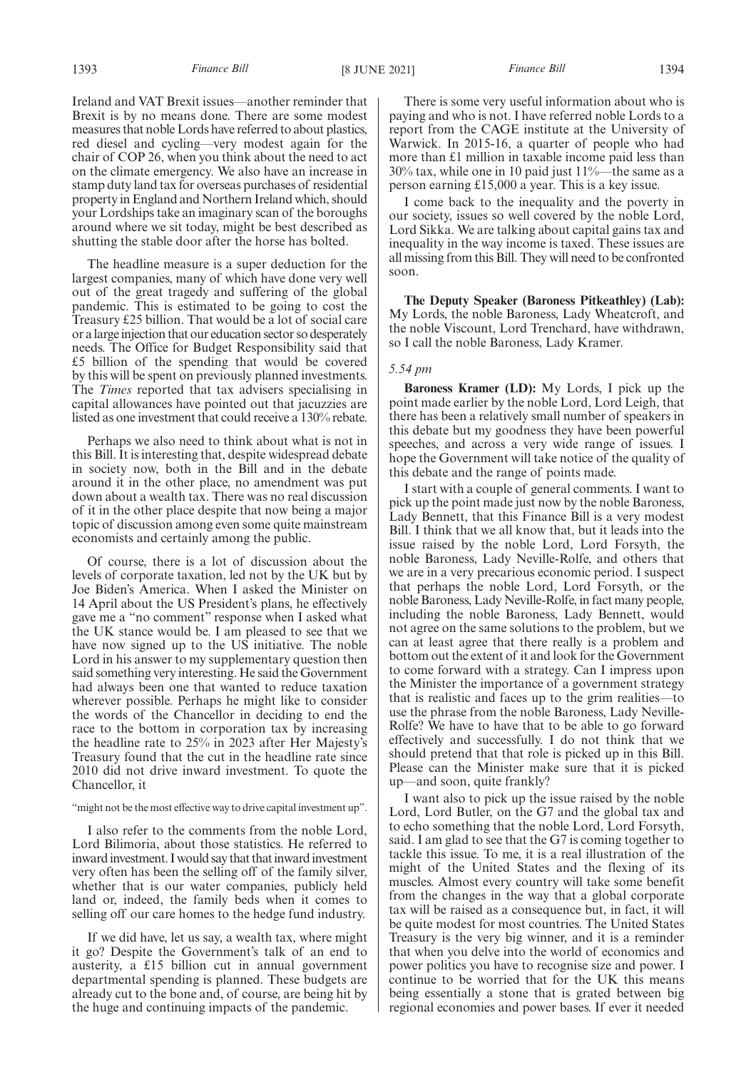Ireland and VAT Brexit issues—another reminder that Brexit is by no means done. There are some modest measures that noble Lords have referred to about plastics, red diesel and cycling—very modest again for the chair of COP 26, when you think about the need to act on the climate emergency. We also have an increase in stamp duty land tax for overseas purchases of residential property in England and Northern Ireland which, should your Lordships take an imaginary scan of the boroughs around where we sit today, might be best described as shutting the stable door after the horse has bolted.

The headline measure is a super deduction for the largest companies, many of which have done very well out of the great tragedy and suffering of the global pandemic. This is estimated to be going to cost the Treasury £25 billion. That would be a lot of social care or a large injection that our education sector so desperately needs. The Office for Budget Responsibility said that £5 billion of the spending that would be covered by this will be spent on previously planned investments. The *Times* reported that tax advisers specialising in capital allowances have pointed out that jacuzzies are listed as one investment that could receive a 130% rebate.

Perhaps we also need to think about what is not in this Bill. It is interesting that, despite widespread debate in society now, both in the Bill and in the debate around it in the other place, no amendment was put down about a wealth tax. There was no real discussion of it in the other place despite that now being a major topic of discussion among even some quite mainstream economists and certainly among the public.

Of course, there is a lot of discussion about the levels of corporate taxation, led not by the UK but by Joe Biden's America. When I asked the Minister on 14 April about the US President's plans, he effectively gave me a "no comment" response when I asked what the UK stance would be. I am pleased to see that we have now signed up to the US initiative. The noble Lord in his answer to my supplementary question then said something very interesting. He said the Government had always been one that wanted to reduce taxation wherever possible. Perhaps he might like to consider the words of the Chancellor in deciding to end the race to the bottom in corporation tax by increasing the headline rate to 25% in 2023 after Her Majesty's Treasury found that the cut in the headline rate since 2010 did not drive inward investment. To quote the Chancellor, it

#### "might not be the most effective way to drive capital investment up".

I also refer to the comments from the noble Lord, Lord Bilimoria, about those statistics. He referred to inward investment. I would say that that inward investment very often has been the selling off of the family silver, whether that is our water companies, publicly held land or, indeed, the family beds when it comes to selling off our care homes to the hedge fund industry.

If we did have, let us say, a wealth tax, where might it go? Despite the Government's talk of an end to austerity, a £15 billion cut in annual government departmental spending is planned. These budgets are already cut to the bone and, of course, are being hit by the huge and continuing impacts of the pandemic.

There is some very useful information about who is paying and who is not. I have referred noble Lords to a report from the CAGE institute at the University of Warwick. In 2015-16, a quarter of people who had more than £1 million in taxable income paid less than 30% tax, while one in 10 paid just 11%—the same as a person earning £15,000 a year. This is a key issue.

I come back to the inequality and the poverty in our society, issues so well covered by the noble Lord, Lord Sikka. We are talking about capital gains tax and inequality in the way income is taxed. These issues are all missing from this Bill. They will need to be confronted soon.

**The Deputy Speaker (Baroness Pitkeathley) (Lab):** My Lords, the noble Baroness, Lady Wheatcroft, and the noble Viscount, Lord Trenchard, have withdrawn, so I call the noble Baroness, Lady Kramer.

# *5.54 pm*

**Baroness Kramer (LD):** My Lords, I pick up the point made earlier by the noble Lord, Lord Leigh, that there has been a relatively small number of speakers in this debate but my goodness they have been powerful speeches, and across a very wide range of issues. I hope the Government will take notice of the quality of this debate and the range of points made.

I start with a couple of general comments. I want to pick up the point made just now by the noble Baroness, Lady Bennett, that this Finance Bill is a very modest Bill. I think that we all know that, but it leads into the issue raised by the noble Lord, Lord Forsyth, the noble Baroness, Lady Neville-Rolfe, and others that we are in a very precarious economic period. I suspect that perhaps the noble Lord, Lord Forsyth, or the noble Baroness, Lady Neville-Rolfe, in fact many people, including the noble Baroness, Lady Bennett, would not agree on the same solutions to the problem, but we can at least agree that there really is a problem and bottom out the extent of it and look for the Government to come forward with a strategy. Can I impress upon the Minister the importance of a government strategy that is realistic and faces up to the grim realities—to use the phrase from the noble Baroness, Lady Neville-Rolfe? We have to have that to be able to go forward effectively and successfully. I do not think that we should pretend that that role is picked up in this Bill. Please can the Minister make sure that it is picked up—and soon, quite frankly?

I want also to pick up the issue raised by the noble Lord, Lord Butler, on the G7 and the global tax and to echo something that the noble Lord, Lord Forsyth, said. I am glad to see that the G7 is coming together to tackle this issue. To me, it is a real illustration of the might of the United States and the flexing of its muscles. Almost every country will take some benefit from the changes in the way that a global corporate tax will be raised as a consequence but, in fact, it will be quite modest for most countries. The United States Treasury is the very big winner, and it is a reminder that when you delve into the world of economics and power politics you have to recognise size and power. I continue to be worried that for the UK this means being essentially a stone that is grated between big regional economies and power bases. If ever it needed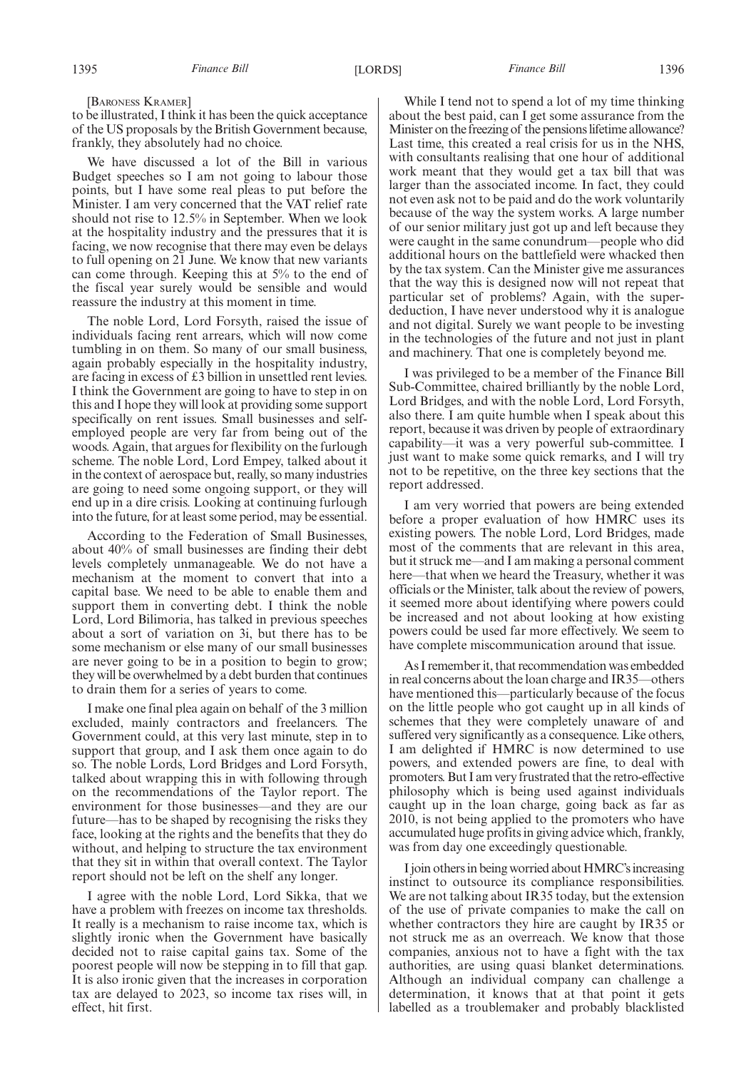to be illustrated, I think it has been the quick acceptance of the US proposals by the British Government because, frankly, they absolutely had no choice.

We have discussed a lot of the Bill in various Budget speeches so I am not going to labour those points, but I have some real pleas to put before the Minister. I am very concerned that the VAT relief rate should not rise to 12.5% in September. When we look at the hospitality industry and the pressures that it is facing, we now recognise that there may even be delays to full opening on 21 June. We know that new variants can come through. Keeping this at 5% to the end of the fiscal year surely would be sensible and would reassure the industry at this moment in time.

The noble Lord, Lord Forsyth, raised the issue of individuals facing rent arrears, which will now come tumbling in on them. So many of our small business, again probably especially in the hospitality industry, are facing in excess of £3 billion in unsettled rent levies. I think the Government are going to have to step in on this and I hope they will look at providing some support specifically on rent issues. Small businesses and selfemployed people are very far from being out of the woods. Again, that argues for flexibility on the furlough scheme. The noble Lord, Lord Empey, talked about it in the context of aerospace but, really, so many industries are going to need some ongoing support, or they will end up in a dire crisis. Looking at continuing furlough into the future, for at least some period, may be essential.

According to the Federation of Small Businesses, about 40% of small businesses are finding their debt levels completely unmanageable. We do not have a mechanism at the moment to convert that into a capital base. We need to be able to enable them and support them in converting debt. I think the noble Lord, Lord Bilimoria, has talked in previous speeches about a sort of variation on 3i, but there has to be some mechanism or else many of our small businesses are never going to be in a position to begin to grow; they will be overwhelmed by a debt burden that continues to drain them for a series of years to come.

I make one final plea again on behalf of the 3 million excluded, mainly contractors and freelancers. The Government could, at this very last minute, step in to support that group, and I ask them once again to do so. The noble Lords, Lord Bridges and Lord Forsyth, talked about wrapping this in with following through on the recommendations of the Taylor report. The environment for those businesses—and they are our future—has to be shaped by recognising the risks they face, looking at the rights and the benefits that they do without, and helping to structure the tax environment that they sit in within that overall context. The Taylor report should not be left on the shelf any longer.

I agree with the noble Lord, Lord Sikka, that we have a problem with freezes on income tax thresholds. It really is a mechanism to raise income tax, which is slightly ironic when the Government have basically decided not to raise capital gains tax. Some of the poorest people will now be stepping in to fill that gap. It is also ironic given that the increases in corporation tax are delayed to 2023, so income tax rises will, in effect, hit first.

While I tend not to spend a lot of my time thinking about the best paid, can I get some assurance from the Minister on the freezing of the pensions lifetime allowance? Last time, this created a real crisis for us in the NHS, with consultants realising that one hour of additional work meant that they would get a tax bill that was larger than the associated income. In fact, they could not even ask not to be paid and do the work voluntarily because of the way the system works. A large number of our senior military just got up and left because they were caught in the same conundrum—people who did additional hours on the battlefield were whacked then by the tax system. Can the Minister give me assurances that the way this is designed now will not repeat that particular set of problems? Again, with the superdeduction, I have never understood why it is analogue and not digital. Surely we want people to be investing in the technologies of the future and not just in plant and machinery. That one is completely beyond me.

I was privileged to be a member of the Finance Bill Sub-Committee, chaired brilliantly by the noble Lord, Lord Bridges, and with the noble Lord, Lord Forsyth, also there. I am quite humble when I speak about this report, because it was driven by people of extraordinary capability—it was a very powerful sub-committee. I just want to make some quick remarks, and I will try not to be repetitive, on the three key sections that the report addressed.

I am very worried that powers are being extended before a proper evaluation of how HMRC uses its existing powers. The noble Lord, Lord Bridges, made most of the comments that are relevant in this area, but it struck me—and I am making a personal comment here—that when we heard the Treasury, whether it was officials or the Minister, talk about the review of powers, it seemed more about identifying where powers could be increased and not about looking at how existing powers could be used far more effectively. We seem to have complete miscommunication around that issue.

As I remember it, that recommendation was embedded in real concerns about the loan charge and IR35—others have mentioned this—particularly because of the focus on the little people who got caught up in all kinds of schemes that they were completely unaware of and suffered very significantly as a consequence. Like others, I am delighted if HMRC is now determined to use powers, and extended powers are fine, to deal with promoters. But I am very frustrated that the retro-effective philosophy which is being used against individuals caught up in the loan charge, going back as far as 2010, is not being applied to the promoters who have accumulated huge profits in giving advice which, frankly, was from day one exceedingly questionable.

I join others in being worried about HMRC's increasing instinct to outsource its compliance responsibilities. We are not talking about IR35 today, but the extension of the use of private companies to make the call on whether contractors they hire are caught by IR35 or not struck me as an overreach. We know that those companies, anxious not to have a fight with the tax authorities, are using quasi blanket determinations. Although an individual company can challenge a determination, it knows that at that point it gets labelled as a troublemaker and probably blacklisted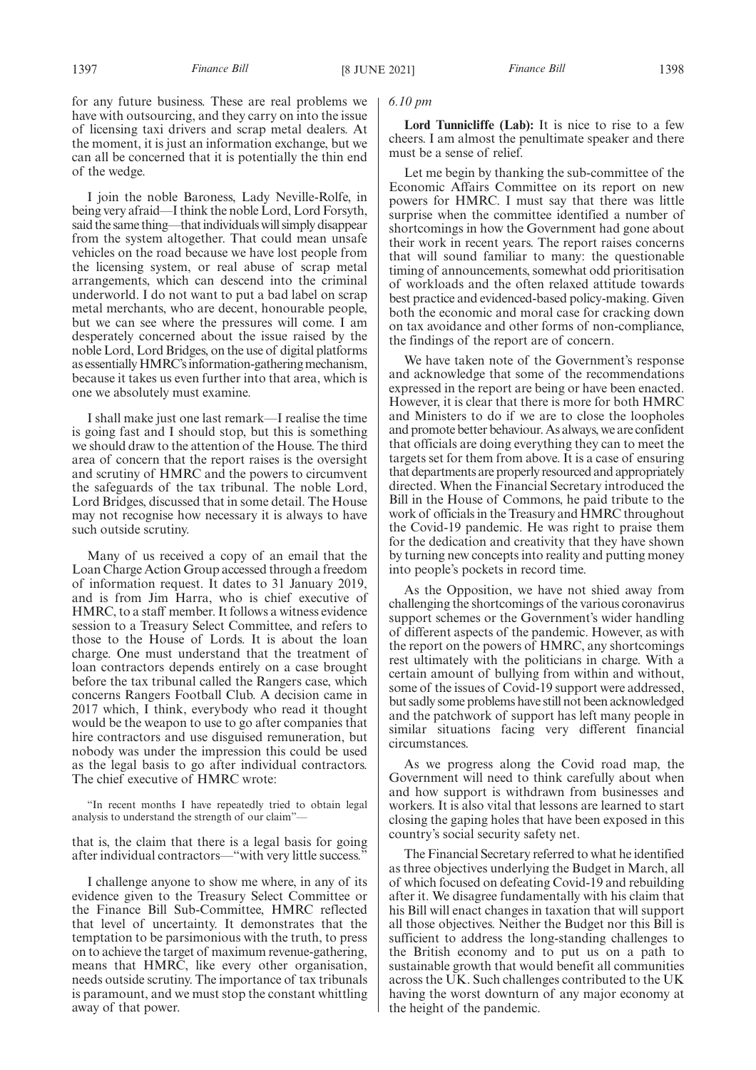for any future business. These are real problems we have with outsourcing, and they carry on into the issue of licensing taxi drivers and scrap metal dealers. At the moment, it is just an information exchange, but we can all be concerned that it is potentially the thin end of the wedge.

I join the noble Baroness, Lady Neville-Rolfe, in being very afraid—I think the noble Lord, Lord Forsyth, said the same thing—that individuals will simply disappear from the system altogether. That could mean unsafe vehicles on the road because we have lost people from the licensing system, or real abuse of scrap metal arrangements, which can descend into the criminal underworld. I do not want to put a bad label on scrap metal merchants, who are decent, honourable people, but we can see where the pressures will come. I am desperately concerned about the issue raised by the noble Lord, Lord Bridges, on the use of digital platforms as essentially HMRC's information-gathering mechanism, because it takes us even further into that area, which is one we absolutely must examine.

I shall make just one last remark—I realise the time is going fast and I should stop, but this is something we should draw to the attention of the House. The third area of concern that the report raises is the oversight and scrutiny of HMRC and the powers to circumvent the safeguards of the tax tribunal. The noble Lord, Lord Bridges, discussed that in some detail. The House may not recognise how necessary it is always to have such outside scrutiny.

Many of us received a copy of an email that the Loan Charge Action Group accessed through a freedom of information request. It dates to 31 January 2019, and is from Jim Harra, who is chief executive of HMRC, to a staff member. It follows a witness evidence session to a Treasury Select Committee, and refers to those to the House of Lords. It is about the loan charge. One must understand that the treatment of loan contractors depends entirely on a case brought before the tax tribunal called the Rangers case, which concerns Rangers Football Club. A decision came in 2017 which, I think, everybody who read it thought would be the weapon to use to go after companies that hire contractors and use disguised remuneration, but nobody was under the impression this could be used as the legal basis to go after individual contractors. The chief executive of HMRC wrote:

"In recent months I have repeatedly tried to obtain legal analysis to understand the strength of our claim"—

that is, the claim that there is a legal basis for going after individual contractors—"with very little success."

I challenge anyone to show me where, in any of its evidence given to the Treasury Select Committee or the Finance Bill Sub-Committee, HMRC reflected that level of uncertainty. It demonstrates that the temptation to be parsimonious with the truth, to press on to achieve the target of maximum revenue-gathering, means that HMRC, like every other organisation, needs outside scrutiny. The importance of tax tribunals is paramount, and we must stop the constant whittling away of that power.

# *6.10 pm*

Lord Tunnicliffe (Lab): It is nice to rise to a few cheers. I am almost the penultimate speaker and there must be a sense of relief.

Let me begin by thanking the sub-committee of the Economic Affairs Committee on its report on new powers for HMRC. I must say that there was little surprise when the committee identified a number of shortcomings in how the Government had gone about their work in recent years. The report raises concerns that will sound familiar to many: the questionable timing of announcements, somewhat odd prioritisation of workloads and the often relaxed attitude towards best practice and evidenced-based policy-making. Given both the economic and moral case for cracking down on tax avoidance and other forms of non-compliance, the findings of the report are of concern.

We have taken note of the Government's response and acknowledge that some of the recommendations expressed in the report are being or have been enacted. However, it is clear that there is more for both HMRC and Ministers to do if we are to close the loopholes and promote better behaviour. As always, we are confident that officials are doing everything they can to meet the targets set for them from above. It is a case of ensuring that departments are properly resourced and appropriately directed. When the Financial Secretary introduced the Bill in the House of Commons, he paid tribute to the work of officials in the Treasury and HMRC throughout the Covid-19 pandemic. He was right to praise them for the dedication and creativity that they have shown by turning new concepts into reality and putting money into people's pockets in record time.

As the Opposition, we have not shied away from challenging the shortcomings of the various coronavirus support schemes or the Government's wider handling of different aspects of the pandemic. However, as with the report on the powers of HMRC, any shortcomings rest ultimately with the politicians in charge. With a certain amount of bullying from within and without, some of the issues of Covid-19 support were addressed, but sadly some problems have still not been acknowledged and the patchwork of support has left many people in similar situations facing very different financial circumstances.

As we progress along the Covid road map, the Government will need to think carefully about when and how support is withdrawn from businesses and workers. It is also vital that lessons are learned to start closing the gaping holes that have been exposed in this country's social security safety net.

The Financial Secretary referred to what he identified as three objectives underlying the Budget in March, all of which focused on defeating Covid-19 and rebuilding after it. We disagree fundamentally with his claim that his Bill will enact changes in taxation that will support all those objectives. Neither the Budget nor this Bill is sufficient to address the long-standing challenges to the British economy and to put us on a path to sustainable growth that would benefit all communities across the UK. Such challenges contributed to the UK having the worst downturn of any major economy at the height of the pandemic.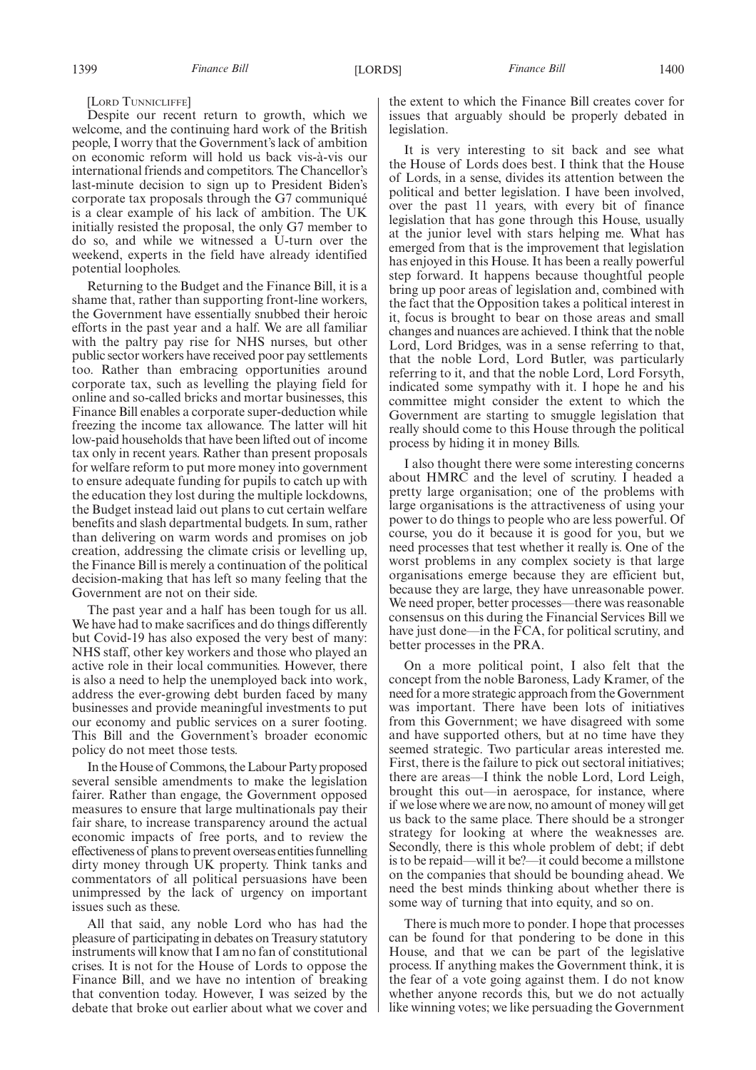[LORD TUNNICLIFFE]

Despite our recent return to growth, which we welcome, and the continuing hard work of the British people, I worry that the Government's lack of ambition on economic reform will hold us back vis-à-vis our international friends and competitors. The Chancellor's last-minute decision to sign up to President Biden's corporate tax proposals through the G7 communiqué is a clear example of his lack of ambition. The UK initially resisted the proposal, the only G7 member to do so, and while we witnessed a U-turn over the weekend, experts in the field have already identified potential loopholes.

Returning to the Budget and the Finance Bill, it is a shame that, rather than supporting front-line workers, the Government have essentially snubbed their heroic efforts in the past year and a half. We are all familiar with the paltry pay rise for NHS nurses, but other public sector workers have received poor pay settlements too. Rather than embracing opportunities around corporate tax, such as levelling the playing field for online and so-called bricks and mortar businesses, this Finance Bill enables a corporate super-deduction while freezing the income tax allowance. The latter will hit low-paid households that have been lifted out of income tax only in recent years. Rather than present proposals for welfare reform to put more money into government to ensure adequate funding for pupils to catch up with the education they lost during the multiple lockdowns, the Budget instead laid out plans to cut certain welfare benefits and slash departmental budgets. In sum, rather than delivering on warm words and promises on job creation, addressing the climate crisis or levelling up, the Finance Bill is merely a continuation of the political decision-making that has left so many feeling that the Government are not on their side.

The past year and a half has been tough for us all. We have had to make sacrifices and do things differently but Covid-19 has also exposed the very best of many: NHS staff, other key workers and those who played an active role in their local communities. However, there is also a need to help the unemployed back into work, address the ever-growing debt burden faced by many businesses and provide meaningful investments to put our economy and public services on a surer footing. This Bill and the Government's broader economic policy do not meet those tests.

In the House of Commons, the Labour Party proposed several sensible amendments to make the legislation fairer. Rather than engage, the Government opposed measures to ensure that large multinationals pay their fair share, to increase transparency around the actual economic impacts of free ports, and to review the effectiveness of plans to prevent overseas entities funnelling dirty money through UK property. Think tanks and commentators of all political persuasions have been unimpressed by the lack of urgency on important issues such as these.

All that said, any noble Lord who has had the pleasure of participating in debates on Treasury statutory instruments will know that I am no fan of constitutional crises. It is not for the House of Lords to oppose the Finance Bill, and we have no intention of breaking that convention today. However, I was seized by the debate that broke out earlier about what we cover and

the extent to which the Finance Bill creates cover for issues that arguably should be properly debated in legislation.

It is very interesting to sit back and see what the House of Lords does best. I think that the House of Lords, in a sense, divides its attention between the political and better legislation. I have been involved, over the past 11 years, with every bit of finance legislation that has gone through this House, usually at the junior level with stars helping me. What has emerged from that is the improvement that legislation has enjoyed in this House. It has been a really powerful step forward. It happens because thoughtful people bring up poor areas of legislation and, combined with the fact that the Opposition takes a political interest in it, focus is brought to bear on those areas and small changes and nuances are achieved. I think that the noble Lord, Lord Bridges, was in a sense referring to that, that the noble Lord, Lord Butler, was particularly referring to it, and that the noble Lord, Lord Forsyth, indicated some sympathy with it. I hope he and his committee might consider the extent to which the Government are starting to smuggle legislation that really should come to this House through the political process by hiding it in money Bills.

I also thought there were some interesting concerns about HMRC and the level of scrutiny. I headed a pretty large organisation; one of the problems with large organisations is the attractiveness of using your power to do things to people who are less powerful. Of course, you do it because it is good for you, but we need processes that test whether it really is. One of the worst problems in any complex society is that large organisations emerge because they are efficient but, because they are large, they have unreasonable power. We need proper, better processes—there was reasonable consensus on this during the Financial Services Bill we have just done—in the FCA, for political scrutiny, and better processes in the PRA.

On a more political point, I also felt that the concept from the noble Baroness, Lady Kramer, of the need for a more strategic approach from the Government was important. There have been lots of initiatives from this Government; we have disagreed with some and have supported others, but at no time have they seemed strategic. Two particular areas interested me. First, there is the failure to pick out sectoral initiatives; there are areas—I think the noble Lord, Lord Leigh, brought this out—in aerospace, for instance, where if we lose where we are now, no amount of money will get us back to the same place. There should be a stronger strategy for looking at where the weaknesses are. Secondly, there is this whole problem of debt; if debt is to be repaid—will it be?—it could become a millstone on the companies that should be bounding ahead. We need the best minds thinking about whether there is some way of turning that into equity, and so on.

There is much more to ponder. I hope that processes can be found for that pondering to be done in this House, and that we can be part of the legislative process. If anything makes the Government think, it is the fear of a vote going against them. I do not know whether anyone records this, but we do not actually like winning votes; we like persuading the Government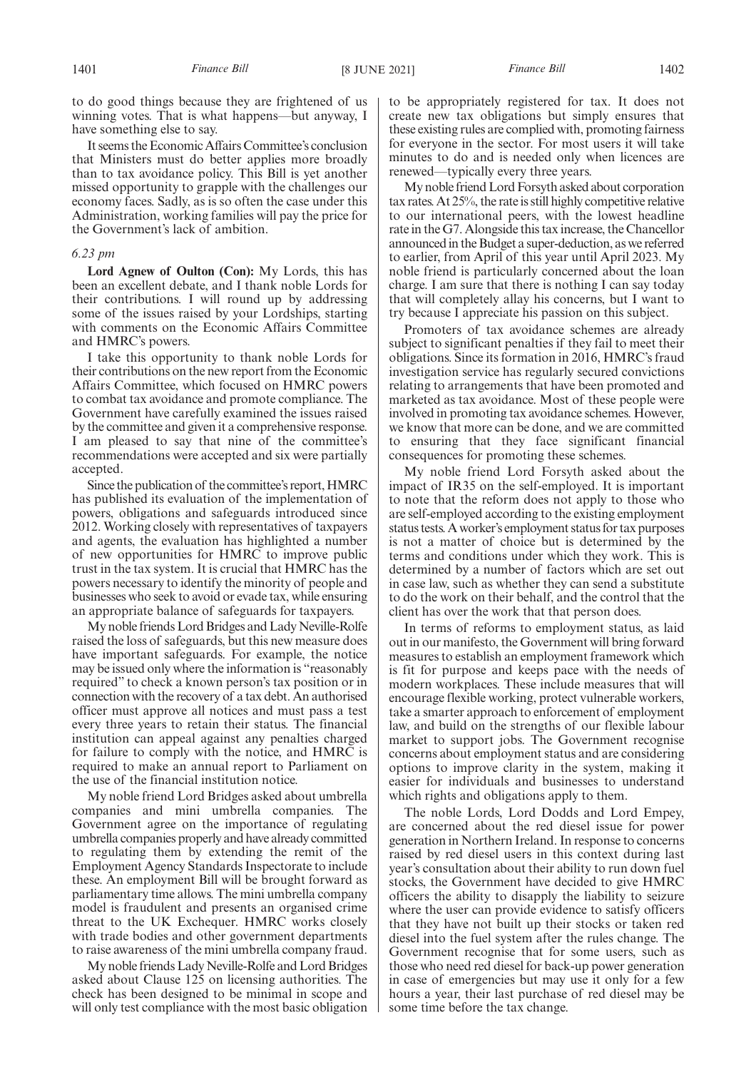to do good things because they are frightened of us winning votes. That is what happens—but anyway, I have something else to say.

It seems the Economic Affairs Committee's conclusion that Ministers must do better applies more broadly than to tax avoidance policy. This Bill is yet another missed opportunity to grapple with the challenges our economy faces. Sadly, as is so often the case under this Administration, working families will pay the price for the Government's lack of ambition.

#### *6.23 pm*

**Lord Agnew of Oulton (Con):** My Lords, this has been an excellent debate, and I thank noble Lords for their contributions. I will round up by addressing some of the issues raised by your Lordships, starting with comments on the Economic Affairs Committee and HMRC's powers.

I take this opportunity to thank noble Lords for their contributions on the new report from the Economic Affairs Committee, which focused on HMRC powers to combat tax avoidance and promote compliance. The Government have carefully examined the issues raised by the committee and given it a comprehensive response. I am pleased to say that nine of the committee's recommendations were accepted and six were partially accepted.

Since the publication of the committee's report, HMRC has published its evaluation of the implementation of powers, obligations and safeguards introduced since 2012. Working closely with representatives of taxpayers and agents, the evaluation has highlighted a number of new opportunities for HMRC to improve public trust in the tax system. It is crucial that HMRC has the powers necessary to identify the minority of people and businesses who seek to avoid or evade tax, while ensuring an appropriate balance of safeguards for taxpayers.

My noble friends Lord Bridges and Lady Neville-Rolfe raised the loss of safeguards, but this new measure does have important safeguards. For example, the notice may be issued only where the information is "reasonably required" to check a known person's tax position or in connection with the recovery of a tax debt. An authorised officer must approve all notices and must pass a test every three years to retain their status. The financial institution can appeal against any penalties charged for failure to comply with the notice, and HMRC is required to make an annual report to Parliament on the use of the financial institution notice.

My noble friend Lord Bridges asked about umbrella companies and mini umbrella companies. The Government agree on the importance of regulating umbrella companies properly and have already committed to regulating them by extending the remit of the Employment Agency Standards Inspectorate to include these. An employment Bill will be brought forward as parliamentary time allows. The mini umbrella company model is fraudulent and presents an organised crime threat to the UK Exchequer. HMRC works closely with trade bodies and other government departments to raise awareness of the mini umbrella company fraud.

My noble friends Lady Neville-Rolfe and Lord Bridges asked about Clause 125 on licensing authorities. The check has been designed to be minimal in scope and will only test compliance with the most basic obligation to be appropriately registered for tax. It does not create new tax obligations but simply ensures that these existing rules are complied with, promoting fairness for everyone in the sector. For most users it will take minutes to do and is needed only when licences are renewed—typically every three years.

My noble friend Lord Forsyth asked about corporation tax rates. At 25%, the rate is still highly competitive relative to our international peers, with the lowest headline rate in the G7. Alongside this tax increase, the Chancellor announced in the Budget a super-deduction, as we referred to earlier, from April of this year until April 2023. My noble friend is particularly concerned about the loan charge. I am sure that there is nothing I can say today that will completely allay his concerns, but I want to try because I appreciate his passion on this subject.

Promoters of tax avoidance schemes are already subject to significant penalties if they fail to meet their obligations. Since its formation in 2016, HMRC's fraud investigation service has regularly secured convictions relating to arrangements that have been promoted and marketed as tax avoidance. Most of these people were involved in promoting tax avoidance schemes. However, we know that more can be done, and we are committed to ensuring that they face significant financial consequences for promoting these schemes.

My noble friend Lord Forsyth asked about the impact of IR35 on the self-employed. It is important to note that the reform does not apply to those who are self-employed according to the existing employment status tests. A worker's employment status for tax purposes is not a matter of choice but is determined by the terms and conditions under which they work. This is determined by a number of factors which are set out in case law, such as whether they can send a substitute to do the work on their behalf, and the control that the client has over the work that that person does.

In terms of reforms to employment status, as laid out in our manifesto, the Government will bring forward measures to establish an employment framework which is fit for purpose and keeps pace with the needs of modern workplaces. These include measures that will encourage flexible working, protect vulnerable workers, take a smarter approach to enforcement of employment law, and build on the strengths of our flexible labour market to support jobs. The Government recognise concerns about employment status and are considering options to improve clarity in the system, making it easier for individuals and businesses to understand which rights and obligations apply to them.

The noble Lords, Lord Dodds and Lord Empey, are concerned about the red diesel issue for power generation in Northern Ireland. In response to concerns raised by red diesel users in this context during last year's consultation about their ability to run down fuel stocks, the Government have decided to give HMRC officers the ability to disapply the liability to seizure where the user can provide evidence to satisfy officers that they have not built up their stocks or taken red diesel into the fuel system after the rules change. The Government recognise that for some users, such as those who need red diesel for back-up power generation in case of emergencies but may use it only for a few hours a year, their last purchase of red diesel may be some time before the tax change.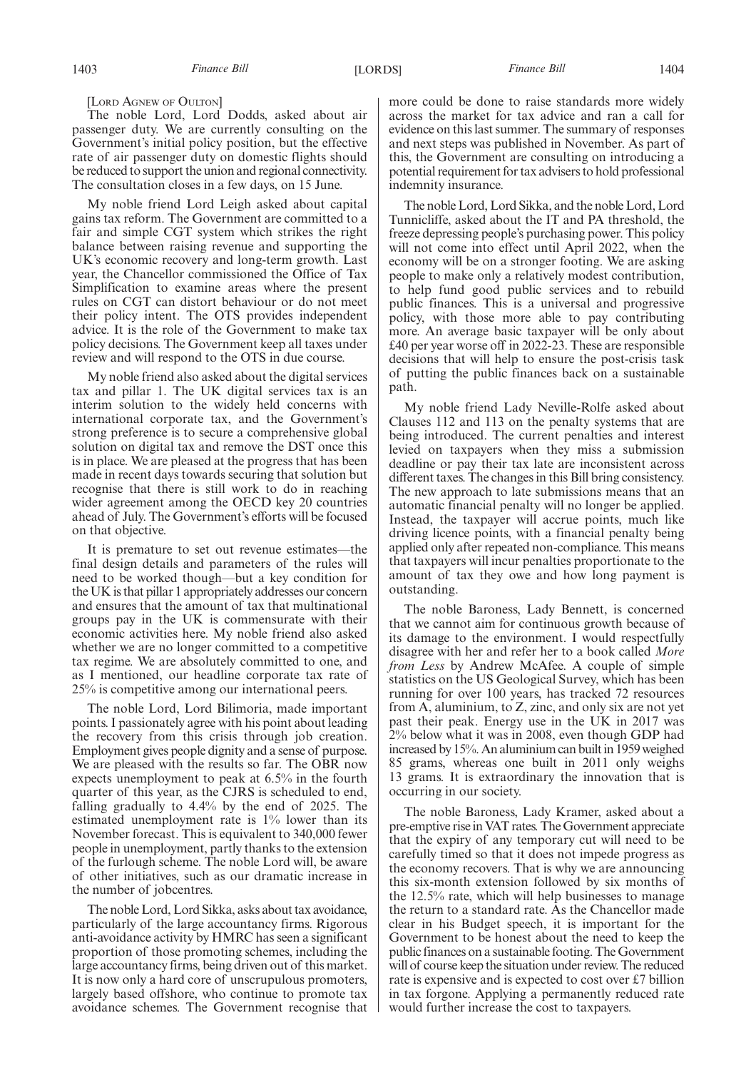[LORD AGNEW OF OULTON]

The noble Lord, Lord Dodds, asked about air passenger duty. We are currently consulting on the Government's initial policy position, but the effective rate of air passenger duty on domestic flights should be reduced to support the union and regional connectivity. The consultation closes in a few days, on 15 June.

My noble friend Lord Leigh asked about capital gains tax reform. The Government are committed to a fair and simple CGT system which strikes the right balance between raising revenue and supporting the UK's economic recovery and long-term growth. Last year, the Chancellor commissioned the Office of Tax Simplification to examine areas where the present rules on CGT can distort behaviour or do not meet their policy intent. The OTS provides independent advice. It is the role of the Government to make tax policy decisions. The Government keep all taxes under review and will respond to the OTS in due course.

My noble friend also asked about the digital services tax and pillar 1. The UK digital services tax is an interim solution to the widely held concerns with international corporate tax, and the Government's strong preference is to secure a comprehensive global solution on digital tax and remove the DST once this is in place. We are pleased at the progress that has been made in recent days towards securing that solution but recognise that there is still work to do in reaching wider agreement among the OECD key 20 countries ahead of July. The Government's efforts will be focused on that objective.

It is premature to set out revenue estimates—the final design details and parameters of the rules will need to be worked though—but a key condition for the UK is that pillar 1 appropriately addresses our concern and ensures that the amount of tax that multinational groups pay in the UK is commensurate with their economic activities here. My noble friend also asked whether we are no longer committed to a competitive tax regime. We are absolutely committed to one, and as I mentioned, our headline corporate tax rate of 25% is competitive among our international peers.

The noble Lord, Lord Bilimoria, made important points. I passionately agree with his point about leading the recovery from this crisis through job creation. Employment gives people dignity and a sense of purpose. We are pleased with the results so far. The OBR now expects unemployment to peak at 6.5% in the fourth quarter of this year, as the CJRS is scheduled to end, falling gradually to 4.4% by the end of 2025. The estimated unemployment rate is 1% lower than its November forecast. This is equivalent to 340,000 fewer people in unemployment, partly thanks to the extension of the furlough scheme. The noble Lord will, be aware of other initiatives, such as our dramatic increase in the number of jobcentres.

The noble Lord, Lord Sikka, asks about tax avoidance, particularly of the large accountancy firms. Rigorous anti-avoidance activity by HMRC has seen a significant proportion of those promoting schemes, including the large accountancy firms, being driven out of this market. It is now only a hard core of unscrupulous promoters, largely based offshore, who continue to promote tax avoidance schemes. The Government recognise that more could be done to raise standards more widely across the market for tax advice and ran a call for evidence on this last summer. The summary of responses and next steps was published in November. As part of this, the Government are consulting on introducing a potential requirement for tax advisers to hold professional indemnity insurance.

The noble Lord, Lord Sikka, and the noble Lord, Lord Tunnicliffe, asked about the IT and PA threshold, the freeze depressing people's purchasing power. This policy will not come into effect until April 2022, when the economy will be on a stronger footing. We are asking people to make only a relatively modest contribution, to help fund good public services and to rebuild public finances. This is a universal and progressive policy, with those more able to pay contributing more. An average basic taxpayer will be only about £40 per year worse off in 2022-23. These are responsible decisions that will help to ensure the post-crisis task of putting the public finances back on a sustainable path.

My noble friend Lady Neville-Rolfe asked about Clauses 112 and 113 on the penalty systems that are being introduced. The current penalties and interest levied on taxpayers when they miss a submission deadline or pay their tax late are inconsistent across different taxes. The changes in this Bill bring consistency. The new approach to late submissions means that an automatic financial penalty will no longer be applied. Instead, the taxpayer will accrue points, much like driving licence points, with a financial penalty being applied only after repeated non-compliance. This means that taxpayers will incur penalties proportionate to the amount of tax they owe and how long payment is outstanding.

The noble Baroness, Lady Bennett, is concerned that we cannot aim for continuous growth because of its damage to the environment. I would respectfully disagree with her and refer her to a book called *More from Less* by Andrew McAfee. A couple of simple statistics on the US Geological Survey, which has been running for over 100 years, has tracked 72 resources from A, aluminium, to Z, zinc, and only six are not yet past their peak. Energy use in the UK in 2017 was 2% below what it was in 2008, even though GDP had increased by 15%. An aluminium can built in 1959 weighed 85 grams, whereas one built in 2011 only weighs 13 grams. It is extraordinary the innovation that is occurring in our society.

The noble Baroness, Lady Kramer, asked about a pre-emptive rise in VAT rates. The Government appreciate that the expiry of any temporary cut will need to be carefully timed so that it does not impede progress as the economy recovers. That is why we are announcing this six-month extension followed by six months of the 12.5% rate, which will help businesses to manage the return to a standard rate. As the Chancellor made clear in his Budget speech, it is important for the Government to be honest about the need to keep the public finances on a sustainable footing. The Government will of course keep the situation under review. The reduced rate is expensive and is expected to cost over £7 billion in tax forgone. Applying a permanently reduced rate would further increase the cost to taxpayers.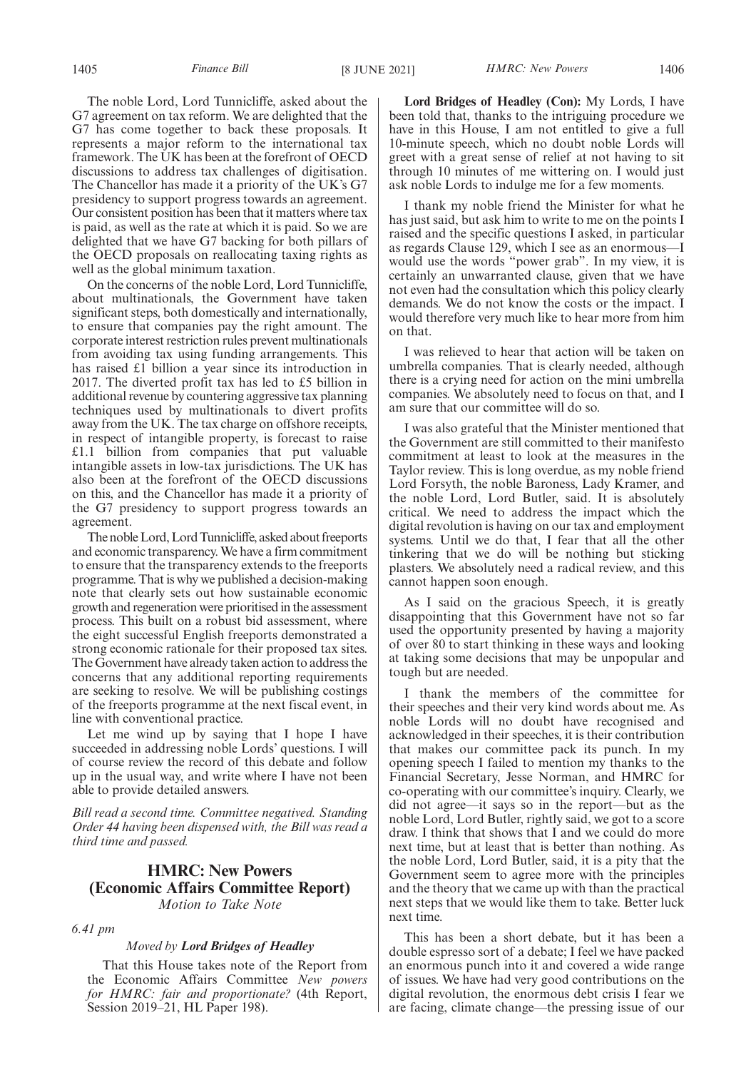The noble Lord, Lord Tunnicliffe, asked about the G7 agreement on tax reform. We are delighted that the G7 has come together to back these proposals. It represents a major reform to the international tax framework. The UK has been at the forefront of OECD discussions to address tax challenges of digitisation. The Chancellor has made it a priority of the UK's G7 presidency to support progress towards an agreement. Our consistent position has been that it matters where tax is paid, as well as the rate at which it is paid. So we are delighted that we have G7 backing for both pillars of the OECD proposals on reallocating taxing rights as well as the global minimum taxation.

On the concerns of the noble Lord, Lord Tunnicliffe, about multinationals, the Government have taken significant steps, both domestically and internationally, to ensure that companies pay the right amount. The corporate interest restriction rules prevent multinationals from avoiding tax using funding arrangements. This has raised £1 billion a year since its introduction in 2017. The diverted profit tax has led to £5 billion in additional revenue by countering aggressive tax planning techniques used by multinationals to divert profits away from the UK. The tax charge on offshore receipts, in respect of intangible property, is forecast to raise £1.1 billion from companies that put valuable intangible assets in low-tax jurisdictions. The UK has also been at the forefront of the OECD discussions on this, and the Chancellor has made it a priority of the G7 presidency to support progress towards an agreement.

The noble Lord, Lord Tunnicliffe, asked about freeports and economic transparency. We have a firm commitment to ensure that the transparency extends to the freeports programme. That is why we published a decision-making note that clearly sets out how sustainable economic growth and regeneration were prioritised in the assessment process. This built on a robust bid assessment, where the eight successful English freeports demonstrated a strong economic rationale for their proposed tax sites. The Government have already taken action to address the concerns that any additional reporting requirements are seeking to resolve. We will be publishing costings of the freeports programme at the next fiscal event, in line with conventional practice.

Let me wind up by saying that I hope I have succeeded in addressing noble Lords' questions. I will of course review the record of this debate and follow up in the usual way, and write where I have not been able to provide detailed answers.

*Bill read a second time. Committee negatived. Standing Order 44 having been dispensed with, the Bill was read a third time and passed.*

# **HMRC: New Powers (Economic Affairs Committee Report)** *Motion to Take Note*

*6.41 pm*

# *Moved by Lord Bridges of Headley*

That this House takes note of the Report from the Economic Affairs Committee *New powers for HMRC: fair and proportionate?* (4th Report, Session 2019–21, HL Paper 198).

**Lord Bridges of Headley (Con):** My Lords, I have been told that, thanks to the intriguing procedure we have in this House, I am not entitled to give a full 10-minute speech, which no doubt noble Lords will greet with a great sense of relief at not having to sit through 10 minutes of me wittering on. I would just ask noble Lords to indulge me for a few moments.

I thank my noble friend the Minister for what he has just said, but ask him to write to me on the points I raised and the specific questions I asked, in particular as regards Clause 129, which I see as an enormous—I would use the words "power grab". In my view, it is certainly an unwarranted clause, given that we have not even had the consultation which this policy clearly demands. We do not know the costs or the impact. I would therefore very much like to hear more from him on that.

I was relieved to hear that action will be taken on umbrella companies. That is clearly needed, although there is a crying need for action on the mini umbrella companies. We absolutely need to focus on that, and I am sure that our committee will do so.

I was also grateful that the Minister mentioned that the Government are still committed to their manifesto commitment at least to look at the measures in the Taylor review. This is long overdue, as my noble friend Lord Forsyth, the noble Baroness, Lady Kramer, and the noble Lord, Lord Butler, said. It is absolutely critical. We need to address the impact which the digital revolution is having on our tax and employment systems. Until we do that, I fear that all the other tinkering that we do will be nothing but sticking plasters. We absolutely need a radical review, and this cannot happen soon enough.

As I said on the gracious Speech, it is greatly disappointing that this Government have not so far used the opportunity presented by having a majority of over 80 to start thinking in these ways and looking at taking some decisions that may be unpopular and tough but are needed.

I thank the members of the committee for their speeches and their very kind words about me. As noble Lords will no doubt have recognised and acknowledged in their speeches, it is their contribution that makes our committee pack its punch. In my opening speech I failed to mention my thanks to the Financial Secretary, Jesse Norman, and HMRC for co-operating with our committee's inquiry. Clearly, we did not agree—it says so in the report—but as the noble Lord, Lord Butler, rightly said, we got to a score draw. I think that shows that I and we could do more next time, but at least that is better than nothing. As the noble Lord, Lord Butler, said, it is a pity that the Government seem to agree more with the principles and the theory that we came up with than the practical next steps that we would like them to take. Better luck next time.

This has been a short debate, but it has been a double espresso sort of a debate; I feel we have packed an enormous punch into it and covered a wide range of issues. We have had very good contributions on the digital revolution, the enormous debt crisis I fear we are facing, climate change—the pressing issue of our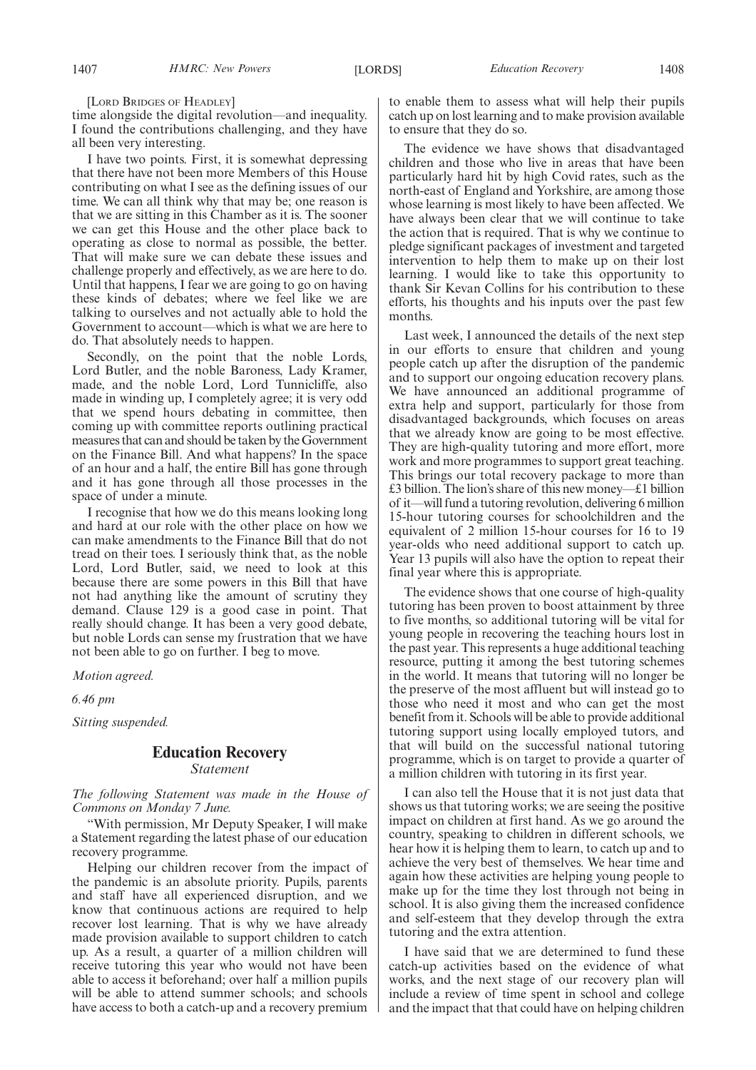[LORD BRIDGES OF HEADLEY]

time alongside the digital revolution—and inequality. I found the contributions challenging, and they have all been very interesting.

I have two points. First, it is somewhat depressing that there have not been more Members of this House contributing on what I see as the defining issues of our time. We can all think why that may be; one reason is that we are sitting in this Chamber as it is. The sooner we can get this House and the other place back to operating as close to normal as possible, the better. That will make sure we can debate these issues and challenge properly and effectively, as we are here to do. Until that happens, I fear we are going to go on having these kinds of debates; where we feel like we are talking to ourselves and not actually able to hold the Government to account—which is what we are here to do. That absolutely needs to happen.

Secondly, on the point that the noble Lords, Lord Butler, and the noble Baroness, Lady Kramer, made, and the noble Lord, Lord Tunnicliffe, also made in winding up, I completely agree; it is very odd that we spend hours debating in committee, then coming up with committee reports outlining practical measures that can and should be taken by the Government on the Finance Bill. And what happens? In the space of an hour and a half, the entire Bill has gone through and it has gone through all those processes in the space of under a minute.

I recognise that how we do this means looking long and hard at our role with the other place on how we can make amendments to the Finance Bill that do not tread on their toes. I seriously think that, as the noble Lord, Lord Butler, said, we need to look at this because there are some powers in this Bill that have not had anything like the amount of scrutiny they demand. Clause 129 is a good case in point. That really should change. It has been a very good debate, but noble Lords can sense my frustration that we have not been able to go on further. I beg to move.

*Motion agreed.*

*6.46 pm*

*Sitting suspended.*

# **Education Recovery**

*Statement*

*The following Statement was made in the House of Commons on Monday 7 June.*

"With permission, Mr Deputy Speaker, I will make a Statement regarding the latest phase of our education recovery programme.

Helping our children recover from the impact of the pandemic is an absolute priority. Pupils, parents and staff have all experienced disruption, and we know that continuous actions are required to help recover lost learning. That is why we have already made provision available to support children to catch up. As a result, a quarter of a million children will receive tutoring this year who would not have been able to access it beforehand; over half a million pupils will be able to attend summer schools; and schools have access to both a catch-up and a recovery premium to enable them to assess what will help their pupils catch up on lost learning and to make provision available to ensure that they do so.

The evidence we have shows that disadvantaged children and those who live in areas that have been particularly hard hit by high Covid rates, such as the north-east of England and Yorkshire, are among those whose learning is most likely to have been affected. We have always been clear that we will continue to take the action that is required. That is why we continue to pledge significant packages of investment and targeted intervention to help them to make up on their lost learning. I would like to take this opportunity to thank Sir Kevan Collins for his contribution to these efforts, his thoughts and his inputs over the past few months.

Last week, I announced the details of the next step in our efforts to ensure that children and young people catch up after the disruption of the pandemic and to support our ongoing education recovery plans. We have announced an additional programme of extra help and support, particularly for those from disadvantaged backgrounds, which focuses on areas that we already know are going to be most effective. They are high-quality tutoring and more effort, more work and more programmes to support great teaching. This brings our total recovery package to more than £3 billion. The lion's share of this new money—£1 billion of it—will fund a tutoring revolution, delivering 6 million 15-hour tutoring courses for schoolchildren and the equivalent of 2 million 15-hour courses for 16 to 19 year-olds who need additional support to catch up. Year 13 pupils will also have the option to repeat their final year where this is appropriate.

The evidence shows that one course of high-quality tutoring has been proven to boost attainment by three to five months, so additional tutoring will be vital for young people in recovering the teaching hours lost in the past year. This represents a huge additional teaching resource, putting it among the best tutoring schemes in the world. It means that tutoring will no longer be the preserve of the most affluent but will instead go to those who need it most and who can get the most benefit from it. Schools will be able to provide additional tutoring support using locally employed tutors, and that will build on the successful national tutoring programme, which is on target to provide a quarter of a million children with tutoring in its first year.

I can also tell the House that it is not just data that shows us that tutoring works; we are seeing the positive impact on children at first hand. As we go around the country, speaking to children in different schools, we hear how it is helping them to learn, to catch up and to achieve the very best of themselves. We hear time and again how these activities are helping young people to make up for the time they lost through not being in school. It is also giving them the increased confidence and self-esteem that they develop through the extra tutoring and the extra attention.

I have said that we are determined to fund these catch-up activities based on the evidence of what works, and the next stage of our recovery plan will include a review of time spent in school and college and the impact that that could have on helping children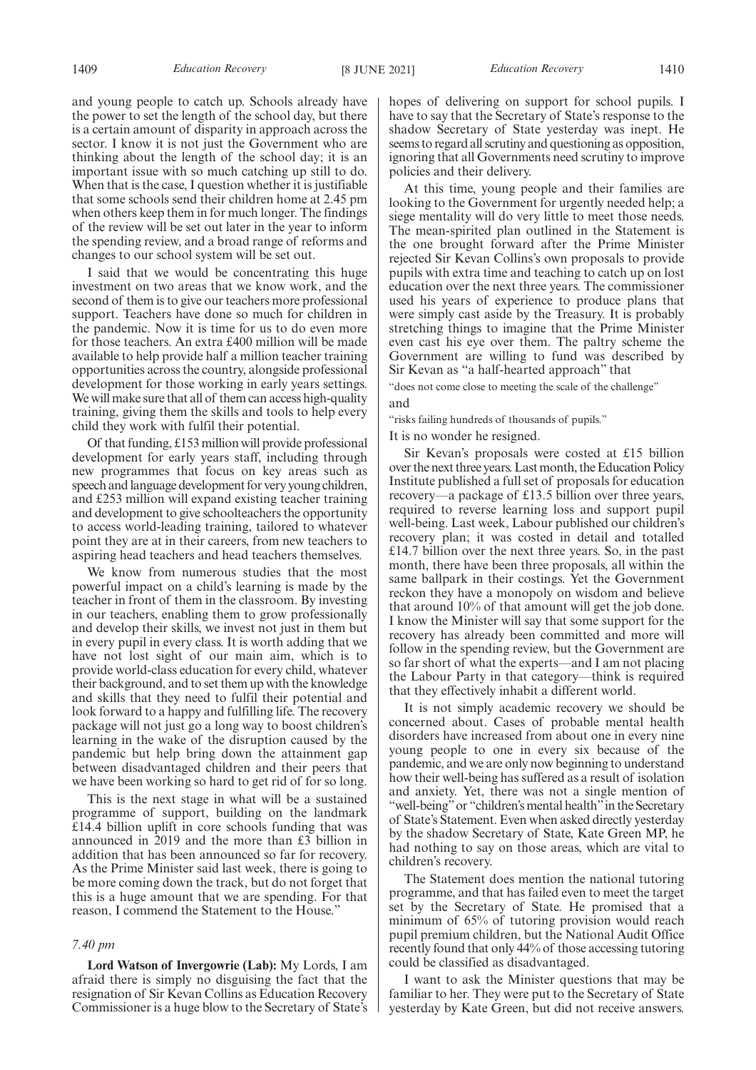and young people to catch up. Schools already have the power to set the length of the school day, but there is a certain amount of disparity in approach across the sector. I know it is not just the Government who are thinking about the length of the school day; it is an important issue with so much catching up still to do. When that is the case, I question whether it is justifiable that some schools send their children home at 2.45 pm when others keep them in for much longer. The findings of the review will be set out later in the year to inform the spending review, and a broad range of reforms and changes to our school system will be set out.

I said that we would be concentrating this huge investment on two areas that we know work, and the second of them is to give our teachers more professional support. Teachers have done so much for children in the pandemic. Now it is time for us to do even more for those teachers. An extra £400 million will be made available to help provide half a million teacher training opportunities across the country, alongside professional development for those working in early years settings. We will make sure that all of them can access high-quality training, giving them the skills and tools to help every child they work with fulfil their potential.

Of that funding, £153 million will provide professional development for early years staff, including through new programmes that focus on key areas such as speech and language development for very young children, and £253 million will expand existing teacher training and development to give schoolteachers the opportunity to access world-leading training, tailored to whatever point they are at in their careers, from new teachers to aspiring head teachers and head teachers themselves.

We know from numerous studies that the most powerful impact on a child's learning is made by the teacher in front of them in the classroom. By investing in our teachers, enabling them to grow professionally and develop their skills, we invest not just in them but in every pupil in every class. It is worth adding that we have not lost sight of our main aim, which is to provide world-class education for every child, whatever their background, and to set them up with the knowledge and skills that they need to fulfil their potential and look forward to a happy and fulfilling life. The recovery package will not just go a long way to boost children's learning in the wake of the disruption caused by the pandemic but help bring down the attainment gap between disadvantaged children and their peers that we have been working so hard to get rid of for so long.

This is the next stage in what will be a sustained programme of support, building on the landmark £14.4 billion uplift in core schools funding that was announced in 2019 and the more than £3 billion in addition that has been announced so far for recovery. As the Prime Minister said last week, there is going to be more coming down the track, but do not forget that this is a huge amount that we are spending. For that reason, I commend the Statement to the House."

# *7.40 pm*

**Lord Watson of Invergowrie (Lab):** My Lords, I am afraid there is simply no disguising the fact that the resignation of Sir Kevan Collins as Education Recovery Commissioner is a huge blow to the Secretary of State's hopes of delivering on support for school pupils. I have to say that the Secretary of State's response to the shadow Secretary of State yesterday was inept. He seems to regard all scrutiny and questioning as opposition, ignoring that all Governments need scrutiny to improve policies and their delivery.

At this time, young people and their families are looking to the Government for urgently needed help; a siege mentality will do very little to meet those needs. The mean-spirited plan outlined in the Statement is the one brought forward after the Prime Minister rejected Sir Kevan Collins's own proposals to provide pupils with extra time and teaching to catch up on lost education over the next three years. The commissioner used his years of experience to produce plans that were simply cast aside by the Treasury. It is probably stretching things to imagine that the Prime Minister even cast his eye over them. The paltry scheme the Government are willing to fund was described by Sir Kevan as "a half-hearted approach" that

"does not come close to meeting the scale of the challenge" and

"risks failing hundreds of thousands of pupils."

It is no wonder he resigned.

Sir Kevan's proposals were costed at £15 billion over the next three years. Last month, the Education Policy Institute published a full set of proposals for education recovery—a package of £13.5 billion over three years, required to reverse learning loss and support pupil well-being. Last week, Labour published our children's recovery plan; it was costed in detail and totalled £14.7 billion over the next three years. So, in the past month, there have been three proposals, all within the same ballpark in their costings. Yet the Government reckon they have a monopoly on wisdom and believe that around 10% of that amount will get the job done. I know the Minister will say that some support for the recovery has already been committed and more will follow in the spending review, but the Government are so far short of what the experts—and I am not placing the Labour Party in that category—think is required that they effectively inhabit a different world.

It is not simply academic recovery we should be concerned about. Cases of probable mental health disorders have increased from about one in every nine young people to one in every six because of the pandemic, and we are only now beginning to understand how their well-being has suffered as a result of isolation and anxiety. Yet, there was not a single mention of "well-being" or "children's mental health" in the Secretary of State's Statement. Even when asked directly yesterday by the shadow Secretary of State, Kate Green MP, he had nothing to say on those areas, which are vital to children's recovery.

The Statement does mention the national tutoring programme, and that has failed even to meet the target set by the Secretary of State. He promised that a minimum of 65% of tutoring provision would reach pupil premium children, but the National Audit Office recently found that only 44% of those accessing tutoring could be classified as disadvantaged.

I want to ask the Minister questions that may be familiar to her. They were put to the Secretary of State yesterday by Kate Green, but did not receive answers.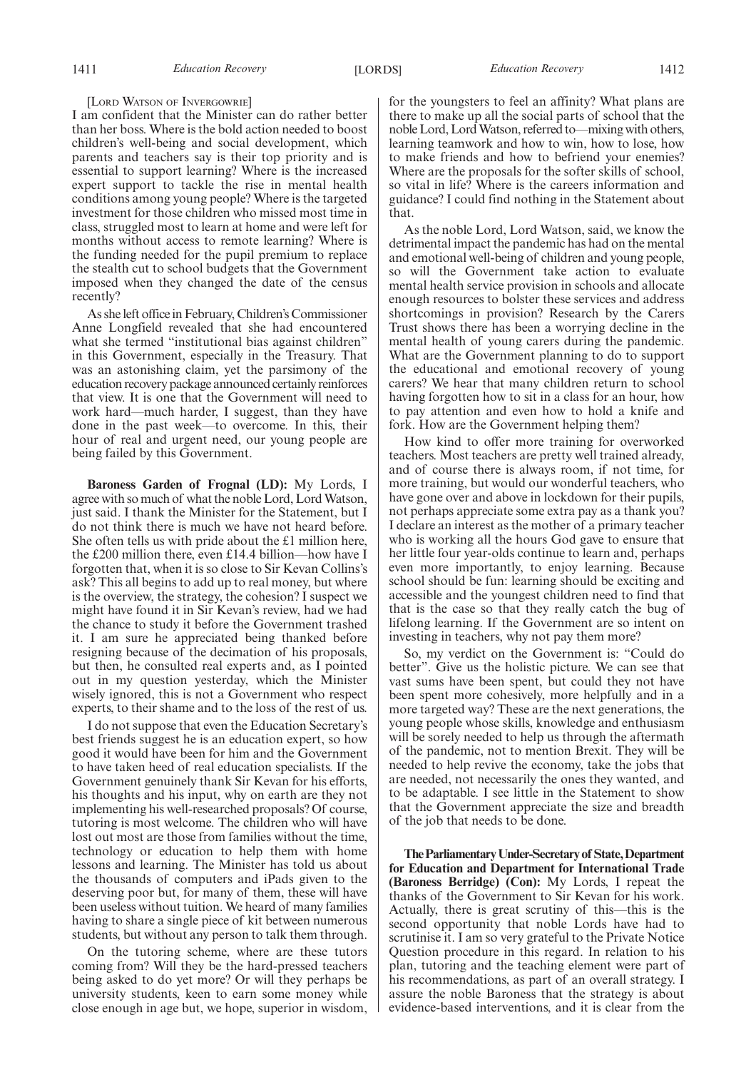#### [LORD WATSON OF INVERGOWRIE]

I am confident that the Minister can do rather better than her boss. Where is the bold action needed to boost children's well-being and social development, which parents and teachers say is their top priority and is essential to support learning? Where is the increased expert support to tackle the rise in mental health conditions among young people? Where is the targeted investment for those children who missed most time in class, struggled most to learn at home and were left for months without access to remote learning? Where is the funding needed for the pupil premium to replace the stealth cut to school budgets that the Government imposed when they changed the date of the census recently?

As she left office in February, Children's Commissioner Anne Longfield revealed that she had encountered what she termed "institutional bias against children" in this Government, especially in the Treasury. That was an astonishing claim, yet the parsimony of the education recovery package announced certainly reinforces that view. It is one that the Government will need to work hard—much harder, I suggest, than they have done in the past week—to overcome. In this, their hour of real and urgent need, our young people are being failed by this Government.

**Baroness Garden of Frognal (LD):** My Lords, I agree with so much of what the noble Lord, Lord Watson, just said. I thank the Minister for the Statement, but I do not think there is much we have not heard before. She often tells us with pride about the £1 million here, the £200 million there, even £14.4 billion—how have I forgotten that, when it is so close to Sir Kevan Collins's ask? This all begins to add up to real money, but where is the overview, the strategy, the cohesion? I suspect we might have found it in Sir Kevan's review, had we had the chance to study it before the Government trashed it. I am sure he appreciated being thanked before resigning because of the decimation of his proposals, but then, he consulted real experts and, as I pointed out in my question yesterday, which the Minister wisely ignored, this is not a Government who respect experts, to their shame and to the loss of the rest of us.

I do not suppose that even the Education Secretary's best friends suggest he is an education expert, so how good it would have been for him and the Government to have taken heed of real education specialists. If the Government genuinely thank Sir Kevan for his efforts, his thoughts and his input, why on earth are they not implementing his well-researched proposals? Of course, tutoring is most welcome. The children who will have lost out most are those from families without the time, technology or education to help them with home lessons and learning. The Minister has told us about the thousands of computers and iPads given to the deserving poor but, for many of them, these will have been useless without tuition. We heard of many families having to share a single piece of kit between numerous students, but without any person to talk them through.

On the tutoring scheme, where are these tutors coming from? Will they be the hard-pressed teachers being asked to do yet more? Or will they perhaps be university students, keen to earn some money while close enough in age but, we hope, superior in wisdom, for the youngsters to feel an affinity? What plans are there to make up all the social parts of school that the noble Lord, Lord Watson, referred to—mixing with others, learning teamwork and how to win, how to lose, how to make friends and how to befriend your enemies? Where are the proposals for the softer skills of school, so vital in life? Where is the careers information and guidance? I could find nothing in the Statement about that.

As the noble Lord, Lord Watson, said, we know the detrimental impact the pandemic has had on the mental and emotional well-being of children and young people, so will the Government take action to evaluate mental health service provision in schools and allocate enough resources to bolster these services and address shortcomings in provision? Research by the Carers Trust shows there has been a worrying decline in the mental health of young carers during the pandemic. What are the Government planning to do to support the educational and emotional recovery of young carers? We hear that many children return to school having forgotten how to sit in a class for an hour, how to pay attention and even how to hold a knife and fork. How are the Government helping them?

How kind to offer more training for overworked teachers. Most teachers are pretty well trained already, and of course there is always room, if not time, for more training, but would our wonderful teachers, who have gone over and above in lockdown for their pupils, not perhaps appreciate some extra pay as a thank you? I declare an interest as the mother of a primary teacher who is working all the hours God gave to ensure that her little four year-olds continue to learn and, perhaps even more importantly, to enjoy learning. Because school should be fun: learning should be exciting and accessible and the youngest children need to find that that is the case so that they really catch the bug of lifelong learning. If the Government are so intent on investing in teachers, why not pay them more?

So, my verdict on the Government is: "Could do better". Give us the holistic picture. We can see that vast sums have been spent, but could they not have been spent more cohesively, more helpfully and in a more targeted way? These are the next generations, the young people whose skills, knowledge and enthusiasm will be sorely needed to help us through the aftermath of the pandemic, not to mention Brexit. They will be needed to help revive the economy, take the jobs that are needed, not necessarily the ones they wanted, and to be adaptable. I see little in the Statement to show that the Government appreciate the size and breadth of the job that needs to be done.

**TheParliamentaryUnder-Secretaryof State,Department for Education and Department for International Trade (Baroness Berridge) (Con):** My Lords, I repeat the thanks of the Government to Sir Kevan for his work. Actually, there is great scrutiny of this—this is the second opportunity that noble Lords have had to scrutinise it. I am so very grateful to the Private Notice Question procedure in this regard. In relation to his plan, tutoring and the teaching element were part of his recommendations, as part of an overall strategy. I assure the noble Baroness that the strategy is about evidence-based interventions, and it is clear from the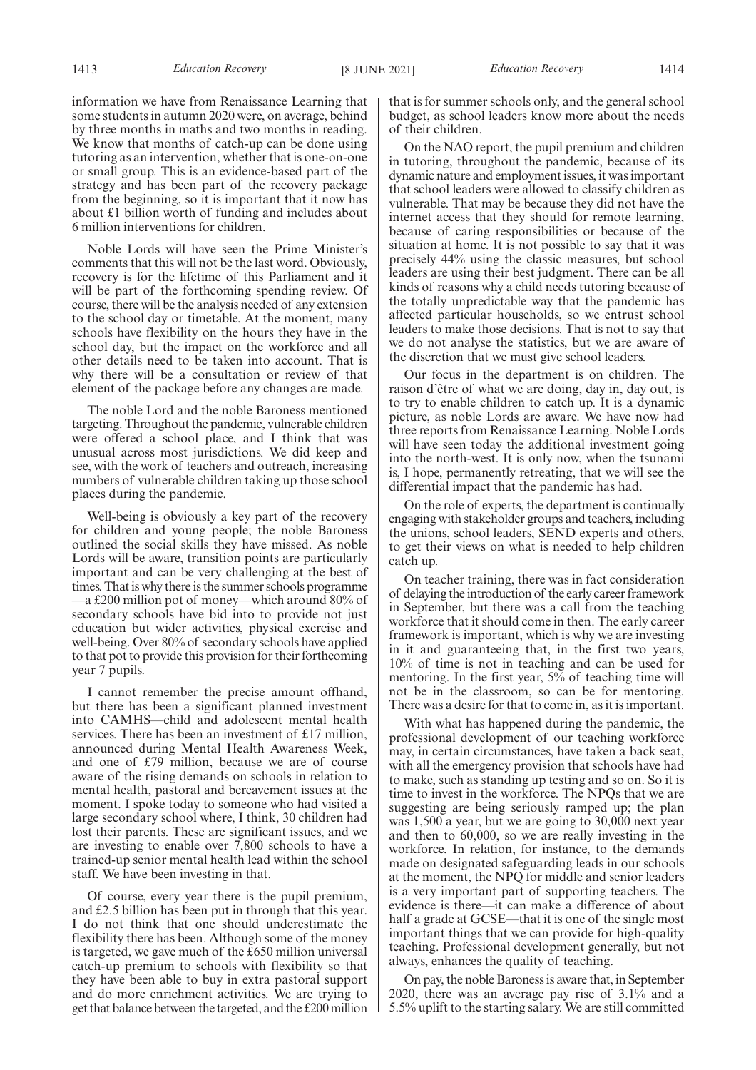1413 *Education Recovery* [8 JUNE 2021] *Education Recovery* 1414

information we have from Renaissance Learning that some students in autumn 2020 were, on average, behind by three months in maths and two months in reading. We know that months of catch-up can be done using tutoring as an intervention, whether that is one-on-one or small group. This is an evidence-based part of the strategy and has been part of the recovery package from the beginning, so it is important that it now has about £1 billion worth of funding and includes about 6 million interventions for children.

Noble Lords will have seen the Prime Minister's comments that this will not be the last word. Obviously, recovery is for the lifetime of this Parliament and it will be part of the forthcoming spending review. Of course, there will be the analysis needed of any extension to the school day or timetable. At the moment, many schools have flexibility on the hours they have in the school day, but the impact on the workforce and all other details need to be taken into account. That is why there will be a consultation or review of that element of the package before any changes are made.

The noble Lord and the noble Baroness mentioned targeting. Throughout the pandemic, vulnerable children were offered a school place, and I think that was unusual across most jurisdictions. We did keep and see, with the work of teachers and outreach, increasing numbers of vulnerable children taking up those school places during the pandemic.

Well-being is obviously a key part of the recovery for children and young people; the noble Baroness outlined the social skills they have missed. As noble Lords will be aware, transition points are particularly important and can be very challenging at the best of times. That is why there is the summer schools programme —a £200 million pot of money—which around 80% of secondary schools have bid into to provide not just education but wider activities, physical exercise and well-being. Over 80% of secondary schools have applied to that pot to provide this provision for their forthcoming year 7 pupils.

I cannot remember the precise amount offhand, but there has been a significant planned investment into CAMHS—child and adolescent mental health services. There has been an investment of £17 million, announced during Mental Health Awareness Week, and one of £79 million, because we are of course aware of the rising demands on schools in relation to mental health, pastoral and bereavement issues at the moment. I spoke today to someone who had visited a large secondary school where, I think, 30 children had lost their parents. These are significant issues, and we are investing to enable over 7,800 schools to have a trained-up senior mental health lead within the school staff. We have been investing in that.

Of course, every year there is the pupil premium, and £2.5 billion has been put in through that this year. I do not think that one should underestimate the flexibility there has been. Although some of the money is targeted, we gave much of the £650 million universal catch-up premium to schools with flexibility so that they have been able to buy in extra pastoral support and do more enrichment activities. We are trying to get that balance between the targeted, and the £200 million that is for summer schools only, and the general school budget, as school leaders know more about the needs of their children.

On the NAO report, the pupil premium and children in tutoring, throughout the pandemic, because of its dynamic nature and employment issues, it was important that school leaders were allowed to classify children as vulnerable. That may be because they did not have the internet access that they should for remote learning, because of caring responsibilities or because of the situation at home. It is not possible to say that it was precisely 44% using the classic measures, but school leaders are using their best judgment. There can be all kinds of reasons why a child needs tutoring because of the totally unpredictable way that the pandemic has affected particular households, so we entrust school leaders to make those decisions. That is not to say that we do not analyse the statistics, but we are aware of the discretion that we must give school leaders.

Our focus in the department is on children. The raison d'être of what we are doing, day in, day out, is to try to enable children to catch up. It is a dynamic picture, as noble Lords are aware. We have now had three reports from Renaissance Learning. Noble Lords will have seen today the additional investment going into the north-west. It is only now, when the tsunami is, I hope, permanently retreating, that we will see the differential impact that the pandemic has had.

On the role of experts, the department is continually engaging with stakeholder groups and teachers, including the unions, school leaders, SEND experts and others, to get their views on what is needed to help children catch up.

On teacher training, there was in fact consideration of delaying the introduction of the early career framework in September, but there was a call from the teaching workforce that it should come in then. The early career framework is important, which is why we are investing in it and guaranteeing that, in the first two years, 10% of time is not in teaching and can be used for mentoring. In the first year, 5% of teaching time will not be in the classroom, so can be for mentoring. There was a desire for that to come in, as it is important.

With what has happened during the pandemic, the professional development of our teaching workforce may, in certain circumstances, have taken a back seat, with all the emergency provision that schools have had to make, such as standing up testing and so on. So it is time to invest in the workforce. The NPQs that we are suggesting are being seriously ramped up; the plan was 1,500 a year, but we are going to 30,000 next year and then to 60,000, so we are really investing in the workforce. In relation, for instance, to the demands made on designated safeguarding leads in our schools at the moment, the NPQ for middle and senior leaders is a very important part of supporting teachers. The evidence is there—it can make a difference of about half a grade at GCSE—that it is one of the single most important things that we can provide for high-quality teaching. Professional development generally, but not always, enhances the quality of teaching.

On pay, the noble Baroness is aware that, in September 2020, there was an average pay rise of 3.1% and a 5.5% uplift to the starting salary. We are still committed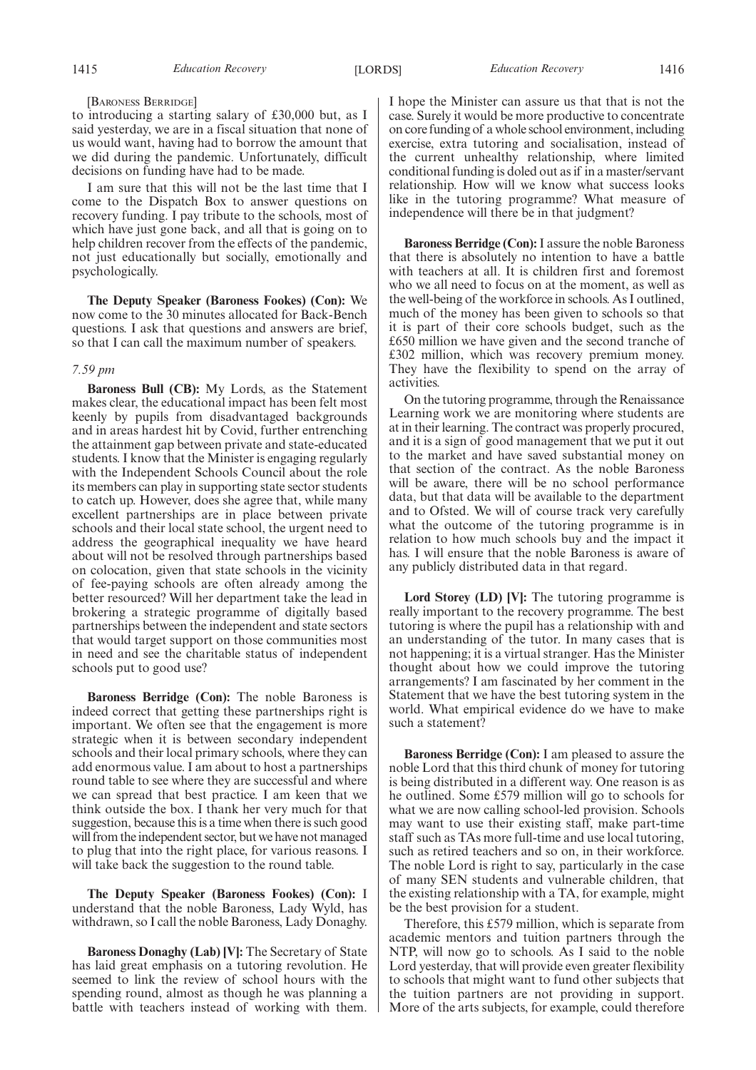#### [BARONESS BERRIDGE]

to introducing a starting salary of £30,000 but, as I said yesterday, we are in a fiscal situation that none of us would want, having had to borrow the amount that we did during the pandemic. Unfortunately, difficult decisions on funding have had to be made.

I am sure that this will not be the last time that I come to the Dispatch Box to answer questions on recovery funding. I pay tribute to the schools, most of which have just gone back, and all that is going on to help children recover from the effects of the pandemic, not just educationally but socially, emotionally and psychologically.

**The Deputy Speaker (Baroness Fookes) (Con):** We now come to the 30 minutes allocated for Back-Bench questions. I ask that questions and answers are brief, so that I can call the maximum number of speakers.

# *7.59 pm*

**Baroness Bull (CB):** My Lords, as the Statement makes clear, the educational impact has been felt most keenly by pupils from disadvantaged backgrounds and in areas hardest hit by Covid, further entrenching the attainment gap between private and state-educated students. I know that the Minister is engaging regularly with the Independent Schools Council about the role its members can play in supporting state sector students to catch up. However, does she agree that, while many excellent partnerships are in place between private schools and their local state school, the urgent need to address the geographical inequality we have heard about will not be resolved through partnerships based on colocation, given that state schools in the vicinity of fee-paying schools are often already among the better resourced? Will her department take the lead in brokering a strategic programme of digitally based partnerships between the independent and state sectors that would target support on those communities most in need and see the charitable status of independent schools put to good use?

**Baroness Berridge (Con):** The noble Baroness is indeed correct that getting these partnerships right is important. We often see that the engagement is more strategic when it is between secondary independent schools and their local primary schools, where they can add enormous value. I am about to host a partnerships round table to see where they are successful and where we can spread that best practice. I am keen that we think outside the box. I thank her very much for that suggestion, because this is a time when there is such good will from the independent sector, but we have not managed to plug that into the right place, for various reasons. I will take back the suggestion to the round table.

**The Deputy Speaker (Baroness Fookes) (Con):** I understand that the noble Baroness, Lady Wyld, has withdrawn, so I call the noble Baroness, Lady Donaghy.

**Baroness Donaghy (Lab) [V]:** The Secretary of State has laid great emphasis on a tutoring revolution. He seemed to link the review of school hours with the spending round, almost as though he was planning a battle with teachers instead of working with them. I hope the Minister can assure us that that is not the case. Surely it would be more productive to concentrate on core funding of a whole school environment, including exercise, extra tutoring and socialisation, instead of the current unhealthy relationship, where limited conditional funding is doled out as if in a master/servant relationship. How will we know what success looks like in the tutoring programme? What measure of independence will there be in that judgment?

**Baroness Berridge (Con):**I assure the noble Baroness that there is absolutely no intention to have a battle with teachers at all. It is children first and foremost who we all need to focus on at the moment, as well as the well-being of the workforce in schools. As I outlined, much of the money has been given to schools so that it is part of their core schools budget, such as the £650 million we have given and the second tranche of £302 million, which was recovery premium money. They have the flexibility to spend on the array of activities.

On the tutoring programme, through the Renaissance Learning work we are monitoring where students are at in their learning. The contract was properly procured, and it is a sign of good management that we put it out to the market and have saved substantial money on that section of the contract. As the noble Baroness will be aware, there will be no school performance data, but that data will be available to the department and to Ofsted. We will of course track very carefully what the outcome of the tutoring programme is in relation to how much schools buy and the impact it has. I will ensure that the noble Baroness is aware of any publicly distributed data in that regard.

Lord Storey (LD) [V]: The tutoring programme is really important to the recovery programme. The best tutoring is where the pupil has a relationship with and an understanding of the tutor. In many cases that is not happening; it is a virtual stranger. Has the Minister thought about how we could improve the tutoring arrangements? I am fascinated by her comment in the Statement that we have the best tutoring system in the world. What empirical evidence do we have to make such a statement?

**Baroness Berridge (Con):** I am pleased to assure the noble Lord that this third chunk of money for tutoring is being distributed in a different way. One reason is as he outlined. Some £579 million will go to schools for what we are now calling school-led provision. Schools may want to use their existing staff, make part-time staff such as TAs more full-time and use local tutoring, such as retired teachers and so on, in their workforce. The noble Lord is right to say, particularly in the case of many SEN students and vulnerable children, that the existing relationship with a TA, for example, might be the best provision for a student.

Therefore, this £579 million, which is separate from academic mentors and tuition partners through the NTP, will now go to schools. As I said to the noble Lord yesterday, that will provide even greater flexibility to schools that might want to fund other subjects that the tuition partners are not providing in support. More of the arts subjects, for example, could therefore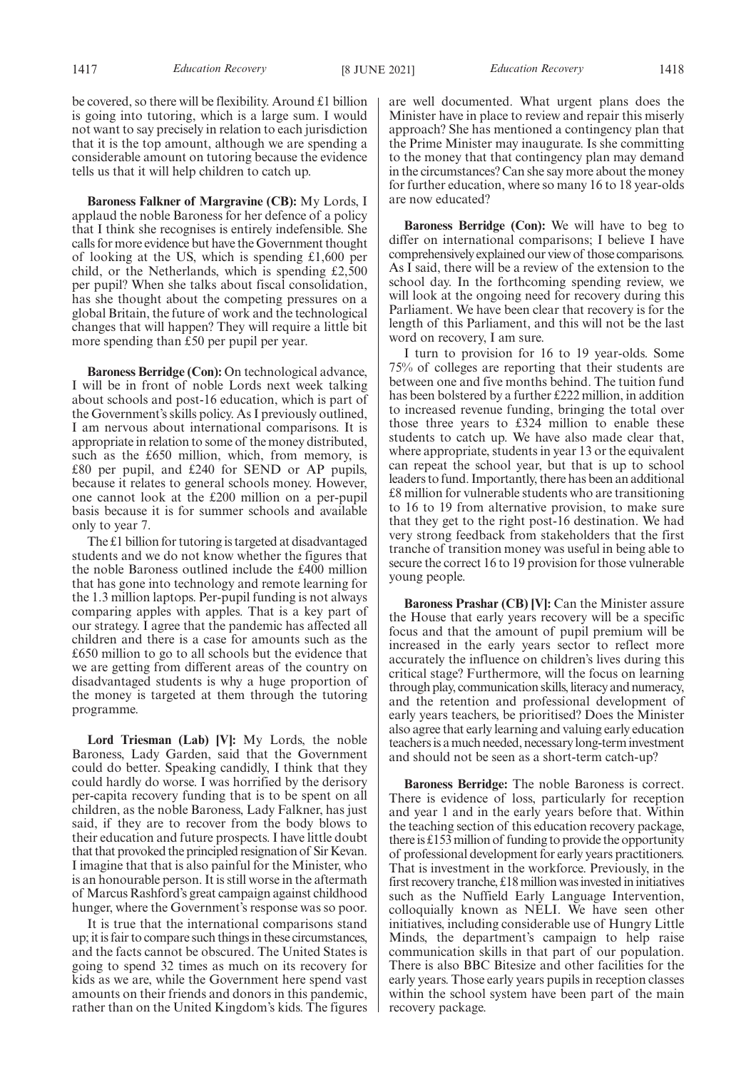be covered, so there will be flexibility. Around £1 billion is going into tutoring, which is a large sum. I would not want to say precisely in relation to each jurisdiction that it is the top amount, although we are spending a considerable amount on tutoring because the evidence tells us that it will help children to catch up.

**Baroness Falkner of Margravine (CB):** My Lords, I applaud the noble Baroness for her defence of a policy that I think she recognises is entirely indefensible. She calls for more evidence but have the Government thought of looking at the US, which is spending £1,600 per child, or the Netherlands, which is spending £2,500 per pupil? When she talks about fiscal consolidation, has she thought about the competing pressures on a global Britain, the future of work and the technological changes that will happen? They will require a little bit more spending than £50 per pupil per year.

**Baroness Berridge (Con):** On technological advance, I will be in front of noble Lords next week talking about schools and post-16 education, which is part of the Government's skills policy. As I previously outlined, I am nervous about international comparisons. It is appropriate in relation to some of the money distributed, such as the £650 million, which, from memory, is £80 per pupil, and £240 for SEND or AP pupils, because it relates to general schools money. However, one cannot look at the £200 million on a per-pupil basis because it is for summer schools and available only to year 7.

The £1 billion for tutoring is targeted at disadvantaged students and we do not know whether the figures that the noble Baroness outlined include the £400 million that has gone into technology and remote learning for the 1.3 million laptops. Per-pupil funding is not always comparing apples with apples. That is a key part of our strategy. I agree that the pandemic has affected all children and there is a case for amounts such as the £650 million to go to all schools but the evidence that we are getting from different areas of the country on disadvantaged students is why a huge proportion of the money is targeted at them through the tutoring programme.

**Lord Triesman (Lab) [V]:** My Lords, the noble Baroness, Lady Garden, said that the Government could do better. Speaking candidly, I think that they could hardly do worse. I was horrified by the derisory per-capita recovery funding that is to be spent on all children, as the noble Baroness, Lady Falkner, has just said, if they are to recover from the body blows to their education and future prospects. I have little doubt that that provoked the principled resignation of Sir Kevan. I imagine that that is also painful for the Minister, who is an honourable person. It is still worse in the aftermath of Marcus Rashford's great campaign against childhood hunger, where the Government's response was so poor.

It is true that the international comparisons stand up; it is fair to compare such things in these circumstances, and the facts cannot be obscured. The United States is going to spend 32 times as much on its recovery for kids as we are, while the Government here spend vast amounts on their friends and donors in this pandemic, rather than on the United Kingdom's kids. The figures are well documented. What urgent plans does the Minister have in place to review and repair this miserly approach? She has mentioned a contingency plan that the Prime Minister may inaugurate. Is she committing to the money that that contingency plan may demand in the circumstances? Can she say more about the money for further education, where so many 16 to 18 year-olds are now educated?

**Baroness Berridge (Con):** We will have to beg to differ on international comparisons; I believe I have comprehensively explained our view of those comparisons. As I said, there will be a review of the extension to the school day. In the forthcoming spending review, we will look at the ongoing need for recovery during this Parliament. We have been clear that recovery is for the length of this Parliament, and this will not be the last word on recovery, I am sure.

I turn to provision for 16 to 19 year-olds. Some 75% of colleges are reporting that their students are between one and five months behind. The tuition fund has been bolstered by a further £222 million, in addition to increased revenue funding, bringing the total over those three years to £324 million to enable these students to catch up. We have also made clear that, where appropriate, students in year 13 or the equivalent can repeat the school year, but that is up to school leaders to fund. Importantly, there has been an additional £8 million for vulnerable students who are transitioning to 16 to 19 from alternative provision, to make sure that they get to the right post-16 destination. We had very strong feedback from stakeholders that the first tranche of transition money was useful in being able to secure the correct 16 to 19 provision for those vulnerable young people.

**Baroness Prashar (CB) [V]:** Can the Minister assure the House that early years recovery will be a specific focus and that the amount of pupil premium will be increased in the early years sector to reflect more accurately the influence on children's lives during this critical stage? Furthermore, will the focus on learning through play, communication skills, literacy and numeracy, and the retention and professional development of early years teachers, be prioritised? Does the Minister also agree that early learning and valuing early education teachers is a much needed, necessary long-term investment and should not be seen as a short-term catch-up?

**Baroness Berridge:** The noble Baroness is correct. There is evidence of loss, particularly for reception and year 1 and in the early years before that. Within the teaching section of this education recovery package, there is £153 million of funding to provide the opportunity of professional development for early years practitioners. That is investment in the workforce. Previously, in the first recovery tranche, £18 million was invested in initiatives such as the Nuffield Early Language Intervention, colloquially known as NELI. We have seen other initiatives, including considerable use of Hungry Little Minds, the department's campaign to help raise communication skills in that part of our population. There is also BBC Bitesize and other facilities for the early years. Those early years pupils in reception classes within the school system have been part of the main recovery package.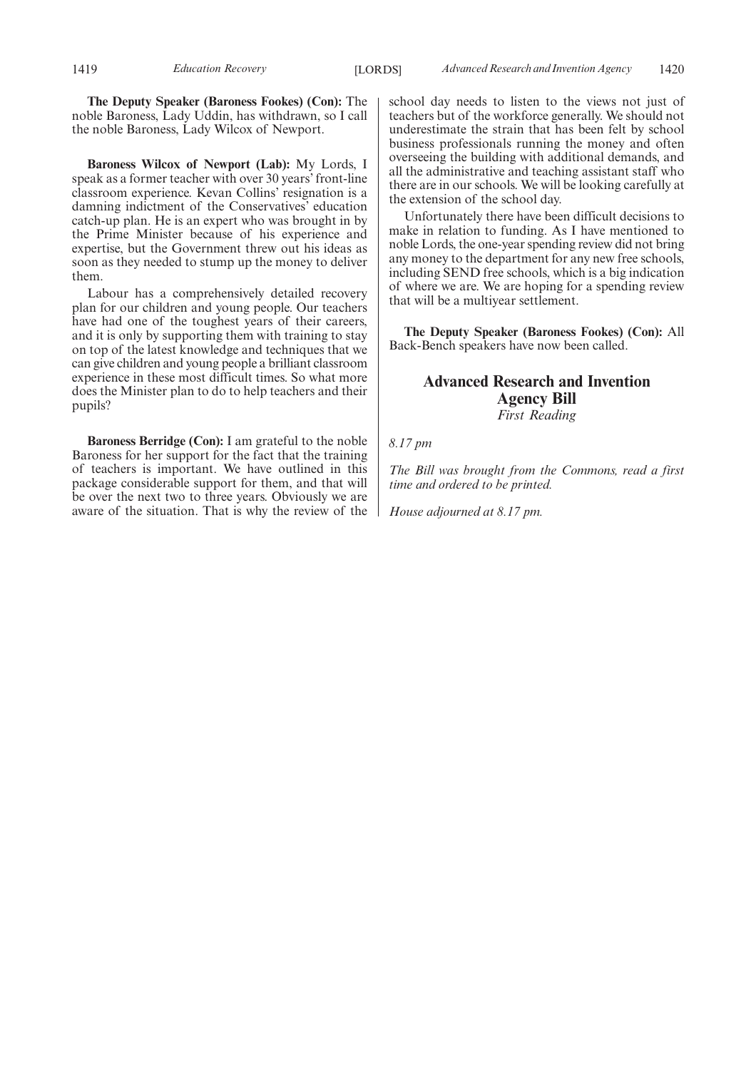**The Deputy Speaker (Baroness Fookes) (Con):** The noble Baroness, Lady Uddin, has withdrawn, so I call the noble Baroness, Lady Wilcox of Newport.

**Baroness Wilcox of Newport (Lab):** My Lords, I speak as a former teacher with over 30 years' front-line classroom experience. Kevan Collins' resignation is a damning indictment of the Conservatives' education catch-up plan. He is an expert who was brought in by the Prime Minister because of his experience and expertise, but the Government threw out his ideas as soon as they needed to stump up the money to deliver them.

Labour has a comprehensively detailed recovery plan for our children and young people. Our teachers have had one of the toughest years of their careers, and it is only by supporting them with training to stay on top of the latest knowledge and techniques that we can give children and young people a brilliant classroom experience in these most difficult times. So what more does the Minister plan to do to help teachers and their pupils?

**Baroness Berridge (Con):** I am grateful to the noble Baroness for her support for the fact that the training of teachers is important. We have outlined in this package considerable support for them, and that will be over the next two to three years. Obviously we are aware of the situation. That is why the review of the school day needs to listen to the views not just of teachers but of the workforce generally. We should not underestimate the strain that has been felt by school business professionals running the money and often overseeing the building with additional demands, and all the administrative and teaching assistant staff who there are in our schools. We will be looking carefully at the extension of the school day.

Unfortunately there have been difficult decisions to make in relation to funding. As I have mentioned to noble Lords, the one-year spending review did not bring any money to the department for any new free schools, including SEND free schools, which is a big indication of where we are. We are hoping for a spending review that will be a multiyear settlement.

**The Deputy Speaker (Baroness Fookes) (Con):** All Back-Bench speakers have now been called.

# **Advanced Research and Invention Agency Bill** *First Reading*

*8.17 pm*

*The Bill was brought from the Commons, read a first time and ordered to be printed.*

*House adjourned at 8.17 pm.*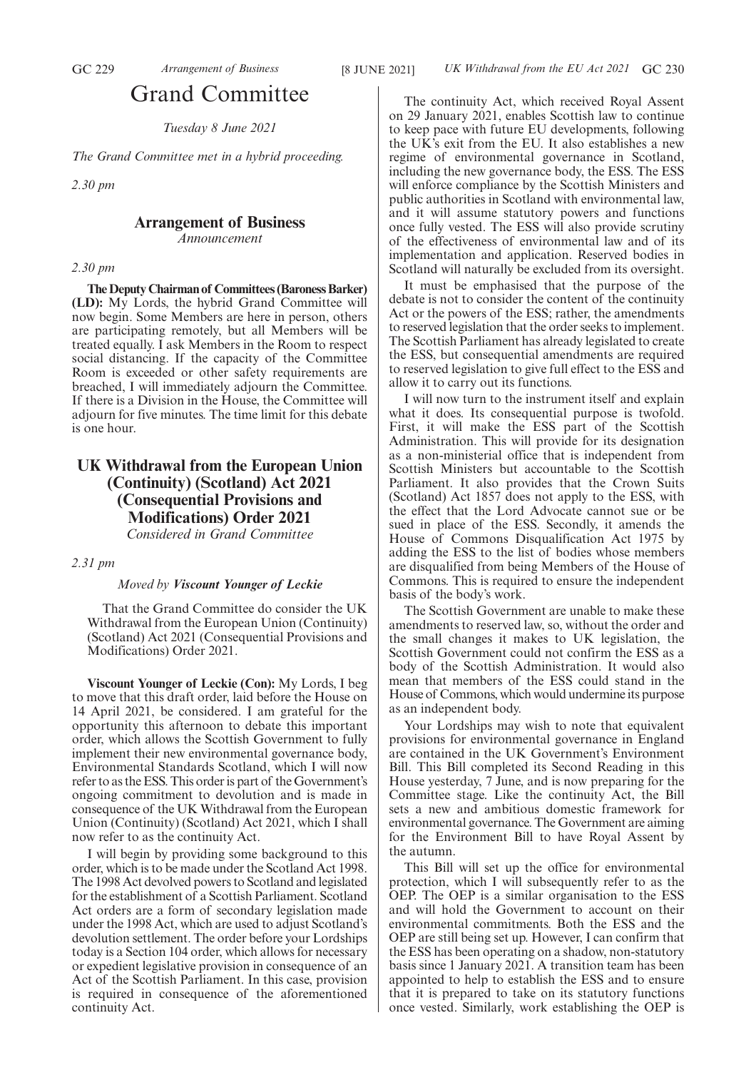# Grand Committee

*Tuesday 8 June 2021*

*The Grand Committee met in a hybrid proceeding.*

*2.30 pm*

# **Arrangement of Business**

*Announcement*

# *2.30 pm*

**The Deputy Chairman of Committees (Baroness Barker) (LD):** My Lords, the hybrid Grand Committee will now begin. Some Members are here in person, others are participating remotely, but all Members will be treated equally. I ask Members in the Room to respect social distancing. If the capacity of the Committee Room is exceeded or other safety requirements are breached, I will immediately adjourn the Committee. If there is a Division in the House, the Committee will adjourn for five minutes. The time limit for this debate is one hour.

# **UK Withdrawal from the European Union (Continuity) (Scotland) Act 2021 (Consequential Provisions and Modifications) Order 2021** *Considered in Grand Committee*

# *2.31 pm*

# *Moved by Viscount Younger of Leckie*

That the Grand Committee do consider the UK Withdrawal from the European Union (Continuity) (Scotland) Act 2021 (Consequential Provisions and Modifications) Order 2021.

**Viscount Younger of Leckie (Con):** My Lords, I beg to move that this draft order, laid before the House on 14 April 2021, be considered. I am grateful for the opportunity this afternoon to debate this important order, which allows the Scottish Government to fully implement their new environmental governance body, Environmental Standards Scotland, which I will now refer to as the ESS. This order is part of the Government's ongoing commitment to devolution and is made in consequence of the UK Withdrawal from the European Union (Continuity) (Scotland) Act 2021, which I shall now refer to as the continuity Act.

I will begin by providing some background to this order, which is to be made under the Scotland Act 1998. The 1998 Act devolved powers to Scotland and legislated for the establishment of a Scottish Parliament. Scotland Act orders are a form of secondary legislation made under the 1998 Act, which are used to adjust Scotland's devolution settlement. The order before your Lordships today is a Section 104 order, which allows for necessary or expedient legislative provision in consequence of an Act of the Scottish Parliament. In this case, provision is required in consequence of the aforementioned continuity Act.

The continuity Act, which received Royal Assent on 29 January 2021, enables Scottish law to continue to keep pace with future EU developments, following the UK's exit from the EU. It also establishes a new regime of environmental governance in Scotland, including the new governance body, the ESS. The ESS will enforce compliance by the Scottish Ministers and public authorities in Scotland with environmental law, and it will assume statutory powers and functions once fully vested. The ESS will also provide scrutiny of the effectiveness of environmental law and of its implementation and application. Reserved bodies in Scotland will naturally be excluded from its oversight.

It must be emphasised that the purpose of the debate is not to consider the content of the continuity Act or the powers of the ESS; rather, the amendments to reserved legislation that the order seeks to implement. The Scottish Parliament has already legislated to create the ESS, but consequential amendments are required to reserved legislation to give full effect to the ESS and allow it to carry out its functions.

I will now turn to the instrument itself and explain what it does. Its consequential purpose is twofold. First, it will make the ESS part of the Scottish Administration. This will provide for its designation as a non-ministerial office that is independent from Scottish Ministers but accountable to the Scottish Parliament. It also provides that the Crown Suits (Scotland) Act 1857 does not apply to the ESS, with the effect that the Lord Advocate cannot sue or be sued in place of the ESS. Secondly, it amends the House of Commons Disqualification Act 1975 by adding the ESS to the list of bodies whose members are disqualified from being Members of the House of Commons. This is required to ensure the independent basis of the body's work.

The Scottish Government are unable to make these amendments to reserved law, so, without the order and the small changes it makes to UK legislation, the Scottish Government could not confirm the ESS as a body of the Scottish Administration. It would also mean that members of the ESS could stand in the House of Commons, which would undermine its purpose as an independent body.

Your Lordships may wish to note that equivalent provisions for environmental governance in England are contained in the UK Government's Environment Bill. This Bill completed its Second Reading in this House yesterday, 7 June, and is now preparing for the Committee stage. Like the continuity Act, the Bill sets a new and ambitious domestic framework for environmental governance. The Government are aiming for the Environment Bill to have Royal Assent by the autumn.

This Bill will set up the office for environmental protection, which I will subsequently refer to as the OEP. The OEP is a similar organisation to the ESS and will hold the Government to account on their environmental commitments. Both the ESS and the OEP are still being set up. However, I can confirm that the ESS has been operating on a shadow, non-statutory basis since 1 January 2021. A transition team has been appointed to help to establish the ESS and to ensure that it is prepared to take on its statutory functions once vested. Similarly, work establishing the OEP is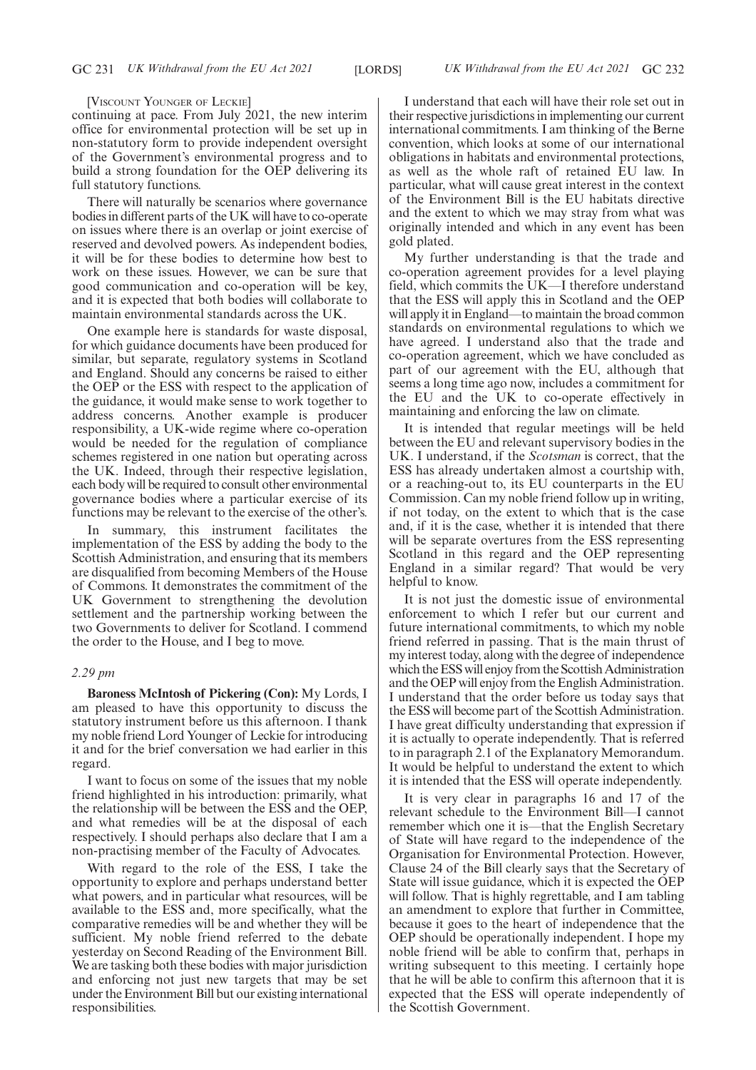#### [VISCOUNT YOUNGER OF LECKIE]

continuing at pace. From July 2021, the new interim office for environmental protection will be set up in non-statutory form to provide independent oversight of the Government's environmental progress and to build a strong foundation for the OEP delivering its full statutory functions.

There will naturally be scenarios where governance bodies in different parts of the UK will have to co-operate on issues where there is an overlap or joint exercise of reserved and devolved powers. As independent bodies, it will be for these bodies to determine how best to work on these issues. However, we can be sure that good communication and co-operation will be key, and it is expected that both bodies will collaborate to maintain environmental standards across the UK.

One example here is standards for waste disposal, for which guidance documents have been produced for similar, but separate, regulatory systems in Scotland and England. Should any concerns be raised to either the OEP or the ESS with respect to the application of the guidance, it would make sense to work together to address concerns. Another example is producer responsibility, a UK-wide regime where co-operation would be needed for the regulation of compliance schemes registered in one nation but operating across the UK. Indeed, through their respective legislation, each body will be required to consult other environmental governance bodies where a particular exercise of its functions may be relevant to the exercise of the other's.

In summary, this instrument facilitates the implementation of the ESS by adding the body to the Scottish Administration, and ensuring that its members are disqualified from becoming Members of the House of Commons. It demonstrates the commitment of the UK Government to strengthening the devolution settlement and the partnership working between the two Governments to deliver for Scotland. I commend the order to the House, and I beg to move.

#### *2.29 pm*

**Baroness McIntosh of Pickering (Con):** My Lords, I am pleased to have this opportunity to discuss the statutory instrument before us this afternoon. I thank my noble friend Lord Younger of Leckie for introducing it and for the brief conversation we had earlier in this regard.

I want to focus on some of the issues that my noble friend highlighted in his introduction: primarily, what the relationship will be between the ESS and the OEP, and what remedies will be at the disposal of each respectively. I should perhaps also declare that I am a non-practising member of the Faculty of Advocates.

With regard to the role of the ESS, I take the opportunity to explore and perhaps understand better what powers, and in particular what resources, will be available to the ESS and, more specifically, what the comparative remedies will be and whether they will be sufficient. My noble friend referred to the debate yesterday on Second Reading of the Environment Bill. We are tasking both these bodies with major jurisdiction and enforcing not just new targets that may be set under the Environment Bill but our existing international responsibilities.

I understand that each will have their role set out in their respective jurisdictions in implementing our current international commitments. I am thinking of the Berne convention, which looks at some of our international obligations in habitats and environmental protections, as well as the whole raft of retained EU law. In particular, what will cause great interest in the context of the Environment Bill is the EU habitats directive and the extent to which we may stray from what was originally intended and which in any event has been gold plated.

My further understanding is that the trade and co-operation agreement provides for a level playing field, which commits the UK—I therefore understand that the ESS will apply this in Scotland and the OEP will apply it in England—to maintain the broad common standards on environmental regulations to which we have agreed. I understand also that the trade and co-operation agreement, which we have concluded as part of our agreement with the EU, although that seems a long time ago now, includes a commitment for the EU and the UK to co-operate effectively in maintaining and enforcing the law on climate.

It is intended that regular meetings will be held between the EU and relevant supervisory bodies in the UK. I understand, if the *Scotsman* is correct, that the ESS has already undertaken almost a courtship with, or a reaching-out to, its EU counterparts in the EU Commission. Can my noble friend follow up in writing, if not today, on the extent to which that is the case and, if it is the case, whether it is intended that there will be separate overtures from the ESS representing Scotland in this regard and the OEP representing England in a similar regard? That would be very helpful to know.

It is not just the domestic issue of environmental enforcement to which I refer but our current and future international commitments, to which my noble friend referred in passing. That is the main thrust of my interest today, along with the degree of independence which the ESS will enjoy from the Scottish Administration and the OEP will enjoy from the English Administration. I understand that the order before us today says that the ESS will become part of the Scottish Administration. I have great difficulty understanding that expression if it is actually to operate independently. That is referred to in paragraph 2.1 of the Explanatory Memorandum. It would be helpful to understand the extent to which it is intended that the ESS will operate independently.

It is very clear in paragraphs 16 and 17 of the relevant schedule to the Environment Bill—I cannot remember which one it is—that the English Secretary of State will have regard to the independence of the Organisation for Environmental Protection. However, Clause 24 of the Bill clearly says that the Secretary of State will issue guidance, which it is expected the OEP will follow. That is highly regrettable, and I am tabling an amendment to explore that further in Committee, because it goes to the heart of independence that the OEP should be operationally independent. I hope my noble friend will be able to confirm that, perhaps in writing subsequent to this meeting. I certainly hope that he will be able to confirm this afternoon that it is expected that the ESS will operate independently of the Scottish Government.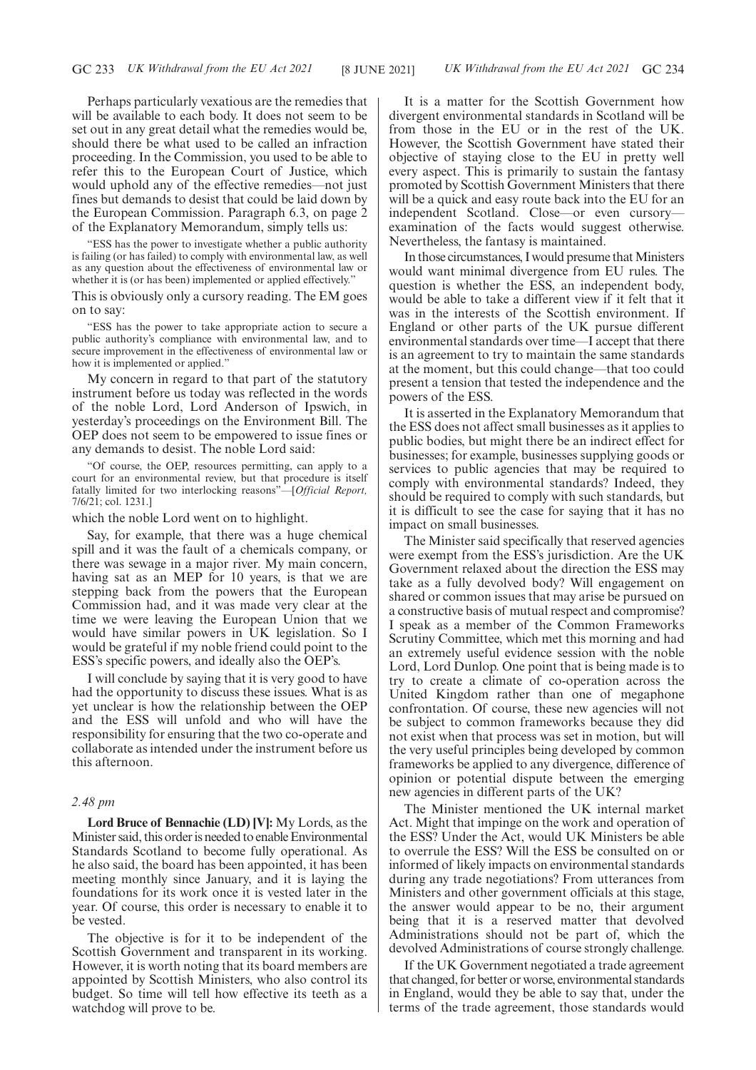Perhaps particularly vexatious are the remedies that will be available to each body. It does not seem to be set out in any great detail what the remedies would be, should there be what used to be called an infraction proceeding. In the Commission, you used to be able to refer this to the European Court of Justice, which would uphold any of the effective remedies—not just fines but demands to desist that could be laid down by the European Commission. Paragraph 6.3, on page 2 of the Explanatory Memorandum, simply tells us:

"ESS has the power to investigate whether a public authority is failing (or has failed) to comply with environmental law, as well as any question about the effectiveness of environmental law or whether it is (or has been) implemented or applied effectively."

This is obviously only a cursory reading. The EM goes on to say:

"ESS has the power to take appropriate action to secure a public authority's compliance with environmental law, and to secure improvement in the effectiveness of environmental law or how it is implemented or applied."

My concern in regard to that part of the statutory instrument before us today was reflected in the words of the noble Lord, Lord Anderson of Ipswich, in yesterday's proceedings on the Environment Bill. The OEP does not seem to be empowered to issue fines or any demands to desist. The noble Lord said:

"Of course, the OEP, resources permitting, can apply to a court for an environmental review, but that procedure is itself fatally limited for two interlocking reasons"—[*Official Report,* 7/6/21; col. 1231.]

which the noble Lord went on to highlight.

Say, for example, that there was a huge chemical spill and it was the fault of a chemicals company, or there was sewage in a major river. My main concern, having sat as an MEP for 10 years, is that we are stepping back from the powers that the European Commission had, and it was made very clear at the time we were leaving the European Union that we would have similar powers in UK legislation. So I would be grateful if my noble friend could point to the ESS's specific powers, and ideally also the OEP's.

I will conclude by saying that it is very good to have had the opportunity to discuss these issues. What is as yet unclear is how the relationship between the OEP and the ESS will unfold and who will have the responsibility for ensuring that the two co-operate and collaborate as intended under the instrument before us this afternoon.

# *2.48 pm*

**Lord Bruce of Bennachie (LD) [V]:** My Lords, as the Minister said, this order is needed to enable Environmental Standards Scotland to become fully operational. As he also said, the board has been appointed, it has been meeting monthly since January, and it is laying the foundations for its work once it is vested later in the year. Of course, this order is necessary to enable it to be vested.

The objective is for it to be independent of the Scottish Government and transparent in its working. However, it is worth noting that its board members are appointed by Scottish Ministers, who also control its budget. So time will tell how effective its teeth as a watchdog will prove to be.

It is a matter for the Scottish Government how divergent environmental standards in Scotland will be from those in the EU or in the rest of the UK. However, the Scottish Government have stated their objective of staying close to the EU in pretty well every aspect. This is primarily to sustain the fantasy promoted by Scottish Government Ministers that there will be a quick and easy route back into the EU for an independent Scotland. Close—or even cursory examination of the facts would suggest otherwise. Nevertheless, the fantasy is maintained.

In those circumstances, I would presume that Ministers would want minimal divergence from EU rules. The question is whether the ESS, an independent body, would be able to take a different view if it felt that it was in the interests of the Scottish environment. If England or other parts of the UK pursue different environmental standards over time—I accept that there is an agreement to try to maintain the same standards at the moment, but this could change—that too could present a tension that tested the independence and the powers of the ESS.

It is asserted in the Explanatory Memorandum that the ESS does not affect small businesses as it applies to public bodies, but might there be an indirect effect for businesses; for example, businesses supplying goods or services to public agencies that may be required to comply with environmental standards? Indeed, they should be required to comply with such standards, but it is difficult to see the case for saying that it has no impact on small businesses.

The Minister said specifically that reserved agencies were exempt from the ESS's jurisdiction. Are the UK Government relaxed about the direction the ESS may take as a fully devolved body? Will engagement on shared or common issues that may arise be pursued on a constructive basis of mutual respect and compromise? I speak as a member of the Common Frameworks Scrutiny Committee, which met this morning and had an extremely useful evidence session with the noble Lord, Lord Dunlop. One point that is being made is to try to create a climate of co-operation across the United Kingdom rather than one of megaphone confrontation. Of course, these new agencies will not be subject to common frameworks because they did not exist when that process was set in motion, but will the very useful principles being developed by common frameworks be applied to any divergence, difference of opinion or potential dispute between the emerging new agencies in different parts of the UK?

The Minister mentioned the UK internal market Act. Might that impinge on the work and operation of the ESS? Under the Act, would UK Ministers be able to overrule the ESS? Will the ESS be consulted on or informed of likely impacts on environmental standards during any trade negotiations? From utterances from Ministers and other government officials at this stage, the answer would appear to be no, their argument being that it is a reserved matter that devolved Administrations should not be part of, which the devolved Administrations of course strongly challenge.

If the UK Government negotiated a trade agreement that changed, for better or worse, environmental standards in England, would they be able to say that, under the terms of the trade agreement, those standards would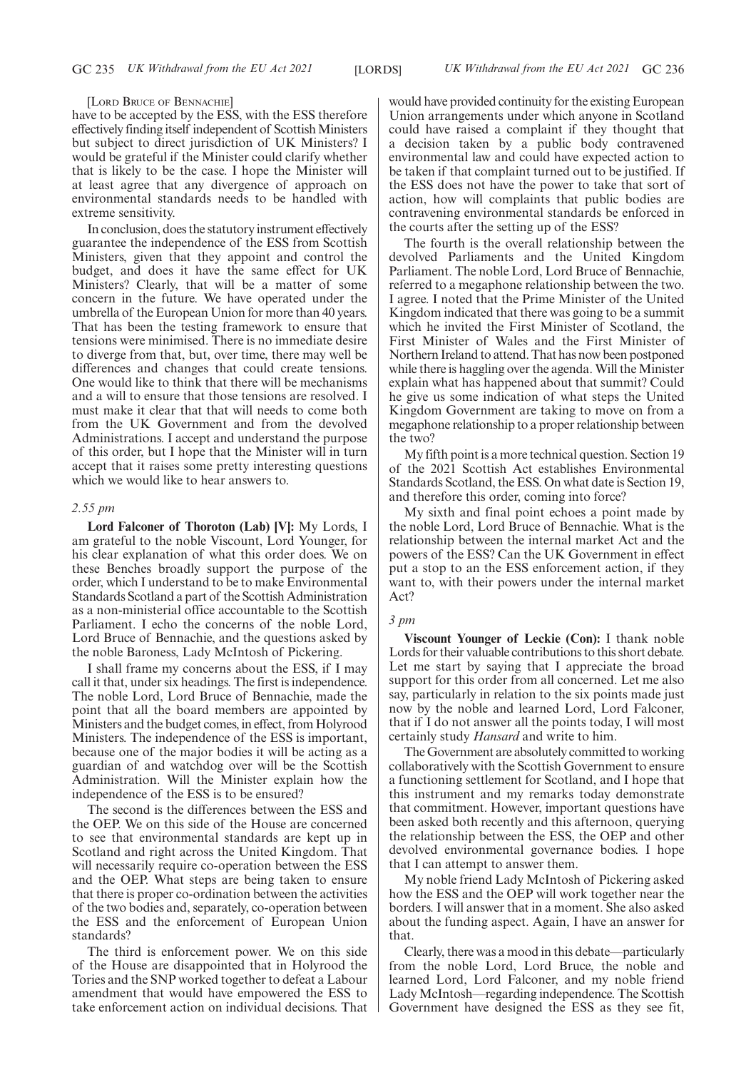#### [LORD BRUCE OF BENNACHIE]

have to be accepted by the ESS, with the ESS therefore effectively finding itself independent of Scottish Ministers but subject to direct jurisdiction of UK Ministers? I would be grateful if the Minister could clarify whether that is likely to be the case. I hope the Minister will at least agree that any divergence of approach on environmental standards needs to be handled with extreme sensitivity.

In conclusion, does the statutory instrument effectively guarantee the independence of the ESS from Scottish Ministers, given that they appoint and control the budget, and does it have the same effect for UK Ministers? Clearly, that will be a matter of some concern in the future. We have operated under the umbrella of the European Union for more than 40 years. That has been the testing framework to ensure that tensions were minimised. There is no immediate desire to diverge from that, but, over time, there may well be differences and changes that could create tensions. One would like to think that there will be mechanisms and a will to ensure that those tensions are resolved. I must make it clear that that will needs to come both from the UK Government and from the devolved Administrations. I accept and understand the purpose of this order, but I hope that the Minister will in turn accept that it raises some pretty interesting questions which we would like to hear answers to.

# *2.55 pm*

**Lord Falconer of Thoroton (Lab) [V]:** My Lords, I am grateful to the noble Viscount, Lord Younger, for his clear explanation of what this order does. We on these Benches broadly support the purpose of the order, which I understand to be to make Environmental Standards Scotland a part of the Scottish Administration as a non-ministerial office accountable to the Scottish Parliament. I echo the concerns of the noble Lord, Lord Bruce of Bennachie, and the questions asked by the noble Baroness, Lady McIntosh of Pickering.

I shall frame my concerns about the ESS, if I may call it that, under six headings. The first is independence. The noble Lord, Lord Bruce of Bennachie, made the point that all the board members are appointed by Ministers and the budget comes, in effect, from Holyrood Ministers. The independence of the ESS is important, because one of the major bodies it will be acting as a guardian of and watchdog over will be the Scottish Administration. Will the Minister explain how the independence of the ESS is to be ensured?

The second is the differences between the ESS and the OEP. We on this side of the House are concerned to see that environmental standards are kept up in Scotland and right across the United Kingdom. That will necessarily require co-operation between the ESS and the OEP. What steps are being taken to ensure that there is proper co-ordination between the activities of the two bodies and, separately, co-operation between the ESS and the enforcement of European Union standards?

The third is enforcement power. We on this side of the House are disappointed that in Holyrood the Tories and the SNP worked together to defeat a Labour amendment that would have empowered the ESS to take enforcement action on individual decisions. That would have provided continuity for the existing European Union arrangements under which anyone in Scotland could have raised a complaint if they thought that a decision taken by a public body contravened environmental law and could have expected action to be taken if that complaint turned out to be justified. If the ESS does not have the power to take that sort of action, how will complaints that public bodies are contravening environmental standards be enforced in the courts after the setting up of the ESS?

The fourth is the overall relationship between the devolved Parliaments and the United Kingdom Parliament. The noble Lord, Lord Bruce of Bennachie, referred to a megaphone relationship between the two. I agree. I noted that the Prime Minister of the United Kingdom indicated that there was going to be a summit which he invited the First Minister of Scotland, the First Minister of Wales and the First Minister of Northern Ireland to attend. That has now been postponed while there is haggling over the agenda. Will the Minister explain what has happened about that summit? Could he give us some indication of what steps the United Kingdom Government are taking to move on from a megaphone relationship to a proper relationship between the two?

My fifth point is a more technical question. Section 19 of the 2021 Scottish Act establishes Environmental Standards Scotland, the ESS. On what date is Section 19, and therefore this order, coming into force?

My sixth and final point echoes a point made by the noble Lord, Lord Bruce of Bennachie. What is the relationship between the internal market Act and the powers of the ESS? Can the UK Government in effect put a stop to an the ESS enforcement action, if they want to, with their powers under the internal market Act?

# *3 pm*

**Viscount Younger of Leckie (Con):** I thank noble Lords for their valuable contributions to this short debate. Let me start by saying that I appreciate the broad support for this order from all concerned. Let me also say, particularly in relation to the six points made just now by the noble and learned Lord, Lord Falconer, that if I do not answer all the points today, I will most certainly study *Hansard* and write to him.

The Government are absolutely committed to working collaboratively with the Scottish Government to ensure a functioning settlement for Scotland, and I hope that this instrument and my remarks today demonstrate that commitment. However, important questions have been asked both recently and this afternoon, querying the relationship between the ESS, the OEP and other devolved environmental governance bodies. I hope that I can attempt to answer them.

My noble friend Lady McIntosh of Pickering asked how the ESS and the OEP will work together near the borders. I will answer that in a moment. She also asked about the funding aspect. Again, I have an answer for that.

Clearly, there was a mood in this debate—particularly from the noble Lord, Lord Bruce, the noble and learned Lord, Lord Falconer, and my noble friend Lady McIntosh—regarding independence. The Scottish Government have designed the ESS as they see fit,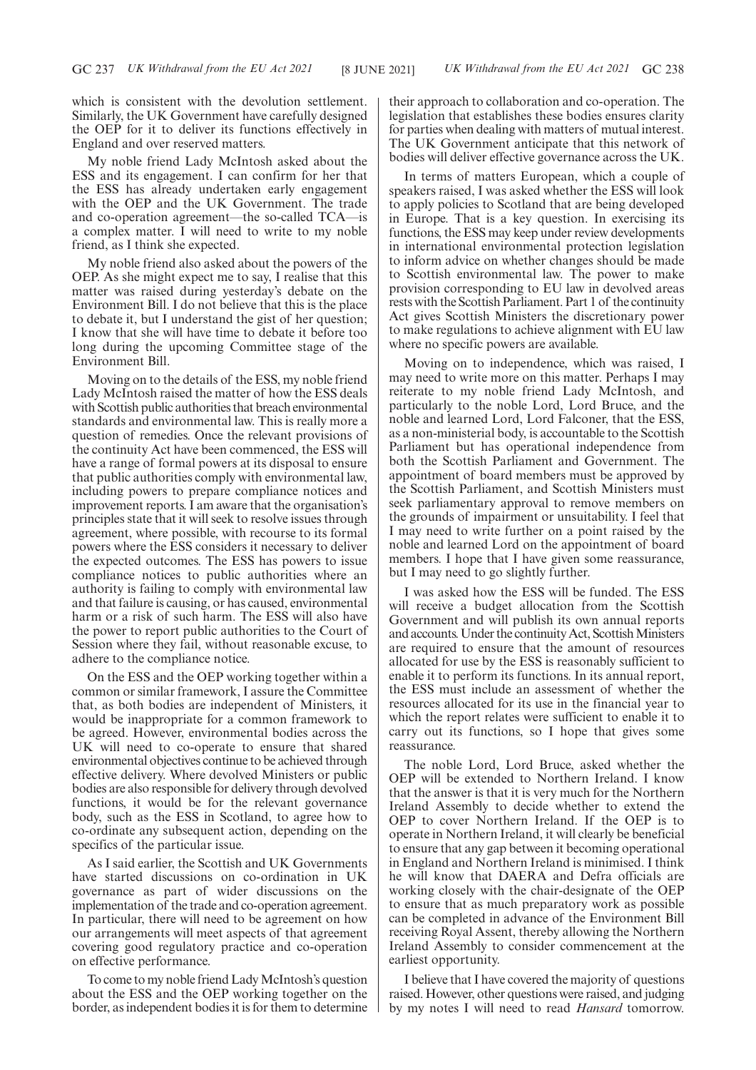which is consistent with the devolution settlement. Similarly, the UK Government have carefully designed the OEP for it to deliver its functions effectively in England and over reserved matters.

My noble friend Lady McIntosh asked about the ESS and its engagement. I can confirm for her that the ESS has already undertaken early engagement with the OEP and the UK Government. The trade and co-operation agreement—the so-called TCA—is a complex matter. I will need to write to my noble friend, as I think she expected.

My noble friend also asked about the powers of the OEP. As she might expect me to say, I realise that this matter was raised during yesterday's debate on the Environment Bill. I do not believe that this is the place to debate it, but I understand the gist of her question; I know that she will have time to debate it before too long during the upcoming Committee stage of the Environment Bill.

Moving on to the details of the ESS, my noble friend Lady McIntosh raised the matter of how the ESS deals with Scottish public authorities that breach environmental standards and environmental law. This is really more a question of remedies. Once the relevant provisions of the continuity Act have been commenced, the ESS will have a range of formal powers at its disposal to ensure that public authorities comply with environmental law, including powers to prepare compliance notices and improvement reports. I am aware that the organisation's principles state that it will seek to resolve issues through agreement, where possible, with recourse to its formal powers where the ESS considers it necessary to deliver the expected outcomes. The ESS has powers to issue compliance notices to public authorities where an authority is failing to comply with environmental law and that failure is causing, or has caused, environmental harm or a risk of such harm. The ESS will also have the power to report public authorities to the Court of Session where they fail, without reasonable excuse, to adhere to the compliance notice.

On the ESS and the OEP working together within a common or similar framework, I assure the Committee that, as both bodies are independent of Ministers, it would be inappropriate for a common framework to be agreed. However, environmental bodies across the UK will need to co-operate to ensure that shared environmental objectives continue to be achieved through effective delivery. Where devolved Ministers or public bodies are also responsible for delivery through devolved functions, it would be for the relevant governance body, such as the ESS in Scotland, to agree how to co-ordinate any subsequent action, depending on the specifics of the particular issue.

As I said earlier, the Scottish and UK Governments have started discussions on co-ordination in UK governance as part of wider discussions on the implementation of the trade and co-operation agreement. In particular, there will need to be agreement on how our arrangements will meet aspects of that agreement covering good regulatory practice and co-operation on effective performance.

To come to my noble friend Lady McIntosh's question about the ESS and the OEP working together on the border, as independent bodies it is for them to determine their approach to collaboration and co-operation. The legislation that establishes these bodies ensures clarity for parties when dealing with matters of mutual interest. The UK Government anticipate that this network of bodies will deliver effective governance across the UK.

In terms of matters European, which a couple of speakers raised, I was asked whether the ESS will look to apply policies to Scotland that are being developed in Europe. That is a key question. In exercising its functions, the ESS may keep under review developments in international environmental protection legislation to inform advice on whether changes should be made to Scottish environmental law. The power to make provision corresponding to EU law in devolved areas rests with the Scottish Parliament. Part 1 of the continuity Act gives Scottish Ministers the discretionary power to make regulations to achieve alignment with EU law where no specific powers are available.

Moving on to independence, which was raised, I may need to write more on this matter. Perhaps I may reiterate to my noble friend Lady McIntosh, and particularly to the noble Lord, Lord Bruce, and the noble and learned Lord, Lord Falconer, that the ESS, as a non-ministerial body, is accountable to the Scottish Parliament but has operational independence from both the Scottish Parliament and Government. The appointment of board members must be approved by the Scottish Parliament, and Scottish Ministers must seek parliamentary approval to remove members on the grounds of impairment or unsuitability. I feel that I may need to write further on a point raised by the noble and learned Lord on the appointment of board members. I hope that I have given some reassurance, but I may need to go slightly further.

I was asked how the ESS will be funded. The ESS will receive a budget allocation from the Scottish Government and will publish its own annual reports and accounts. Under the continuity Act, Scottish Ministers are required to ensure that the amount of resources allocated for use by the ESS is reasonably sufficient to enable it to perform its functions. In its annual report, the ESS must include an assessment of whether the resources allocated for its use in the financial year to which the report relates were sufficient to enable it to carry out its functions, so I hope that gives some reassurance.

The noble Lord, Lord Bruce, asked whether the OEP will be extended to Northern Ireland. I know that the answer is that it is very much for the Northern Ireland Assembly to decide whether to extend the OEP to cover Northern Ireland. If the OEP is to operate in Northern Ireland, it will clearly be beneficial to ensure that any gap between it becoming operational in England and Northern Ireland is minimised. I think he will know that DAERA and Defra officials are working closely with the chair-designate of the OEP to ensure that as much preparatory work as possible can be completed in advance of the Environment Bill receiving Royal Assent, thereby allowing the Northern Ireland Assembly to consider commencement at the earliest opportunity.

I believe that I have covered the majority of questions raised. However, other questions were raised, and judging by my notes I will need to read *Hansard* tomorrow.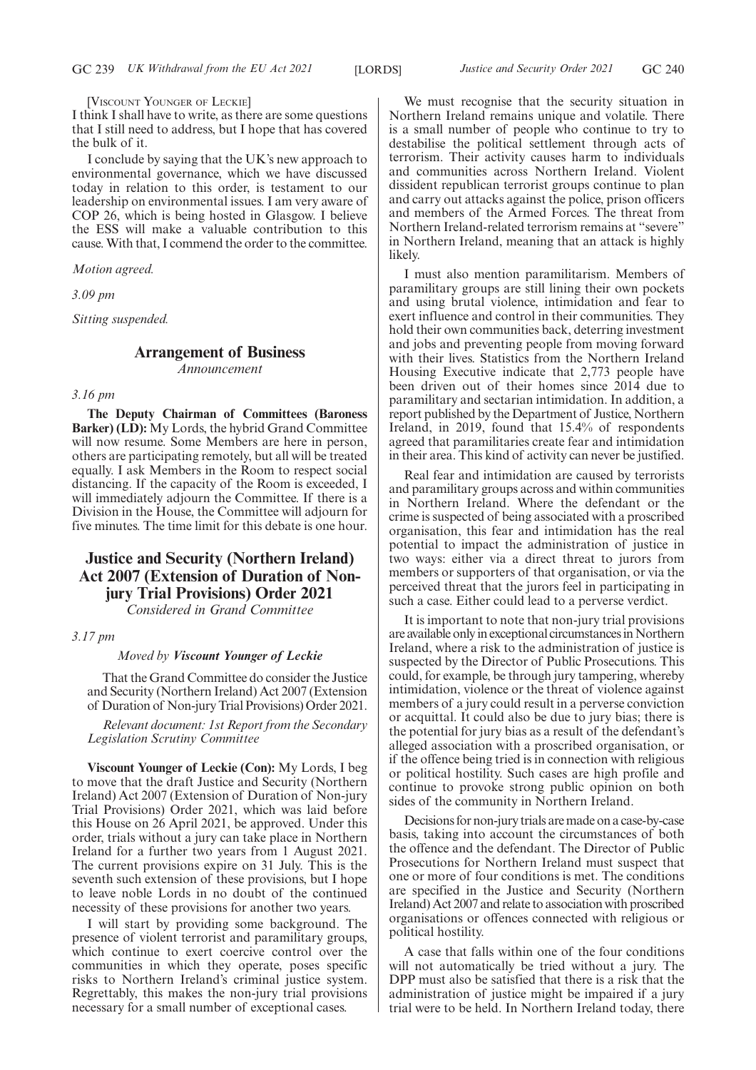[VISCOUNT YOUNGER OF LECKIE]

I think I shall have to write, as there are some questions that I still need to address, but I hope that has covered the bulk of it.

I conclude by saying that the UK's new approach to environmental governance, which we have discussed today in relation to this order, is testament to our leadership on environmental issues. I am very aware of COP 26, which is being hosted in Glasgow. I believe the ESS will make a valuable contribution to this cause. With that, I commend the order to the committee.

*Motion agreed.*

*3.09 pm*

*Sitting suspended.*

# **Arrangement of Business**

*Announcement*

## *3.16 pm*

**The Deputy Chairman of Committees (Baroness Barker) (LD):** My Lords, the hybrid Grand Committee will now resume. Some Members are here in person, others are participating remotely, but all will be treated equally. I ask Members in the Room to respect social distancing. If the capacity of the Room is exceeded, I will immediately adjourn the Committee. If there is a Division in the House, the Committee will adjourn for five minutes. The time limit for this debate is one hour.

# **Justice and Security (Northern Ireland) Act 2007 (Extension of Duration of Nonjury Trial Provisions) Order 2021**

*Considered in Grand Committee*

*3.17 pm*

# *Moved by Viscount Younger of Leckie*

That the Grand Committee do consider the Justice and Security (Northern Ireland) Act 2007 (Extension of Duration of Non-jury Trial Provisions) Order 2021.

*Relevant document: 1st Report from the Secondary Legislation Scrutiny Committee*

**Viscount Younger of Leckie (Con):** My Lords, I beg to move that the draft Justice and Security (Northern Ireland) Act 2007 (Extension of Duration of Non-jury Trial Provisions) Order 2021, which was laid before this House on 26 April 2021, be approved. Under this order, trials without a jury can take place in Northern Ireland for a further two years from 1 August 2021. The current provisions expire on 31 July. This is the seventh such extension of these provisions, but I hope to leave noble Lords in no doubt of the continued necessity of these provisions for another two years.

I will start by providing some background. The presence of violent terrorist and paramilitary groups, which continue to exert coercive control over the communities in which they operate, poses specific risks to Northern Ireland's criminal justice system. Regrettably, this makes the non-jury trial provisions necessary for a small number of exceptional cases.

We must recognise that the security situation in Northern Ireland remains unique and volatile. There is a small number of people who continue to try to destabilise the political settlement through acts of terrorism. Their activity causes harm to individuals and communities across Northern Ireland. Violent dissident republican terrorist groups continue to plan and carry out attacks against the police, prison officers and members of the Armed Forces. The threat from Northern Ireland-related terrorism remains at "severe" in Northern Ireland, meaning that an attack is highly likely.

I must also mention paramilitarism. Members of paramilitary groups are still lining their own pockets and using brutal violence, intimidation and fear to exert influence and control in their communities. They hold their own communities back, deterring investment and jobs and preventing people from moving forward with their lives. Statistics from the Northern Ireland Housing Executive indicate that 2,773 people have been driven out of their homes since 2014 due to paramilitary and sectarian intimidation. In addition, a report published by the Department of Justice, Northern Ireland, in 2019, found that 15.4% of respondents agreed that paramilitaries create fear and intimidation in their area. This kind of activity can never be justified.

Real fear and intimidation are caused by terrorists and paramilitary groups across and within communities in Northern Ireland. Where the defendant or the crime is suspected of being associated with a proscribed organisation, this fear and intimidation has the real potential to impact the administration of justice in two ways: either via a direct threat to jurors from members or supporters of that organisation, or via the perceived threat that the jurors feel in participating in such a case. Either could lead to a perverse verdict.

It is important to note that non-jury trial provisions are available only in exceptional circumstances in Northern Ireland, where a risk to the administration of justice is suspected by the Director of Public Prosecutions. This could, for example, be through jury tampering, whereby intimidation, violence or the threat of violence against members of a jury could result in a perverse conviction or acquittal. It could also be due to jury bias; there is the potential for jury bias as a result of the defendant's alleged association with a proscribed organisation, or if the offence being tried is in connection with religious or political hostility. Such cases are high profile and continue to provoke strong public opinion on both sides of the community in Northern Ireland.

Decisions for non-jury trials are made on a case-by-case basis, taking into account the circumstances of both the offence and the defendant. The Director of Public Prosecutions for Northern Ireland must suspect that one or more of four conditions is met. The conditions are specified in the Justice and Security (Northern Ireland) Act 2007 and relate to association with proscribed organisations or offences connected with religious or political hostility.

A case that falls within one of the four conditions will not automatically be tried without a jury. The DPP must also be satisfied that there is a risk that the administration of justice might be impaired if a jury trial were to be held. In Northern Ireland today, there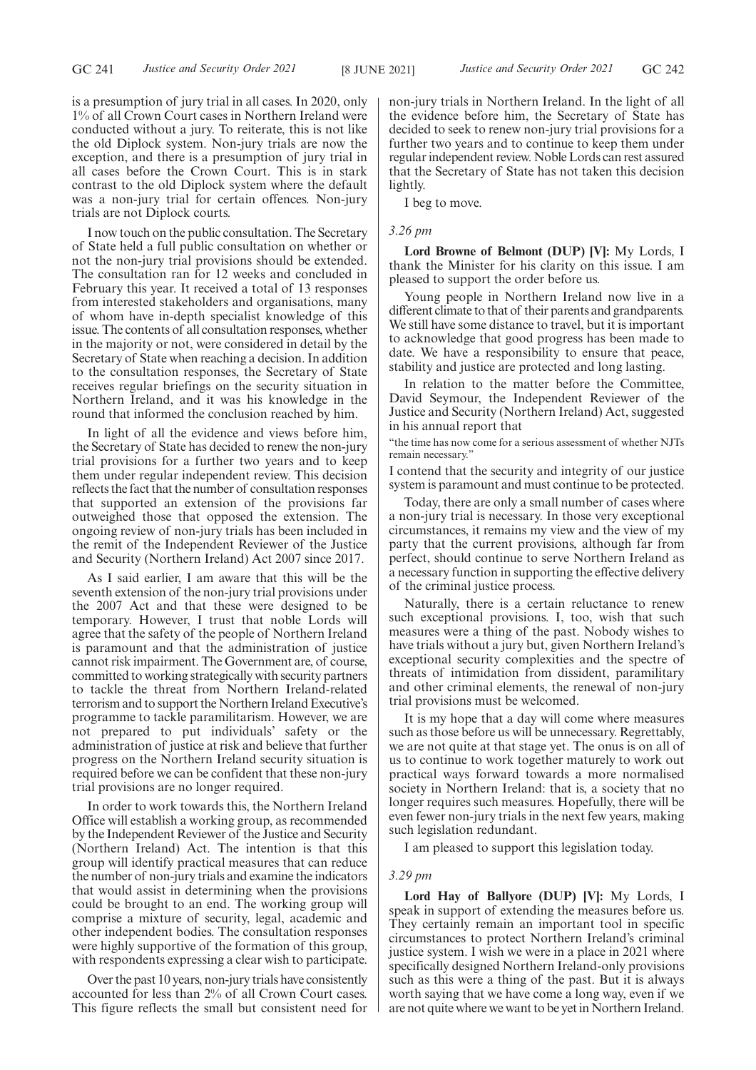is a presumption of jury trial in all cases. In 2020, only 1% of all Crown Court cases in Northern Ireland were conducted without a jury. To reiterate, this is not like the old Diplock system. Non-jury trials are now the exception, and there is a presumption of jury trial in all cases before the Crown Court. This is in stark contrast to the old Diplock system where the default was a non-jury trial for certain offences. Non-jury trials are not Diplock courts.

I now touch on the public consultation. The Secretary of State held a full public consultation on whether or not the non-jury trial provisions should be extended. The consultation ran for 12 weeks and concluded in February this year. It received a total of 13 responses from interested stakeholders and organisations, many of whom have in-depth specialist knowledge of this issue. The contents of all consultation responses, whether in the majority or not, were considered in detail by the Secretary of State when reaching a decision. In addition to the consultation responses, the Secretary of State receives regular briefings on the security situation in Northern Ireland, and it was his knowledge in the round that informed the conclusion reached by him.

In light of all the evidence and views before him, the Secretary of State has decided to renew the non-jury trial provisions for a further two years and to keep them under regular independent review. This decision reflects the fact that the number of consultation responses that supported an extension of the provisions far outweighed those that opposed the extension. The ongoing review of non-jury trials has been included in the remit of the Independent Reviewer of the Justice and Security (Northern Ireland) Act 2007 since 2017.

As I said earlier, I am aware that this will be the seventh extension of the non-jury trial provisions under the 2007 Act and that these were designed to be temporary. However, I trust that noble Lords will agree that the safety of the people of Northern Ireland is paramount and that the administration of justice cannot risk impairment. The Government are, of course, committed to working strategically with security partners to tackle the threat from Northern Ireland-related terrorism and to support the Northern Ireland Executive's programme to tackle paramilitarism. However, we are not prepared to put individuals' safety or the administration of justice at risk and believe that further progress on the Northern Ireland security situation is required before we can be confident that these non-jury trial provisions are no longer required.

In order to work towards this, the Northern Ireland Office will establish a working group, as recommended by the Independent Reviewer of the Justice and Security (Northern Ireland) Act. The intention is that this group will identify practical measures that can reduce the number of non-jury trials and examine the indicators that would assist in determining when the provisions could be brought to an end. The working group will comprise a mixture of security, legal, academic and other independent bodies. The consultation responses were highly supportive of the formation of this group, with respondents expressing a clear wish to participate.

Over the past 10 years, non-jury trials have consistently accounted for less than 2% of all Crown Court cases. This figure reflects the small but consistent need for non-jury trials in Northern Ireland. In the light of all the evidence before him, the Secretary of State has decided to seek to renew non-jury trial provisions for a further two years and to continue to keep them under regular independent review. Noble Lords can rest assured that the Secretary of State has not taken this decision lightly.

I beg to move.

# *3.26 pm*

**Lord Browne of Belmont (DUP) [V]:** My Lords, I thank the Minister for his clarity on this issue. I am pleased to support the order before us.

Young people in Northern Ireland now live in a different climate to that of their parents and grandparents. We still have some distance to travel, but it is important to acknowledge that good progress has been made to date. We have a responsibility to ensure that peace, stability and justice are protected and long lasting.

In relation to the matter before the Committee, David Seymour, the Independent Reviewer of the Justice and Security (Northern Ireland) Act, suggested in his annual report that

"the time has now come for a serious assessment of whether NJTs remain necessary."

I contend that the security and integrity of our justice system is paramount and must continue to be protected.

Today, there are only a small number of cases where a non-jury trial is necessary. In those very exceptional circumstances, it remains my view and the view of my party that the current provisions, although far from perfect, should continue to serve Northern Ireland as a necessary function in supporting the effective delivery of the criminal justice process.

Naturally, there is a certain reluctance to renew such exceptional provisions. I, too, wish that such measures were a thing of the past. Nobody wishes to have trials without a jury but, given Northern Ireland's exceptional security complexities and the spectre of threats of intimidation from dissident, paramilitary and other criminal elements, the renewal of non-jury trial provisions must be welcomed.

It is my hope that a day will come where measures such as those before us will be unnecessary. Regrettably, we are not quite at that stage yet. The onus is on all of us to continue to work together maturely to work out practical ways forward towards a more normalised society in Northern Ireland: that is, a society that no longer requires such measures. Hopefully, there will be even fewer non-jury trials in the next few years, making such legislation redundant.

I am pleased to support this legislation today.

# *3.29 pm*

**Lord Hay of Ballyore (DUP) [V]:** My Lords, I speak in support of extending the measures before us. They certainly remain an important tool in specific circumstances to protect Northern Ireland's criminal justice system. I wish we were in a place in 2021 where specifically designed Northern Ireland-only provisions such as this were a thing of the past. But it is always worth saying that we have come a long way, even if we are not quite where we want to be yet in Northern Ireland.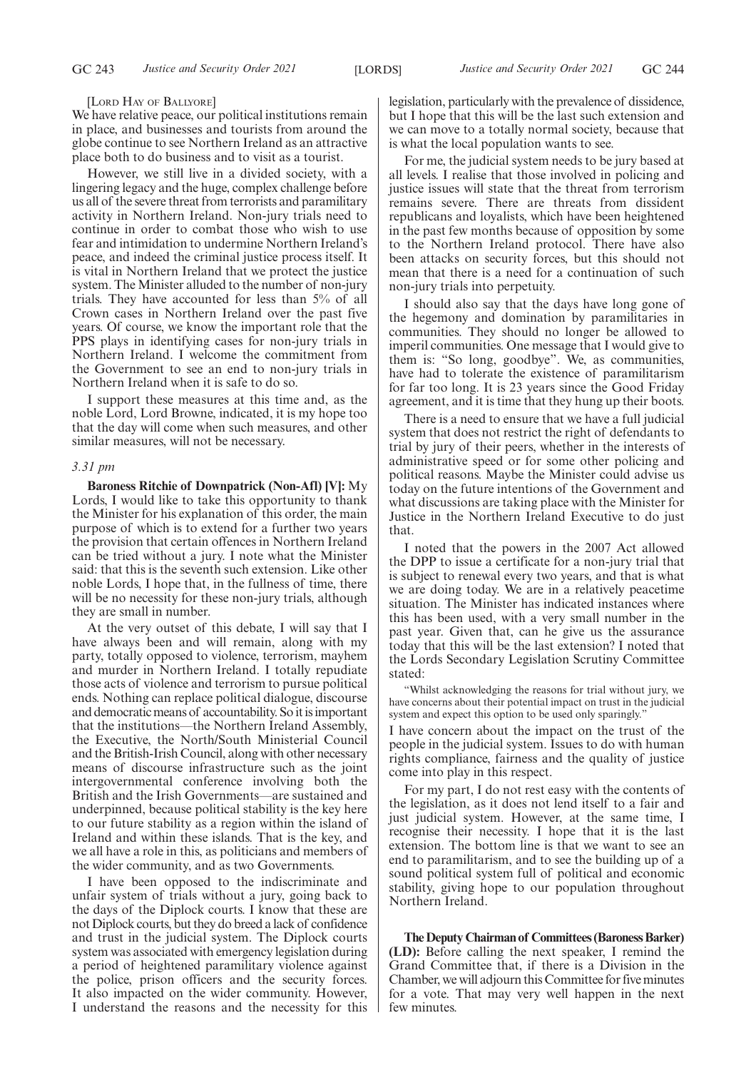## [LORD HAY OF BALLYORE]

We have relative peace, our political institutions remain in place, and businesses and tourists from around the globe continue to see Northern Ireland as an attractive place both to do business and to visit as a tourist.

However, we still live in a divided society, with a lingering legacy and the huge, complex challenge before us all of the severe threat from terrorists and paramilitary activity in Northern Ireland. Non-jury trials need to continue in order to combat those who wish to use fear and intimidation to undermine Northern Ireland's peace, and indeed the criminal justice process itself. It is vital in Northern Ireland that we protect the justice system. The Minister alluded to the number of non-jury trials. They have accounted for less than 5% of all Crown cases in Northern Ireland over the past five years. Of course, we know the important role that the PPS plays in identifying cases for non-jury trials in Northern Ireland. I welcome the commitment from the Government to see an end to non-jury trials in Northern Ireland when it is safe to do so.

I support these measures at this time and, as the noble Lord, Lord Browne, indicated, it is my hope too that the day will come when such measures, and other similar measures, will not be necessary.

# *3.31 pm*

**Baroness Ritchie of Downpatrick (Non-Afl) [V]:** My Lords, I would like to take this opportunity to thank the Minister for his explanation of this order, the main purpose of which is to extend for a further two years the provision that certain offences in Northern Ireland can be tried without a jury. I note what the Minister said: that this is the seventh such extension. Like other noble Lords, I hope that, in the fullness of time, there will be no necessity for these non-jury trials, although they are small in number.

At the very outset of this debate, I will say that I have always been and will remain, along with my party, totally opposed to violence, terrorism, mayhem and murder in Northern Ireland. I totally repudiate those acts of violence and terrorism to pursue political ends. Nothing can replace political dialogue, discourse and democratic means of accountability. So it is important that the institutions—the Northern Ireland Assembly, the Executive, the North/South Ministerial Council and the British-Irish Council, along with other necessary means of discourse infrastructure such as the joint intergovernmental conference involving both the British and the Irish Governments—are sustained and underpinned, because political stability is the key here to our future stability as a region within the island of Ireland and within these islands. That is the key, and we all have a role in this, as politicians and members of the wider community, and as two Governments.

I have been opposed to the indiscriminate and unfair system of trials without a jury, going back to the days of the Diplock courts. I know that these are not Diplock courts, but they do breed a lack of confidence and trust in the judicial system. The Diplock courts system was associated with emergency legislation during a period of heightened paramilitary violence against the police, prison officers and the security forces. It also impacted on the wider community. However, I understand the reasons and the necessity for this legislation, particularly with the prevalence of dissidence, but I hope that this will be the last such extension and we can move to a totally normal society, because that is what the local population wants to see.

For me, the judicial system needs to be jury based at all levels. I realise that those involved in policing and justice issues will state that the threat from terrorism remains severe. There are threats from dissident republicans and loyalists, which have been heightened in the past few months because of opposition by some to the Northern Ireland protocol. There have also been attacks on security forces, but this should not mean that there is a need for a continuation of such non-jury trials into perpetuity.

I should also say that the days have long gone of the hegemony and domination by paramilitaries in communities. They should no longer be allowed to imperil communities. One message that I would give to them is: "So long, goodbye". We, as communities, have had to tolerate the existence of paramilitarism for far too long. It is 23 years since the Good Friday agreement, and it is time that they hung up their boots.

There is a need to ensure that we have a full judicial system that does not restrict the right of defendants to trial by jury of their peers, whether in the interests of administrative speed or for some other policing and political reasons. Maybe the Minister could advise us today on the future intentions of the Government and what discussions are taking place with the Minister for Justice in the Northern Ireland Executive to do just that.

I noted that the powers in the 2007 Act allowed the DPP to issue a certificate for a non-jury trial that is subject to renewal every two years, and that is what we are doing today. We are in a relatively peacetime situation. The Minister has indicated instances where this has been used, with a very small number in the past year. Given that, can he give us the assurance today that this will be the last extension? I noted that the Lords Secondary Legislation Scrutiny Committee stated:

"Whilst acknowledging the reasons for trial without jury, we have concerns about their potential impact on trust in the judicial system and expect this option to be used only sparingly."

I have concern about the impact on the trust of the people in the judicial system. Issues to do with human rights compliance, fairness and the quality of justice come into play in this respect.

For my part, I do not rest easy with the contents of the legislation, as it does not lend itself to a fair and just judicial system. However, at the same time, I recognise their necessity. I hope that it is the last extension. The bottom line is that we want to see an end to paramilitarism, and to see the building up of a sound political system full of political and economic stability, giving hope to our population throughout Northern Ireland.

**The Deputy Chairman of Committees (Baroness Barker) (LD):** Before calling the next speaker, I remind the Grand Committee that, if there is a Division in the Chamber, we will adjourn this Committee for five minutes for a vote. That may very well happen in the next few minutes.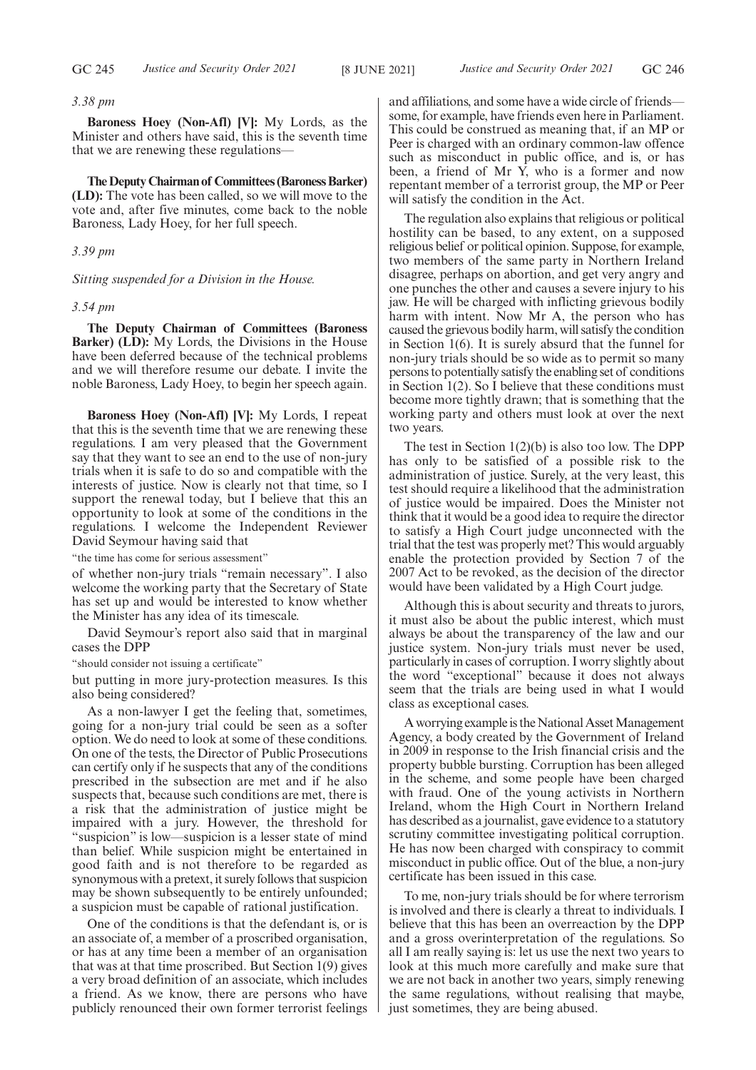# *3.38 pm*

**Baroness Hoey (Non-Afl) [V]:** My Lords, as the Minister and others have said, this is the seventh time that we are renewing these regulations—

**The Deputy Chairman of Committees (Baroness Barker) (LD):** The vote has been called, so we will move to the vote and, after five minutes, come back to the noble Baroness, Lady Hoey, for her full speech.

*3.39 pm*

#### *Sitting suspended for a Division in the House.*

#### *3.54 pm*

**The Deputy Chairman of Committees (Baroness Barker) (LD):** My Lords, the Divisions in the House have been deferred because of the technical problems and we will therefore resume our debate. I invite the noble Baroness, Lady Hoey, to begin her speech again.

**Baroness Hoey (Non-Afl) [V]:** My Lords, I repeat that this is the seventh time that we are renewing these regulations. I am very pleased that the Government say that they want to see an end to the use of non-jury trials when it is safe to do so and compatible with the interests of justice. Now is clearly not that time, so I support the renewal today, but I believe that this an opportunity to look at some of the conditions in the regulations. I welcome the Independent Reviewer David Seymour having said that

"the time has come for serious assessment"

of whether non-jury trials "remain necessary". I also welcome the working party that the Secretary of State has set up and would be interested to know whether the Minister has any idea of its timescale.

David Seymour's report also said that in marginal cases the DPP

"should consider not issuing a certificate"

but putting in more jury-protection measures. Is this also being considered?

As a non-lawyer I get the feeling that, sometimes, going for a non-jury trial could be seen as a softer option. We do need to look at some of these conditions. On one of the tests, the Director of Public Prosecutions can certify only if he suspects that any of the conditions prescribed in the subsection are met and if he also suspects that, because such conditions are met, there is a risk that the administration of justice might be impaired with a jury. However, the threshold for "suspicion" is low—suspicion is a lesser state of mind than belief. While suspicion might be entertained in good faith and is not therefore to be regarded as synonymous with a pretext, it surely follows that suspicion may be shown subsequently to be entirely unfounded; a suspicion must be capable of rational justification.

One of the conditions is that the defendant is, or is an associate of, a member of a proscribed organisation, or has at any time been a member of an organisation that was at that time proscribed. But Section 1(9) gives a very broad definition of an associate, which includes a friend. As we know, there are persons who have publicly renounced their own former terrorist feelings and affiliations, and some have a wide circle of friends some, for example, have friends even here in Parliament. This could be construed as meaning that, if an MP or Peer is charged with an ordinary common-law offence such as misconduct in public office, and is, or has been, a friend of Mr Y, who is a former and now repentant member of a terrorist group, the MP or Peer will satisfy the condition in the Act.

The regulation also explains that religious or political hostility can be based, to any extent, on a supposed religious belief or political opinion. Suppose, for example, two members of the same party in Northern Ireland disagree, perhaps on abortion, and get very angry and one punches the other and causes a severe injury to his jaw. He will be charged with inflicting grievous bodily harm with intent. Now Mr A, the person who has caused the grievous bodily harm, will satisfy the condition in Section 1(6). It is surely absurd that the funnel for non-jury trials should be so wide as to permit so many persons to potentially satisfy the enabling set of conditions in Section 1(2). So I believe that these conditions must become more tightly drawn; that is something that the working party and others must look at over the next two years.

The test in Section 1(2)(b) is also too low. The DPP has only to be satisfied of a possible risk to the administration of justice. Surely, at the very least, this test should require a likelihood that the administration of justice would be impaired. Does the Minister not think that it would be a good idea to require the director to satisfy a High Court judge unconnected with the trial that the test was properly met? This would arguably enable the protection provided by Section 7 of the 2007 Act to be revoked, as the decision of the director would have been validated by a High Court judge.

Although this is about security and threats to jurors, it must also be about the public interest, which must always be about the transparency of the law and our justice system. Non-jury trials must never be used, particularly in cases of corruption. I worry slightly about the word "exceptional" because it does not always seem that the trials are being used in what I would class as exceptional cases.

A worrying example is the National Asset Management Agency, a body created by the Government of Ireland in 2009 in response to the Irish financial crisis and the property bubble bursting. Corruption has been alleged in the scheme, and some people have been charged with fraud. One of the young activists in Northern Ireland, whom the High Court in Northern Ireland has described as a journalist, gave evidence to a statutory scrutiny committee investigating political corruption. He has now been charged with conspiracy to commit misconduct in public office. Out of the blue, a non-jury certificate has been issued in this case.

To me, non-jury trials should be for where terrorism is involved and there is clearly a threat to individuals. I believe that this has been an overreaction by the DPP and a gross overinterpretation of the regulations. So all I am really saying is: let us use the next two years to look at this much more carefully and make sure that we are not back in another two years, simply renewing the same regulations, without realising that maybe, just sometimes, they are being abused.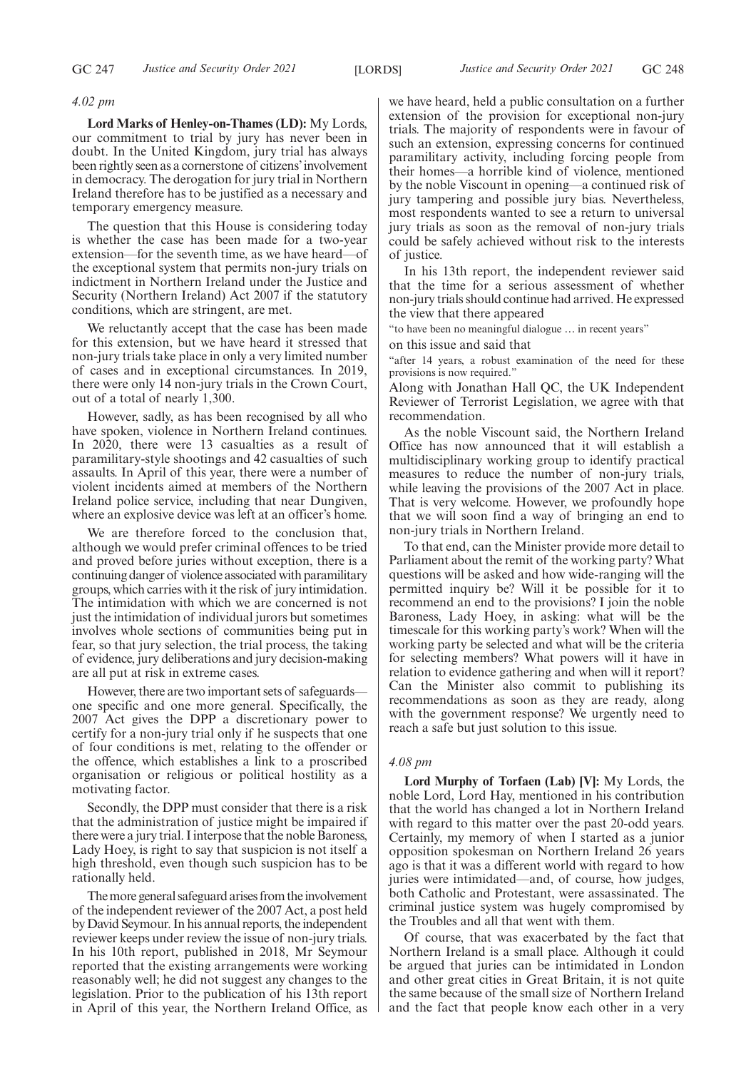# *4.02 pm*

**Lord Marks of Henley-on-Thames (LD):** My Lords, our commitment to trial by jury has never been in doubt. In the United Kingdom, jury trial has always been rightly seen as a cornerstone of citizens'involvement in democracy. The derogation for jury trial in Northern Ireland therefore has to be justified as a necessary and temporary emergency measure.

The question that this House is considering today is whether the case has been made for a two-year extension—for the seventh time, as we have heard—of the exceptional system that permits non-jury trials on indictment in Northern Ireland under the Justice and Security (Northern Ireland) Act 2007 if the statutory conditions, which are stringent, are met.

We reluctantly accept that the case has been made for this extension, but we have heard it stressed that non-jury trials take place in only a very limited number of cases and in exceptional circumstances. In 2019, there were only 14 non-jury trials in the Crown Court, out of a total of nearly 1,300.

However, sadly, as has been recognised by all who have spoken, violence in Northern Ireland continues. In 2020, there were 13 casualties as a result of paramilitary-style shootings and 42 casualties of such assaults. In April of this year, there were a number of violent incidents aimed at members of the Northern Ireland police service, including that near Dungiven, where an explosive device was left at an officer's home.

We are therefore forced to the conclusion that, although we would prefer criminal offences to be tried and proved before juries without exception, there is a continuing danger of violence associated with paramilitary groups, which carries with it the risk of jury intimidation. The intimidation with which we are concerned is not just the intimidation of individual jurors but sometimes involves whole sections of communities being put in fear, so that jury selection, the trial process, the taking of evidence, jury deliberations and jury decision-making are all put at risk in extreme cases.

However, there are two important sets of safeguards one specific and one more general. Specifically, the 2007 Act gives the DPP a discretionary power to certify for a non-jury trial only if he suspects that one of four conditions is met, relating to the offender or the offence, which establishes a link to a proscribed organisation or religious or political hostility as a motivating factor.

Secondly, the DPP must consider that there is a risk that the administration of justice might be impaired if there were a jury trial. I interpose that the noble Baroness, Lady Hoey, is right to say that suspicion is not itself a high threshold, even though such suspicion has to be rationally held.

The more general safeguard arises from the involvement of the independent reviewer of the 2007 Act, a post held by David Seymour. In his annual reports, the independent reviewer keeps under review the issue of non-jury trials. In his 10th report, published in 2018, Mr Seymour reported that the existing arrangements were working reasonably well; he did not suggest any changes to the legislation. Prior to the publication of his 13th report in April of this year, the Northern Ireland Office, as

we have heard, held a public consultation on a further extension of the provision for exceptional non-jury trials. The majority of respondents were in favour of such an extension, expressing concerns for continued paramilitary activity, including forcing people from their homes—a horrible kind of violence, mentioned by the noble Viscount in opening—a continued risk of jury tampering and possible jury bias. Nevertheless, most respondents wanted to see a return to universal jury trials as soon as the removal of non-jury trials could be safely achieved without risk to the interests of justice.

In his 13th report, the independent reviewer said that the time for a serious assessment of whether non-jury trials should continue had arrived. He expressed the view that there appeared

"to have been no meaningful dialogue … in recent years"

on this issue and said that

"after 14 years, a robust examination of the need for these provisions is now required."

Along with Jonathan Hall QC, the UK Independent Reviewer of Terrorist Legislation, we agree with that recommendation.

As the noble Viscount said, the Northern Ireland Office has now announced that it will establish a multidisciplinary working group to identify practical measures to reduce the number of non-jury trials, while leaving the provisions of the 2007 Act in place. That is very welcome. However, we profoundly hope that we will soon find a way of bringing an end to non-jury trials in Northern Ireland.

To that end, can the Minister provide more detail to Parliament about the remit of the working party? What questions will be asked and how wide-ranging will the permitted inquiry be? Will it be possible for it to recommend an end to the provisions? I join the noble Baroness, Lady Hoey, in asking: what will be the timescale for this working party's work? When will the working party be selected and what will be the criteria for selecting members? What powers will it have in relation to evidence gathering and when will it report? Can the Minister also commit to publishing its recommendations as soon as they are ready, along with the government response? We urgently need to reach a safe but just solution to this issue.

#### *4.08 pm*

**Lord Murphy of Torfaen (Lab) [V]:** My Lords, the noble Lord, Lord Hay, mentioned in his contribution that the world has changed a lot in Northern Ireland with regard to this matter over the past 20-odd years. Certainly, my memory of when I started as a junior opposition spokesman on Northern Ireland 26 years ago is that it was a different world with regard to how juries were intimidated—and, of course, how judges, both Catholic and Protestant, were assassinated. The criminal justice system was hugely compromised by the Troubles and all that went with them.

Of course, that was exacerbated by the fact that Northern Ireland is a small place. Although it could be argued that juries can be intimidated in London and other great cities in Great Britain, it is not quite the same because of the small size of Northern Ireland and the fact that people know each other in a very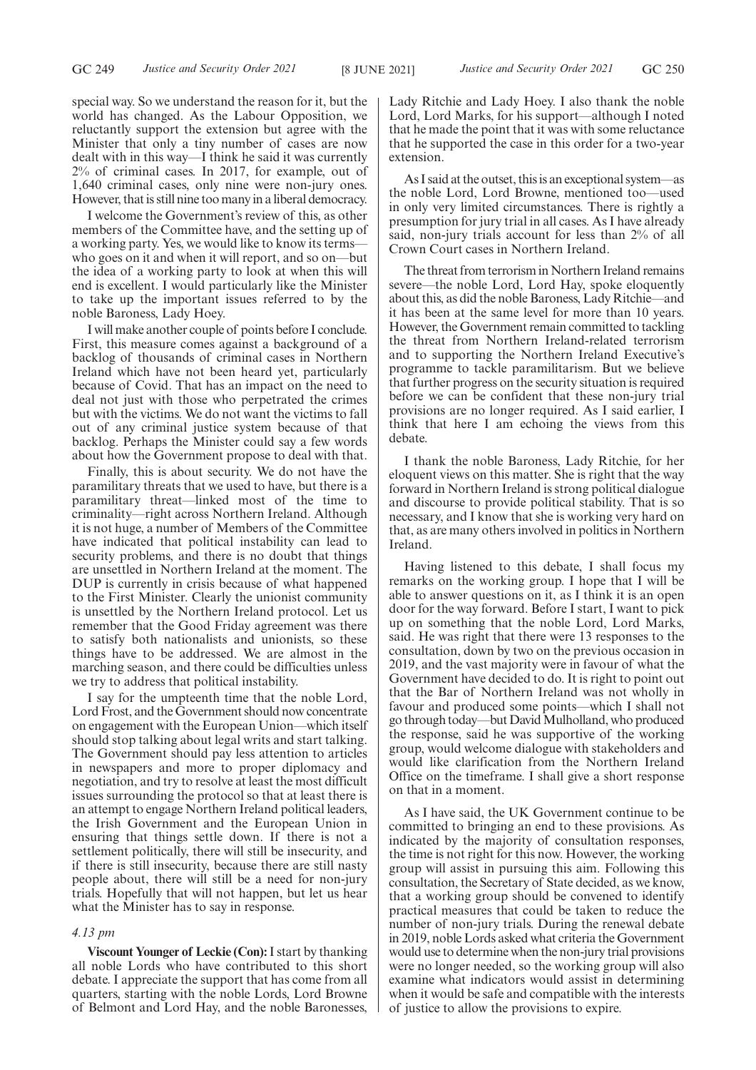special way. So we understand the reason for it, but the world has changed. As the Labour Opposition, we reluctantly support the extension but agree with the Minister that only a tiny number of cases are now dealt with in this way—I think he said it was currently 2% of criminal cases. In 2017, for example, out of 1,640 criminal cases, only nine were non-jury ones. However, that is still nine too many in a liberal democracy.

I welcome the Government's review of this, as other members of the Committee have, and the setting up of a working party. Yes, we would like to know its terms who goes on it and when it will report, and so on—but the idea of a working party to look at when this will end is excellent. I would particularly like the Minister to take up the important issues referred to by the noble Baroness, Lady Hoey.

I will make another couple of points before I conclude. First, this measure comes against a background of a backlog of thousands of criminal cases in Northern Ireland which have not been heard yet, particularly because of Covid. That has an impact on the need to deal not just with those who perpetrated the crimes but with the victims. We do not want the victims to fall out of any criminal justice system because of that backlog. Perhaps the Minister could say a few words about how the Government propose to deal with that.

Finally, this is about security. We do not have the paramilitary threats that we used to have, but there is a paramilitary threat—linked most of the time to criminality—right across Northern Ireland. Although it is not huge, a number of Members of the Committee have indicated that political instability can lead to security problems, and there is no doubt that things are unsettled in Northern Ireland at the moment. The DUP is currently in crisis because of what happened to the First Minister. Clearly the unionist community is unsettled by the Northern Ireland protocol. Let us remember that the Good Friday agreement was there to satisfy both nationalists and unionists, so these things have to be addressed. We are almost in the marching season, and there could be difficulties unless we try to address that political instability.

I say for the umpteenth time that the noble Lord, Lord Frost, and the Government should now concentrate on engagement with the European Union—which itself should stop talking about legal writs and start talking. The Government should pay less attention to articles in newspapers and more to proper diplomacy and negotiation, and try to resolve at least the most difficult issues surrounding the protocol so that at least there is an attempt to engage Northern Ireland political leaders, the Irish Government and the European Union in ensuring that things settle down. If there is not a settlement politically, there will still be insecurity, and if there is still insecurity, because there are still nasty people about, there will still be a need for non-jury trials. Hopefully that will not happen, but let us hear what the Minister has to say in response.

# *4.13 pm*

**Viscount Younger of Leckie (Con):**I start by thanking all noble Lords who have contributed to this short debate. I appreciate the support that has come from all quarters, starting with the noble Lords, Lord Browne of Belmont and Lord Hay, and the noble Baronesses, Lady Ritchie and Lady Hoey. I also thank the noble Lord, Lord Marks, for his support—although I noted that he made the point that it was with some reluctance that he supported the case in this order for a two-year extension.

As I said at the outset, this is an exceptional system—as the noble Lord, Lord Browne, mentioned too—used in only very limited circumstances. There is rightly a presumption for jury trial in all cases. As I have already said, non-jury trials account for less than 2% of all Crown Court cases in Northern Ireland.

The threat from terrorism in Northern Ireland remains severe—the noble Lord, Lord Hay, spoke eloquently about this, as did the noble Baroness, Lady Ritchie—and it has been at the same level for more than 10 years. However, the Government remain committed to tackling the threat from Northern Ireland-related terrorism and to supporting the Northern Ireland Executive's programme to tackle paramilitarism. But we believe that further progress on the security situation is required before we can be confident that these non-jury trial provisions are no longer required. As I said earlier, I think that here I am echoing the views from this debate.

I thank the noble Baroness, Lady Ritchie, for her eloquent views on this matter. She is right that the way forward in Northern Ireland is strong political dialogue and discourse to provide political stability. That is so necessary, and I know that she is working very hard on that, as are many others involved in politics in Northern Ireland.

Having listened to this debate, I shall focus my remarks on the working group. I hope that I will be able to answer questions on it, as I think it is an open door for the way forward. Before I start, I want to pick up on something that the noble Lord, Lord Marks, said. He was right that there were 13 responses to the consultation, down by two on the previous occasion in 2019, and the vast majority were in favour of what the Government have decided to do. It is right to point out that the Bar of Northern Ireland was not wholly in favour and produced some points—which I shall not go through today—but David Mulholland, who produced the response, said he was supportive of the working group, would welcome dialogue with stakeholders and would like clarification from the Northern Ireland Office on the timeframe. I shall give a short response on that in a moment.

As I have said, the UK Government continue to be committed to bringing an end to these provisions. As indicated by the majority of consultation responses, the time is not right for this now. However, the working group will assist in pursuing this aim. Following this consultation, the Secretary of State decided, as we know, that a working group should be convened to identify practical measures that could be taken to reduce the number of non-jury trials. During the renewal debate in 2019, noble Lords asked what criteria the Government would use to determine when the non-jury trial provisions were no longer needed, so the working group will also examine what indicators would assist in determining when it would be safe and compatible with the interests of justice to allow the provisions to expire.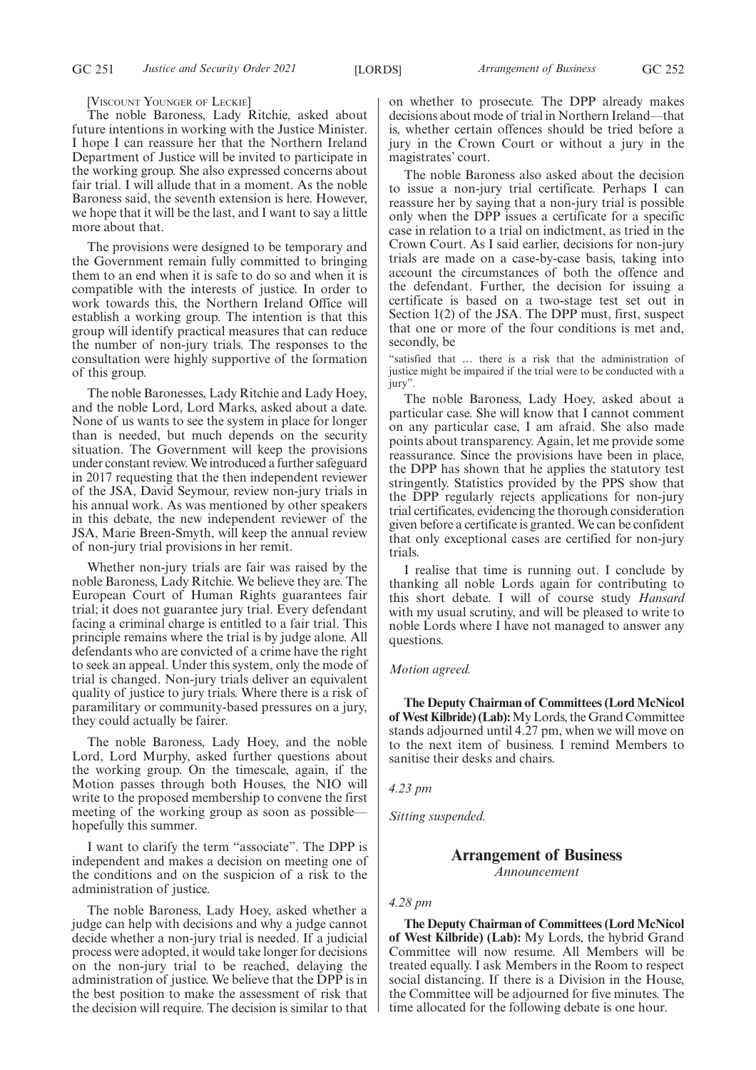[VISCOUNT YOUNGER OF LECKIE] The noble Baroness, Lady Ritchie, asked about future intentions in working with the Justice Minister. I hope I can reassure her that the Northern Ireland Department of Justice will be invited to participate in the working group. She also expressed concerns about fair trial. I will allude that in a moment. As the noble Baroness said, the seventh extension is here. However, we hope that it will be the last, and I want to say a little more about that.

The provisions were designed to be temporary and the Government remain fully committed to bringing them to an end when it is safe to do so and when it is compatible with the interests of justice. In order to work towards this, the Northern Ireland Office will establish a working group. The intention is that this group will identify practical measures that can reduce the number of non-jury trials. The responses to the consultation were highly supportive of the formation of this group.

The noble Baronesses, Lady Ritchie and Lady Hoey, and the noble Lord, Lord Marks, asked about a date. None of us wants to see the system in place for longer than is needed, but much depends on the security situation. The Government will keep the provisions under constant review. We introduced a further safeguard in 2017 requesting that the then independent reviewer of the JSA, David Seymour, review non-jury trials in his annual work. As was mentioned by other speakers in this debate, the new independent reviewer of the JSA, Marie Breen-Smyth, will keep the annual review of non-jury trial provisions in her remit.

Whether non-jury trials are fair was raised by the noble Baroness, Lady Ritchie. We believe they are. The European Court of Human Rights guarantees fair trial; it does not guarantee jury trial. Every defendant facing a criminal charge is entitled to a fair trial. This principle remains where the trial is by judge alone. All defendants who are convicted of a crime have the right to seek an appeal. Under this system, only the mode of trial is changed. Non-jury trials deliver an equivalent quality of justice to jury trials. Where there is a risk of paramilitary or community-based pressures on a jury, they could actually be fairer.

The noble Baroness, Lady Hoey, and the noble Lord, Lord Murphy, asked further questions about the working group. On the timescale, again, if the Motion passes through both Houses, the NIO will write to the proposed membership to convene the first meeting of the working group as soon as possible hopefully this summer.

I want to clarify the term "associate". The DPP is independent and makes a decision on meeting one of the conditions and on the suspicion of a risk to the administration of justice.

The noble Baroness, Lady Hoey, asked whether a judge can help with decisions and why a judge cannot decide whether a non-jury trial is needed. If a judicial process were adopted, it would take longer for decisions on the non-jury trial to be reached, delaying the administration of justice. We believe that the DPP is in the best position to make the assessment of risk that the decision will require. The decision is similar to that on whether to prosecute. The DPP already makes decisions about mode of trial in Northern Ireland—that is, whether certain offences should be tried before a jury in the Crown Court or without a jury in the magistrates' court.

The noble Baroness also asked about the decision to issue a non-jury trial certificate. Perhaps I can reassure her by saying that a non-jury trial is possible only when the DPP issues a certificate for a specific case in relation to a trial on indictment, as tried in the Crown Court. As I said earlier, decisions for non-jury trials are made on a case-by-case basis, taking into account the circumstances of both the offence and the defendant. Further, the decision for issuing a certificate is based on a two-stage test set out in Section 1(2) of the JSA. The DPP must, first, suspect that one or more of the four conditions is met and, secondly, be

"satisfied that … there is a risk that the administration of justice might be impaired if the trial were to be conducted with a jury".

The noble Baroness, Lady Hoey, asked about a particular case. She will know that I cannot comment on any particular case, I am afraid. She also made points about transparency. Again, let me provide some reassurance. Since the provisions have been in place, the DPP has shown that he applies the statutory test stringently. Statistics provided by the PPS show that the DPP regularly rejects applications for non-jury trial certificates, evidencing the thorough consideration given before a certificate is granted. We can be confident that only exceptional cases are certified for non-jury trials.

I realise that time is running out. I conclude by thanking all noble Lords again for contributing to this short debate. I will of course study *Hansard* with my usual scrutiny, and will be pleased to write to noble Lords where I have not managed to answer any questions.

# *Motion agreed.*

**The Deputy Chairman of Committees (Lord McNicol of West Kilbride) (Lab):**My Lords, the Grand Committee stands adjourned until 4.27 pm, when we will move on to the next item of business. I remind Members to sanitise their desks and chairs.

*4.23 pm*

*Sitting suspended.*

# **Arrangement of Business** *Announcement*

# *4.28 pm*

**The Deputy Chairman of Committees (Lord McNicol of West Kilbride) (Lab):** My Lords, the hybrid Grand Committee will now resume. All Members will be treated equally. I ask Members in the Room to respect social distancing. If there is a Division in the House, the Committee will be adjourned for five minutes. The time allocated for the following debate is one hour.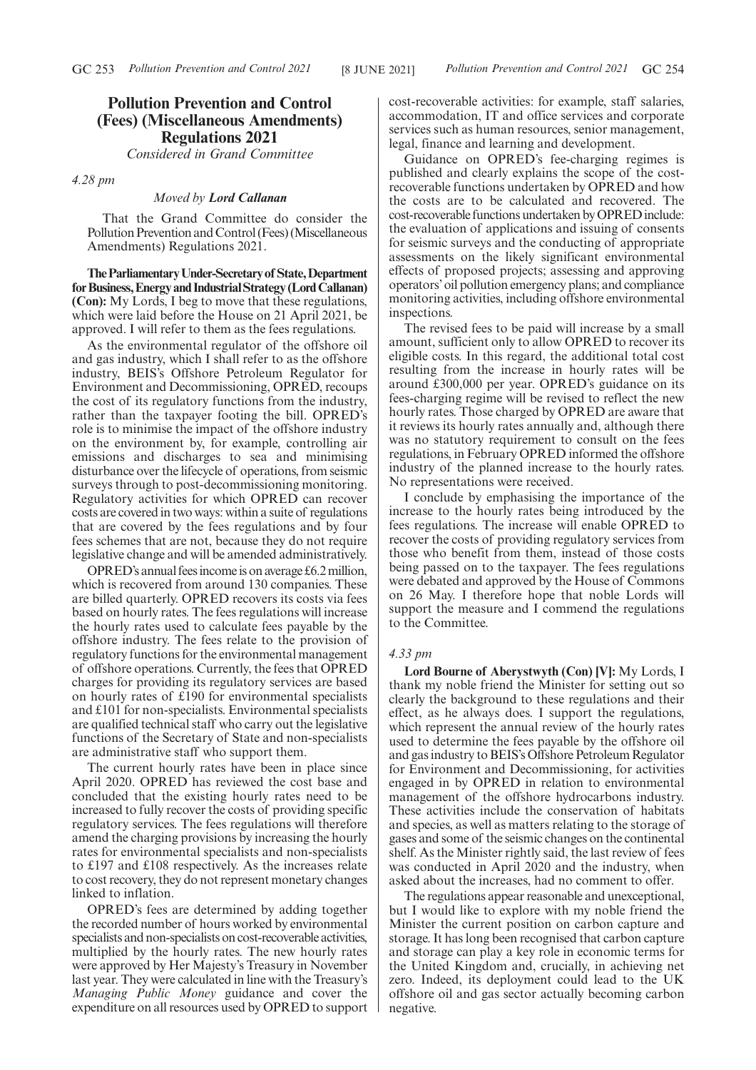# **Pollution Prevention and Control (Fees) (Miscellaneous Amendments) Regulations 2021**

*Considered in Grand Committee*

*4.28 pm*

# *Moved by Lord Callanan*

That the Grand Committee do consider the Pollution Prevention and Control (Fees) (Miscellaneous Amendments) Regulations 2021.

**TheParliamentaryUnder-Secretaryof State,Department forBusiness,EnergyandIndustrialStrategy(LordCallanan) (Con):** My Lords, I beg to move that these regulations, which were laid before the House on 21 April 2021, be approved. I will refer to them as the fees regulations.

As the environmental regulator of the offshore oil and gas industry, which I shall refer to as the offshore industry, BEIS's Offshore Petroleum Regulator for Environment and Decommissioning, OPRED, recoups the cost of its regulatory functions from the industry, rather than the taxpayer footing the bill. OPRED's role is to minimise the impact of the offshore industry on the environment by, for example, controlling air emissions and discharges to sea and minimising disturbance over the lifecycle of operations, from seismic surveys through to post-decommissioning monitoring. Regulatory activities for which OPRED can recover costs are covered in two ways: within a suite of regulations that are covered by the fees regulations and by four fees schemes that are not, because they do not require legislative change and will be amended administratively.

OPRED's annual fees income is on average £6.2 million, which is recovered from around 130 companies. These are billed quarterly. OPRED recovers its costs via fees based on hourly rates. The fees regulations will increase the hourly rates used to calculate fees payable by the offshore industry. The fees relate to the provision of regulatory functions for the environmental management of offshore operations. Currently, the fees that OPRED charges for providing its regulatory services are based on hourly rates of £190 for environmental specialists and £101 for non-specialists. Environmental specialists are qualified technical staff who carry out the legislative functions of the Secretary of State and non-specialists are administrative staff who support them.

The current hourly rates have been in place since April 2020. OPRED has reviewed the cost base and concluded that the existing hourly rates need to be increased to fully recover the costs of providing specific regulatory services. The fees regulations will therefore amend the charging provisions by increasing the hourly rates for environmental specialists and non-specialists to £197 and £108 respectively. As the increases relate to cost recovery, they do not represent monetary changes linked to inflation.

OPRED's fees are determined by adding together the recorded number of hours worked by environmental specialists and non-specialists on cost-recoverable activities, multiplied by the hourly rates. The new hourly rates were approved by Her Majesty's Treasury in November last year. They were calculated in line with the Treasury's *Managing Public Money* guidance and cover the expenditure on all resources used by OPRED to support cost-recoverable activities: for example, staff salaries, accommodation, IT and office services and corporate services such as human resources, senior management, legal, finance and learning and development.

Guidance on OPRED's fee-charging regimes is published and clearly explains the scope of the costrecoverable functions undertaken by OPRED and how the costs are to be calculated and recovered. The cost-recoverable functions undertaken by OPRED include: the evaluation of applications and issuing of consents for seismic surveys and the conducting of appropriate assessments on the likely significant environmental effects of proposed projects; assessing and approving operators'oil pollution emergency plans; and compliance monitoring activities, including offshore environmental inspections.

The revised fees to be paid will increase by a small amount, sufficient only to allow OPRED to recover its eligible costs. In this regard, the additional total cost resulting from the increase in hourly rates will be around £300,000 per year. OPRED's guidance on its fees-charging regime will be revised to reflect the new hourly rates. Those charged by OPRED are aware that it reviews its hourly rates annually and, although there was no statutory requirement to consult on the fees regulations, in February OPRED informed the offshore industry of the planned increase to the hourly rates. No representations were received.

I conclude by emphasising the importance of the increase to the hourly rates being introduced by the fees regulations. The increase will enable OPRED to recover the costs of providing regulatory services from those who benefit from them, instead of those costs being passed on to the taxpayer. The fees regulations were debated and approved by the House of Commons on 26 May. I therefore hope that noble Lords will support the measure and I commend the regulations to the Committee.

#### *4.33 pm*

**Lord Bourne of Aberystwyth (Con) [V]:** My Lords, I thank my noble friend the Minister for setting out so clearly the background to these regulations and their effect, as he always does. I support the regulations, which represent the annual review of the hourly rates used to determine the fees payable by the offshore oil and gas industry to BEIS's Offshore Petroleum Regulator for Environment and Decommissioning, for activities engaged in by OPRED in relation to environmental management of the offshore hydrocarbons industry. These activities include the conservation of habitats and species, as well as matters relating to the storage of gases and some of the seismic changes on the continental shelf. As the Minister rightly said, the last review of fees was conducted in April 2020 and the industry, when asked about the increases, had no comment to offer.

The regulations appear reasonable and unexceptional, but I would like to explore with my noble friend the Minister the current position on carbon capture and storage. It has long been recognised that carbon capture and storage can play a key role in economic terms for the United Kingdom and, crucially, in achieving net zero. Indeed, its deployment could lead to the UK offshore oil and gas sector actually becoming carbon negative.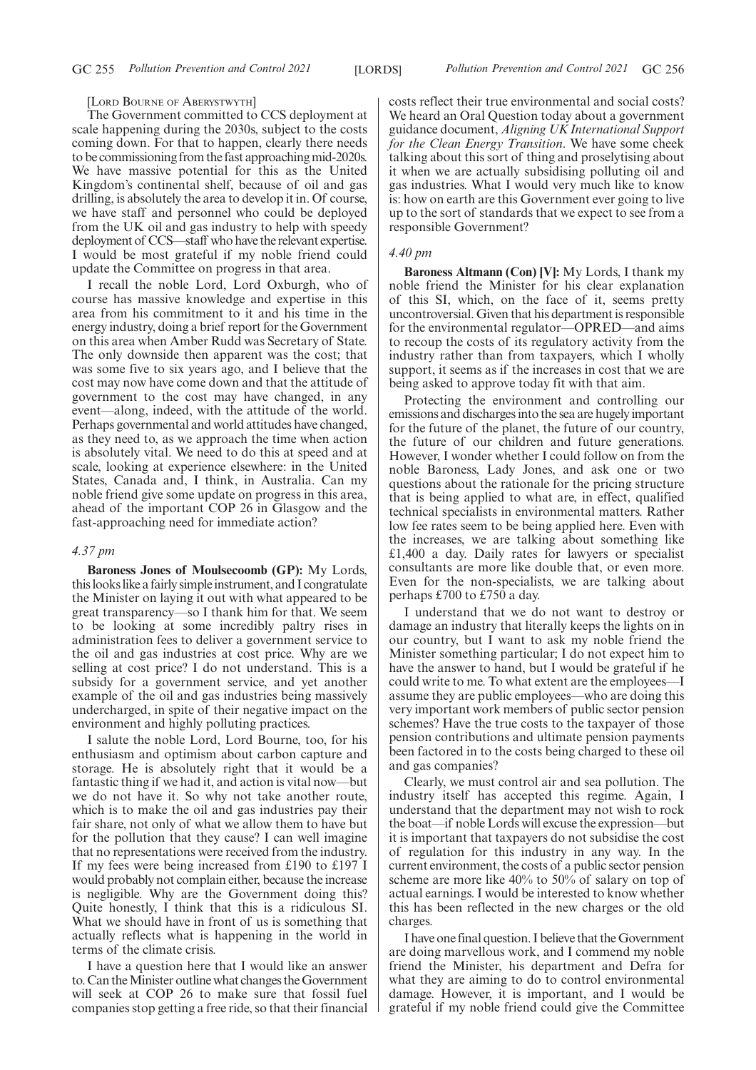#### [LORD BOURNE OF ABERYSTWYTH]

The Government committed to CCS deployment at scale happening during the 2030s, subject to the costs coming down. For that to happen, clearly there needs to be commissioning from the fast approaching mid-2020s. We have massive potential for this as the United Kingdom's continental shelf, because of oil and gas drilling, is absolutely the area to develop it in. Of course, we have staff and personnel who could be deployed from the UK oil and gas industry to help with speedy deployment of CCS—staff who have the relevant expertise. I would be most grateful if my noble friend could update the Committee on progress in that area.

I recall the noble Lord, Lord Oxburgh, who of course has massive knowledge and expertise in this area from his commitment to it and his time in the energy industry, doing a brief report for the Government on this area when Amber Rudd was Secretary of State. The only downside then apparent was the cost; that was some five to six years ago, and I believe that the cost may now have come down and that the attitude of government to the cost may have changed, in any event—along, indeed, with the attitude of the world. Perhaps governmental and world attitudes have changed, as they need to, as we approach the time when action is absolutely vital. We need to do this at speed and at scale, looking at experience elsewhere: in the United States, Canada and, I think, in Australia. Can my noble friend give some update on progress in this area, ahead of the important COP 26 in Glasgow and the fast-approaching need for immediate action?

# *4.37 pm*

**Baroness Jones of Moulsecoomb (GP):** My Lords, this looks like a fairly simple instrument, and I congratulate the Minister on laying it out with what appeared to be great transparency—so I thank him for that. We seem to be looking at some incredibly paltry rises in administration fees to deliver a government service to the oil and gas industries at cost price. Why are we selling at cost price? I do not understand. This is a subsidy for a government service, and yet another example of the oil and gas industries being massively undercharged, in spite of their negative impact on the environment and highly polluting practices.

I salute the noble Lord, Lord Bourne, too, for his enthusiasm and optimism about carbon capture and storage. He is absolutely right that it would be a fantastic thing if we had it, and action is vital now—but we do not have it. So why not take another route, which is to make the oil and gas industries pay their fair share, not only of what we allow them to have but for the pollution that they cause? I can well imagine that no representations were received from the industry. If my fees were being increased from £190 to £197 I would probably not complain either, because the increase is negligible. Why are the Government doing this? Quite honestly, I think that this is a ridiculous SI. What we should have in front of us is something that actually reflects what is happening in the world in terms of the climate crisis.

I have a question here that I would like an answer to. Can the Minister outline what changes the Government will seek at COP 26 to make sure that fossil fuel companies stop getting a free ride, so that their financial costs reflect their true environmental and social costs? We heard an Oral Question today about a government guidance document, *Aligning UK International Support for the Clean Energy Transition*. We have some cheek talking about this sort of thing and proselytising about it when we are actually subsidising polluting oil and gas industries. What I would very much like to know is: how on earth are this Government ever going to live up to the sort of standards that we expect to see from a responsible Government?

# *4.40 pm*

**Baroness Altmann (Con) [V]:** My Lords, I thank my noble friend the Minister for his clear explanation of this SI, which, on the face of it, seems pretty uncontroversial. Given that his department is responsible for the environmental regulator—OPRED—and aims to recoup the costs of its regulatory activity from the industry rather than from taxpayers, which I wholly support, it seems as if the increases in cost that we are being asked to approve today fit with that aim.

Protecting the environment and controlling our emissions and discharges into the sea are hugely important for the future of the planet, the future of our country, the future of our children and future generations. However, I wonder whether I could follow on from the noble Baroness, Lady Jones, and ask one or two questions about the rationale for the pricing structure that is being applied to what are, in effect, qualified technical specialists in environmental matters. Rather low fee rates seem to be being applied here. Even with the increases, we are talking about something like £1,400 a day. Daily rates for lawyers or specialist consultants are more like double that, or even more. Even for the non-specialists, we are talking about perhaps £700 to £750 a day.

I understand that we do not want to destroy or damage an industry that literally keeps the lights on in our country, but I want to ask my noble friend the Minister something particular; I do not expect him to have the answer to hand, but I would be grateful if he could write to me. To what extent are the employees—I assume they are public employees—who are doing this very important work members of public sector pension schemes? Have the true costs to the taxpayer of those pension contributions and ultimate pension payments been factored in to the costs being charged to these oil and gas companies?

Clearly, we must control air and sea pollution. The industry itself has accepted this regime. Again, I understand that the department may not wish to rock the boat—if noble Lords will excuse the expression—but it is important that taxpayers do not subsidise the cost of regulation for this industry in any way. In the current environment, the costs of a public sector pension scheme are more like 40% to 50% of salary on top of actual earnings. I would be interested to know whether this has been reflected in the new charges or the old charges.

I have one final question. I believe that the Government are doing marvellous work, and I commend my noble friend the Minister, his department and Defra for what they are aiming to do to control environmental damage. However, it is important, and I would be grateful if my noble friend could give the Committee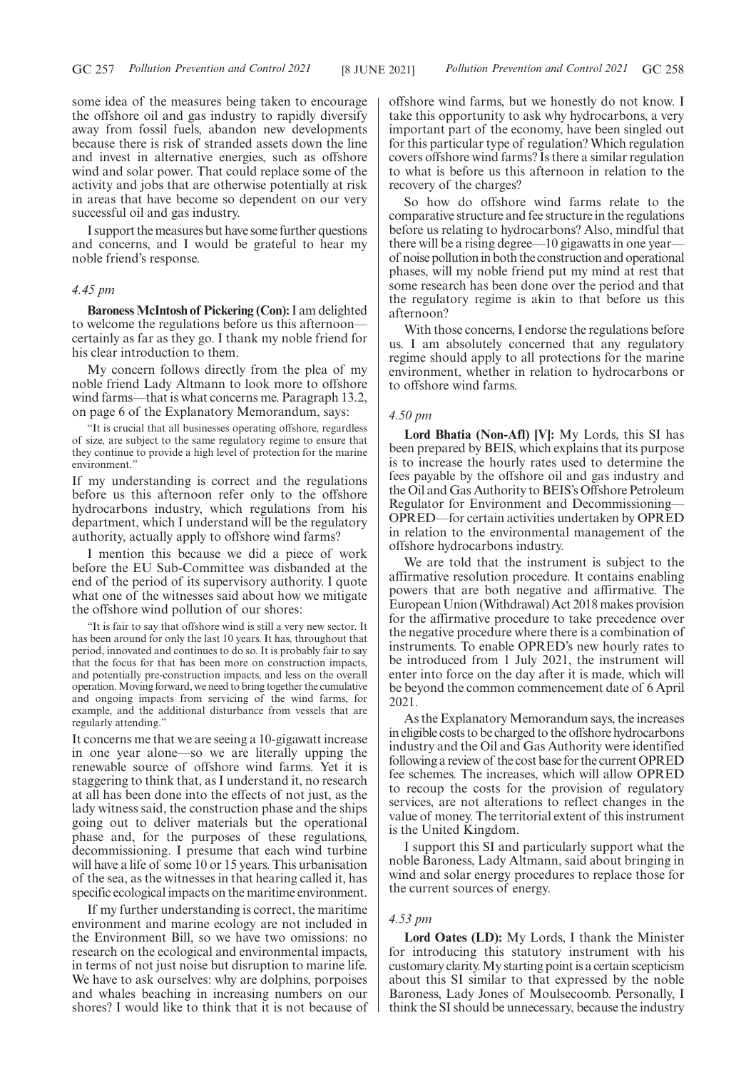some idea of the measures being taken to encourage the offshore oil and gas industry to rapidly diversify away from fossil fuels, abandon new developments because there is risk of stranded assets down the line and invest in alternative energies, such as offshore wind and solar power. That could replace some of the activity and jobs that are otherwise potentially at risk in areas that have become so dependent on our very successful oil and gas industry.

I support the measures but have some further questions and concerns, and I would be grateful to hear my noble friend's response.

## *4.45 pm*

**Baroness McIntosh of Pickering (Con):**I am delighted to welcome the regulations before us this afternoon certainly as far as they go. I thank my noble friend for his clear introduction to them.

My concern follows directly from the plea of my noble friend Lady Altmann to look more to offshore wind farms—that is what concerns me. Paragraph 13.2, on page 6 of the Explanatory Memorandum, says:

"It is crucial that all businesses operating offshore, regardless of size, are subject to the same regulatory regime to ensure that they continue to provide a high level of protection for the marine environment.'

If my understanding is correct and the regulations before us this afternoon refer only to the offshore hydrocarbons industry, which regulations from his department, which I understand will be the regulatory authority, actually apply to offshore wind farms?

I mention this because we did a piece of work before the EU Sub-Committee was disbanded at the end of the period of its supervisory authority. I quote what one of the witnesses said about how we mitigate the offshore wind pollution of our shores:

"It is fair to say that offshore wind is still a very new sector. It has been around for only the last 10 years. It has, throughout that period, innovated and continues to do so. It is probably fair to say that the focus for that has been more on construction impacts, and potentially pre-construction impacts, and less on the overall operation. Moving forward, we need to bring together the cumulative and ongoing impacts from servicing of the wind farms, for example, and the additional disturbance from vessels that are regularly attending."

It concerns me that we are seeing a 10-gigawatt increase in one year alone—so we are literally upping the renewable source of offshore wind farms. Yet it is staggering to think that, as I understand it, no research at all has been done into the effects of not just, as the lady witness said, the construction phase and the ships going out to deliver materials but the operational phase and, for the purposes of these regulations, decommissioning. I presume that each wind turbine will have a life of some 10 or 15 years. This urbanisation of the sea, as the witnesses in that hearing called it, has specific ecological impacts on the maritime environment.

If my further understanding is correct, the maritime environment and marine ecology are not included in the Environment Bill, so we have two omissions: no research on the ecological and environmental impacts, in terms of not just noise but disruption to marine life. We have to ask ourselves: why are dolphins, porpoises and whales beaching in increasing numbers on our shores? I would like to think that it is not because of offshore wind farms, but we honestly do not know. I take this opportunity to ask why hydrocarbons, a very important part of the economy, have been singled out for this particular type of regulation? Which regulation covers offshore wind farms? Is there a similar regulation to what is before us this afternoon in relation to the recovery of the charges?

So how do offshore wind farms relate to the comparative structure and fee structure in the regulations before us relating to hydrocarbons? Also, mindful that there will be a rising degree—10 gigawatts in one year of noise pollution in both the construction and operational phases, will my noble friend put my mind at rest that some research has been done over the period and that the regulatory regime is akin to that before us this afternoon?

With those concerns, I endorse the regulations before us. I am absolutely concerned that any regulatory regime should apply to all protections for the marine environment, whether in relation to hydrocarbons or to offshore wind farms.

#### *4.50 pm*

**Lord Bhatia (Non-Afl) [V]:** My Lords, this SI has been prepared by BEIS, which explains that its purpose is to increase the hourly rates used to determine the fees payable by the offshore oil and gas industry and the Oil and Gas Authority to BEIS's Offshore Petroleum Regulator for Environment and Decommissioning— OPRED—for certain activities undertaken by OPRED in relation to the environmental management of the offshore hydrocarbons industry.

We are told that the instrument is subject to the affirmative resolution procedure. It contains enabling powers that are both negative and affirmative. The European Union (Withdrawal) Act 2018 makes provision for the affirmative procedure to take precedence over the negative procedure where there is a combination of instruments. To enable OPRED's new hourly rates to be introduced from 1 July 2021, the instrument will enter into force on the day after it is made, which will be beyond the common commencement date of 6 April 2021.

As the Explanatory Memorandum says, the increases in eligible costs to be charged to the offshore hydrocarbons industry and the Oil and Gas Authority were identified following a review of the cost base for the current OPRED fee schemes. The increases, which will allow OPRED to recoup the costs for the provision of regulatory services, are not alterations to reflect changes in the value of money. The territorial extent of this instrument is the United Kingdom.

I support this SI and particularly support what the noble Baroness, Lady Altmann, said about bringing in wind and solar energy procedures to replace those for the current sources of energy.

#### *4.53 pm*

**Lord Oates (LD):** My Lords, I thank the Minister for introducing this statutory instrument with his customary clarity. My starting point is a certain scepticism about this SI similar to that expressed by the noble Baroness, Lady Jones of Moulsecoomb. Personally, I think the SI should be unnecessary, because the industry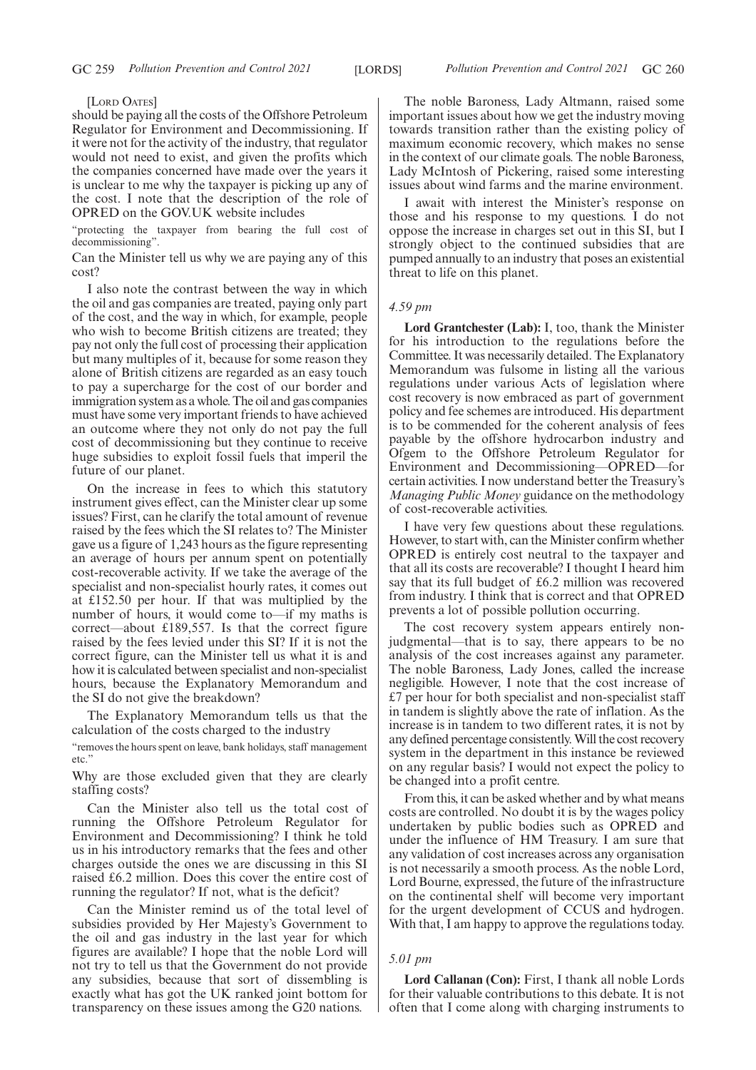[LORD OATES]

should be paying all the costs of the Offshore Petroleum Regulator for Environment and Decommissioning. If it were not for the activity of the industry, that regulator would not need to exist, and given the profits which the companies concerned have made over the years it is unclear to me why the taxpayer is picking up any of the cost. I note that the description of the role of OPRED on the GOV.UK website includes

"protecting the taxpayer from bearing the full cost of decommissioning".

Can the Minister tell us why we are paying any of this cost?

I also note the contrast between the way in which the oil and gas companies are treated, paying only part of the cost, and the way in which, for example, people who wish to become British citizens are treated; they pay not only the full cost of processing their application but many multiples of it, because for some reason they alone of British citizens are regarded as an easy touch to pay a supercharge for the cost of our border and immigration system as a whole. The oil and gas companies must have some very important friends to have achieved an outcome where they not only do not pay the full cost of decommissioning but they continue to receive huge subsidies to exploit fossil fuels that imperil the future of our planet.

On the increase in fees to which this statutory instrument gives effect, can the Minister clear up some issues? First, can he clarify the total amount of revenue raised by the fees which the SI relates to? The Minister gave us a figure of 1,243 hours as the figure representing an average of hours per annum spent on potentially cost-recoverable activity. If we take the average of the specialist and non-specialist hourly rates, it comes out at £152.50 per hour. If that was multiplied by the number of hours, it would come to—if my maths is correct—about £189,557. Is that the correct figure raised by the fees levied under this SI? If it is not the correct figure, can the Minister tell us what it is and how it is calculated between specialist and non-specialist hours, because the Explanatory Memorandum and the SI do not give the breakdown?

The Explanatory Memorandum tells us that the calculation of the costs charged to the industry

"removes the hours spent on leave, bank holidays, staff management etc."

Why are those excluded given that they are clearly staffing costs?

Can the Minister also tell us the total cost of running the Offshore Petroleum Regulator for Environment and Decommissioning? I think he told us in his introductory remarks that the fees and other charges outside the ones we are discussing in this SI raised £6.2 million. Does this cover the entire cost of running the regulator? If not, what is the deficit?

Can the Minister remind us of the total level of subsidies provided by Her Majesty's Government to the oil and gas industry in the last year for which figures are available? I hope that the noble Lord will not try to tell us that the Government do not provide any subsidies, because that sort of dissembling is exactly what has got the UK ranked joint bottom for transparency on these issues among the G20 nations.

The noble Baroness, Lady Altmann, raised some important issues about how we get the industry moving towards transition rather than the existing policy of maximum economic recovery, which makes no sense in the context of our climate goals. The noble Baroness, Lady McIntosh of Pickering, raised some interesting issues about wind farms and the marine environment.

I await with interest the Minister's response on those and his response to my questions. I do not oppose the increase in charges set out in this SI, but I strongly object to the continued subsidies that are pumped annually to an industry that poses an existential threat to life on this planet.

#### *4.59 pm*

**Lord Grantchester (Lab):** I, too, thank the Minister for his introduction to the regulations before the Committee. It was necessarily detailed. The Explanatory Memorandum was fulsome in listing all the various regulations under various Acts of legislation where cost recovery is now embraced as part of government policy and fee schemes are introduced. His department is to be commended for the coherent analysis of fees payable by the offshore hydrocarbon industry and Ofgem to the Offshore Petroleum Regulator for Environment and Decommissioning—OPRED—for certain activities. I now understand better the Treasury's *Managing Public Money* guidance on the methodology of cost-recoverable activities.

I have very few questions about these regulations. However, to start with, can the Minister confirm whether OPRED is entirely cost neutral to the taxpayer and that all its costs are recoverable? I thought I heard him say that its full budget of £6.2 million was recovered from industry. I think that is correct and that OPRED prevents a lot of possible pollution occurring.

The cost recovery system appears entirely nonjudgmental—that is to say, there appears to be no analysis of the cost increases against any parameter. The noble Baroness, Lady Jones, called the increase negligible. However, I note that the cost increase of £7 per hour for both specialist and non-specialist staff in tandem is slightly above the rate of inflation. As the increase is in tandem to two different rates, it is not by any defined percentage consistently. Will the cost recovery system in the department in this instance be reviewed on any regular basis? I would not expect the policy to be changed into a profit centre.

From this, it can be asked whether and by what means costs are controlled. No doubt it is by the wages policy undertaken by public bodies such as OPRED and under the influence of HM Treasury. I am sure that any validation of cost increases across any organisation is not necessarily a smooth process. As the noble Lord, Lord Bourne, expressed, the future of the infrastructure on the continental shelf will become very important for the urgent development of CCUS and hydrogen. With that, I am happy to approve the regulations today.

#### *5.01 pm*

**Lord Callanan (Con):** First, I thank all noble Lords for their valuable contributions to this debate. It is not often that I come along with charging instruments to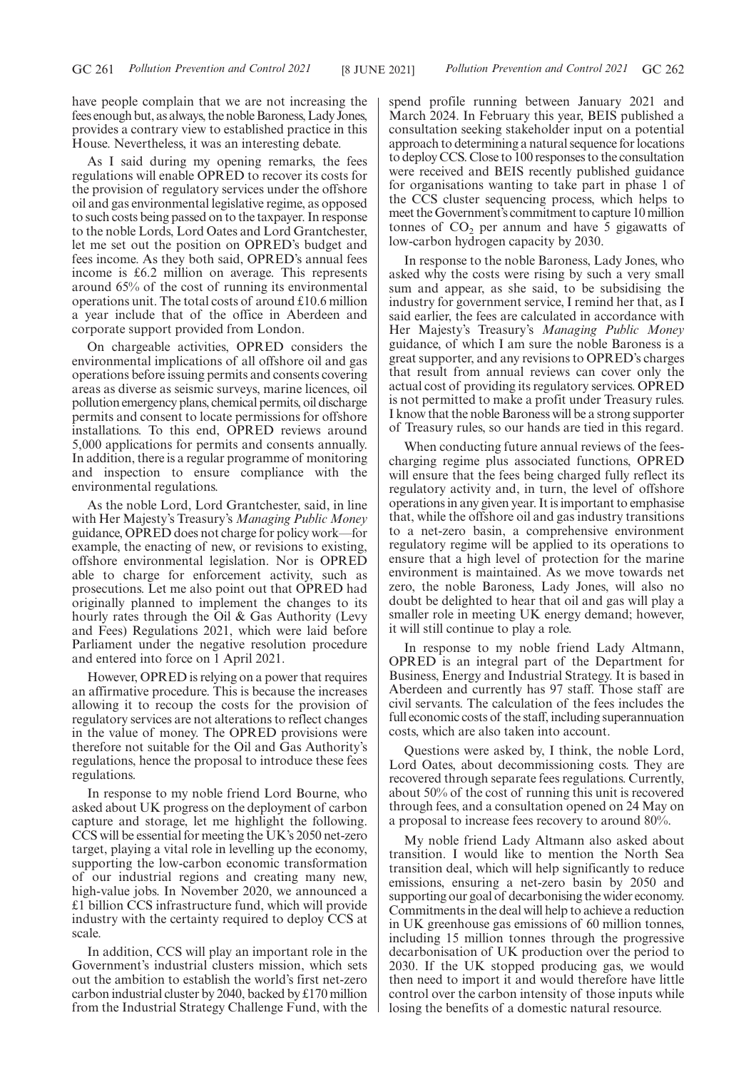have people complain that we are not increasing the fees enough but, as always, the noble Baroness, Lady Jones, provides a contrary view to established practice in this House. Nevertheless, it was an interesting debate.

As I said during my opening remarks, the fees regulations will enable OPRED to recover its costs for the provision of regulatory services under the offshore oil and gas environmental legislative regime, as opposed to such costs being passed on to the taxpayer. In response to the noble Lords, Lord Oates and Lord Grantchester, let me set out the position on OPRED's budget and fees income. As they both said, OPRED's annual fees income is £6.2 million on average. This represents around 65% of the cost of running its environmental operations unit. The total costs of around £10.6 million a year include that of the office in Aberdeen and corporate support provided from London.

On chargeable activities, OPRED considers the environmental implications of all offshore oil and gas operations before issuing permits and consents covering areas as diverse as seismic surveys, marine licences, oil pollution emergency plans, chemical permits, oil discharge permits and consent to locate permissions for offshore installations. To this end, OPRED reviews around 5,000 applications for permits and consents annually. In addition, there is a regular programme of monitoring and inspection to ensure compliance with the environmental regulations.

As the noble Lord, Lord Grantchester, said, in line with Her Majesty's Treasury's *Managing Public Money* guidance, OPRED does not charge for policy work—for example, the enacting of new, or revisions to existing, offshore environmental legislation. Nor is OPRED able to charge for enforcement activity, such as prosecutions. Let me also point out that OPRED had originally planned to implement the changes to its hourly rates through the Oil & Gas Authority (Levy and Fees) Regulations 2021, which were laid before Parliament under the negative resolution procedure and entered into force on 1 April 2021.

However, OPRED is relying on a power that requires an affirmative procedure. This is because the increases allowing it to recoup the costs for the provision of regulatory services are not alterations to reflect changes in the value of money. The OPRED provisions were therefore not suitable for the Oil and Gas Authority's regulations, hence the proposal to introduce these fees regulations.

In response to my noble friend Lord Bourne, who asked about UK progress on the deployment of carbon capture and storage, let me highlight the following. CCS will be essential for meeting the UK's 2050 net-zero target, playing a vital role in levelling up the economy, supporting the low-carbon economic transformation of our industrial regions and creating many new, high-value jobs. In November 2020, we announced a £1 billion CCS infrastructure fund, which will provide industry with the certainty required to deploy CCS at scale.

In addition, CCS will play an important role in the Government's industrial clusters mission, which sets out the ambition to establish the world's first net-zero carbon industrial cluster by 2040, backed by £170 million from the Industrial Strategy Challenge Fund, with the

spend profile running between January 2021 and March 2024. In February this year, BEIS published a consultation seeking stakeholder input on a potential approach to determining a natural sequence for locations to deploy CCS. Close to 100 responses to the consultation were received and BEIS recently published guidance for organisations wanting to take part in phase 1 of the CCS cluster sequencing process, which helps to meet the Government's commitment to capture 10 million tonnes of  $CO<sub>2</sub>$  per annum and have 5 gigawatts of low-carbon hydrogen capacity by 2030.

In response to the noble Baroness, Lady Jones, who asked why the costs were rising by such a very small sum and appear, as she said, to be subsidising the industry for government service, I remind her that, as I said earlier, the fees are calculated in accordance with Her Majesty's Treasury's *Managing Public Money* guidance, of which I am sure the noble Baroness is a great supporter, and any revisions to OPRED's charges that result from annual reviews can cover only the actual cost of providing its regulatory services. OPRED is not permitted to make a profit under Treasury rules. I know that the noble Baroness will be a strong supporter of Treasury rules, so our hands are tied in this regard.

When conducting future annual reviews of the feescharging regime plus associated functions, OPRED will ensure that the fees being charged fully reflect its regulatory activity and, in turn, the level of offshore operations in any given year. It is important to emphasise that, while the offshore oil and gas industry transitions to a net-zero basin, a comprehensive environment regulatory regime will be applied to its operations to ensure that a high level of protection for the marine environment is maintained. As we move towards net zero, the noble Baroness, Lady Jones, will also no doubt be delighted to hear that oil and gas will play a smaller role in meeting UK energy demand; however, it will still continue to play a role.

In response to my noble friend Lady Altmann, OPRED is an integral part of the Department for Business, Energy and Industrial Strategy. It is based in Aberdeen and currently has 97 staff. Those staff are civil servants. The calculation of the fees includes the full economic costs of the staff, including superannuation costs, which are also taken into account.

Questions were asked by, I think, the noble Lord, Lord Oates, about decommissioning costs. They are recovered through separate fees regulations. Currently, about 50% of the cost of running this unit is recovered through fees, and a consultation opened on 24 May on a proposal to increase fees recovery to around 80%.

My noble friend Lady Altmann also asked about transition. I would like to mention the North Sea transition deal, which will help significantly to reduce emissions, ensuring a net-zero basin by 2050 and supporting our goal of decarbonising the wider economy. Commitments in the deal will help to achieve a reduction in UK greenhouse gas emissions of 60 million tonnes, including 15 million tonnes through the progressive decarbonisation of UK production over the period to 2030. If the UK stopped producing gas, we would then need to import it and would therefore have little control over the carbon intensity of those inputs while losing the benefits of a domestic natural resource.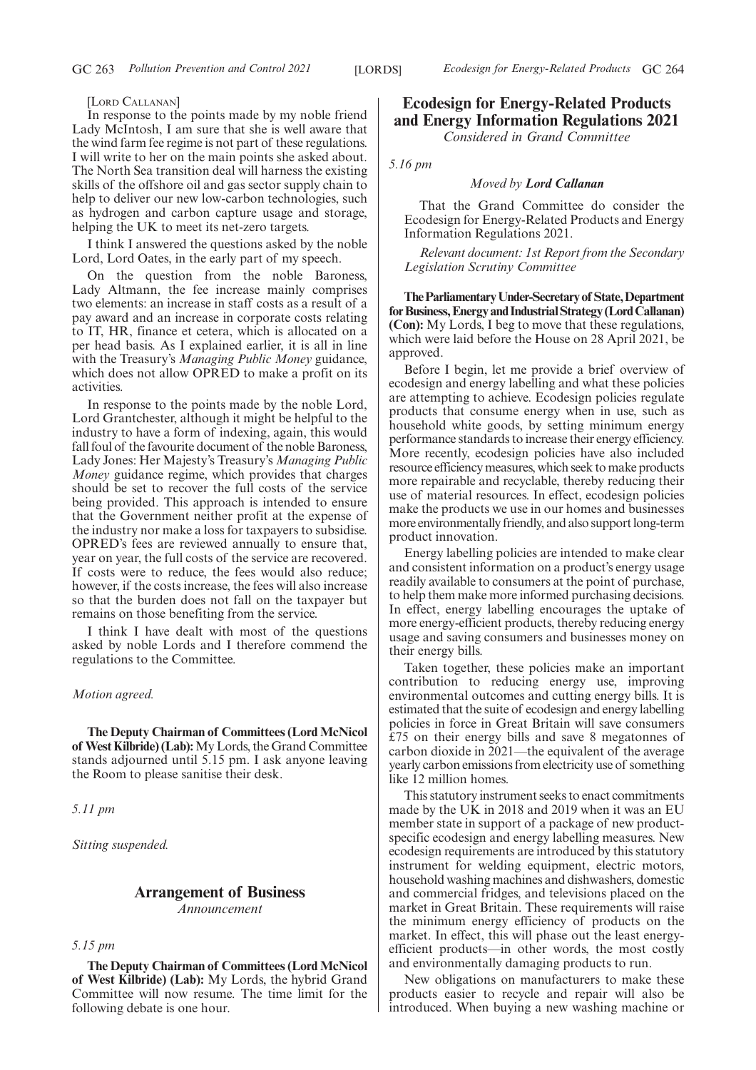#### [LORD CALLANAN]

In response to the points made by my noble friend Lady McIntosh, I am sure that she is well aware that the wind farm fee regime is not part of these regulations. I will write to her on the main points she asked about. The North Sea transition deal will harness the existing skills of the offshore oil and gas sector supply chain to help to deliver our new low-carbon technologies, such as hydrogen and carbon capture usage and storage, helping the UK to meet its net-zero targets.

I think I answered the questions asked by the noble Lord, Lord Oates, in the early part of my speech.

On the question from the noble Baroness, Lady Altmann, the fee increase mainly comprises two elements: an increase in staff costs as a result of a pay award and an increase in corporate costs relating to IT, HR, finance et cetera, which is allocated on a per head basis. As I explained earlier, it is all in line with the Treasury's *Managing Public Money* guidance, which does not allow OPRED to make a profit on its activities.

In response to the points made by the noble Lord, Lord Grantchester, although it might be helpful to the industry to have a form of indexing, again, this would fall foul of the favourite document of the noble Baroness, Lady Jones: Her Majesty's Treasury's *Managing Public Money* guidance regime, which provides that charges should be set to recover the full costs of the service being provided. This approach is intended to ensure that the Government neither profit at the expense of the industry nor make a loss for taxpayers to subsidise. OPRED's fees are reviewed annually to ensure that, year on year, the full costs of the service are recovered. If costs were to reduce, the fees would also reduce; however, if the costs increase, the fees will also increase so that the burden does not fall on the taxpayer but remains on those benefiting from the service.

I think I have dealt with most of the questions asked by noble Lords and I therefore commend the regulations to the Committee.

#### *Motion agreed.*

**The Deputy Chairman of Committees (Lord McNicol of West Kilbride) (Lab):**My Lords, the Grand Committee stands adjourned until 5.15 pm. I ask anyone leaving the Room to please sanitise their desk.

*5.11 pm*

*Sitting suspended.*

## **Arrangement of Business** *Announcement*

## *5.15 pm*

**The Deputy Chairman of Committees (Lord McNicol of West Kilbride) (Lab):** My Lords, the hybrid Grand Committee will now resume. The time limit for the following debate is one hour.

# **Ecodesign for Energy-Related Products and Energy Information Regulations 2021**

*Considered in Grand Committee*

*5.16 pm*

#### *Moved by Lord Callanan*

That the Grand Committee do consider the Ecodesign for Energy-Related Products and Energy Information Regulations 2021.

*Relevant document: 1st Report from the Secondary Legislation Scrutiny Committee*

**TheParliamentaryUnder-Secretaryof State,Department** for Business, Energy and Industrial Strategy (Lord Callanan) **(Con):** My Lords, I beg to move that these regulations, which were laid before the House on 28 April 2021, be approved.

Before I begin, let me provide a brief overview of ecodesign and energy labelling and what these policies are attempting to achieve. Ecodesign policies regulate products that consume energy when in use, such as household white goods, by setting minimum energy performance standards to increase their energy efficiency. More recently, ecodesign policies have also included resource efficiency measures, which seek to make products more repairable and recyclable, thereby reducing their use of material resources. In effect, ecodesign policies make the products we use in our homes and businesses more environmentally friendly, and also support long-term product innovation.

Energy labelling policies are intended to make clear and consistent information on a product's energy usage readily available to consumers at the point of purchase, to help them make more informed purchasing decisions. In effect, energy labelling encourages the uptake of more energy-efficient products, thereby reducing energy usage and saving consumers and businesses money on their energy bills.

Taken together, these policies make an important contribution to reducing energy use, improving environmental outcomes and cutting energy bills. It is estimated that the suite of ecodesign and energy labelling policies in force in Great Britain will save consumers £75 on their energy bills and save 8 megatonnes of carbon dioxide in 2021—the equivalent of the average yearly carbon emissions from electricity use of something like 12 million homes.

This statutory instrument seeks to enact commitments made by the UK in 2018 and 2019 when it was an EU member state in support of a package of new productspecific ecodesign and energy labelling measures. New ecodesign requirements are introduced by this statutory instrument for welding equipment, electric motors, household washing machines and dishwashers, domestic and commercial fridges, and televisions placed on the market in Great Britain. These requirements will raise the minimum energy efficiency of products on the market. In effect, this will phase out the least energyefficient products—in other words, the most costly and environmentally damaging products to run.

New obligations on manufacturers to make these products easier to recycle and repair will also be introduced. When buying a new washing machine or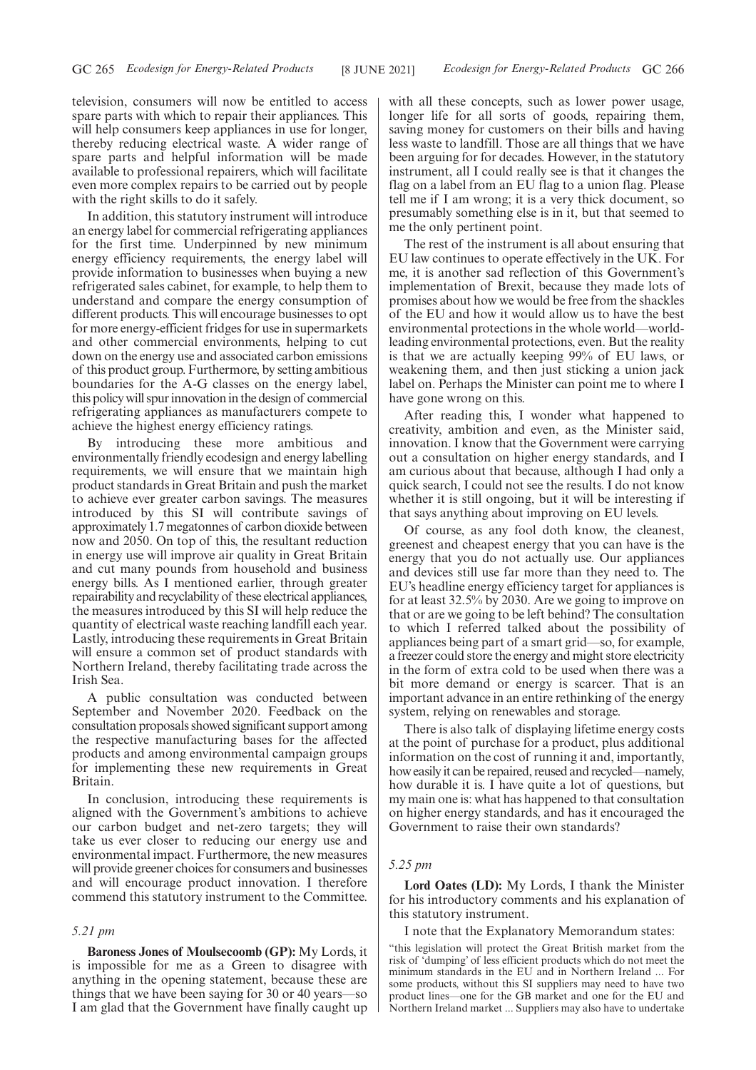television, consumers will now be entitled to access spare parts with which to repair their appliances. This will help consumers keep appliances in use for longer, thereby reducing electrical waste. A wider range of spare parts and helpful information will be made available to professional repairers, which will facilitate even more complex repairs to be carried out by people with the right skills to do it safely.

In addition, this statutory instrument will introduce an energy label for commercial refrigerating appliances for the first time. Underpinned by new minimum energy efficiency requirements, the energy label will provide information to businesses when buying a new refrigerated sales cabinet, for example, to help them to understand and compare the energy consumption of different products. This will encourage businesses to opt for more energy-efficient fridges for use in supermarkets and other commercial environments, helping to cut down on the energy use and associated carbon emissions of this product group. Furthermore, by setting ambitious boundaries for the A-G classes on the energy label, this policy will spur innovation in the design of commercial refrigerating appliances as manufacturers compete to achieve the highest energy efficiency ratings.

By introducing these more ambitious and environmentally friendly ecodesign and energy labelling requirements, we will ensure that we maintain high product standards in Great Britain and push the market to achieve ever greater carbon savings. The measures introduced by this SI will contribute savings of approximately 1.7 megatonnes of carbon dioxide between now and 2050. On top of this, the resultant reduction in energy use will improve air quality in Great Britain and cut many pounds from household and business energy bills. As I mentioned earlier, through greater repairability and recyclability of these electrical appliances, the measures introduced by this SI will help reduce the quantity of electrical waste reaching landfill each year. Lastly, introducing these requirements in Great Britain will ensure a common set of product standards with Northern Ireland, thereby facilitating trade across the Irish Sea.

A public consultation was conducted between September and November 2020. Feedback on the consultation proposals showed significant support among the respective manufacturing bases for the affected products and among environmental campaign groups for implementing these new requirements in Great Britain.

In conclusion, introducing these requirements is aligned with the Government's ambitions to achieve our carbon budget and net-zero targets; they will take us ever closer to reducing our energy use and environmental impact. Furthermore, the new measures will provide greener choices for consumers and businesses and will encourage product innovation. I therefore commend this statutory instrument to the Committee.

#### *5.21 pm*

**Baroness Jones of Moulsecoomb (GP):** My Lords, it is impossible for me as a Green to disagree with anything in the opening statement, because these are things that we have been saying for 30 or 40 years—so I am glad that the Government have finally caught up with all these concepts, such as lower power usage, longer life for all sorts of goods, repairing them, saving money for customers on their bills and having less waste to landfill. Those are all things that we have been arguing for for decades. However, in the statutory instrument, all I could really see is that it changes the flag on a label from an EU flag to a union flag. Please tell me if I am wrong; it is a very thick document, so presumably something else is in it, but that seemed to me the only pertinent point.

The rest of the instrument is all about ensuring that EU law continues to operate effectively in the UK. For me, it is another sad reflection of this Government's implementation of Brexit, because they made lots of promises about how we would be free from the shackles of the EU and how it would allow us to have the best environmental protections in the whole world—worldleading environmental protections, even. But the reality is that we are actually keeping 99% of EU laws, or weakening them, and then just sticking a union jack label on. Perhaps the Minister can point me to where I have gone wrong on this.

After reading this, I wonder what happened to creativity, ambition and even, as the Minister said, innovation. I know that the Government were carrying out a consultation on higher energy standards, and I am curious about that because, although I had only a quick search, I could not see the results. I do not know whether it is still ongoing, but it will be interesting if that says anything about improving on EU levels.

Of course, as any fool doth know, the cleanest, greenest and cheapest energy that you can have is the energy that you do not actually use. Our appliances and devices still use far more than they need to. The EU's headline energy efficiency target for appliances is for at least 32.5% by 2030. Are we going to improve on that or are we going to be left behind? The consultation to which I referred talked about the possibility of appliances being part of a smart grid—so, for example, a freezer could store the energy and might store electricity in the form of extra cold to be used when there was a bit more demand or energy is scarcer. That is an important advance in an entire rethinking of the energy system, relying on renewables and storage.

There is also talk of displaying lifetime energy costs at the point of purchase for a product, plus additional information on the cost of running it and, importantly, how easily it can be repaired, reused and recycled—namely, how durable it is. I have quite a lot of questions, but my main one is: what has happened to that consultation on higher energy standards, and has it encouraged the Government to raise their own standards?

#### *5.25 pm*

**Lord Oates (LD):** My Lords, I thank the Minister for his introductory comments and his explanation of this statutory instrument.

I note that the Explanatory Memorandum states:

"this legislation will protect the Great British market from the risk of 'dumping' of less efficient products which do not meet the minimum standards in the EU and in Northern Ireland ... For some products, without this SI suppliers may need to have two product lines—one for the GB market and one for the EU and Northern Ireland market ... Suppliers may also have to undertake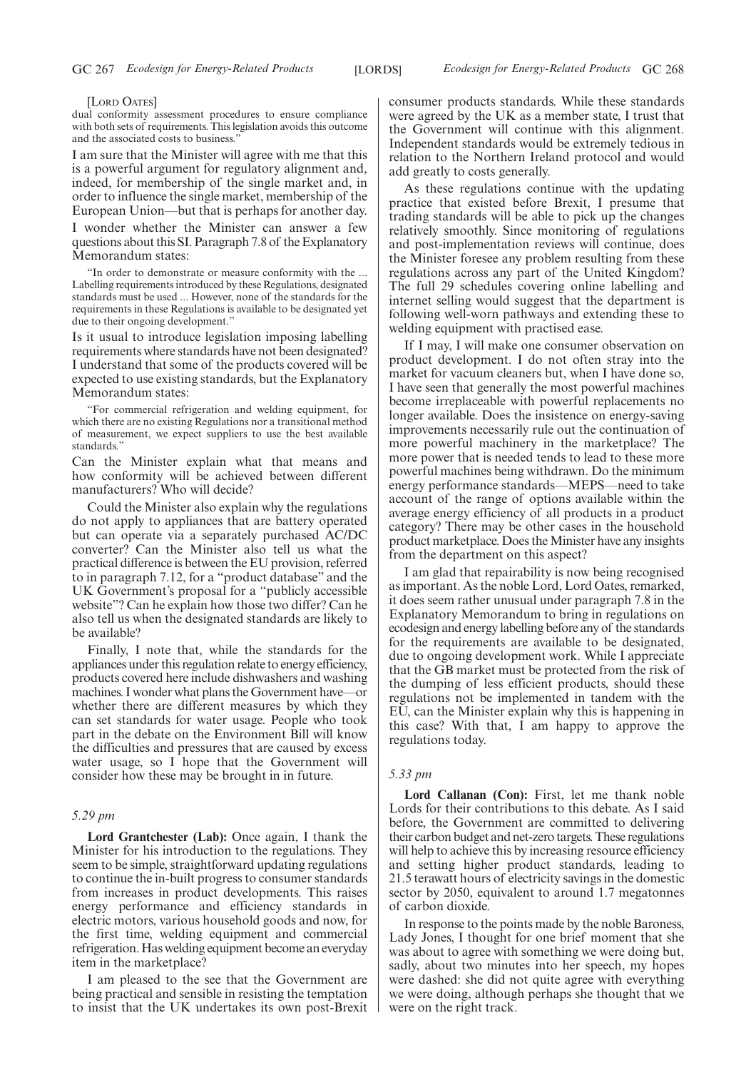#### [LORD OATES]

dual conformity assessment procedures to ensure compliance with both sets of requirements. This legislation avoids this outcome and the associated costs to business."

I am sure that the Minister will agree with me that this is a powerful argument for regulatory alignment and, indeed, for membership of the single market and, in order to influence the single market, membership of the European Union—but that is perhaps for another day.

I wonder whether the Minister can answer a few questions about this SI. Paragraph 7.8 of the Explanatory Memorandum states:

"In order to demonstrate or measure conformity with the ... Labelling requirements introduced by these Regulations, designated standards must be used ... However, none of the standards for the requirements in these Regulations is available to be designated yet due to their ongoing development.'

Is it usual to introduce legislation imposing labelling requirements where standards have not been designated? I understand that some of the products covered will be expected to use existing standards, but the Explanatory Memorandum states:

"For commercial refrigeration and welding equipment, for which there are no existing Regulations nor a transitional method of measurement, we expect suppliers to use the best available standards."

Can the Minister explain what that means and how conformity will be achieved between different manufacturers? Who will decide?

Could the Minister also explain why the regulations do not apply to appliances that are battery operated but can operate via a separately purchased AC/DC converter? Can the Minister also tell us what the practical difference is between the EU provision, referred to in paragraph 7.12, for a "product database" and the UK Government's proposal for a "publicly accessible website"? Can he explain how those two differ? Can he also tell us when the designated standards are likely to be available?

Finally, I note that, while the standards for the appliances under this regulation relate to energy efficiency, products covered here include dishwashers and washing machines. I wonder what plans the Government have—or whether there are different measures by which they can set standards for water usage. People who took part in the debate on the Environment Bill will know the difficulties and pressures that are caused by excess water usage, so I hope that the Government will consider how these may be brought in in future.

## *5.29 pm*

**Lord Grantchester (Lab):** Once again, I thank the Minister for his introduction to the regulations. They seem to be simple, straightforward updating regulations to continue the in-built progress to consumer standards from increases in product developments. This raises energy performance and efficiency standards in electric motors, various household goods and now, for the first time, welding equipment and commercial refrigeration. Has welding equipment become an everyday item in the marketplace?

I am pleased to the see that the Government are being practical and sensible in resisting the temptation to insist that the UK undertakes its own post-Brexit consumer products standards. While these standards were agreed by the UK as a member state, I trust that the Government will continue with this alignment. Independent standards would be extremely tedious in relation to the Northern Ireland protocol and would add greatly to costs generally.

As these regulations continue with the updating practice that existed before Brexit, I presume that trading standards will be able to pick up the changes relatively smoothly. Since monitoring of regulations and post-implementation reviews will continue, does the Minister foresee any problem resulting from these regulations across any part of the United Kingdom? The full 29 schedules covering online labelling and internet selling would suggest that the department is following well-worn pathways and extending these to welding equipment with practised ease.

If I may, I will make one consumer observation on product development. I do not often stray into the market for vacuum cleaners but, when I have done so, I have seen that generally the most powerful machines become irreplaceable with powerful replacements no longer available. Does the insistence on energy-saving improvements necessarily rule out the continuation of more powerful machinery in the marketplace? The more power that is needed tends to lead to these more powerful machines being withdrawn. Do the minimum energy performance standards—MEPS—need to take account of the range of options available within the average energy efficiency of all products in a product category? There may be other cases in the household product marketplace. Does the Minister have any insights from the department on this aspect?

I am glad that repairability is now being recognised as important. As the noble Lord, Lord Oates, remarked, it does seem rather unusual under paragraph 7.8 in the Explanatory Memorandum to bring in regulations on ecodesign and energy labelling before any of the standards for the requirements are available to be designated, due to ongoing development work. While I appreciate that the GB market must be protected from the risk of the dumping of less efficient products, should these regulations not be implemented in tandem with the EU, can the Minister explain why this is happening in this case? With that, I am happy to approve the regulations today.

## *5.33 pm*

**Lord Callanan (Con):** First, let me thank noble Lords for their contributions to this debate. As I said before, the Government are committed to delivering their carbon budget and net-zero targets. These regulations will help to achieve this by increasing resource efficiency and setting higher product standards, leading to 21.5 terawatt hours of electricity savings in the domestic sector by 2050, equivalent to around 1.7 megatonnes of carbon dioxide.

In response to the points made by the noble Baroness, Lady Jones, I thought for one brief moment that she was about to agree with something we were doing but, sadly, about two minutes into her speech, my hopes were dashed: she did not quite agree with everything we were doing, although perhaps she thought that we were on the right track.